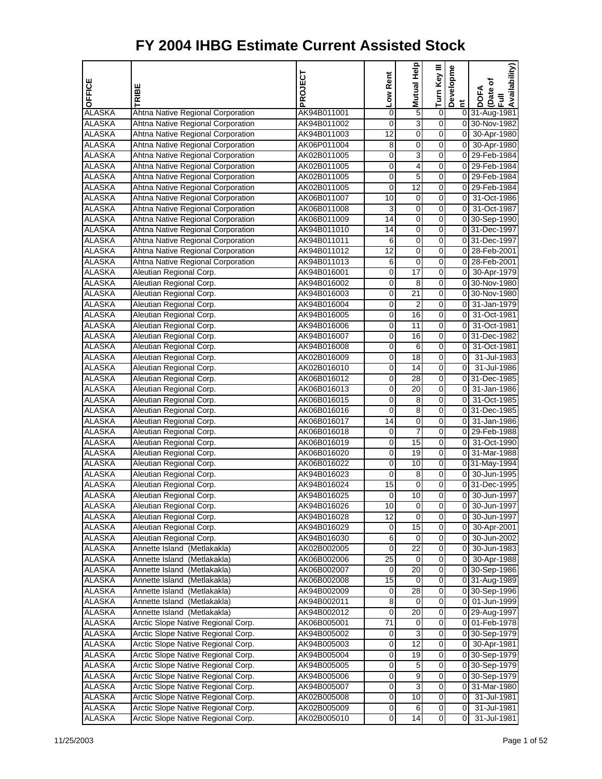| OFFICE        | TRIBE                              | PROJECT     | Low Rent        | Help<br><b>Mutual</b> | Turn Key III            | Developme               | Availability)<br>Date of<br>Full<br><b>DOFA</b> |
|---------------|------------------------------------|-------------|-----------------|-----------------------|-------------------------|-------------------------|-------------------------------------------------|
| <b>ALASKA</b> | Ahtna Native Regional Corporation  | AK94B011001 | 0               | 5                     | 0                       | $\overline{\mathbf{c}}$ | 0 31-Aug-1981                                   |
| <b>ALASKA</b> | Ahtna Native Regional Corporation  | AK94B011002 | 0               | 3                     | $\overline{0}$          |                         | 0 30-Nov-1982                                   |
| <b>ALASKA</b> | Ahtna Native Regional Corporation  | AK94B011003 | 12              | 0                     | 0                       |                         | 0 30-Apr-1980                                   |
| <b>ALASKA</b> | Ahtna Native Regional Corporation  | AK06P011004 | 8               | 0                     | 0                       |                         | 0 30-Apr-1980                                   |
| <b>ALASKA</b> | Ahtna Native Regional Corporation  | AK02B011005 | 0               | 3                     | 0                       |                         | 0 29-Feb-1984                                   |
| <b>ALASKA</b> | Ahtna Native Regional Corporation  | AK02B011005 | 0               | 4                     | 0                       |                         | 0 29-Feb-1984                                   |
| <b>ALASKA</b> | Ahtna Native Regional Corporation  | AK02B011005 | 0               | 5                     | 0                       |                         | 0 29-Feb-1984                                   |
| <b>ALASKA</b> | Ahtna Native Regional Corporation  | AK02B011005 | 0               | 12                    | 0                       |                         | 0 29-Feb-1984                                   |
| <b>ALASKA</b> | Ahtna Native Regional Corporation  | AK06B011007 | 10              | 0                     | 0                       | 01                      | 31-Oct-1986                                     |
| <b>ALASKA</b> | Ahtna Native Regional Corporation  | AK06B011008 | 3               | 0                     | 0                       | 0                       | 31-Oct-1987                                     |
| <b>ALASKA</b> | Ahtna Native Regional Corporation  | AK06B011009 | 14              | 0                     | 0                       |                         | 0 30-Sep-1990                                   |
| <b>ALASKA</b> | Ahtna Native Regional Corporation  | AK94B011010 | 14              | 0                     | 0                       |                         | 0 31-Dec-1997                                   |
| <b>ALASKA</b> | Ahtna Native Regional Corporation  | AK94B011011 | 6               | 0                     | 0                       |                         | 0 31-Dec-1997                                   |
| <b>ALASKA</b> | Ahtna Native Regional Corporation  | AK94B011012 | $\overline{12}$ | 0                     | 0                       |                         | 0 28-Feb-2001                                   |
| <b>ALASKA</b> | Ahtna Native Regional Corporation  | AK94B011013 | 6               | 0                     | 0                       |                         | 0 28-Feb-2001                                   |
| <b>ALASKA</b> | Aleutian Regional Corp.            | AK94B016001 | 0               | $\overline{17}$       | 0                       | $\overline{0}$          | 30-Apr-1979                                     |
| <b>ALASKA</b> | Aleutian Regional Corp.            | AK94B016002 | 0               | 8                     | 0                       |                         | 0 30-Nov-1980                                   |
| <b>ALASKA</b> | Aleutian Regional Corp.            | AK94B016003 | 0               | 21                    | 0                       |                         | 0 30-Nov-1980                                   |
| <b>ALASKA</b> | Aleutian Regional Corp.            | AK94B016004 | 0               | $\overline{2}$        | 0                       |                         | 0 31-Jan-1979                                   |
| <b>ALASKA</b> | Aleutian Regional Corp.            | AK94B016005 | 0               | 16                    | 0                       | 0                       | 31-Oct-1981                                     |
| <b>ALASKA</b> | Aleutian Regional Corp.            | AK94B016006 | 0               | 11                    | 0                       | $\overline{0}$          | 31-Oct-1981                                     |
| <b>ALASKA</b> | Aleutian Regional Corp.            | AK94B016007 | 0               | 16                    | 0                       |                         | 031-Dec-1982                                    |
| <b>ALASKA</b> | Aleutian Regional Corp.            | AK94B016008 | 0               | 6                     | 0                       | 0                       | 31-Oct-1981                                     |
| <b>ALASKA</b> | Aleutian Regional Corp.            | AK02B016009 | 0               | $\overline{18}$       | 0                       | $\overline{0}$          | 31-Jul-1983                                     |
| <b>ALASKA</b> | Aleutian Regional Corp.            | AK02B016010 | 0               | 14                    | 0                       | $\Omega$                | 31-Jul-1986                                     |
| <b>ALASKA</b> | Aleutian Regional Corp.            | AK06B016012 | 0               | 28                    | 0                       |                         | 0 31-Dec-1985                                   |
| <b>ALASKA</b> | Aleutian Regional Corp.            | AK06B016013 | 0               | 20                    | 0                       |                         | 0 31-Jan-1986                                   |
| <b>ALASKA</b> | Aleutian Regional Corp.            | AK06B016015 | 0               | 8                     | 0                       | 0                       | 31-Oct-1985                                     |
| <b>ALASKA</b> | Aleutian Regional Corp.            | AK06B016016 | 0               | 8                     | 0                       |                         | 0 31-Dec-1985                                   |
| <b>ALASKA</b> | Aleutian Regional Corp.            | AK06B016017 | 14              | 0                     | 0                       | 0                       | 31-Jan-1986                                     |
| <b>ALASKA</b> | Aleutian Regional Corp.            | AK06B016018 | 0               | 7                     | 0                       |                         | 0 29-Feb-1988                                   |
| <b>ALASKA</b> | Aleutian Regional Corp.            | AK06B016019 | 0               | 15                    | 0                       |                         | 0 31-Oct-1990                                   |
| <b>ALASKA</b> | Aleutian Regional Corp.            | AK06B016020 | 0               | 19                    | 0                       |                         | 0 31-Mar-1988                                   |
| <b>ALASKA</b> | Aleutian Regional Corp.            | AK06B016022 | 0               | 10                    | 0                       |                         | 0 31-May-1994                                   |
| <b>ALASKA</b> | Aleutian Regional Corp.            | AK94B016023 | 0               | 8                     | 0                       | οI                      | 30-Jun-1995                                     |
| <b>ALASKA</b> | Aleutian Regional Corp.            | AK94B016024 | 15              | 0                     | 0                       |                         | 0 31-Dec-1995                                   |
| <b>ALASKA</b> | Aleutian Regional Corp.            | AK94B016025 | 0               | 10                    | $\overline{0}$          | ٥I                      | 30-Jun-1997                                     |
| <b>ALASKA</b> | Aleutian Regional Corp.            | AK94B016026 | 10              | 0                     | $\overline{0}$          |                         | 0 30-Jun-1997                                   |
| <b>ALASKA</b> | Aleutian Regional Corp.            | AK94B016028 | 12              | $\overline{0}$        | $\overline{\mathsf{o}}$ | 01                      | 30-Jun-1997                                     |
| <b>ALASKA</b> | Aleutian Regional Corp.            | AK94B016029 | 0               | 15                    | 0                       | 01                      | 30-Apr-2001                                     |
| <b>ALASKA</b> | Aleutian Regional Corp.            | AK94B016030 | 6               | 0                     | $\mathbf 0$             |                         | 0 30-Jun-2002                                   |
| <b>ALASKA</b> | Annette Island (Metlakakla)        | AK02B002005 | 0               | $\overline{22}$       | $\overline{0}$          |                         | 0 30-Jun-1983                                   |
| <b>ALASKA</b> | Annette Island (Metlakakla)        | AK06B002006 | 25              | 0                     | $\mathbf 0$             | 01                      | 30-Apr-1988                                     |
| <b>ALASKA</b> | Annette Island (Metlakakla)        | AK06B002007 | 0               | $\overline{20}$       | $\overline{\mathsf{o}}$ |                         | 0 30-Sep-1986                                   |
| <b>ALASKA</b> | Annette Island (Metlakakla)        | AK06B002008 | 15              | 0                     | 0                       |                         | 0 31-Aug-1989                                   |
| <b>ALASKA</b> | Annette Island (Metlakakla)        | AK94B002009 | 0               | 28                    | $\mathbf 0$             |                         | 0 30-Sep-1996                                   |
| <b>ALASKA</b> | Annette Island (Metlakakla)        | AK94B002011 | 8               | 0                     | $\overline{0}$          |                         | 0 01-Jun-1999                                   |
| <b>ALASKA</b> | Annette Island (Metlakakla)        | AK94B002012 | 0               | 20                    | $\mathbf 0$             |                         | 0 29-Aug-1997                                   |
| <b>ALASKA</b> | Arctic Slope Native Regional Corp. | AK06B005001 | 71              | 0                     | $\overline{\mathsf{o}}$ |                         | 0 01-Feb-1978                                   |
| ALASKA        | Arctic Slope Native Regional Corp. | AK94B005002 | 0               | 3                     | 0                       |                         | 0 30-Sep-1979                                   |
| <b>ALASKA</b> | Arctic Slope Native Regional Corp. | AK94B005003 | 0               | $\overline{12}$       | $\mathbf 0$             |                         | $\overline{0}$ 30-Apr-1981                      |
| <b>ALASKA</b> | Arctic Slope Native Regional Corp. | AK94B005004 | 0               | 19                    | $\overline{0}$          |                         | 0 30-Sep-1979                                   |
| <b>ALASKA</b> | Arctic Slope Native Regional Corp. | AK94B005005 | 0               | 5                     | O                       |                         | 0 30-Sep-1979                                   |
| <b>ALASKA</b> | Arctic Slope Native Regional Corp. | AK94B005006 | 0               | 9                     | $\overline{\mathsf{o}}$ |                         | 0 30-Sep-1979                                   |
| <b>ALASKA</b> | Arctic Slope Native Regional Corp. | AK94B005007 | 0               | 3<br>10               | 0<br>$\mathbf 0$        | 01                      | 31-Mar-1980                                     |
| <b>ALASKA</b> | Arctic Slope Native Regional Corp. | AK02B005008 | 0               |                       | $\overline{0}$          | 0                       | 31-Jul-1981<br>$31 -$ Jul-1981                  |
| <b>ALASKA</b> | Arctic Slope Native Regional Corp. | AK02B005009 | 0               | 6<br>14               | $\overline{0}$          | 0<br>0                  |                                                 |
| <b>ALASKA</b> | Arctic Slope Native Regional Corp. | AK02B005010 | 0               |                       |                         |                         | 31-Jul-1981                                     |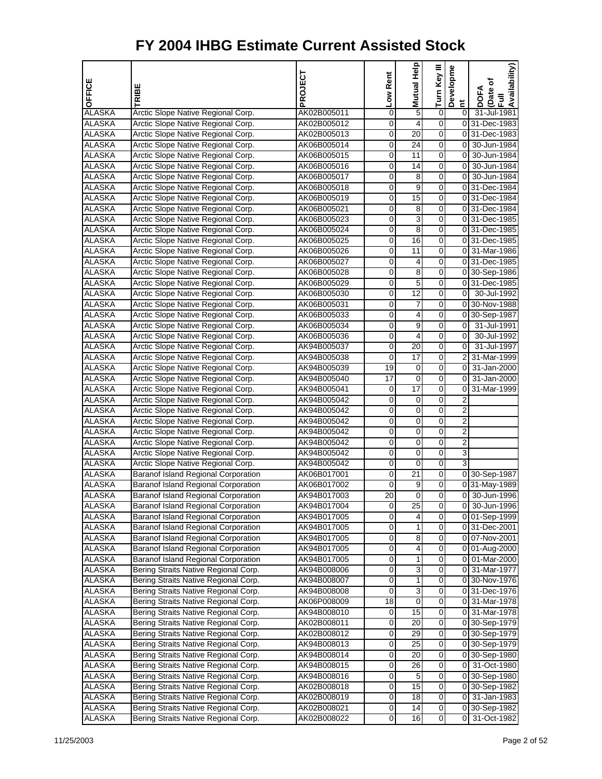| <b>OFFICE</b>                  | TRIBE                                                                        | PROJECT                    | Low Rent              | Mutual Help     | Ξ<br>Turn Key       | Developme      | Availability)<br>৳               |
|--------------------------------|------------------------------------------------------------------------------|----------------------------|-----------------------|-----------------|---------------------|----------------|----------------------------------|
|                                |                                                                              |                            |                       |                 |                     | Ĕ              | <b>DOFA</b><br>Date<br>$\bar{a}$ |
| <b>ALASKA</b>                  | Arctic Slope Native Regional Corp.                                           | AK02B005011                | 0                     | 5               | 0                   | $\overline{0}$ | 31-Jul-1981                      |
| <b>ALASKA</b>                  | Arctic Slope Native Regional Corp.                                           | AK02B005012                | 0                     | 4               | 0                   |                | 031-Dec-1983                     |
| <b>ALASKA</b>                  | Arctic Slope Native Regional Corp.                                           | AK02B005013                | 0                     | 20              | 0                   |                | 0 31-Dec-1983                    |
| <b>ALASKA</b>                  | Arctic Slope Native Regional Corp.                                           | AK06B005014                | 0                     | $\overline{24}$ | 0                   | 0              | 30-Jun-1984                      |
| <b>ALASKA</b>                  | Arctic Slope Native Regional Corp.                                           | AK06B005015                | 0                     | 11              | 0                   | 01             | 30-Jun-1984                      |
| <b>ALASKA</b>                  | Arctic Slope Native Regional Corp.                                           | AK06B005016                | 0                     | $\overline{14}$ | 0                   | $\overline{0}$ | 30-Jun-1984                      |
| ALASKA                         | Arctic Slope Native Regional Corp.                                           | AK06B005017                | 0                     | 8               | 0                   | 0              | 30-Jun-1984                      |
| <b>ALASKA</b>                  | Arctic Slope Native Regional Corp.                                           | AK06B005018                | 0                     | 9               | 0                   |                | 0 31-Dec-1984                    |
| <b>ALASKA</b>                  | Arctic Slope Native Regional Corp.                                           | AK06B005019                | 0                     | $\overline{15}$ | 0                   |                | 0 31-Dec-1984                    |
| <b>ALASKA</b>                  | Arctic Slope Native Regional Corp.                                           | AK06B005021                | 0                     | 8               | 0                   |                | 0 31-Dec-1984                    |
| <b>ALASKA</b>                  | Arctic Slope Native Regional Corp.                                           | AK06B005023                | 0                     | 3               | 0                   |                | 0 31-Dec-1985                    |
| <b>ALASKA</b>                  | Arctic Slope Native Regional Corp.                                           | AK06B005024                | 0                     | 8               | 0                   |                | 031-Dec-1985                     |
| <b>ALASKA</b>                  | Arctic Slope Native Regional Corp.                                           | AK06B005025                | 0                     | 16              | 0                   |                | 0 31-Dec-1985                    |
| <b>ALASKA</b>                  | Arctic Slope Native Regional Corp.                                           | AK06B005026                | 0                     | 11              | 0                   |                | 0 31-Mar-1986                    |
| <b>ALASKA</b>                  | Arctic Slope Native Regional Corp.                                           | AK06B005027                | 0                     | 4               | 0                   |                | 031-Dec-1985                     |
| <b>ALASKA</b>                  | Arctic Slope Native Regional Corp.                                           | AK06B005028                | 0                     | 8               | 0                   |                | 0 30-Sep-1986                    |
| ALASKA                         | Arctic Slope Native Regional Corp.                                           | AK06B005029                | 0                     | 5               | 0                   |                | 031-Dec-1985                     |
| <b>ALASKA</b>                  | Arctic Slope Native Regional Corp.                                           | AK06B005030                | 0                     | 12              | 0                   | $\overline{0}$ | 30-Jul-1992                      |
| <b>ALASKA</b>                  | Arctic Slope Native Regional Corp.                                           | AK06B005031                | 0                     | 7               | 0                   |                | 0 30-Nov-1988                    |
| <b>ALASKA</b>                  | Arctic Slope Native Regional Corp.                                           | AK06B005033                | 0                     | 4               | 0                   |                | 0 30-Sep-1987                    |
| <b>ALASKA</b>                  | Arctic Slope Native Regional Corp.                                           | AK06B005034                | 0                     | 9               | 0                   | $\overline{0}$ | 31-Jul-1991                      |
| <b>ALASKA</b>                  | Arctic Slope Native Regional Corp.                                           | AK06B005036                | 0                     | 4               | 0                   | $\overline{0}$ | 30-Jul-1992                      |
| <b>ALASKA</b>                  | Arctic Slope Native Regional Corp.                                           | AK94B005037                | 0                     | 20              | 0                   | $\overline{0}$ | 31-Jul-1997                      |
| <b>ALASKA</b>                  | Arctic Slope Native Regional Corp.                                           | AK94B005038                | 0                     | 17              | 0                   | $\overline{2}$ | 31-Mar-1999                      |
| <b>ALASKA</b>                  | Arctic Slope Native Regional Corp.                                           | AK94B005039                | 19                    | 0               | 0                   | 01             | 31-Jan-2000                      |
| <b>ALASKA</b>                  | Arctic Slope Native Regional Corp.                                           | AK94B005040                | $\overline{17}$       | 0               | 0                   | O              | 31-Jan-2000                      |
| ALASKA                         | Arctic Slope Native Regional Corp.                                           | AK94B005041                | 0                     | 17              | 0                   | 0              | 31-Mar-1999                      |
| <b>ALASKA</b>                  | Arctic Slope Native Regional Corp.                                           | AK94B005042                | 0                     | 0               | 0                   | $\overline{2}$ |                                  |
| <b>ALASKA</b>                  | Arctic Slope Native Regional Corp.                                           | AK94B005042                | 0                     | 0               | 0                   | 2              |                                  |
| <b>ALASKA</b>                  | Arctic Slope Native Regional Corp.                                           | AK94B005042                | 0                     | 0               | 0                   | 2              |                                  |
| <b>ALASKA</b>                  | Arctic Slope Native Regional Corp.                                           | AK94B005042                | 0                     | 0               | 0                   | $\overline{2}$ |                                  |
| <b>ALASKA</b>                  | Arctic Slope Native Regional Corp.                                           | AK94B005042                | 0                     | 0               | 0                   | 2              |                                  |
| <b>ALASKA</b>                  | Arctic Slope Native Regional Corp.                                           | AK94B005042                | 0                     | 0               | 0                   | 3              |                                  |
| <b>ALASKA</b>                  | Arctic Slope Native Regional Corp.                                           | AK94B005042                | 0                     | 0               | 0                   | 3              |                                  |
| <b>ALASKA</b>                  | Baranof Island Regional Corporation                                          | AK06B017001                | 0                     | 21              | 0                   |                | 0 30-Sep-1987                    |
| <b>ALASKA</b>                  | <b>Baranof Island Regional Corporation</b>                                   | AK06B017002                | 0                     | 9               | 0                   |                | 0 31-May-1989                    |
| <b>ALASKA</b>                  | Baranof Island Regional Corporation                                          | AK94B017003                | 20                    | 0               | 0                   | 0              | 30-Jun-1996                      |
| <b>ALASKA</b>                  | Baranof Island Regional Corporation                                          | AK94B017004                | $\mathbf 0$           | 25              | 0                   |                | 0 30-Jun-1996                    |
| <b>ALASKA</b>                  | Baranof Island Regional Corporation                                          | AK94B017005                | 0                     | 4               | 0                   |                | 0 01-Sep-1999                    |
| ALASKA                         | Baranof Island Regional Corporation                                          | AK94B017005                | 0                     | 1               | 0                   |                | 0 31-Dec-2001                    |
| <b>ALASKA</b>                  | Baranof Island Regional Corporation                                          | AK94B017005                | $\boldsymbol{0}$      | $\overline{8}$  | 0                   |                | 0 07-Nov-2001                    |
| <b>ALASKA</b>                  | Baranof Island Regional Corporation                                          | AK94B017005                | 0                     | 4               | 0                   |                | 0 01-Aug-2000                    |
| <b>ALASKA</b>                  | Baranof Island Regional Corporation                                          | AK94B017005                | 0                     | 1               | 0                   | 01             | 01-Mar-2000                      |
| <b>ALASKA</b>                  | Bering Straits Native Regional Corp.                                         | AK94B008006                | 0                     | 3               | 0                   |                | 0 31-Mar-1977                    |
| ALASKA<br><b>ALASKA</b>        | Bering Straits Native Regional Corp.                                         | AK94B008007                | 0<br>$\boldsymbol{0}$ | 1<br>3          | 0<br>$\overline{0}$ |                | 0 30-Nov-1976<br>0 31-Dec-1976   |
|                                | Bering Straits Native Regional Corp.<br>Bering Straits Native Regional Corp. | AK94B008008                |                       |                 |                     |                |                                  |
| <b>ALASKA</b><br><b>ALASKA</b> |                                                                              | AK06P008009                | 18                    | 0<br>15         | 0<br>0              |                | 0 31-Mar-1978                    |
|                                | Bering Straits Native Regional Corp.                                         | AK94B008010                | 0                     | 20              | 0                   |                | 0 31-Mar-1978<br>0 30-Sep-1979   |
| <b>ALASKA</b>                  | Bering Straits Native Regional Corp.                                         | AK02B008011                | 0                     | 29              | 0                   |                |                                  |
| ALASKA<br><b>ALASKA</b>        | Bering Straits Native Regional Corp.<br>Bering Straits Native Regional Corp. | AK02B008012<br>AK94B008013 | 0<br>$\boldsymbol{0}$ | 25              | 0                   |                | 0 30-Sep-1979<br>0 30-Sep-1979   |
| <b>ALASKA</b>                  | Bering Straits Native Regional Corp.                                         | AK94B008014                | 0                     | 20              | 0                   |                | 0 30-Sep-1980                    |
| <b>ALASKA</b>                  | Bering Straits Native Regional Corp.                                         | AK94B008015                | 0                     | 26              | 0                   | 01             | 31-Oct-1980                      |
| <b>ALASKA</b>                  | Bering Straits Native Regional Corp.                                         | AK94B008016                | 0                     | 5               | 0                   |                | 0 30-Sep-1980                    |
| ALASKA                         | Bering Straits Native Regional Corp.                                         | AK02B008018                | 0                     | 15              | 0                   |                | 0 30-Sep-1982                    |
| <b>ALASKA</b>                  | Bering Straits Native Regional Corp.                                         | AK02B008019                | $\pmb{0}$             | 18              | 0                   |                | 0 31-Jan-1983                    |
| <b>ALASKA</b>                  | Bering Straits Native Regional Corp.                                         | AK02B008021                | 0                     | 14              | 0                   |                | 0 30-Sep-1982                    |
| ALASKA                         | Bering Straits Native Regional Corp.                                         | AK02B008022                | 0                     | 16              | 0                   | $\overline{0}$ | 31-Oct-1982                      |
|                                |                                                                              |                            |                       |                 |                     |                |                                  |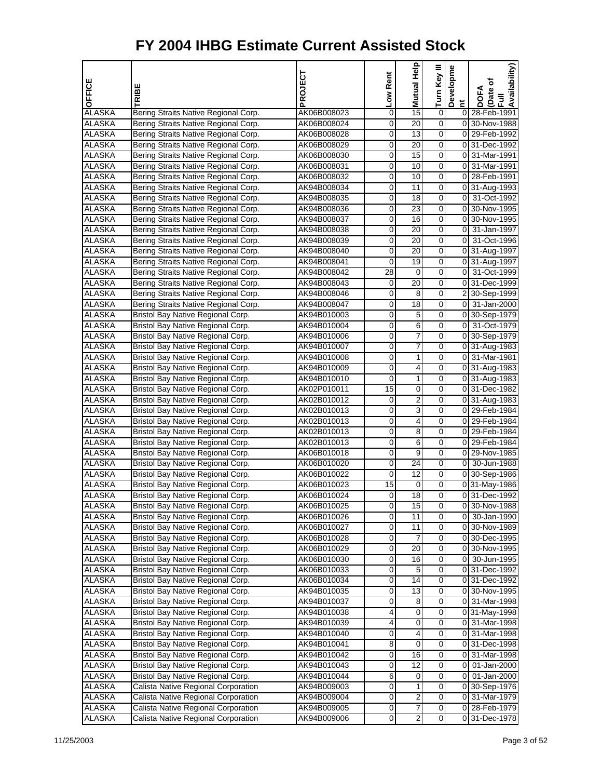|                                |                                                                              | PROJECT                    | Low Rent    | Mutual Help     | Turn Key III   | Developme | Availability)<br>DOFA<br>(Date of |
|--------------------------------|------------------------------------------------------------------------------|----------------------------|-------------|-----------------|----------------|-----------|-----------------------------------|
| OFFICE                         | TRIBE                                                                        |                            |             |                 |                |           | Ē                                 |
|                                |                                                                              |                            |             |                 |                | Ĕ         |                                   |
| <b>ALASKA</b>                  | Bering Straits Native Regional Corp.                                         | AK06B008023                | 0           | 15              | $\mathbf 0$    |           | 0 28-Feb-1991                     |
| <b>ALASKA</b>                  | Bering Straits Native Regional Corp.                                         | AK06B008024                | 0           | 20              | 0              |           | 0 30-Nov-1988                     |
| <b>ALASKA</b>                  | Bering Straits Native Regional Corp.                                         | AK06B008028                | 0           | 13<br>20        | 0<br>0         |           | 0 29-Feb-1992                     |
| <b>ALASKA</b><br><b>ALASKA</b> | Bering Straits Native Regional Corp.                                         | AK06B008029                | 0           | 15              | $\overline{0}$ |           | 0 31-Dec-1992<br>0 31-Mar-1991    |
| <b>ALASKA</b>                  | Bering Straits Native Regional Corp.<br>Bering Straits Native Regional Corp. | AK06B008030<br>AK06B008031 | 0<br>0      | 10              | $\overline{0}$ |           | 0 31-Mar-1991                     |
| <b>ALASKA</b>                  | Bering Straits Native Regional Corp.                                         | AK06B008032                | 0           | 10              | 0              |           | 0 28-Feb-1991                     |
| <b>ALASKA</b>                  | Bering Straits Native Regional Corp.                                         | AK94B008034                | 0           | 11              | 0              |           | 0 31-Aug-1993                     |
| <b>ALASKA</b>                  | Bering Straits Native Regional Corp.                                         | AK94B008035                | 0           | 18              | 0              |           | 0 31-Oct-1992                     |
| <b>ALASKA</b>                  | Bering Straits Native Regional Corp.                                         | AK94B008036                | 0           | 23              | $\Omega$       |           | 0 30-Nov-1995                     |
| <b>ALASKA</b>                  | Bering Straits Native Regional Corp.                                         | AK94B008037                | 0           | 16              | 0              |           | 0 30-Nov-1995                     |
| <b>ALASKA</b>                  | Bering Straits Native Regional Corp.                                         | AK94B008038                | 0           | 20              | 0              |           | 0 31-Jan-1997                     |
| <b>ALASKA</b>                  | Bering Straits Native Regional Corp.                                         | AK94B008039                | 0           | 20              | 0              |           | 0 31-Oct-1996                     |
| <b>ALASKA</b>                  | Bering Straits Native Regional Corp.                                         | AK94B008040                | 0           | 20              | 0              |           | 0 31-Aug-1997                     |
| <b>ALASKA</b>                  | Bering Straits Native Regional Corp.                                         | AK94B008041                | 0           | 19              | 0              |           | 0 31-Aug-1997                     |
| <b>ALASKA</b>                  | Bering Straits Native Regional Corp.                                         | AK94B008042                | 28          | $\pmb{0}$       | $\overline{0}$ |           | 0 31-Oct-1999                     |
| <b>ALASKA</b>                  | Bering Straits Native Regional Corp.                                         | AK94B008043                | 0           | 20              | 0              |           | 031-Dec-1999                      |
| <b>ALASKA</b>                  | Bering Straits Native Regional Corp.                                         | AK94B008046                | 0           | 8               | 0              |           | 2 30-Sep-1999                     |
| <b>ALASKA</b>                  | Bering Straits Native Regional Corp.                                         | AK94B008047                | 0           | 18              | 0              |           | 0 31-Jan-2000                     |
| <b>ALASKA</b>                  | Bristol Bay Native Regional Corp.                                            | AK94B010003                | 0           | 5               | 0              |           | 0 30-Sep-1979                     |
| <b>ALASKA</b>                  | Bristol Bay Native Regional Corp.                                            | AK94B010004                | 0           | 6               | 0              |           | 0 31-Oct-1979                     |
| <b>ALASKA</b>                  | Bristol Bay Native Regional Corp.                                            | AK94B010006                | 0           | 7               | 0              |           | 0 30-Sep-1979                     |
| <b>ALASKA</b>                  | Bristol Bay Native Regional Corp.                                            | AK94B010007                | 0           | 7               | 0              |           | 0 31-Aug-1983                     |
| <b>ALASKA</b>                  | Bristol Bay Native Regional Corp.                                            | AK94B010008                | 0           | 1               | 0              |           | 0 31-Mar-1981                     |
| <b>ALASKA</b>                  | Bristol Bay Native Regional Corp.                                            | AK94B010009                | 0           | 4               | 0              |           | 0 31-Aug-1983                     |
| <b>ALASKA</b>                  | Bristol Bay Native Regional Corp.                                            | AK94B010010                | $\mathbf 0$ | $\mathbf{1}$    | $\overline{0}$ |           | 0 31-Aug-1983                     |
| <b>ALASKA</b>                  | Bristol Bay Native Regional Corp.                                            | AK02P010011                | 15          | 0               | 0              |           | 031-Dec-1982                      |
| <b>ALASKA</b>                  | Bristol Bay Native Regional Corp.                                            | AK02B010012                | 0           | 2               | 0              |           | 0 31-Aug-1983                     |
| <b>ALASKA</b>                  | Bristol Bay Native Regional Corp.                                            | AK02B010013                | 0           | 3               | 0              |           | 0 29-Feb-1984                     |
| <b>ALASKA</b>                  | Bristol Bay Native Regional Corp.                                            | AK02B010013                | 0           | 4               | $\Omega$       |           | 0 29-Feb-1984                     |
| <b>ALASKA</b>                  | Bristol Bay Native Regional Corp.                                            | AK02B010013                | 0           | 8               | $\overline{0}$ |           | 0 29-Feb-1984                     |
| <b>ALASKA</b>                  | Bristol Bay Native Regional Corp.                                            | AK02B010013                | 0           | 6               | 0              |           | 0 29-Feb-1984                     |
| <b>ALASKA</b>                  | Bristol Bay Native Regional Corp.                                            | AK06B010018                | 0           | 9               | 0              |           | 0 29-Nov-1985                     |
| <b>ALASKA</b>                  | Bristol Bay Native Regional Corp.                                            | AK06B010020                | 0           | 24              | 0              |           | 0 30-Jun-1988                     |
| <b>ALASKA</b>                  | Bristol Bay Native Regional Corp.                                            | AK06B010022                | 0           | 12              | $\Omega$       |           | 0 30-Sep-1986                     |
| <b>ALASKA</b>                  | Bristol Bay Native Regional Corp.                                            | AK06B010023                | 15          | 0               | $\overline{0}$ |           | 0 31-May-1986                     |
| ALASKA                         | Bristol Bay Native Regional Corp.                                            | AK06B010024                | 0           | 18              | 0              |           | 0 31-Dec-1992                     |
| <b>ALASKA</b>                  | Bristol Bay Native Regional Corp.                                            | AK06B010025                | 0           | 15              | 0              |           | 0 30-Nov-1988                     |
| <b>ALASKA</b>                  | Bristol Bay Native Regional Corp.                                            | AK06B010026                | 0           | 11              | 0              |           | 0 30-Jan-1990                     |
| <b>ALASKA</b>                  | Bristol Bay Native Regional Corp.                                            | AK06B010027                | 0           | 11              | 0              |           | 0 30-Nov-1989                     |
| <b>ALASKA</b>                  | Bristol Bay Native Regional Corp.                                            | AK06B010028                | 0           | $\overline{7}$  | $\overline{0}$ |           | 0 30-Dec-1995                     |
| <b>ALASKA</b>                  | Bristol Bay Native Regional Corp.                                            | AK06B010029                | 0           | 20              | 0              |           | 0 30-Nov-1995                     |
| <b>ALASKA</b>                  | Bristol Bay Native Regional Corp.                                            | AK06B010030                | 0           | 16              | $\mathbf 0$    |           | 0 30-Jun-1995                     |
| <b>ALASKA</b>                  | Bristol Bay Native Regional Corp.                                            | AK06B010033                | 0           | 5               | 0              |           | 0 31-Dec-1992                     |
| ALASKA                         | Bristol Bay Native Regional Corp.                                            | AK06B010034                | 0           | 14              | $\mathbf 0$    |           | 0 31-Dec-1992                     |
| <b>ALASKA</b>                  | Bristol Bay Native Regional Corp.                                            | AK94B010035                | 0           | $\overline{13}$ | O              |           | 0 30-Nov-1995                     |
| <b>ALASKA</b>                  | Bristol Bay Native Regional Corp.                                            | AK94B010037                | 0           | 8               | 0              |           | 0 31-Mar-1998                     |
| <b>ALASKA</b>                  | Bristol Bay Native Regional Corp.                                            | AK94B010038                | 4           | 0               | 0              |           | 031-May-1998                      |
| <b>ALASKA</b>                  | Bristol Bay Native Regional Corp.                                            | AK94B010039                | 4           | 0               | 0              |           | 0 31-Mar-1998                     |
| <b>ALASKA</b>                  | Bristol Bay Native Regional Corp.                                            | AK94B010040                | 0           | 4               | 0              |           | 0 31-Mar-1998                     |
| <b>ALASKA</b>                  | Bristol Bay Native Regional Corp.                                            | AK94B010041                | 8           | $\overline{0}$  | $\overline{0}$ |           | 0 31-Dec-1998                     |
| <b>ALASKA</b>                  | Bristol Bay Native Regional Corp.                                            | AK94B010042                | 0           | 16              | 0              |           | 0 31-Mar-1998                     |
| <b>ALASKA</b>                  | Bristol Bay Native Regional Corp.                                            | AK94B010043                | 0           | 12              | $\mathbf 0$    |           | 0 01-Jan-2000                     |
| <b>ALASKA</b>                  | Bristol Bay Native Regional Corp.                                            | AK94B010044                | 6           | 0               | 0              |           | 0 01-Jan-2000                     |
| <b>ALASKA</b>                  | Calista Native Regional Corporation                                          | AK94B009003                | 0           | 1               | $\mathbf 0$    |           | 0 30-Sep-1976                     |
| <b>ALASKA</b>                  | Calista Native Regional Corporation                                          | AK94B009004                | 0           | $\overline{2}$  | $\overline{0}$ |           | 0 31-Mar-1979                     |
| <b>ALASKA</b>                  | Calista Native Regional Corporation                                          | AK94B009005                | 0           | 7               | 0              |           | 0 28-Feb-1979                     |
| <b>ALASKA</b>                  | Calista Native Regional Corporation                                          | AK94B009006                | 0           | $\overline{2}$  | $\overline{0}$ |           | 0 31-Dec-1978                     |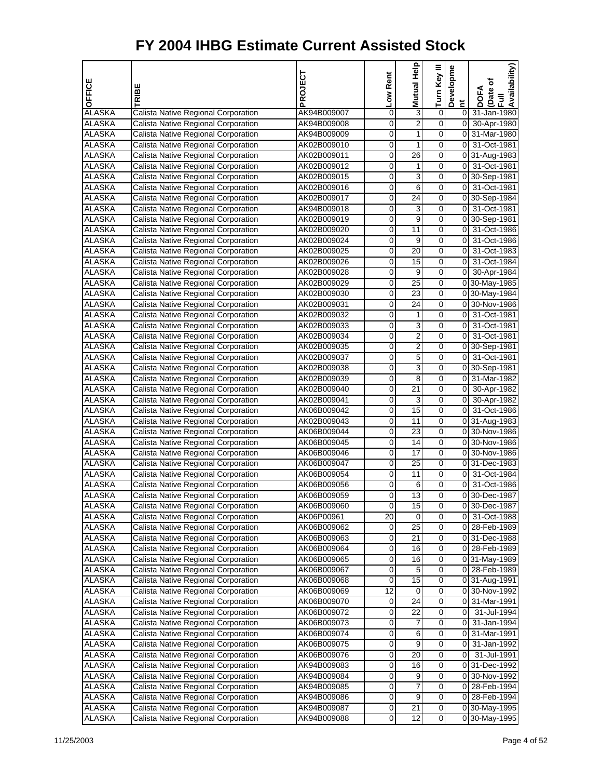| <b>OFFICE</b> | TRIBE                               | PROJECT     | Low Rent        | Mutual Help      | Turn Key III | Developme           | Availability)<br>Date of<br><b>DOFA</b><br>$\bar{E}$ |
|---------------|-------------------------------------|-------------|-----------------|------------------|--------------|---------------------|------------------------------------------------------|
| <b>ALASKA</b> | Calista Native Regional Corporation | AK94B009007 | 0               | 3                | 0            | Ĕ<br>$\overline{0}$ | 31-Jan-1980                                          |
| <b>ALASKA</b> | Calista Native Regional Corporation | AK94B009008 | 0               | $\overline{2}$   | 0            | $\overline{0}$      | 30-Apr-1980                                          |
| <b>ALASKA</b> | Calista Native Regional Corporation | AK94B009009 | 0               | 1                | 0            | 0                   | 31-Mar-1980                                          |
| <b>ALASKA</b> | Calista Native Regional Corporation | AK02B009010 | 0               | 1                | 0            | 0                   | 31-Oct-1981                                          |
| <b>ALASKA</b> | Calista Native Regional Corporation | AK02B009011 | 0               | 26               | 0            |                     | 0 31-Aug-1983                                        |
| <b>ALASKA</b> | Calista Native Regional Corporation | AK02B009012 | 0               | 1                | 0            | $\overline{0}$      | 31-Oct-1981                                          |
| <b>ALASKA</b> | Calista Native Regional Corporation | AK02B009015 | 0               | 3                | 0            |                     | 0 30-Sep-1981                                        |
| ALASKA        | Calista Native Regional Corporation | AK02B009016 | 0               | 6                | 0            | 0                   | 31-Oct-1981                                          |
| <b>ALASKA</b> | Calista Native Regional Corporation | AK02B009017 | $\overline{0}$  | 24               | 0            | 01                  | 30-Sep-1984                                          |
| <b>ALASKA</b> | Calista Native Regional Corporation | AK94B009018 | 0               | 3                | 0            | 0                   | 31-Oct-1981                                          |
| <b>ALASKA</b> | Calista Native Regional Corporation | AK02B009019 | 0               | 9                | 0            |                     | 0 30-Sep-1981                                        |
| <b>ALASKA</b> | Calista Native Regional Corporation | AK02B009020 | 0               | $\overline{11}$  | 0            | 0                   | 31-Oct-1986                                          |
| ALASKA        | Calista Native Regional Corporation | AK02B009024 | 0               | 9                | 0            | $\overline{0}$      | 31-Oct-1986                                          |
| <b>ALASKA</b> | Calista Native Regional Corporation | AK02B009025 | $\overline{0}$  | $\overline{20}$  | 0            | 0                   | 31-Oct-1983                                          |
| <b>ALASKA</b> | Calista Native Regional Corporation | AK02B009026 | 0               | 15               | 0            | $\overline{0}$      | 31-Oct-1984                                          |
| <b>ALASKA</b> | Calista Native Regional Corporation | AK02B009028 | 0               | 9                | 0            | $\overline{0}$      | 30-Apr-1984                                          |
| <b>ALASKA</b> | Calista Native Regional Corporation | AK02B009029 | 0               | $\overline{25}$  | 0            |                     | 0 30-May-1985                                        |
| ALASKA        | Calista Native Regional Corporation | AK02B009030 | 0               | 23               | 0            |                     | 0 30-May-1984                                        |
| <b>ALASKA</b> | Calista Native Regional Corporation | AK02B009031 | 0               | 24               | 0            |                     | 0 30-Nov-1986                                        |
| <b>ALASKA</b> | Calista Native Regional Corporation | AK02B009032 | 0               | 1                | 0            | 0                   | 31-Oct-1981                                          |
| <b>ALASKA</b> | Calista Native Regional Corporation | AK02B009033 | 0               | 3                | 0            | $\overline{0}$      | 31-Oct-1981                                          |
| <b>ALASKA</b> | Calista Native Regional Corporation | AK02B009034 | 0               | $\overline{2}$   | 0            | $\overline{0}$      | 31-Oct-1981                                          |
| <b>ALASKA</b> | Calista Native Regional Corporation | AK02B009035 | 0               | $\overline{2}$   | 0            |                     | 0 30-Sep-1981                                        |
| <b>ALASKA</b> | Calista Native Regional Corporation | AK02B009037 | 0               | 5                | 0            | οI                  | 31-Oct-1981                                          |
| <b>ALASKA</b> | Calista Native Regional Corporation | AK02B009038 | 0               | 3                | 0            |                     | 0 30-Sep-1981                                        |
| <b>ALASKA</b> | Calista Native Regional Corporation | AK02B009039 | 0               | $\overline{8}$   | 0            | 0                   | 31-Mar-1982                                          |
| <b>ALASKA</b> | Calista Native Regional Corporation | AK02B009040 | 0               | $\overline{21}$  | 0            | $\overline{0}$      | 30-Apr-1982                                          |
| ALASKA        | Calista Native Regional Corporation | AK02B009041 | 0               | 3                | 0            | οI                  | 30-Apr-1982                                          |
| <b>ALASKA</b> | Calista Native Regional Corporation | AK06B009042 | 0               | 15               | 0            | $\overline{0}$      | 31-Oct-1986                                          |
| <b>ALASKA</b> | Calista Native Regional Corporation | AK02B009043 | 0               | 11               | 0            |                     | 0 31-Aug-1983                                        |
| <b>ALASKA</b> | Calista Native Regional Corporation | AK06B009044 | 0               | 23               | 0            |                     | 0 30-Nov-1986                                        |
| <b>ALASKA</b> | Calista Native Regional Corporation | AK06B009045 | 0               | $\overline{14}$  | 0            |                     | 0 30-Nov-1986                                        |
| <b>ALASKA</b> | Calista Native Regional Corporation | AK06B009046 | 0               | 17               | 0            |                     | 0 30-Nov-1986                                        |
| <b>ALASKA</b> | Calista Native Regional Corporation | AK06B009047 | $\overline{0}$  | $\overline{25}$  | 0            |                     | 0 31-Dec-1983                                        |
| <b>ALASKA</b> | Calista Native Regional Corporation | AK06B009054 | 0               | 11               | 0            | 0                   | 31-Oct-1984                                          |
| <b>ALASKA</b> | Calista Native Regional Corporation | AK06B009056 | 0               | 6                | 0            | $\overline{0}$      | 31-Oct-1986                                          |
| <b>ALASKA</b> | Calista Native Regional Corporation | AK06B009059 | 0               | $\overline{13}$  | 0            | $\overline{0}$      | 30-Dec-1987                                          |
| <b>ALASKA</b> | Calista Native Regional Corporation | AK06B009060 | 0               | 15               | 0            |                     | 0 30-Dec-1987                                        |
| <b>ALASKA</b> | Calista Native Regional Corporation | AK06P00961  | $\overline{20}$ | 0                | 0            | 01                  | 31-Oct-1988                                          |
| ALASKA        | Calista Native Regional Corporation | AK06B009062 | 0               | 25               | 0            | 01                  | 28-Feb-1989                                          |
| ALASKA        | Calista Native Regional Corporation | AK06B009063 | 0               | 21               | 0            |                     | 0 31-Dec-1988                                        |
| <b>ALASKA</b> | Calista Native Regional Corporation | AK06B009064 | 0               | 16               | 0            |                     | 0 28-Feb-1989                                        |
| <b>ALASKA</b> | Calista Native Regional Corporation | AK06B009065 | 0               | 16               | 0            |                     | 0 31-May-1989                                        |
| <b>ALASKA</b> | Calista Native Regional Corporation | AK06B009067 | 0               | 5                | 0            |                     | 0 28-Feb-1989                                        |
| ALASKA        | Calista Native Regional Corporation | AK06B009068 | 0               | 15               | 0            |                     | 0 31-Aug-1991                                        |
| <b>ALASKA</b> | Calista Native Regional Corporation | AK06B009069 | 12              | 0                | 0            |                     | 0 30-Nov-1992                                        |
| <b>ALASKA</b> | Calista Native Regional Corporation | AK06B009070 | 0               | $\overline{24}$  | 0            | 01                  | 31-Mar-1991                                          |
| <b>ALASKA</b> | Calista Native Regional Corporation | AK06B009072 | 0               | 22               | 0            | 0                   | 31-Jul-1994                                          |
| <b>ALASKA</b> | Calista Native Regional Corporation | AK06B009073 | 0               | 7                | 0            | 01                  | 31-Jan-1994                                          |
| ALASKA        | Calista Native Regional Corporation | AK06B009074 | 0               | 6                | 0            | 01                  | 31-Mar-1991                                          |
| ALASKA        | Calista Native Regional Corporation | AK06B009075 | 0               | 9                | 0            | 0                   | 31-Jan-1992                                          |
| <b>ALASKA</b> | Calista Native Regional Corporation | AK06B009076 | 0               | 20               | 0            | 0                   | 31-Jul-1991                                          |
| <b>ALASKA</b> | Calista Native Regional Corporation | AK94B009083 | 0               | 16               | 0            |                     | 031-Dec-1992                                         |
| <b>ALASKA</b> | Calista Native Regional Corporation | AK94B009084 | 0               | 9                | 0            |                     | 0 30-Nov-1992                                        |
| ALASKA        | Calista Native Regional Corporation | AK94B009085 | 0               | 7                | 0            |                     | 0 28-Feb-1994                                        |
| <b>ALASKA</b> | Calista Native Regional Corporation | AK94B009086 | 0               | $\boldsymbol{9}$ | 0            |                     | 0 28-Feb-1994                                        |
| <b>ALASKA</b> | Calista Native Regional Corporation | AK94B009087 | 0               | $\overline{21}$  | 0            |                     | 0 30-May-1995                                        |
| <b>ALASKA</b> | Calista Native Regional Corporation | AK94B009088 | 0               | 12               | 0            |                     | 0 30-May-1995                                        |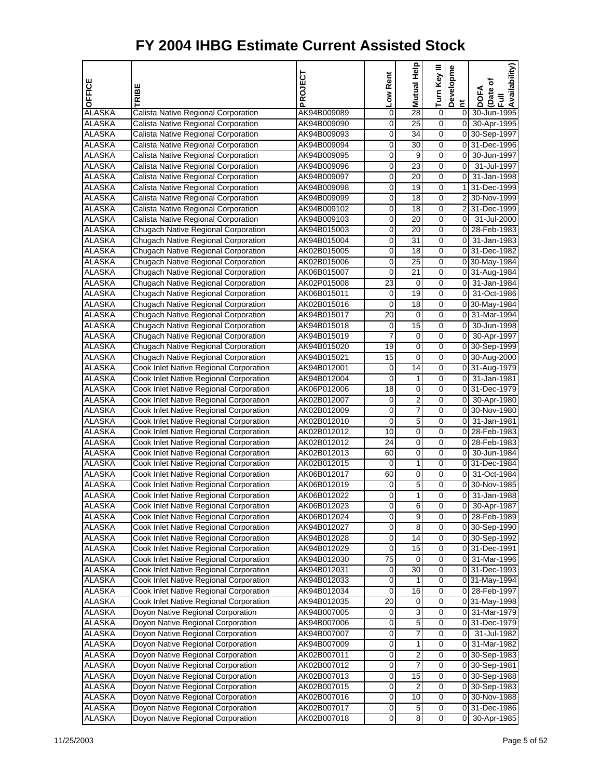| OFFICE                         | TRIBE                                      | PROJECT     | Low Rent       | 을<br>Mutual             | Turn Key III            | Developme<br>Ĕ | Availability)<br>Date of<br>Full<br><b>DOFA</b> |
|--------------------------------|--------------------------------------------|-------------|----------------|-------------------------|-------------------------|----------------|-------------------------------------------------|
| <b>ALASKA</b>                  | Calista Native Regional Corporation        | AK94B009089 | 0              | 28                      | 0                       | $\overline{0}$ | 30-Jun-1995                                     |
| ALASKA                         | Calista Native Regional Corporation        | AK94B009090 | 0              | 25                      | $\overline{0}$          |                | 0 30-Apr-1995                                   |
| <b>ALASKA</b>                  | Calista Native Regional Corporation        | AK94B009093 | 0              | 34                      | $\overline{0}$          |                | 0 30-Sep-1997                                   |
| <b>ALASKA</b>                  | Calista Native Regional Corporation        | AK94B009094 | 0              | 30                      | 0                       |                | 0 31-Dec-1996                                   |
| <b>ALASKA</b>                  | Calista Native Regional Corporation        | AK94B009095 | 0              | 9                       | 0                       | 01             | 30-Jun-1997                                     |
| <b>ALASKA</b>                  | Calista Native Regional Corporation        | AK94B009096 | 0              | 23                      | 0                       | $\overline{0}$ | 31-Jul-1997                                     |
| <b>ALASKA</b>                  | Calista Native Regional Corporation        | AK94B009097 | 0              | 20                      | $\overline{0}$          |                | 0 31-Jan-1998                                   |
| <b>ALASKA</b>                  | Calista Native Regional Corporation        | AK94B009098 | 0              | 19                      | $\overline{0}$          |                | 1 31-Dec-1999                                   |
| ALASKA                         | Calista Native Regional Corporation        | AK94B009099 | 0              | 18                      | 0                       |                | 2 30-Nov-1999                                   |
| <b>ALASKA</b>                  | Calista Native Regional Corporation        | AK94B009102 | 0              | 18                      | 0                       |                | 2 31-Dec-1999                                   |
| <b>ALASKA</b>                  | Calista Native Regional Corporation        | AK94B009103 | 0              | 20                      | 0                       | $\overline{0}$ | 31-Jul-2000                                     |
| <b>ALASKA</b>                  | Chugach Native Regional Corporation        | AK94B015003 | 0              | 20                      | $\overline{0}$          |                | 0 28-Feb-1983                                   |
| <b>ALASKA</b>                  | Chugach Native Regional Corporation        | AK94B015004 | 0              | 31                      | 0                       |                | 0 31-Jan-1983                                   |
| ALASKA                         | Chugach Native Regional Corporation        | AK02B015005 | 0              | 18                      | 0                       |                | 0 31-Dec-1982                                   |
| <b>ALASKA</b>                  | Chugach Native Regional Corporation        | AK02B015006 | 0              | 25                      | 0                       |                | 0 30-May-1984                                   |
| <b>ALASKA</b>                  | Chugach Native Regional Corporation        | AK06B015007 | 0              | 21                      | 0                       |                | 0 31-Aug-1984                                   |
| <b>ALASKA</b>                  | Chugach Native Regional Corporation        | AK02P015008 | 23             | 0                       | $\overline{0}$          |                | 0 31-Jan-1984                                   |
| <b>ALASKA</b>                  | Chugach Native Regional Corporation        | AK06B015011 | 0              | 19                      | $\overline{0}$          |                | 0 31-Oct-1986                                   |
| ALASKA                         | Chugach Native Regional Corporation        | AK02B015016 | 0              | 18                      | 0                       |                | 0 30-May-1984                                   |
| <b>ALASKA</b>                  | <b>Chugach Native Regional Corporation</b> | AK94B015017 | 20             | 0                       | 0                       |                | 0 31-Mar-1994                                   |
| <b>ALASKA</b>                  | Chugach Native Regional Corporation        | AK94B015018 | 0              | 15                      | 0                       |                | 0 30-Jun-1998                                   |
| <b>ALASKA</b>                  | <b>Chugach Native Regional Corporation</b> | AK94B015019 | $\overline{7}$ | 0                       | $\overline{0}$          |                | 0 30-Apr-1997                                   |
| <b>ALASKA</b>                  | Chugach Native Regional Corporation        | AK94B015020 | 19             | 0                       | 0                       |                | 0 30-Sep-1999                                   |
| ALASKA                         | Chugach Native Regional Corporation        | AK94B015021 | 15             | 0                       | 0                       |                | 0 30-Aug-2000                                   |
| <b>ALASKA</b>                  | Cook Inlet Native Regional Corporation     | AK94B012001 | 0              | 14                      | 0                       |                | 0 31-Aug-1979                                   |
| <b>ALASKA</b>                  | Cook Inlet Native Regional Corporation     | AK94B012004 | 0              | 1                       | 0                       |                | 0 31-Jan-1981                                   |
| <b>ALASKA</b>                  | Cook Inlet Native Regional Corporation     | AK06P012006 | 18             | $\pmb{0}$               | $\overline{0}$          |                | 031-Dec-1979                                    |
| <b>ALASKA</b>                  | Cook Inlet Native Regional Corporation     | AK02B012007 | 0              | $\overline{2}$          | $\overline{0}$          |                | 0 30-Apr-1980                                   |
| ALASKA                         | Cook Inlet Native Regional Corporation     | AK02B012009 | 0              | 7                       | 0                       |                | 0 30-Nov-1980                                   |
| <b>ALASKA</b>                  | Cook Inlet Native Regional Corporation     | AK02B012010 | 0              | 5                       | 0                       |                | 0 31-Jan-1981                                   |
| <b>ALASKA</b>                  | Cook Inlet Native Regional Corporation     | AK02B012012 | 10             | 0                       | 0                       |                | 0 28-Feb-1983                                   |
| <b>ALASKA</b>                  | Cook Inlet Native Regional Corporation     | AK02B012012 | 24             | $\pmb{0}$               | $\overline{0}$          |                | 0 28-Feb-1983                                   |
| <b>ALASKA</b>                  | Cook Inlet Native Regional Corporation     | AK02B012013 | 60             | 0                       | 0                       |                | 0 30-Jun-1984                                   |
| ALASKA                         | Cook Inlet Native Regional Corporation     | AK02B012015 | 0              | 1                       | 0                       |                | 0 31-Dec-1984                                   |
| <b>ALASKA</b>                  | Cook Inlet Native Regional Corporation     | AK06B012017 | 60             | 0                       | 0                       |                | 0 31-Oct-1984                                   |
| <b>ALASKA</b>                  | Cook Inlet Native Regional Corporation     | AK06B012019 | 0              | 5                       | 0                       |                | 0 30-Nov-1985                                   |
| <b>ALASKA</b>                  | Cook Inlet Native Regional Corporation     | AK06B012022 | 0              | 1                       | $\overline{0}$          | οI             | 31-Jan-1988                                     |
| <b>ALASKA</b>                  | Cook Inlet Native Regional Corporation     | AK06B012023 | 0              | 6                       | $\overline{0}$          |                | 0 30-Apr-1987                                   |
| <b>ALASKA</b>                  | Cook Inlet Native Regional Corporation     | AK06B012024 | 0              | 9                       | $\overline{\mathsf{o}}$ |                | 0 28-Feb-1989                                   |
| ALASKA                         | Cook Inlet Native Regional Corporation     | AK94B012027 | 0              | 8                       | 0                       |                | 0 30-Sep-1990                                   |
| <b>ALASKA</b>                  | Cook Inlet Native Regional Corporation     | AK94B012028 | 0              | 14                      | $\mathbf 0$             |                | 0 30-Sep-1992                                   |
| <b>ALASKA</b>                  | Cook Inlet Native Regional Corporation     | AK94B012029 | 0              | 15                      | $\overline{0}$          |                | 0 31-Dec-1991                                   |
| <b>ALASKA</b>                  | Cook Inlet Native Regional Corporation     | AK94B012030 | 75             | 0                       | $\mathbf 0$             |                | 0 31-Mar-1996                                   |
| <b>ALASKA</b>                  | Cook Inlet Native Regional Corporation     | AK94B012031 | 0              | 30                      | $\overline{\mathsf{o}}$ |                | 0 31-Dec-1993                                   |
| <b>ALASKA</b>                  | Cook Inlet Native Regional Corporation     | AK94B012033 | 0              | 1                       | 0                       |                | 0 31-May-1994                                   |
| <b>ALASKA</b>                  | Cook Inlet Native Regional Corporation     | AK94B012034 | 0              | 16                      | $\mathbf 0$             |                | 0 28-Feb-1997                                   |
| <b>ALASKA</b>                  | Cook Inlet Native Regional Corporation     | AK94B012035 | 20             | 0                       | $\mathbf 0$             |                | 0 31-May-1998                                   |
| <b>ALASKA</b>                  | Doyon Native Regional Corporation          | AK94B007005 | 0              | 3                       | $\mathbf 0$             |                | 0 31-Mar-1979                                   |
| <b>ALASKA</b>                  | Doyon Native Regional Corporation          | AK94B007006 | 0              | 5                       | $\overline{\mathsf{o}}$ |                | 0 31-Dec-1979                                   |
| <b>ALASKA</b>                  | Doyon Native Regional Corporation          | AK94B007007 | 0              | 7                       | 0                       | 0              | 31-Jul-1982                                     |
| <b>ALASKA</b>                  | Doyon Native Regional Corporation          | AK94B007009 | 0              | 1                       | $\mathbf 0$             |                | 0 31-Mar-1982                                   |
| <b>ALASKA</b>                  | Doyon Native Regional Corporation          | AK02B007011 | 0              | $\overline{\mathbf{c}}$ | $\overline{0}$          |                | 0 30-Sep-1983                                   |
| ALASKA                         | Doyon Native Regional Corporation          | AK02B007012 | 0              | 7                       | $\mathbf 0$             |                | 0 30-Sep-1981                                   |
| <b>ALASKA</b>                  | Doyon Native Regional Corporation          | AK02B007013 | 0              | 15                      | $\overline{\mathsf{o}}$ |                | 0 30-Sep-1988                                   |
| <b>ALASKA</b>                  | Doyon Native Regional Corporation          | AK02B007015 | 0              | 2<br>10                 | 0<br>$\mathbf 0$        |                | 0 30-Sep-1983                                   |
| <b>ALASKA</b>                  | Doyon Native Regional Corporation          | AK02B007016 | 0              |                         | $\overline{0}$          |                | 0 30-Nov-1988                                   |
| <b>ALASKA</b><br><b>ALASKA</b> | Doyon Native Regional Corporation          | AK02B007017 | 0              | 5                       | $\overline{0}$          |                | 0 31-Dec-1986                                   |
|                                | Doyon Native Regional Corporation          | AK02B007018 | 0              | 8                       |                         | 01             | 30-Apr-1985                                     |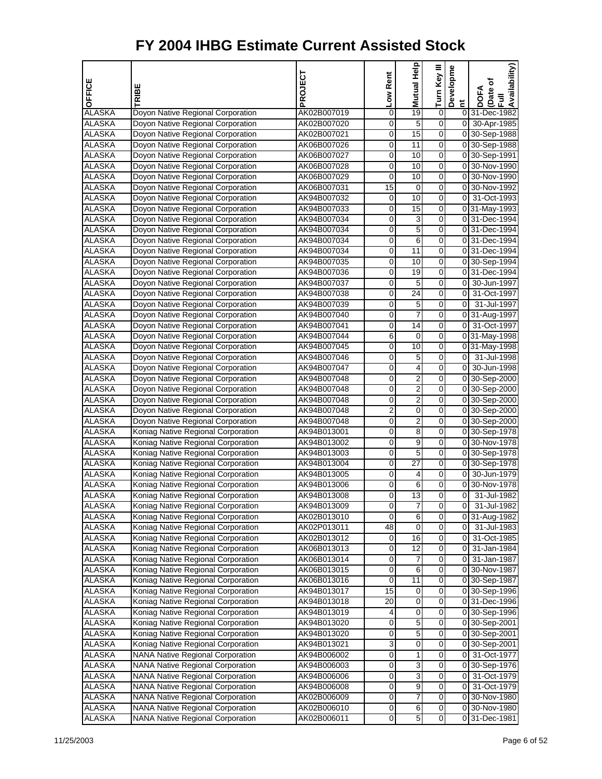| OFFICE                         | TRIBE                                   | PROJECT                    | Low Rent | 을<br>Mutual          | Turn Key III                     | Developme | Availability)<br>Date of<br>Full<br><b>DOFA</b> |
|--------------------------------|-----------------------------------------|----------------------------|----------|----------------------|----------------------------------|-----------|-------------------------------------------------|
| <b>ALASKA</b>                  | Doyon Native Regional Corporation       | AK02B007019                | 0        | 19                   | 0                                | Ĕ         | 0 31-Dec-1982                                   |
| ALASKA                         | Doyon Native Regional Corporation       | AK02B007020                | 0        | 5                    | $\overline{0}$                   |           | 0 30-Apr-1985                                   |
| <b>ALASKA</b>                  | Doyon Native Regional Corporation       | AK02B007021                | 0        | 15                   | $\overline{0}$                   |           | 0 30-Sep-1988                                   |
| <b>ALASKA</b>                  | Doyon Native Regional Corporation       | AK06B007026                | 0        | 11                   | $\overline{0}$                   |           | 0 30-Sep-1988                                   |
| <b>ALASKA</b>                  | Doyon Native Regional Corporation       | AK06B007027                | 0        | 10                   | 0                                |           | 0 30-Sep-1991                                   |
| <b>ALASKA</b>                  | Doyon Native Regional Corporation       | AK06B007028                | 0        | 10                   | 0                                |           | 0 30-Nov-1990                                   |
| <b>ALASKA</b>                  | Doyon Native Regional Corporation       | AK06B007029                | 0        | 10                   | $\overline{0}$                   |           | 0 30-Nov-1990                                   |
| <b>ALASKA</b>                  | Doyon Native Regional Corporation       | AK06B007031                | 15       | 0                    | $\overline{0}$                   |           | 0 30-Nov-1992                                   |
| ALASKA                         | Doyon Native Regional Corporation       | AK94B007032                | 0        | 10                   | $\overline{0}$                   |           | 0 31-Oct-1993                                   |
| <b>ALASKA</b>                  | Doyon Native Regional Corporation       | AK94B007033                | 0        | 15                   | 0                                |           | 0 31-May-1993                                   |
| <b>ALASKA</b>                  | Doyon Native Regional Corporation       | AK94B007034                | 0        | 3                    | 0                                |           | 0 31-Dec-1994                                   |
| <b>ALASKA</b>                  | Doyon Native Regional Corporation       | AK94B007034                | 0        | 5                    | $\overline{0}$                   |           | 0 31-Dec-1994                                   |
| <b>ALASKA</b>                  | Doyon Native Regional Corporation       | AK94B007034                | 0        | 6                    | $\overline{0}$                   |           | 0 31-Dec-1994                                   |
| ALASKA                         | Doyon Native Regional Corporation       | AK94B007034                | 0        | $\overline{11}$      | $\overline{0}$                   |           | 0 31-Dec-1994                                   |
| <b>ALASKA</b>                  | Doyon Native Regional Corporation       | AK94B007035                | 0        | 10                   | 0                                |           | 0 30-Sep-1994                                   |
| <b>ALASKA</b>                  | Doyon Native Regional Corporation       | AK94B007036                | 0        | 19                   | 0                                |           | 0 31-Dec-1994                                   |
| <b>ALASKA</b>                  | Doyon Native Regional Corporation       | AK94B007037                | 0        | 5                    | $\overline{0}$                   |           | 0 30-Jun-1997                                   |
| <b>ALASKA</b>                  | Doyon Native Regional Corporation       | AK94B007038                | 0        | 24                   | $\overline{0}$                   |           | 0 31-Oct-1997                                   |
| <b>ALASKA</b>                  | Doyon Native Regional Corporation       | AK94B007039                | 0        | 5                    | $\overline{0}$                   |           | 0 31-Jul-1997                                   |
| <b>ALASKA</b>                  | Doyon Native Regional Corporation       | AK94B007040                | 0        | 7                    | 0                                |           | 0 31-Aug-1997                                   |
| <b>ALASKA</b>                  | Doyon Native Regional Corporation       | AK94B007041                | 0        | 14                   | 0                                |           | 0 31-Oct-1997                                   |
| <b>ALASKA</b>                  | Doyon Native Regional Corporation       | AK94B007044                | 6        | 0                    | $\overline{0}$                   |           | 0 31-May-1998                                   |
| <b>ALASKA</b>                  | Doyon Native Regional Corporation       | AK94B007045                | 0        | 10                   | $\overline{0}$                   |           | 0 31-May-1998                                   |
| ALASKA                         | Doyon Native Regional Corporation       | AK94B007046                | 0        | 5                    | $\overline{0}$                   |           | 0 31-Jul-1998                                   |
| <b>ALASKA</b>                  | Doyon Native Regional Corporation       | AK94B007047                | 0        | 4                    | 0                                | οI        | 30-Jun-1998                                     |
| <b>ALASKA</b>                  |                                         |                            | 0        | $\overline{2}$       | 0                                |           | 0 30-Sep-2000                                   |
|                                | Doyon Native Regional Corporation       | AK94B007048                |          | $\overline{2}$       | $\overline{0}$                   |           |                                                 |
| <b>ALASKA</b>                  | Doyon Native Regional Corporation       | AK94B007048                | 0        | $\overline{2}$       | $\overline{0}$                   |           | 0 30-Sep-2000                                   |
| <b>ALASKA</b>                  | Doyon Native Regional Corporation       | AK94B007048                | 0<br>2   |                      | $\overline{0}$                   |           | 0 30-Sep-2000                                   |
| <b>ALASKA</b>                  | Doyon Native Regional Corporation       | AK94B007048                |          | 0                    |                                  |           | 0 30-Sep-2000                                   |
| <b>ALASKA</b>                  | Doyon Native Regional Corporation       | AK94B007048                | 0        | 2                    | 0                                |           | 0 30-Sep-2000                                   |
| <b>ALASKA</b>                  | Koniag Native Regional Corporation      | AK94B013001                | 0        | 8                    | 0<br>$\overline{0}$              |           | 0 30-Sep-1978                                   |
| <b>ALASKA</b>                  | Koniag Native Regional Corporation      | AK94B013002                | 0        | 9                    |                                  |           | 0 30-Nov-1978                                   |
| <b>ALASKA</b>                  | Koniag Native Regional Corporation      | AK94B013003                | 0        | 5<br>$\overline{27}$ | $\overline{0}$<br>$\overline{0}$ |           | 0 30-Sep-1978                                   |
| <b>ALASKA</b><br><b>ALASKA</b> | Koniag Native Regional Corporation      | AK94B013004<br>AK94B013005 | 0        |                      |                                  |           | 0 30-Sep-1978<br>0 30-Jun-1979                  |
|                                | Koniag Native Regional Corporation      |                            | 0        | 4                    | 0<br>$\mathbf 0$                 |           | 0 30-Nov-1978                                   |
| <b>ALASKA</b>                  | Koniag Native Regional Corporation      | AK94B013006                | 0        | 6                    |                                  |           |                                                 |
| <b>ALASKA</b>                  | Koniag Native Regional Corporation      | AK94B013008                | 0        | 13                   | 0                                | 01        | 31-Jul-1982                                     |
| <b>ALASKA</b>                  | Koniag Native Regional Corporation      | AK94B013009                | 0        | 7                    | 0<br>$\overline{\mathsf{o}}$     | 01        | 31-Jul-1982                                     |
| <b>ALASKA</b>                  | Koniag Native Regional Corporation      | AK02B013010                | 0        | $6\overline{6}$      |                                  |           | 0 31-Aug-1982                                   |
| <b>ALASKA</b>                  | Koniag Native Regional Corporation      | AK02P013011                | 48       | 0<br>16              | 0                                | 0         | 31-Jul-1983                                     |
| <b>ALASKA</b>                  | Koniag Native Regional Corporation      | AK02B013012                | 0        |                      | $\mathsf{O}\xspace$              |           | 0 31-Oct-1985                                   |
| <b>ALASKA</b>                  | Koniag Native Regional Corporation      | AK06B013013                | 0        | 12                   | $\overline{0}$                   |           | 0 31-Jan-1984                                   |
| <b>ALASKA</b>                  | Koniag Native Regional Corporation      | AK06B013014                | 0        | 7                    | $\mathbf 0$                      | 01        | 31-Jan-1987                                     |
| <b>ALASKA</b>                  | Koniag Native Regional Corporation      | AK06B013015                | 0        | 6                    | $\overline{\mathsf{o}}$          |           | 0 30-Nov-1987                                   |
| ALASKA                         | Koniag Native Regional Corporation      | AK06B013016                | 0        | 11                   | 0                                |           | 0 30-Sep-1987                                   |
| <b>ALASKA</b>                  | Koniag Native Regional Corporation      | AK94B013017                | 15       | 0                    | $\mathbf 0$                      |           | 0 30-Sep-1996                                   |
| <b>ALASKA</b>                  | Koniag Native Regional Corporation      | AK94B013018                | 20       | 0                    | $\overline{0}$                   |           | 0 31-Dec-1996                                   |
| <b>ALASKA</b>                  | Koniag Native Regional Corporation      | AK94B013019                | 4        | 0                    | $\mathbf 0$                      |           | 0 30-Sep-1996                                   |
| <b>ALASKA</b>                  | Koniag Native Regional Corporation      | AK94B013020                | 0        | 5                    | $\overline{\mathsf{o}}$          |           | 0 30-Sep-2001                                   |
| <b>ALASKA</b>                  | Koniag Native Regional Corporation      | AK94B013020                | 0        | 5                    | 0                                |           | 0 30-Sep-2001                                   |
| <b>ALASKA</b>                  | Koniag Native Regional Corporation      | AK94B013021                | 3        | $\pmb{0}$            | $\mathbf 0$                      |           | 0 30-Sep-2001                                   |
| <b>ALASKA</b>                  | NANA Native Regional Corporation        | AK94B006002                | 0        | 1                    | $\overline{0}$                   |           | 0 31-Oct-1977                                   |
| ALASKA                         | <b>NANA Native Regional Corporation</b> | AK94B006003                | 0        | 3                    | $\mathbf 0$                      |           | 0 30-Sep-1976                                   |
| <b>ALASKA</b>                  | NANA Native Regional Corporation        | AK94B006006                | 0        | 3                    | $\overline{\mathsf{o}}$          |           | 0 31-Oct-1979                                   |
| <b>ALASKA</b>                  | <b>NANA Native Regional Corporation</b> | AK94B006008                | 0        | 9                    | 0                                | 01        | 31-Oct-1979                                     |
| <b>ALASKA</b>                  | <b>NANA Native Regional Corporation</b> | AK02B006009                | 0        | 7                    | $\mathbf 0$                      |           | 0 30-Nov-1980                                   |
| <b>ALASKA</b>                  | NANA Native Regional Corporation        | AK02B006010                | 0        | 6                    | 0                                |           | 0 30-Nov-1980                                   |
| <b>ALASKA</b>                  | NANA Native Regional Corporation        | AK02B006011                | 0        | $\overline{5}$       | $\overline{0}$                   |           | 0 31-Dec-1981                                   |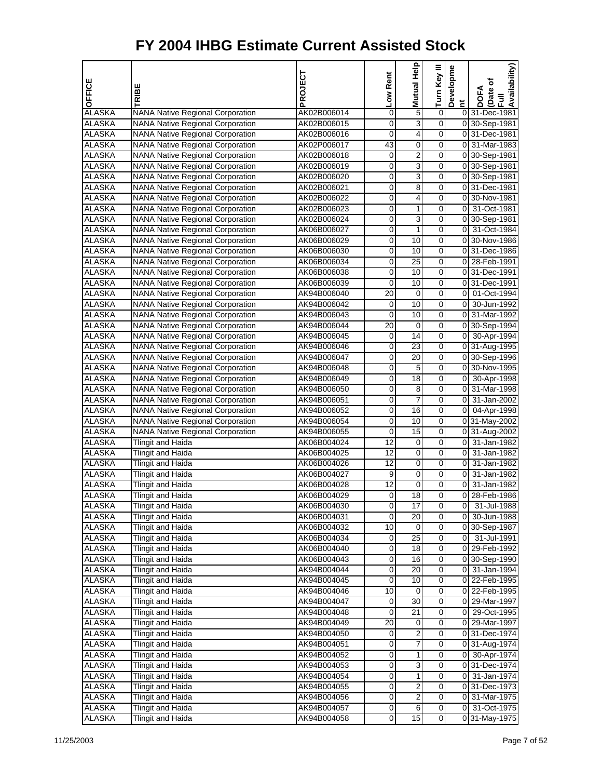| OFFICE                         | TRIBE                                   | PROJECT     | Low Rent | Help<br>Mutual          | Turn Key III            | Developme               | Availability)<br>Date of<br>Full<br><b>DOFA</b> |
|--------------------------------|-----------------------------------------|-------------|----------|-------------------------|-------------------------|-------------------------|-------------------------------------------------|
| <b>ALASKA</b>                  | <b>NANA Native Regional Corporation</b> | AK02B006014 | 0        | 5                       | 0                       | $\overline{\mathbf{c}}$ | 0 31-Dec-1981                                   |
| <b>ALASKA</b>                  | <b>NANA Native Regional Corporation</b> | AK02B006015 | 0        | 3                       | $\overline{0}$          |                         | 0 30-Sep-1981                                   |
| <b>ALASKA</b>                  | <b>NANA Native Regional Corporation</b> | AK02B006016 | 0        | 4                       | 0                       |                         | 0 31-Dec-1981                                   |
| <b>ALASKA</b>                  | <b>NANA Native Regional Corporation</b> | AK02P006017 | 43       | 0                       | 0                       |                         | 0 31-Mar-1983                                   |
| <b>ALASKA</b>                  | <b>NANA Native Regional Corporation</b> | AK02B006018 | 0        | 2                       | 0                       |                         | 0 30-Sep-1981                                   |
| <b>ALASKA</b>                  | <b>NANA Native Regional Corporation</b> | AK02B006019 | 0        | $\overline{3}$          | 0                       |                         | 0 30-Sep-1981                                   |
| <b>ALASKA</b>                  | <b>NANA Native Regional Corporation</b> | AK02B006020 | 0        | 3                       | 0                       |                         | 0 30-Sep-1981                                   |
| <b>ALASKA</b>                  | <b>NANA Native Regional Corporation</b> | AK02B006021 | 0        | 8                       | 0                       |                         | 031-Dec-1981                                    |
| <b>ALASKA</b>                  | <b>NANA Native Regional Corporation</b> | AK02B006022 | 0        | 4                       | 0                       |                         | 0 30-Nov-1981                                   |
| <b>ALASKA</b>                  | <b>NANA Native Regional Corporation</b> | AK02B006023 | 0        | 1                       | 0                       |                         | 0 31-Oct-1981                                   |
| <b>ALASKA</b>                  | <b>NANA Native Regional Corporation</b> | AK02B006024 | 0        | 3                       | 0                       |                         | 0 30-Sep-1981                                   |
| <b>ALASKA</b>                  | <b>NANA Native Regional Corporation</b> | AK06B006027 | 0        | $\mathbf{1}$            | 0                       |                         | 0 31-Oct-1984                                   |
| <b>ALASKA</b>                  | <b>NANA Native Regional Corporation</b> | AK06B006029 | 0        | 10                      | 0                       |                         | 0 30-Nov-1986                                   |
| <b>ALASKA</b>                  | NANA Native Regional Corporation        | AK06B006030 | 0        | 10                      | 0                       |                         | 0 31-Dec-1986                                   |
| <b>ALASKA</b>                  | <b>NANA Native Regional Corporation</b> | AK06B006034 | 0        | 25                      | 0                       |                         | 0 28-Feb-1991                                   |
| <b>ALASKA</b>                  | <b>NANA Native Regional Corporation</b> | AK06B006038 | 0        | 10                      | 0                       |                         | 0 31-Dec-1991                                   |
| <b>ALASKA</b>                  | <b>NANA Native Regional Corporation</b> | AK06B006039 | 0        | 10                      | $\overline{0}$          |                         | 031-Dec-1991                                    |
| <b>ALASKA</b>                  | <b>NANA Native Regional Corporation</b> | AK94B006040 | 20       | 0                       | 0                       |                         | 0 01-Oct-1994                                   |
| <b>ALASKA</b>                  | NANA Native Regional Corporation        | AK94B006042 | 0        | 10                      | 0                       |                         | 0 30-Jun-1992                                   |
| <b>ALASKA</b>                  | <b>NANA Native Regional Corporation</b> | AK94B006043 | 0        | 10                      | 0                       |                         | 0 31-Mar-1992                                   |
| <b>ALASKA</b>                  | <b>NANA Native Regional Corporation</b> | AK94B006044 | 20       | 0                       | 0                       |                         | 0 30-Sep-1994                                   |
| <b>ALASKA</b>                  | <b>NANA Native Regional Corporation</b> |             | 0        | 14                      | 0                       |                         | 0 30-Apr-1994                                   |
|                                |                                         | AK94B006045 |          | 23                      | 0                       |                         |                                                 |
| <b>ALASKA</b><br><b>ALASKA</b> | NANA Native Regional Corporation        | AK94B006046 | 0<br>0   |                         | 0                       |                         | 0 31-Aug-1995                                   |
|                                | NANA Native Regional Corporation        | AK94B006047 |          | 20                      |                         |                         | 0 30-Sep-1996                                   |
| <b>ALASKA</b>                  | <b>NANA Native Regional Corporation</b> | AK94B006048 | 0        | 5                       | 0                       |                         | 0 30-Nov-1995                                   |
| <b>ALASKA</b>                  | <b>NANA Native Regional Corporation</b> | AK94B006049 | 0        | $\overline{18}$         | 0                       |                         | 0 30-Apr-1998                                   |
| <b>ALASKA</b>                  | <b>NANA Native Regional Corporation</b> | AK94B006050 | 0        | 8                       | 0                       |                         | 0 31-Mar-1998                                   |
| <b>ALASKA</b>                  | <b>NANA Native Regional Corporation</b> | AK94B006051 | 0        | 7                       | 0                       | 01                      | 31-Jan-2002                                     |
| <b>ALASKA</b>                  | <b>NANA Native Regional Corporation</b> | AK94B006052 | 0        | 16                      | 0                       |                         | 0 04-Apr-1998                                   |
| <b>ALASKA</b>                  | <b>NANA Native Regional Corporation</b> | AK94B006054 | 0        | 10                      | 0                       |                         | 0 31-May-2002                                   |
| <b>ALASKA</b>                  | <b>NANA Native Regional Corporation</b> | AK94B006055 | 0        | 15                      | 0                       |                         | $\overline{0}$ 31-Aug-2002                      |
| <b>ALASKA</b>                  | <b>Tlingit and Haida</b>                | AK06B004024 | 12       | 0                       | 0                       |                         | 0 31-Jan-1982                                   |
| <b>ALASKA</b>                  | <b>Tlingit and Haida</b>                | AK06B004025 | 12       | 0                       | 0                       |                         | 0 31-Jan-1982                                   |
| <b>ALASKA</b>                  | <b>Tlingit and Haida</b>                | AK06B004026 | 12       | 0                       | 0                       |                         | 0 31-Jan-1982                                   |
| <b>ALASKA</b>                  | <b>Tlingit and Haida</b>                | AK06B004027 | 9        | 0                       | 0                       | οI                      | 31-Jan-1982                                     |
| <b>ALASKA</b>                  | Tlingit and Haida                       | AK06B004028 | 12       | 0                       | 0                       | 0                       | 31-Jan-1982                                     |
| <b>ALASKA</b>                  | <b>Tlingit and Haida</b>                | AK06B004029 | 0        | 18                      | 0                       |                         | 0 28-Feb-1986                                   |
| <b>ALASKA</b>                  | <b>Tlingit and Haida</b>                | AK06B004030 | 0        | 17                      | 0                       | 01                      | 31-Jul-1988                                     |
| <b>ALASKA</b>                  | <b>Tlingit and Haida</b>                | AK06B004031 | 0        | 20                      | $\overline{0}$          |                         | 0 30-Jun-1988                                   |
| ALASKA                         | Tlingit and Haida                       | AK06B004032 | 10       | 0                       | 0                       |                         | 0 30-Sep-1987                                   |
| <b>ALASKA</b>                  | Tlingit and Haida                       | AK06B004034 | 0        | 25                      | $\mathsf{O}\xspace$     | 0                       | 31-Jul-1991                                     |
| <b>ALASKA</b>                  | <b>Tlingit and Haida</b>                | AK06B004040 | 0        | 18                      | $\overline{0}$          |                         | 0 29-Feb-1992                                   |
| <b>ALASKA</b>                  | Tlingit and Haida                       | AK06B004043 | 0        | 16                      | $\overline{0}$          |                         | 0 30-Sep-1990                                   |
| <b>ALASKA</b>                  | Tlingit and Haida                       | AK94B004044 | 0        | 20                      | $\overline{0}$          |                         | 0 31-Jan-1994                                   |
| ALASKA                         | Tlingit and Haida                       | AK94B004045 | 0        | 10                      | 0                       |                         | 0 22-Feb-1995                                   |
| <b>ALASKA</b>                  | Tlingit and Haida                       | AK94B004046 | 10       | 0                       | $\mathbf 0$             |                         | 0 22-Feb-1995                                   |
| <b>ALASKA</b>                  | <b>Tlingit and Haida</b>                | AK94B004047 | 0        | 30                      | $\overline{0}$          |                         | 0 29-Mar-1997                                   |
| <b>ALASKA</b>                  | Tlingit and Haida                       | AK94B004048 | 0        | 21                      | $\mathbf 0$             |                         | 0 29-Oct-1995                                   |
| <b>ALASKA</b>                  | <b>Tlingit and Haida</b>                | AK94B004049 | 20       | 0                       | $\overline{\mathsf{o}}$ |                         | 0 29-Mar-1997                                   |
| ALASKA                         | <b>Tlingit and Haida</b>                | AK94B004050 | 0        | 2                       | 0                       |                         | 0 31-Dec-1974                                   |
| <b>ALASKA</b>                  | Tlingit and Haida                       | AK94B004051 | 0        | 7                       | $\mathbf 0$             |                         | 0 31-Aug-1974                                   |
| <b>ALASKA</b>                  | <b>Tlingit and Haida</b>                | AK94B004052 | 0        | 1                       | $\overline{0}$          |                         | 0 30-Apr-1974                                   |
| <b>ALASKA</b>                  | Tlingit and Haida                       | AK94B004053 | 0        | 3                       | $\overline{0}$          |                         | 0 31-Dec-1974                                   |
| <b>ALASKA</b>                  | Tlingit and Haida                       | AK94B004054 | 0        | 1                       | $\overline{\mathsf{o}}$ |                         | 0 31-Jan-1974                                   |
| <b>ALASKA</b>                  | Tlingit and Haida                       | AK94B004055 | 0        | 2                       | 0                       |                         | 0 31-Dec-1973                                   |
| ALASKA                         | Tlingit and Haida                       | AK94B004056 | 0        | $\overline{\mathbf{c}}$ | $\mathbf 0$             |                         | 0 31-Mar-1975                                   |
| <b>ALASKA</b>                  | Tlingit and Haida                       | AK94B004057 | 0        | 6                       | $\overline{0}$          |                         | 0 31-Oct-1975                                   |
| <b>ALASKA</b>                  | Tlingit and Haida                       | AK94B004058 | 0        | 15                      | $\overline{0}$          |                         | 0 31-May-1975                                   |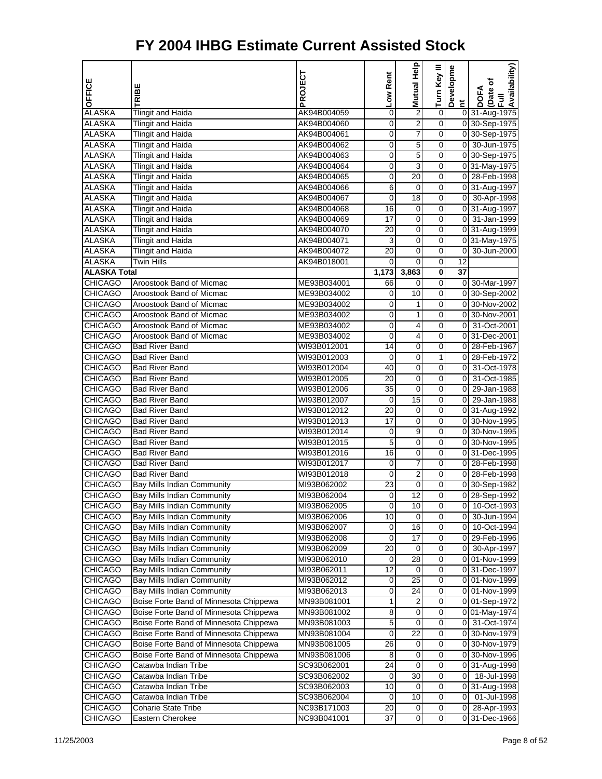| OFFICE              |                                        | PROJECT     | Low Rent        | Mutual Help             | Turn Key III            | Developme       | Availability)<br>Date of |
|---------------------|----------------------------------------|-------------|-----------------|-------------------------|-------------------------|-----------------|--------------------------|
|                     | RIBE                                   |             |                 |                         |                         | Ĕ               | <b>DOFA</b><br>Ē         |
| <b>ALASKA</b>       | <b>Tlingit and Haida</b>               | AK94B004059 | 0               | $\overline{\mathbf{c}}$ | $\overline{0}$          |                 | 0 31-Aug-1975            |
| <b>ALASKA</b>       | <b>Tlingit and Haida</b>               | AK94B004060 | 0               | $\overline{2}$          | 0                       |                 | 0 30-Sep-1975            |
| <b>ALASKA</b>       | <b>Tlingit and Haida</b>               | AK94B004061 | 0               | 7                       | 0                       |                 | 0 30-Sep-1975            |
| <b>ALASKA</b>       | <b>Tlingit and Haida</b>               | AK94B004062 | 0               | 5                       | 0                       | οI              | 30-Jun-1975              |
| <b>ALASKA</b>       | <b>Tlingit and Haida</b>               | AK94B004063 | 0               | 5                       | 0                       |                 | 0 30-Sep-1975            |
| <b>ALASKA</b>       | Tlingit and Haida                      | AK94B004064 | $\mathbf 0$     | 3                       | $\mathbf 0$             |                 | 0 31-May-1975            |
| <b>ALASKA</b>       | <b>Tlingit and Haida</b>               | AK94B004065 | 0               | 20                      | 0                       |                 | 0 28-Feb-1998            |
| <b>ALASKA</b>       | <b>Tlingit and Haida</b>               | AK94B004066 | 6               | $\mathbf 0$             | 0                       |                 | 0 31-Aug-1997            |
| <b>ALASKA</b>       | <b>Tlingit and Haida</b>               | AK94B004067 | 0               | $\overline{18}$         | 0                       |                 | 0 30-Apr-1998            |
| <b>ALASKA</b>       | <b>Tlingit and Haida</b>               | AK94B004068 | 16              | 0                       | 0                       |                 | 0 31-Aug-1997            |
| <b>ALASKA</b>       | <b>Tlingit and Haida</b>               | AK94B004069 | 17              | $\mathbf 0$             | 0                       |                 | 0 31-Jan-1999            |
| <b>ALASKA</b>       | <b>Tlingit and Haida</b>               | AK94B004070 | 20              | 0                       | 0                       |                 | 0 31-Aug-1999            |
| <b>ALASKA</b>       | <b>Tlingit and Haida</b>               | AK94B004071 | 3               | 0                       | 0                       |                 | 0 31-May-1975            |
| <b>ALASKA</b>       | <b>Tlingit and Haida</b>               | AK94B004072 | 20              | 0                       | 0                       | $\overline{0}$  | 30-Jun-2000              |
| <b>ALASKA</b>       | <b>Twin Hills</b>                      | AK94B018001 | 0               | 0                       | 0                       | 12              |                          |
| <b>ALASKA Total</b> |                                        |             | 1,173           | 3,863                   | $\overline{\mathbf{0}}$ | $\overline{37}$ |                          |
| <b>CHICAGO</b>      | Aroostook Band of Micmac               | ME93B034001 | 66              | $\mathbf 0$             | 0                       |                 | 0 30-Mar-1997            |
| <b>CHICAGO</b>      | Aroostook Band of Micmac               | ME93B034002 | 0               | 10                      | 0                       |                 | 0 30-Sep-2002            |
| <b>CHICAGO</b>      | Aroostook Band of Micmac               | ME93B034002 | 0               | 1                       | 0                       |                 | 0 30-Nov-2002            |
| <b>CHICAGO</b>      | Aroostook Band of Micmac               | ME93B034002 | 0               | 1                       | 0                       |                 | 0 30-Nov-2001            |
| <b>CHICAGO</b>      | Aroostook Band of Micmac               | ME93B034002 | 0               | 4                       | 0                       | $\overline{0}$  | 31-Oct-2001              |
| <b>CHICAGO</b>      | Aroostook Band of Micmac               | ME93B034002 | 0               | 4                       | 0                       |                 | 031-Dec-2001             |
| <b>CHICAGO</b>      | <b>Bad River Band</b>                  | WI93B012001 | 14              | $\mathbf 0$             | 0                       |                 | 0 28-Feb-1967            |
| <b>CHICAGO</b>      | <b>Bad River Band</b>                  | WI93B012003 | 0               | 0                       | 1                       | οI              | 28-Feb-1972              |
| <b>CHICAGO</b>      | Bad River Band                         | WI93B012004 | 40              | 0                       | 0                       | $\overline{0}$  | 31-Oct-1978              |
| <b>CHICAGO</b>      | <b>Bad River Band</b>                  | WI93B012005 | 20              | $\overline{0}$          | 0                       | $\overline{0}$  | 31-Oct-1985              |
| <b>CHICAGO</b>      | <b>Bad River Band</b>                  | WI93B012006 | 35              | 0                       | 0                       | $\overline{0}$  | 29-Jan-1988              |
| <b>CHICAGO</b>      | <b>Bad River Band</b>                  | WI93B012007 | 0               | $\overline{15}$         | 0                       | οI              | 29-Jan-1988              |
| <b>CHICAGO</b>      | <b>Bad River Band</b>                  | WI93B012012 | 20              | 0                       | 0                       |                 | 0 31-Aug-1992            |
| <b>CHICAGO</b>      | Bad River Band                         | WI93B012013 | 17              | 0                       | 0                       |                 | 0 30-Nov-1995            |
| <b>CHICAGO</b>      | <b>Bad River Band</b>                  | WI93B012014 | 0               | 9                       | 0                       |                 | 0 30-Nov-1995            |
| <b>CHICAGO</b>      | <b>Bad River Band</b>                  | WI93B012015 | 5               | 0                       | 0                       |                 | 0 30-Nov-1995            |
| <b>CHICAGO</b>      | <b>Bad River Band</b>                  | WI93B012016 | 16              | 0                       | 0                       |                 | 0 31-Dec-1995            |
| <b>CHICAGO</b>      | <b>Bad River Band</b>                  | WI93B012017 | 0               | 7                       | 0                       |                 | 0 28-Feb-1998            |
| <b>CHICAGO</b>      | <b>Bad River Band</b>                  | WI93B012018 | 0               | $\overline{c}$          | 0                       |                 | 0 28-Feb-1998            |
| <b>CHICAGO</b>      | Bay Mills Indian Community             | MI93B062002 | $\overline{23}$ | $\overline{0}$          | 0                       |                 | 0 30-Sep-1982            |
| <b>CHICAGO</b>      | Bay Mills Indian Community             | MI93B062004 | 0               | 12                      | 0                       |                 | 0 28-Sep-1992            |
| <b>CHICAGO</b>      | Bay Mills Indian Community             | MI93B062005 | $\mathbf{O}$    | 10                      | 0                       |                 | 0 10-Oct-1993            |
| <b>CHICAGO</b>      | Bay Mills Indian Community             | MI93B062006 | 10              | $\mathbf 0$             | 0                       | 01              | 30-Jun-1994              |
| CHICAGO             | Bay Mills Indian Community             | MI93B062007 | 0               | 16                      | 0                       | 01              | 10-Oct-1994              |
| CHICAGO             | Bay Mills Indian Community             | MI93B062008 | 0               | $\overline{17}$         | $\overline{0}$          |                 | 0 29-Feb-1996            |
| <b>CHICAGO</b>      | Bay Mills Indian Community             | MI93B062009 | 20              | 0                       | 0                       | 0               | 30-Apr-1997              |
| <b>CHICAGO</b>      | <b>Bay Mills Indian Community</b>      | MI93B062010 | 0               | 28                      | 0                       |                 | 0 01-Nov-1999            |
| CHICAGO             | Bay Mills Indian Community             | MI93B062011 | 12              | 0                       | 0                       |                 | 0 31-Dec-1997            |
| <b>CHICAGO</b>      | Bay Mills Indian Community             | MI93B062012 | 0               | 25                      | 0                       |                 | 0 01-Nov-1999            |
| <b>CHICAGO</b>      | Bay Mills Indian Community             | MI93B062013 | 0               | 24                      | $\overline{0}$          |                 | 0 01-Nov-1999            |
| <b>CHICAGO</b>      | Boise Forte Band of Minnesota Chippewa | MN93B081001 | 1               | 2                       | 0                       |                 | 0 01-Sep-1972            |
| <b>CHICAGO</b>      | Boise Forte Band of Minnesota Chippewa | MN93B081002 | 8               | $\mathbf 0$             | 0                       |                 | 0 01-May-1974            |
| <b>CHICAGO</b>      | Boise Forte Band of Minnesota Chippewa | MN93B081003 | 5               | 0                       | 0                       | 01              | 31-Oct-1974              |
| CHICAGO             | Boise Forte Band of Minnesota Chippewa | MN93B081004 | 0               | 22                      | 0                       |                 | 0 30-Nov-1979            |
| CHICAGO             | Boise Forte Band of Minnesota Chippewa | MN93B081005 | 26              | $\mathbf 0$             | $\overline{0}$          |                 | 0 30-Nov-1979            |
| <b>CHICAGO</b>      | Boise Forte Band of Minnesota Chippewa | MN93B081006 | 8               | 0                       | 0                       |                 | 0 30-Nov-1996            |
| <b>CHICAGO</b>      | Catawba Indian Tribe                   | SC93B062001 | 24              | $\mathbf 0$             | 0                       |                 | 0 31-Aug-1998            |
| CHICAGO             | Catawba Indian Tribe                   | SC93B062002 | 0               | 30                      | 0                       | 01              | 18-Jul-1998              |
| <b>CHICAGO</b>      | Catawba Indian Tribe                   | SC93B062003 | 10              | 0                       | 0                       |                 | 0 31-Aug-1998            |
| CHICAGO             | Catawba Indian Tribe                   | SC93B062004 | 0               | 10                      | $\overline{0}$          | 0I              | 01-Jul-1998              |
| <b>CHICAGO</b>      | <b>Coharie State Tribe</b>             | NC93B171003 | 20              | 0                       | 0                       | 0               | 28-Apr-1993              |
| <b>CHICAGO</b>      | Eastern Cherokee                       | NC93B041001 | 37              | $\mathbf 0$             | $\mathbf 0$             |                 | 0 31-Dec-1966            |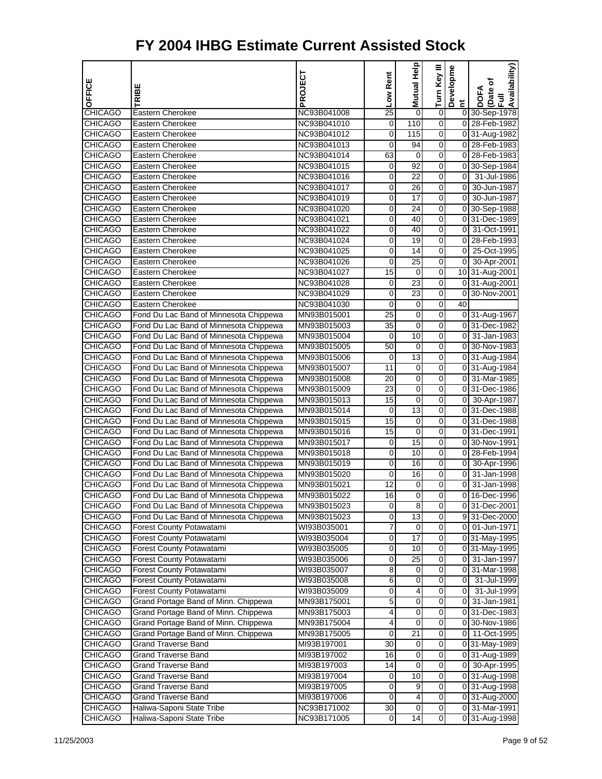| <b>OFFICE</b>                    | <b>TRIBE</b>                                                                     | PROJECT                    | Low Rent       | <b>Mutual Help</b>    | Turn Key III   | Developme               | Availability)<br>Date of<br>Full<br><b>DOFA</b> |
|----------------------------------|----------------------------------------------------------------------------------|----------------------------|----------------|-----------------------|----------------|-------------------------|-------------------------------------------------|
|                                  |                                                                                  |                            |                |                       |                | $\overline{\mathbf{c}}$ |                                                 |
| <b>CHICAGO</b>                   | Eastern Cherokee                                                                 | NC93B041008                | 25             | 0                     | 0              |                         | 0 30-Sep-1978                                   |
| <b>CHICAGO</b>                   | <b>Eastern Cherokee</b>                                                          | NC93B041010                | 0              | 110                   | 0              |                         | 0 28-Feb-1982                                   |
| <b>CHICAGO</b>                   | Eastern Cherokee                                                                 | NC93B041012                | 0              | 115                   | 0              |                         | 0 31-Aug-1982                                   |
| <b>CHICAGO</b>                   | Eastern Cherokee                                                                 | NC93B041013                | 0              | 94                    | 0              |                         | 0 28-Feb-1983                                   |
| <b>CHICAGO</b>                   | Eastern Cherokee                                                                 | NC93B041014                | 63             | 0                     | 0              |                         | 0 28-Feb-1983                                   |
| <b>CHICAGO</b>                   | Eastern Cherokee                                                                 | NC93B041015                | 0              | 92<br>$\overline{22}$ | 0              |                         | 0 30-Sep-1984                                   |
| <b>CHICAGO</b>                   | <b>Eastern Cherokee</b>                                                          | NC93B041016                | 0              |                       | 0              | $\overline{0}$          | 31-Jul-1986                                     |
| <b>CHICAGO</b><br><b>CHICAGO</b> | <b>Eastern Cherokee</b><br>Eastern Cherokee                                      | NC93B041017                | 0              | 26<br>17              | 0              | οI<br>οI                | 30-Jun-1987<br>30-Jun-1987                      |
|                                  |                                                                                  | NC93B041019                | 0              |                       | 0              |                         |                                                 |
| <b>CHICAGO</b>                   | <b>Eastern Cherokee</b><br>Eastern Cherokee                                      | NC93B041020                | 0              | 24<br>40              | 0              |                         | 0 30-Sep-1988                                   |
| <b>CHICAGO</b>                   |                                                                                  | NC93B041021                | 0              | 40                    | 0              | $\overline{0}$          | 0 31-Dec-1989                                   |
| <b>CHICAGO</b>                   | <b>Eastern Cherokee</b><br>Eastern Cherokee                                      | NC93B041022                | 0              | 19                    | 0<br>0         |                         | 31-Oct-1991                                     |
| <b>CHICAGO</b><br><b>CHICAGO</b> | Eastern Cherokee                                                                 | NC93B041024<br>NC93B041025 | 0<br>0         | 14                    | 0              | $\overline{0}$          | 0 28-Feb-1993<br>25-Oct-1995                    |
| <b>CHICAGO</b>                   | Eastern Cherokee                                                                 |                            | 0              | 25                    | 0              | 01                      |                                                 |
| <b>CHICAGO</b>                   | Eastern Cherokee                                                                 | NC93B041026                | 15             | $\pmb{0}$             | 0              |                         | 30-Apr-2001                                     |
|                                  | <b>Eastern Cherokee</b>                                                          | NC93B041027                |                | $\overline{23}$       | 0              |                         | 10 31-Aug-2001                                  |
| <b>CHICAGO</b>                   | Eastern Cherokee                                                                 | NC93B041028<br>NC93B041029 | 0<br>0         | 23                    | 0              |                         | 0 31-Aug-2001<br>0 30-Nov-2001                  |
| <b>CHICAGO</b><br><b>CHICAGO</b> | Eastern Cherokee                                                                 | NC93B041030                | 0              | 0                     | 0              | 40                      |                                                 |
| <b>CHICAGO</b>                   | Fond Du Lac Band of Minnesota Chippewa                                           |                            | 25             | 0                     | 0              |                         | 0 31-Aug-1967                                   |
|                                  |                                                                                  | MN93B015001                |                |                       | 0              |                         |                                                 |
| <b>CHICAGO</b>                   | Fond Du Lac Band of Minnesota Chippewa                                           | MN93B015003                | 35             | $\pmb{0}$<br>10       | 0              |                         | 0 31-Dec-1982                                   |
| <b>CHICAGO</b>                   | Fond Du Lac Band of Minnesota Chippewa                                           | MN93B015004                | 0              |                       | 0              |                         | 0 31-Jan-1983                                   |
| <b>CHICAGO</b><br><b>CHICAGO</b> | Fond Du Lac Band of Minnesota Chippewa<br>Fond Du Lac Band of Minnesota Chippewa | MN93B015005<br>MN93B015006 | 50<br>0        | 0<br>13               | 0              |                         | 0 30-Nov-1983<br>0 31-Aug-1984                  |
|                                  |                                                                                  |                            |                |                       | 0              |                         |                                                 |
| <b>CHICAGO</b>                   | Fond Du Lac Band of Minnesota Chippewa                                           | MN93B015007                | 11<br>20       | 0                     | 0              |                         | 0 31-Aug-1984<br>0 31-Mar-1985                  |
| <b>CHICAGO</b><br><b>CHICAGO</b> | Fond Du Lac Band of Minnesota Chippewa<br>Fond Du Lac Band of Minnesota Chippewa | MN93B015008<br>MN93B015009 | 23             | 0<br>0                | 0              |                         | 0 31-Dec-1986                                   |
| <b>CHICAGO</b>                   | Fond Du Lac Band of Minnesota Chippewa                                           | MN93B015013                | 15             | 0                     | 0              | $\overline{0}$          | 30-Apr-1987                                     |
| <b>CHICAGO</b>                   | Fond Du Lac Band of Minnesota Chippewa                                           | MN93B015014                | 0              | 13                    | 0              |                         | 0 31-Dec-1988                                   |
| <b>CHICAGO</b>                   | Fond Du Lac Band of Minnesota Chippewa                                           | MN93B015015                | 15             | 0                     | 0              |                         | 0 31-Dec-1988                                   |
| <b>CHICAGO</b>                   | Fond Du Lac Band of Minnesota Chippewa                                           | MN93B015016                | 15             | $\pmb{0}$             | 0              |                         | 0 31-Dec-1991                                   |
| <b>CHICAGO</b>                   | Fond Du Lac Band of Minnesota Chippewa                                           | MN93B015017                | 0              | $\overline{15}$       | 0              |                         | 0 30-Nov-1991                                   |
| <b>CHICAGO</b>                   | Fond Du Lac Band of Minnesota Chippewa                                           | MN93B015018                | 0              | 10                    | 0              |                         | 0 28-Feb-1994                                   |
| <b>CHICAGO</b>                   | Fond Du Lac Band of Minnesota Chippewa                                           | MN93B015019                | $\overline{0}$ | 16                    | 0              | 01                      | 30-Apr-1996                                     |
| <b>CHICAGO</b>                   | Fond Du Lac Band of Minnesota Chippewa                                           | MN93B015020                | 0              | 16                    | 0              | $\overline{0}$          | 31-Jan-1998                                     |
| <b>CHICAGO</b>                   | Fond Du Lac Band of Minnesota Chippewa                                           | MN93B015021                | 12             | 0                     | 0              | οI                      | 31-Jan-1998                                     |
| <b>CHICAGO</b>                   | Fond Du Lac Band of Minnesota Chippewa                                           | MN93B015022                | 16             | 0                     | 0              | 01                      | 16-Dec-1996                                     |
| CHICAGO                          | Fond Du Lac Band of Minnesota Chippewa                                           | MN93B015023                | 0              | 8                     | 0              |                         | 031-Dec-2001                                    |
| CHICAGO                          | Fond Du Lac Band of Minnesota Chippewa                                           | MN93B015023                | 0              | $\overline{13}$       | 0              |                         | 9 31-Dec-2000                                   |
| CHICAGO                          | Forest County Potawatami                                                         | WI93B035001                | 7              | 0                     | $\mathbf 0$    |                         | 0 01-Jun-1971                                   |
| CHICAGO                          | Forest County Potawatami                                                         | WI93B035004                | 0              | 17                    | $\mathbf 0$    |                         | 0 31-May-1995                                   |
| <b>CHICAGO</b>                   | Forest County Potawatami                                                         | WI93B035005                | 0              | 10                    | 0              |                         | 031-May-1995                                    |
| CHICAGO                          | Forest County Potawatami                                                         | WI93B035006                | 0              | 25                    | 0              | 01                      | 31-Jan-1997                                     |
| <b>CHICAGO</b>                   | Forest County Potawatami                                                         | WI93B035007                | 8              | 0                     | 0              | 01                      | 31-Mar-1998                                     |
| CHICAGO                          | Forest County Potawatami                                                         | WI93B035008                | 6              | 0                     | 0              | 01                      | 31-Jul-1999                                     |
| CHICAGO                          | Forest County Potawatami                                                         | WI93B035009                | 0              | 4                     | 0              | 0                       | 31-Jul-1999                                     |
| <b>CHICAGO</b>                   | Grand Portage Band of Minn. Chippewa                                             | MN93B175001                | 5              | 0                     | 0              | 01                      | 31-Jan-1981                                     |
| <b>CHICAGO</b>                   | Grand Portage Band of Minn. Chippewa                                             | MN93B175003                | 4              | 0                     | 0              |                         | 0 31-Dec-1983                                   |
| CHICAGO                          | Grand Portage Band of Minn. Chippewa                                             | MN93B175004                | 4              | 0                     | 0              |                         | 0 30-Nov-1986                                   |
| CHICAGO                          | Grand Portage Band of Minn. Chippewa                                             | MN93B175005                | 0              | 21                    | 0              |                         | 0 11-Oct-1995                                   |
| CHICAGO                          | Grand Traverse Band                                                              | MI93B197001                | 30             | 0                     | $\mathbf 0$    |                         | 0 31-May-1989                                   |
| CHICAGO                          | Grand Traverse Band                                                              | MI93B197002                | 16             | 0                     | 0              |                         | 0 31-Aug-1989                                   |
| CHICAGO                          | Grand Traverse Band                                                              | MI93B197003                | 14             | 0                     | 0              |                         | 0 30-Apr-1995                                   |
| <b>CHICAGO</b>                   | <b>Grand Traverse Band</b>                                                       | MI93B197004                | 0              | 10                    | 0              |                         | 0 31-Aug-1998                                   |
| CHICAGO                          | <b>Grand Traverse Band</b>                                                       | MI93B197005                | 0              | 9                     | $\mathbf 0$    |                         | 0 31-Aug-1998                                   |
| CHICAGO                          | <b>Grand Traverse Band</b>                                                       | MI93B197006                | 0              | 4                     | $\mathbf 0$    |                         | 0 31-Aug-2000                                   |
| <b>CHICAGO</b>                   | Haliwa-Saponi State Tribe                                                        | NC93B171002                | 30             | 0                     | 0              |                         | 0 31-Mar-1991                                   |
| <b>CHICAGO</b>                   | Haliwa-Saponi State Tribe                                                        | NC93B171005                | $\mathbf{O}$   | 14                    | $\overline{0}$ |                         | 0 31-Aug-1998                                   |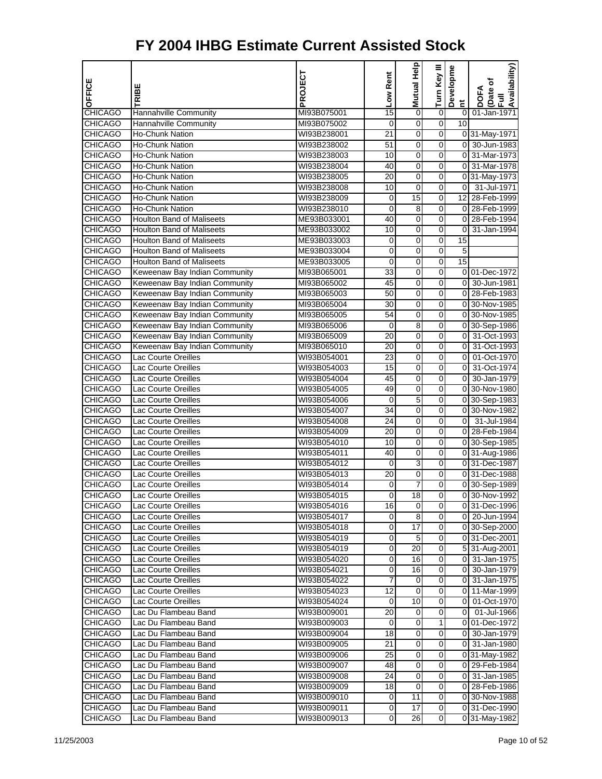|                                  |                                          | PROJECT                    | Low Rent         | Mutual Help     | Turn Key III            | Developme               | Availability)                  |
|----------------------------------|------------------------------------------|----------------------------|------------------|-----------------|-------------------------|-------------------------|--------------------------------|
| OFFICE                           | RIBE                                     |                            |                  |                 |                         |                         | Date of<br><b>DOFA</b>         |
|                                  |                                          |                            |                  |                 |                         | Ĕ                       | $\bar{a}$                      |
| <b>CHICAGO</b>                   | Hannahville Community                    | MI93B075001                | 15               | $\mathbf 0$     | $\overline{0}$          | $\mathbf 0$<br>10       | 01-Jan-1971                    |
| <b>CHICAGO</b><br><b>CHICAGO</b> | Hannahville Community<br>Ho-Chunk Nation | MI93B075002                | 0<br>21          | 0<br>0          | 0<br>0                  |                         |                                |
| <b>CHICAGO</b>                   | <b>Ho-Chunk Nation</b>                   | WI93B238001<br>WI93B238002 | 51               | 0               | 0                       |                         | 0 31-May-1971<br>0 30-Jun-1983 |
| <b>CHICAGO</b>                   | <b>Ho-Chunk Nation</b>                   | WI93B238003                | 10               | 0               | 0                       |                         | 0 31-Mar-1973                  |
| <b>CHICAGO</b>                   | <b>Ho-Chunk Nation</b>                   | WI93B238004                | 40               | $\overline{0}$  | $\mathbf 0$             | $\overline{0}$          | 31-Mar-1978                    |
| <b>CHICAGO</b>                   | Ho-Chunk Nation                          | WI93B238005                | 20               | 0               | 0                       |                         | 0 31-May-1973                  |
| <b>CHICAGO</b>                   | <b>Ho-Chunk Nation</b>                   | WI93B238008                | 10               | $\mathbf 0$     | 0                       | $\overline{0}$          | 31-Jul-1971                    |
| <b>CHICAGO</b>                   | <b>Ho-Chunk Nation</b>                   | WI93B238009                | 0                | 15              | 0                       | 12 <sub>l</sub>         | 28-Feb-1999                    |
| <b>CHICAGO</b>                   | <b>Ho-Chunk Nation</b>                   | WI93B238010                | 0                | 8               | 0                       |                         | 0 28-Feb-1999                  |
| <b>CHICAGO</b>                   | <b>Houlton Band of Maliseets</b>         | ME93B033001                | 40               | $\mathbf 0$     | $\mathbf 0$             | $\overline{0}$          | 28-Feb-1994                    |
| <b>CHICAGO</b>                   | <b>Houlton Band of Maliseets</b>         | ME93B033002                | 10               | 0               | 0                       | $\pmb{0}$               | 31-Jan-1994                    |
| <b>CHICAGO</b>                   | <b>Houlton Band of Maliseets</b>         | ME93B033003                | 0                | 0               | 0                       | 15                      |                                |
| <b>CHICAGO</b>                   | <b>Houlton Band of Maliseets</b>         | ME93B033004                | 0                | 0               | 0                       | 5                       |                                |
| <b>CHICAGO</b>                   | <b>Houlton Band of Maliseets</b>         | ME93B033005                | 0                | 0               | 0                       | 15                      |                                |
| <b>CHICAGO</b>                   | Keweenaw Bay Indian Community            | MI93B065001                | $\overline{33}$  | $\overline{0}$  | $\mathbf 0$             |                         | 0 01-Dec-1972                  |
| <b>CHICAGO</b>                   | Keweenaw Bay Indian Community            | MI93B065002                | 45               | 0               | 0                       | $\overline{0}$          | 30-Jun-1981                    |
| <b>CHICAGO</b>                   | Keweenaw Bay Indian Community            | MI93B065003                | 50               | 0               | 0                       |                         | 0 28-Feb-1983                  |
| <b>CHICAGO</b>                   | Keweenaw Bay Indian Community            | MI93B065004                | 30               | 0               | 0                       |                         | 0 30-Nov-1985                  |
| <b>CHICAGO</b>                   | Keweenaw Bay Indian Community            | MI93B065005                | 54               | 0               | 0                       |                         | 0 30-Nov-1985                  |
| <b>CHICAGO</b>                   | Keweenaw Bay Indian Community            | MI93B065006                | $\mathbf 0$      | 8               | 0                       |                         | 0 30-Sep-1986                  |
| <b>CHICAGO</b>                   | Keweenaw Bay Indian Community            | MI93B065009                | 20               | 0               | 0                       | $\overline{0}$          | 31-Oct-1993                    |
| <b>CHICAGO</b>                   | Keweenaw Bay Indian Community            | MI93B065010                | 20               | 0               | 0                       | $\overline{\mathbf{0}}$ | 31-Oct-1993                    |
| <b>CHICAGO</b>                   | <b>Lac Courte Oreilles</b>               | WI93B054001                | 23               | 0               | 0                       | 0                       | 01-Oct-1970                    |
| <b>CHICAGO</b>                   | Lac Courte Oreilles                      | WI93B054003                | 15               | 0               | 0                       | $\overline{0}$          | 31-Oct-1974                    |
| <b>CHICAGO</b>                   | Lac Courte Oreilles                      | WI93B054004                | 45               | $\overline{0}$  | $\mathbf 0$             | $\overline{0}$          | 30-Jan-1979                    |
| CHICAGO                          | Lac Courte Oreilles                      | WI93B054005                | 49               | 0               | 0                       |                         | 0 30-Nov-1980                  |
| <b>CHICAGO</b>                   | Lac Courte Oreilles                      | WI93B054006                | 0                | 5               | 0                       |                         | 0 30-Sep-1983                  |
| <b>CHICAGO</b>                   | Lac Courte Oreilles                      | WI93B054007                | 34               | 0               | 0                       |                         | 0 30-Nov-1982                  |
| <b>CHICAGO</b>                   | Lac Courte Oreilles                      | WI93B054008                | 24               | 0               | 0                       | $\overline{0}$          | 31-Jul-1984                    |
| <b>CHICAGO</b>                   | Lac Courte Oreilles                      | WI93B054009                | 20               | $\overline{0}$  | $\mathbf 0$             |                         | 0 28-Feb-1984                  |
| <b>CHICAGO</b>                   | Lac Courte Oreilles                      | WI93B054010                | 10               | 0               | 0                       |                         | 0 30-Sep-1985                  |
| <b>CHICAGO</b>                   | Lac Courte Oreilles                      | WI93B054011                | 40               | 0               | 0                       |                         | 0 31-Aug-1986                  |
| <b>CHICAGO</b>                   | Lac Courte Oreilles                      | WI93B054012                | 0                | 3               | 0                       |                         | 0 31-Dec-1987                  |
| <b>CHICAGO</b>                   | Lac Courte Oreilles                      | WI93B054013                | 20               | 0               | 0                       |                         | 0 31-Dec-1988                  |
| <b>CHICAGO</b>                   | Lac Courte Oreilles                      | WI93B054014                | 0                | $\overline{7}$  | 0                       |                         | 0 30-Sep-1989                  |
| <b>CHICAGO</b>                   | Lac Courte Oreilles                      | WI93B054015                | 0                | 18              | 0                       |                         | 0 30-Nov-1992                  |
| <b>CHICAGO</b>                   | Lac Courte Oreilles                      | WI93B054016                | 16               | $\overline{0}$  | 0                       |                         | 0 31-Dec-1996                  |
| <b>CHICAGO</b>                   | Lac Courte Oreilles                      | WI93B054017                | 0                | 8               | 0                       |                         | 0 20-Jun-1994                  |
| CHICAGO                          | Lac Courte Oreilles                      | WI93B054018                | 0                | 17              | 0                       |                         | 0 30-Sep-2000                  |
| <b>CHICAGO</b>                   | Lac Courte Oreilles                      | WI93B054019                | 0                | $\overline{5}$  | $\overline{\mathbf{0}}$ |                         | 0 31-Dec-2001                  |
| <b>CHICAGO</b>                   | Lac Courte Oreilles                      | WI93B054019                | 0                | 20              | 0                       |                         | 5 31-Aug-2001                  |
| <b>CHICAGO</b>                   | Lac Courte Oreilles                      | WI93B054020                | 0                | 16              | 0                       |                         | 0 31-Jan-1975                  |
| <b>CHICAGO</b>                   | Lac Courte Oreilles                      | WI93B054021                | 0                | 16              | 0                       | 01                      | 30-Jan-1979                    |
| CHICAGO                          | Lac Courte Oreilles                      | WI93B054022                | 7                | 0               | 0                       |                         | 0 31-Jan-1975                  |
| <b>CHICAGO</b>                   | Lac Courte Oreilles                      | WI93B054023                | 12               | $\mathbf 0$     | $\overline{0}$          |                         | 0 11-Mar-1999                  |
| <b>CHICAGO</b>                   | Lac Courte Oreilles                      | WI93B054024                | 0                | 10              | 0                       | 01                      | 01-Oct-1970                    |
| <b>CHICAGO</b>                   | Lac Du Flambeau Band                     | WI93B009001                | 20               | 0               | 0                       | 01                      | 01-Jul-1966                    |
| <b>CHICAGO</b>                   | Lac Du Flambeau Band                     | WI93B009003                | 0                | 0               | 1                       |                         | 0 01-Dec-1972                  |
| CHICAGO                          | Lac Du Flambeau Band                     | WI93B009004                | 18               | 0               | 0                       | $\overline{0}$          | 30-Jan-1979                    |
| CHICAGO                          | Lac Du Flambeau Band                     | WI93B009005                | 21               | $\overline{0}$  | $\overline{\mathbf{0}}$ | οI                      | 31-Jan-1980                    |
| <b>CHICAGO</b>                   | Lac Du Flambeau Band                     | WI93B009006                | 25               | 0               | 0                       |                         | 0 31-May-1982                  |
| <b>CHICAGO</b>                   | Lac Du Flambeau Band                     | WI93B009007                | 48               | 0               | 0                       |                         | 0 29-Feb-1984                  |
| <b>CHICAGO</b>                   | Lac Du Flambeau Band                     | WI93B009008                | 24               | 0               | 0                       |                         | 0 31-Jan-1985                  |
| CHICAGO                          | Lac Du Flambeau Band                     | WI93B009009                | 18               | 0               | 0                       |                         | 0 28-Feb-1986                  |
| <b>CHICAGO</b>                   | Lac Du Flambeau Band                     | WI93B009010                | 0                | $\overline{11}$ | $\overline{0}$          |                         | 0 30-Nov-1988                  |
| <b>CHICAGO</b>                   | Lac Du Flambeau Band                     | WI93B009011                | 0                | 17              | 0                       |                         | 0 31-Dec-1990                  |
| <b>CHICAGO</b>                   | Lac Du Flambeau Band                     | WI93B009013                | $\boldsymbol{0}$ | 26              | $\mathbf 0$             |                         | 0 31-May-1982                  |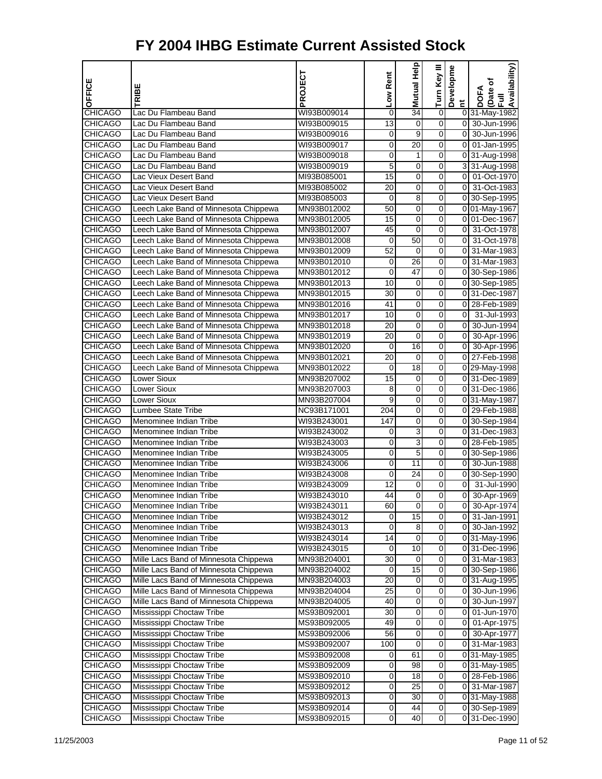| OFFICE                           | <b>TRIBE</b>                                 | PROJECT                    | Low Rent        | <b>Mutual Help</b>   | Turn Key III   | Developme            | Availability)<br>DOFA<br>(Date of<br>Full |
|----------------------------------|----------------------------------------------|----------------------------|-----------------|----------------------|----------------|----------------------|-------------------------------------------|
|                                  |                                              |                            |                 |                      |                | Ĕ                    |                                           |
| <b>CHICAGO</b>                   | Lac Du Flambeau Band                         | WI93B009014                | 0               | $\overline{34}$      | 0              |                      | 0 31-May-1982                             |
| <b>CHICAGO</b>                   | Lac Du Flambeau Band                         | WI93B009015                | $\overline{13}$ | 0                    | 0              | οI<br>$\overline{0}$ | 30-Jun-1996                               |
| <b>CHICAGO</b><br><b>CHICAGO</b> | Lac Du Flambeau Band<br>Lac Du Flambeau Band | WI93B009016<br>WI93B009017 | 0<br>0          | 9<br>$\overline{20}$ | 0<br>0         | 0                    | 30-Jun-1996<br>01-Jan-1995                |
| <b>CHICAGO</b>                   | Lac Du Flambeau Band                         | WI93B009018                | 0               | 1                    | 0              |                      |                                           |
| <b>CHICAGO</b>                   | Lac Du Flambeau Band                         | WI93B009019                | 5               | 0                    | 0              |                      | 0 31-Aug-1998<br>3 31-Aug-1998            |
| <b>CHICAGO</b>                   | Lac Vieux Desert Band                        | MI93B085001                | $\overline{15}$ | 0                    | 0              |                      | 0 01-Oct-1970                             |
| <b>CHICAGO</b>                   | Lac Vieux Desert Band                        | MI93B085002                | 20              | 0                    | 0              | $\overline{0}$       | 31-Oct-1983                               |
| <b>CHICAGO</b>                   | Lac Vieux Desert Band                        | MI93B085003                | 0               | 8                    | 0              |                      | 0 30-Sep-1995                             |
| <b>CHICAGO</b>                   | Leech Lake Band of Minnesota Chippewa        | MN93B012002                | 50              | 0                    | 0              |                      | 0 01-May-1967                             |
| <b>CHICAGO</b>                   | Leech Lake Band of Minnesota Chippewa        | MN93B012005                | 15              | 0                    | 0              |                      | 0 01-Dec-1967                             |
| <b>CHICAGO</b>                   | Leech Lake Band of Minnesota Chippewa        | MN93B012007                | 45              | 0                    | 0              | $\overline{0}$       | 31-Oct-1978                               |
| <b>CHICAGO</b>                   | Leech Lake Band of Minnesota Chippewa        | MN93B012008                | 0               | 50                   | 0              | $\overline{0}$       | 31-Oct-1978                               |
| <b>CHICAGO</b>                   | Leech Lake Band of Minnesota Chippewa        | MN93B012009                | 52              | 0                    | 0              |                      | 0 31-Mar-1983                             |
| <b>CHICAGO</b>                   | Leech Lake Band of Minnesota Chippewa        | MN93B012010                | 0               | 26                   | 0              | ٥I                   | 31-Mar-1983                               |
| <b>CHICAGO</b>                   | Leech Lake Band of Minnesota Chippewa        | MN93B012012                | 0               | 47                   | 0              |                      | 0 30-Sep-1986                             |
| <b>CHICAGO</b>                   | Leech Lake Band of Minnesota Chippewa        | MN93B012013                | 10              | 0                    | 0              |                      | 0 30-Sep-1985                             |
| <b>CHICAGO</b>                   | Leech Lake Band of Minnesota Chippewa        | MN93B012015                | 30              | 0                    | 0              |                      | 0 31-Dec-1987                             |
| <b>CHICAGO</b>                   | Leech Lake Band of Minnesota Chippewa        | MN93B012016                | 41              | 0                    | 0              |                      | 0 28-Feb-1989                             |
| <b>CHICAGO</b>                   | Leech Lake Band of Minnesota Chippewa        | MN93B012017                | 10              | 0                    | 0              | 0                    | 31-Jul-1993                               |
| <b>CHICAGO</b>                   | Leech Lake Band of Minnesota Chippewa        | MN93B012018                | 20              | 0                    | 0              | οI                   | 30-Jun-1994                               |
| <b>CHICAGO</b>                   | Leech Lake Band of Minnesota Chippewa        | MN93B012019                | 20              | 0                    | 0              | $\overline{0}$       | 30-Apr-1996                               |
| <b>CHICAGO</b>                   | Leech Lake Band of Minnesota Chippewa        | MN93B012020                | 0               | 16                   | 0              | $\overline{0}$       | 30-Apr-1996                               |
| <b>CHICAGO</b>                   | Leech Lake Band of Minnesota Chippewa        | MN93B012021                | $\overline{20}$ | 0                    | 0              |                      | 0 27-Feb-1998                             |
| <b>CHICAGO</b>                   | Leech Lake Band of Minnesota Chippewa        | MN93B012022                | 0               | $\overline{18}$      | 0              |                      | 0 29-May-1998                             |
| <b>CHICAGO</b>                   | Lower Sioux                                  | MN93B207002                | 15              | 0                    | 0              |                      | 0 31-Dec-1989                             |
| <b>CHICAGO</b>                   | <b>Lower Sioux</b>                           | MN93B207003                | 8               | 0                    | 0              |                      | 0 31-Dec-1986                             |
| <b>CHICAGO</b>                   | Lower Sioux                                  | MN93B207004                | 9               | 0                    | 0              |                      | 0 31-May-1987                             |
| <b>CHICAGO</b>                   | Lumbee State Tribe                           | NC93B171001                | 204             | 0                    | 0              |                      | 0 29-Feb-1988                             |
| CHICAGO                          | Menominee Indian Tribe                       | WI93B243001                | 147             | 0                    | 0              |                      | 0 30-Sep-1984                             |
| <b>CHICAGO</b>                   | Menominee Indian Tribe                       | WI93B243002                | 0               | 3                    | 0              |                      | 0 31-Dec-1983                             |
| <b>CHICAGO</b>                   | Menominee Indian Tribe                       | WI93B243003                | 0               | 3                    | 0              |                      | 0 28-Feb-1985                             |
| <b>CHICAGO</b>                   | Menominee Indian Tribe                       | WI93B243005                | 0               | 5                    | 0              |                      | 0 30-Sep-1986                             |
| <b>CHICAGO</b>                   | Menominee Indian Tribe                       | WI93B243006                | 0               | 11                   | 0              | οI                   | 30-Jun-1988                               |
| <b>CHICAGO</b>                   | Menominee Indian Tribe                       | WI93B243008                | 0               | 24                   | 0              |                      | 0 30-Sep-1990                             |
| <b>CHICAGO</b>                   | Menominee Indian Tribe                       | WI93B243009                | 12              | 0                    | 0              | $\overline{0}$       | 31-Jul-1990                               |
| <b>CHICAGO</b>                   | Menominee Indian Tribe                       | WI93B243010                | 44              | $\pmb{0}$            | 0              | $\mathbf 0$          | 30-Apr-1969                               |
| <b>CHICAGO</b>                   | Menominee Indian Tribe                       | WI93B243011                | 60              | 0                    | 0              |                      | 0 30-Apr-1974                             |
| <b>CHICAGO</b>                   | Menominee Indian Tribe                       | WI93B243012                | 0               | $\overline{15}$      | 0              |                      | 0 31-Jan-1991                             |
| CHICAGO                          | Menominee Indian Tribe                       | WI93B243013                | 0               | 8                    | $\mathbf 0$    |                      | 0 30-Jan-1992                             |
| <b>CHICAGO</b>                   | Menominee Indian Tribe                       | WI93B243014                | 14              | $\pmb{0}$            | O              |                      | 0 31-May-1996                             |
| <b>CHICAGO</b>                   | Menominee Indian Tribe                       | WI93B243015                | 0               | 10                   | 0              |                      | 0 31-Dec-1996                             |
| <b>CHICAGO</b>                   | Mille Lacs Band of Minnesota Chippewa        | MN93B204001                | 30              | 0                    | $\overline{0}$ |                      | 0 31-Mar-1983                             |
| <b>CHICAGO</b>                   | Mille Lacs Band of Minnesota Chippewa        | MN93B204002                | 0               | $\overline{15}$      | 0              |                      | 0 30-Sep-1986                             |
| CHICAGO                          | Mille Lacs Band of Minnesota Chippewa        | MN93B204003                | 20              | 0                    | $\mathbf 0$    |                      | 0 31-Aug-1995                             |
| <b>CHICAGO</b>                   | Mille Lacs Band of Minnesota Chippewa        | MN93B204004                | 25              | $\pmb{0}$            | O              |                      | 0 30-Jun-1996                             |
| <b>CHICAGO</b>                   | Mille Lacs Band of Minnesota Chippewa        | MN93B204005                | 40              | 0                    | 0              |                      | 0 30-Jun-1997                             |
| <b>CHICAGO</b>                   | Mississippi Choctaw Tribe                    | MS93B092001                | 30              | 0                    | 0              |                      | 0 01-Jun-1970                             |
| <b>CHICAGO</b>                   | Mississippi Choctaw Tribe                    | MS93B092005                | 49              | $\overline{0}$       | 0              |                      | 0 01-Apr-1975                             |
| <b>CHICAGO</b>                   | Mississippi Choctaw Tribe                    | MS93B092006                | 56              | 0                    | $\mathbf 0$    | οı                   | 30-Apr-1977                               |
| <b>CHICAGO</b>                   | Mississippi Choctaw Tribe                    | MS93B092007                | 100             | $\pmb{0}$            | $\mathbf 0$    |                      | 0 31-Mar-1983                             |
| <b>CHICAGO</b>                   | Mississippi Choctaw Tribe                    | MS93B092008                | 0               | 61                   | 0              |                      | 031-May-1985                              |
| <b>CHICAGO</b>                   | Mississippi Choctaw Tribe                    | MS93B092009                | 0               | 98                   | $\overline{0}$ |                      | 0 31-May-1985                             |
| <b>CHICAGO</b>                   | Mississippi Choctaw Tribe                    | MS93B092010                | 0               | 18                   | 0              |                      | 0 28-Feb-1986                             |
| <b>CHICAGO</b>                   | Mississippi Choctaw Tribe                    | MS93B092012                | 0               | 25                   | $\mathbf 0$    |                      | 0 31-Mar-1987                             |
| <b>CHICAGO</b>                   | Mississippi Choctaw Tribe                    | MS93B092013                | 0               | 30                   | $\overline{0}$ |                      | 0 31-May-1988                             |
| <b>CHICAGO</b>                   | Mississippi Choctaw Tribe                    | MS93B092014                | 0               | 44                   | $\mathbf 0$    |                      | 0 30-Sep-1989                             |
| <b>CHICAGO</b>                   | Mississippi Choctaw Tribe                    | MS93B092015                | $\mathbf 0$     | 40                   | $\overline{O}$ |                      | 0 31-Dec-1990                             |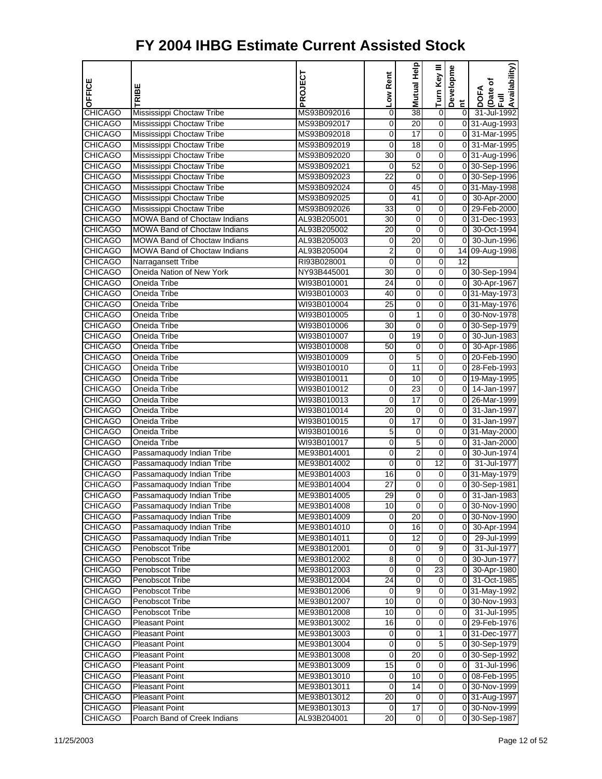| OFFICE                           | TRIBE                                                  | PROJECT                    | Low Rent             | Mutual Help           | Turn Key III        | Developme      | Availability)<br>DOFA<br>(Date of<br>Full |
|----------------------------------|--------------------------------------------------------|----------------------------|----------------------|-----------------------|---------------------|----------------|-------------------------------------------|
|                                  |                                                        |                            |                      |                       |                     | $\tilde{a}$    |                                           |
| <b>CHICAGO</b>                   | Mississippi Choctaw Tribe                              | MS93B092016                | 0                    | $\overline{38}$       | 0                   | $\overline{0}$ | 31-Jul-1992                               |
| <b>CHICAGO</b>                   | Mississippi Choctaw Tribe                              | MS93B092017                | 0                    | $\overline{20}$       | 0<br>$\overline{0}$ |                | 0 31-Aug-1993                             |
| <b>CHICAGO</b>                   | Mississippi Choctaw Tribe                              | MS93B092018                | 0                    | 17<br>$\overline{18}$ |                     |                | 0 31-Mar-1995<br>0 31-Mar-1995            |
| <b>CHICAGO</b>                   | Mississippi Choctaw Tribe                              | MS93B092019                | 0                    |                       | 0                   |                |                                           |
| <b>CHICAGO</b>                   | Mississippi Choctaw Tribe<br>Mississippi Choctaw Tribe | MS93B092020                | 30                   | 0<br>52               | 0<br>0              |                | 0 31-Aug-1996                             |
| <b>CHICAGO</b><br><b>CHICAGO</b> | Mississippi Choctaw Tribe                              | MS93B092021<br>MS93B092023 | 0<br>$\overline{22}$ | 0                     | 0                   |                | 0 30-Sep-1996<br>0 30-Sep-1996            |
| <b>CHICAGO</b>                   | Mississippi Choctaw Tribe                              |                            | 0                    | 45                    | 0                   |                | 0 31-May-1998                             |
| <b>CHICAGO</b>                   | Mississippi Choctaw Tribe                              | MS93B092024<br>MS93B092025 | 0                    | 41                    | 0                   |                | 0 30-Apr-2000                             |
| <b>CHICAGO</b>                   | Mississippi Choctaw Tribe                              | MS93B092026                | 33                   | 0                     | 0                   |                | 0 29-Feb-2000                             |
| <b>CHICAGO</b>                   | <b>MOWA Band of Choctaw Indians</b>                    | AL93B205001                | 30                   | 0                     | 0                   |                | 0 31-Dec-1993                             |
| <b>CHICAGO</b>                   | <b>MOWA Band of Choctaw Indians</b>                    | AL93B205002                | 20                   | 0                     | 0                   | $\overline{0}$ | 30-Oct-1994                               |
| <b>CHICAGO</b>                   | <b>MOWA Band of Choctaw Indians</b>                    | AL93B205003                | 0                    | 20                    | 0                   | $\overline{0}$ | 30-Jun-1996                               |
| <b>CHICAGO</b>                   | <b>MOWA Band of Choctaw Indians</b>                    | AL93B205004                | $\overline{2}$       | 0                     | 0                   |                | 14 09-Aug-1998                            |
| <b>CHICAGO</b>                   | Narragansett Tribe                                     | RI93B028001                | 0                    | 0                     | O                   | 12             |                                           |
| <b>CHICAGO</b>                   | Oneida Nation of New York                              | NY93B445001                | 30                   | $\pmb{0}$             | O                   |                | 0 30-Sep-1994                             |
| <b>CHICAGO</b>                   | Oneida Tribe                                           | WI93B010001                | 24                   | 0                     | 0                   |                | 0 30-Apr-1967                             |
| <b>CHICAGO</b>                   | Oneida Tribe                                           | WI93B010003                | 40                   | 0                     | 0                   |                | 0 31-May-1973                             |
| <b>CHICAGO</b>                   | <b>Oneida Tribe</b>                                    | WI93B010004                | $\overline{25}$      | 0                     | 0                   |                | 0 31-May-1976                             |
| <b>CHICAGO</b>                   | Oneida Tribe                                           | WI93B010005                | 0                    | $\mathbf{1}$          | 0                   |                | 0 30-Nov-1978                             |
| <b>CHICAGO</b>                   | Oneida Tribe                                           | WI93B010006                | 30                   | 0                     | 0                   |                | 0 30-Sep-1979                             |
| <b>CHICAGO</b>                   | Oneida Tribe                                           | WI93B010007                | 0                    | $\overline{19}$       | 0                   |                | 0 30-Jun-1983                             |
| <b>CHICAGO</b>                   | Oneida Tribe                                           | WI93B010008                | 50                   | 0                     | 0                   |                | 0 30-Apr-1986                             |
| <b>CHICAGO</b>                   | Oneida Tribe                                           | WI93B010009                | 0                    | 5                     | 0                   |                | 0 20-Feb-1990                             |
| <b>CHICAGO</b>                   | Oneida Tribe                                           | WI93B010010                | 0                    | 11                    | 0                   |                | 0 28-Feb-1993                             |
| <b>CHICAGO</b>                   | Oneida Tribe                                           | WI93B010011                | 0                    | 10                    | 0                   |                | 0 19-May-1995                             |
| <b>CHICAGO</b>                   | Oneida Tribe                                           | WI93B010012                | 0                    | $\overline{23}$       | 0                   |                | 0 14-Jan-1997                             |
| <b>CHICAGO</b>                   | Oneida Tribe                                           | WI93B010013                | $\mathbf 0$          | 17                    | 0                   |                | 0 26-Mar-1999                             |
| <b>CHICAGO</b>                   | <b>Oneida Tribe</b>                                    | WI93B010014                | 20                   | 0                     | 0                   | οI             | 31-Jan-1997                               |
| <b>CHICAGO</b>                   | Oneida Tribe                                           | WI93B010015                | 0                    | 17                    | 0                   |                | 0 31-Jan-1997                             |
| <b>CHICAGO</b>                   | Oneida Tribe                                           | WI93B010016                | 5                    | 0                     | 0                   |                | 0 31-May-2000                             |
| <b>CHICAGO</b>                   | Oneida Tribe                                           | WI93B010017                | 0                    | 5                     | 0                   |                | $0$ 31-Jan-2000                           |
| <b>CHICAGO</b>                   | Passamaquody Indian Tribe                              | ME93B014001                | 0                    | $\overline{2}$        | 0                   | οI             | 30-Jun-1974                               |
| <b>CHICAGO</b>                   | Passamaquody Indian Tribe                              | ME93B014002                | 0                    | $\overline{0}$        | 12                  | οI             | 31-Jul-1977                               |
| <b>CHICAGO</b>                   | Passamaquody Indian Tribe                              | ME93B014003                | 16                   | 0                     | 0                   |                | 0 31-May-1979                             |
| <b>CHICAGO</b>                   | Passamaquody Indian Tribe                              | ME93B014004                | 27                   | $\pmb{0}$             | $\mathbf 0$         |                | 0 30-Sep-1981                             |
| <b>CHICAGO</b>                   | Passamaquody Indian Tribe                              | ME93B014005                | 29                   | $\pmb{0}$             | 0                   | 01             | 31-Jan-1983                               |
| <b>CHICAGO</b>                   | Passamaquody Indian Tribe                              | ME93B014008                | 10                   | 0                     | 0                   |                | 0 30-Nov-1990                             |
| <b>CHICAGO</b>                   | Passamaquody Indian Tribe                              | ME93B014009                | 0                    | 20                    | 0                   |                | 0 30-Nov-1990                             |
| <b>CHICAGO</b>                   | Passamaquody Indian Tribe                              | ME93B014010                | 0                    | 16                    | $\overline{0}$      | 01             | 30-Apr-1994                               |
| <b>CHICAGO</b>                   | Passamaquody Indian Tribe                              | ME93B014011                | 0                    | 12                    | $\overline{0}$      |                | 0 29-Jul-1999                             |
| <b>CHICAGO</b>                   | Penobscot Tribe                                        | ME93B012001                | 0                    | 0                     | 9                   |                | 0 31-Jul-1977                             |
| <b>CHICAGO</b>                   | Penobscot Tribe                                        | ME93B012002                | 8                    | 0                     | $\overline{0}$      | 01             | 30-Jun-1977                               |
| <b>CHICAGO</b>                   | Penobscot Tribe                                        | ME93B012003                | 0                    | $\overline{0}$        | $\overline{23}$     | 01             | 30-Apr-1980                               |
| <b>CHICAGO</b>                   | Penobscot Tribe                                        | ME93B012004                | 24                   | 0                     | 0                   |                | 0 31-Oct-1985                             |
| <b>CHICAGO</b>                   | Penobscot Tribe                                        | ME93B012006                | 0                    | 9                     | $\mathbf 0$         |                | 0 31-May-1992                             |
| <b>CHICAGO</b>                   | Penobscot Tribe                                        | ME93B012007                | 10                   | 0                     | 0                   |                | 0 30-Nov-1993                             |
| <b>CHICAGO</b>                   | Penobscot Tribe                                        | ME93B012008                | 10                   | 0                     | $\overline{0}$      |                | 0 31-Jul-1995                             |
| <b>CHICAGO</b>                   | <b>Pleasant Point</b>                                  | ME93B013002                | 16                   | $\overline{0}$        | 0                   |                | 0 29-Feb-1976                             |
| <b>CHICAGO</b>                   | <b>Pleasant Point</b>                                  | ME93B013003                | 0                    | 0                     | $\mathbf{1}$        |                | 031-Dec-1977                              |
| <b>CHICAGO</b>                   | <b>Pleasant Point</b>                                  | ME93B013004                | 0                    | $\pmb{0}$             | 5                   |                | 0 30-Sep-1979                             |
| <b>CHICAGO</b>                   | <b>Pleasant Point</b>                                  | ME93B013008                | 0                    | $\overline{20}$       | O                   |                | 0 30-Sep-1992                             |
| <b>CHICAGO</b>                   | <b>Pleasant Point</b>                                  | ME93B013009                | 15                   | 0                     | $\overline{0}$      |                | 0 31-Jul-1996                             |
| <b>CHICAGO</b>                   | <b>Pleasant Point</b>                                  | ME93B013010                | 0                    | 10                    | 0                   |                | 0 08-Feb-1995                             |
| <b>CHICAGO</b>                   | <b>Pleasant Point</b>                                  | ME93B013011                | 0                    | 14                    | $\mathbf 0$         |                | 0 30-Nov-1999                             |
| <b>CHICAGO</b>                   | <b>Pleasant Point</b>                                  | ME93B013012                | 20                   | 0                     | $\overline{0}$      |                | 0 31-Aug-1997                             |
| <b>CHICAGO</b>                   | <b>Pleasant Point</b>                                  | ME93B013013                | 0                    | 17                    | $\mathbf 0$         |                | 0 30-Nov-1999                             |
| <b>CHICAGO</b>                   | Poarch Band of Creek Indians                           | AL93B204001                | 20                   | $\mathbf 0$           | $\overline{O}$      |                | 0 30-Sep-1987                             |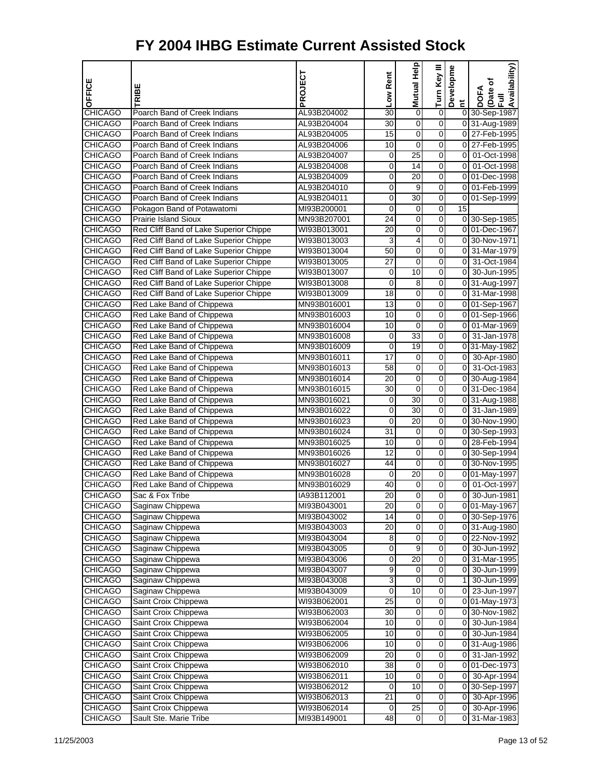| OFFICE                           |                                                        | PROJECT                    | Low Rent        | Mutual Help                        | Turn Key III   | Developme      | Availability)<br>Date of       |
|----------------------------------|--------------------------------------------------------|----------------------------|-----------------|------------------------------------|----------------|----------------|--------------------------------|
|                                  | TRIBE                                                  |                            |                 |                                    |                | Ĕ              | DOFA<br>$\bar{E}$              |
| <b>CHICAGO</b>                   | Poarch Band of Creek Indians                           | AL93B204002                | 30              | 0                                  | 0              |                | 0 30-Sep-1987                  |
| <b>CHICAGO</b>                   | Poarch Band of Creek Indians                           | AL93B204004                | 30              | 0                                  | 0              |                | 0 31-Aug-1989                  |
| <b>CHICAGO</b>                   | Poarch Band of Creek Indians                           | AL93B204005                | 15              | 0                                  | 0              |                | 0 27-Feb-1995                  |
| <b>CHICAGO</b>                   | Poarch Band of Creek Indians                           | AL93B204006                | 10              | 0                                  | 0              | 0              | 27-Feb-1995                    |
| <b>CHICAGO</b>                   | Poarch Band of Creek Indians                           | AL93B204007                | 0               | 25                                 | 0              | 0              | 01-Oct-1998                    |
| <b>CHICAGO</b>                   | Poarch Band of Creek Indians                           | AL93B204008                | $\mathbf 0$     | $\overline{14}$                    | 0              | $\overline{0}$ | 01-Oct-1998                    |
| <b>CHICAGO</b>                   | Poarch Band of Creek Indians                           | AL93B204009                | 0               | 20                                 | 0              |                | 0 01-Dec-1998                  |
| <b>CHICAGO</b>                   | Poarch Band of Creek Indians                           | AL93B204010                | 0               | 9                                  | 0              | $\overline{0}$ | 01-Feb-1999                    |
| <b>CHICAGO</b>                   | Poarch Band of Creek Indians                           | AL93B204011                | 0               | $\overline{30}$                    | 0              | 0              | 01-Sep-1999                    |
| <b>CHICAGO</b>                   | Pokagon Band of Potawatomi                             | MI93B200001                | 0               | 0                                  | 0              | 15             |                                |
| <b>CHICAGO</b>                   | Prairie Island Sioux                                   | MN93B207001                | $\overline{24}$ | $\mathbf 0$                        | 0              |                | 0 30-Sep-1985                  |
| <b>CHICAGO</b>                   | Red Cliff Band of Lake Superior Chippe                 | WI93B013001                | 20              | 0                                  | 0              |                | 0 01-Dec-1967                  |
| <b>CHICAGO</b>                   | Red Cliff Band of Lake Superior Chippe                 | WI93B013003                | 3               | 4                                  | 0              |                | 0 30-Nov-1971                  |
| <b>CHICAGO</b>                   | Red Cliff Band of Lake Superior Chippe                 | WI93B013004                | 50              | 0                                  | 0              | 0              | 31-Mar-1979                    |
| <b>CHICAGO</b>                   | Red Cliff Band of Lake Superior Chippe                 | WI93B013005                | 27              | 0                                  | 0              | $\overline{0}$ | 31-Oct-1984                    |
| <b>CHICAGO</b>                   | Red Cliff Band of Lake Superior Chippe                 | WI93B013007                | 0               | 10                                 | 0              | $\overline{0}$ | 30-Jun-1995                    |
| <b>CHICAGO</b>                   | Red Cliff Band of Lake Superior Chippe                 | WI93B013008                | 0               | 8                                  | 0              |                | 0 31-Aug-1997                  |
| <b>CHICAGO</b>                   | Red Cliff Band of Lake Superior Chippe                 | WI93B013009                | 18              | 0                                  | 0              | 0              | 31-Mar-1998                    |
| <b>CHICAGO</b>                   | Red Lake Band of Chippewa                              | MN93B016001                | 13              | 0                                  | 0              |                | 0 01-Sep-1967                  |
| <b>CHICAGO</b>                   | Red Lake Band of Chippewa                              | MN93B016003                | 10              | 0                                  | 0              |                | 0 01-Sep-1966                  |
| <b>CHICAGO</b>                   | Red Lake Band of Chippewa                              | MN93B016004                | 10              | $\mathbf 0$                        | 0              | $\overline{0}$ | 01-Mar-1969                    |
| <b>CHICAGO</b>                   | Red Lake Band of Chippewa                              | MN93B016008                | 0               | $\overline{33}$                    | 0              | $\overline{0}$ | 31-Jan-1978                    |
| <b>CHICAGO</b>                   | Red Lake Band of Chippewa                              | MN93B016009                | 0               | 19                                 | 0              |                | 0 31-May-1982                  |
| <b>CHICAGO</b>                   | Red Lake Band of Chippewa                              | MN93B016011                | 17              | 0                                  | 0              | 01             | 30-Apr-1980                    |
| <b>CHICAGO</b>                   | Red Lake Band of Chippewa                              | MN93B016013                | 58              | 0                                  | 0              | 0              | 31-Oct-1983                    |
| <b>CHICAGO</b>                   | Red Lake Band of Chippewa                              | MN93B016014                | 20              | $\mathbf 0$                        | 0              |                | 0 30-Aug-1984                  |
| <b>CHICAGO</b>                   | Red Lake Band of Chippewa                              | MN93B016015                | 30              | 0                                  | 0              |                | 0 31-Dec-1984                  |
| <b>CHICAGO</b>                   | Red Lake Band of Chippewa                              | MN93B016021                | 0               | $\overline{30}$<br>$\overline{30}$ | 0              |                | 0 31-Aug-1988<br>31-Jan-1989   |
| <b>CHICAGO</b>                   | Red Lake Band of Chippewa                              | MN93B016022                | 0               | 20                                 | 0              | οI             |                                |
| <b>CHICAGO</b>                   | Red Lake Band of Chippewa                              | MN93B016023                | 0<br>31         | $\mathbf 0$                        | 0<br>0         |                | 0 30-Nov-1990<br>0 30-Sep-1993 |
| <b>CHICAGO</b><br><b>CHICAGO</b> | Red Lake Band of Chippewa<br>Red Lake Band of Chippewa | MN93B016024<br>MN93B016025 | 10              | 0                                  | 0              |                | 0 28-Feb-1994                  |
| <b>CHICAGO</b>                   | Red Lake Band of Chippewa                              | MN93B016026                | 12              | 0                                  | 0              |                | 0 30-Sep-1994                  |
| <b>CHICAGO</b>                   | Red Lake Band of Chippewa                              | MN93B016027                | 44              | 0                                  | 0              |                | 0 30-Nov-1995                  |
| <b>CHICAGO</b>                   | Red Lake Band of Chippewa                              | MN93B016028                | 0               | 20                                 | 0              |                | 0 01-May-1997                  |
| <b>CHICAGO</b>                   | Red Lake Band of Chippewa                              | MN93B016029                | 40              | $\mathbf 0$                        | 0              | $\overline{0}$ | 01-Oct-1997                    |
| <b>CHICAGO</b>                   | Sac & Fox Tribe                                        | IA93B112001                | 20              | 0                                  | 0              | 0              | 30-Jun-1981                    |
| <b>CHICAGO</b>                   | Saginaw Chippewa                                       | MI93B043001                | 20              | $\overline{0}$                     | $\overline{O}$ |                | 0 01-May-1967                  |
| <b>CHICAGO</b>                   | Saginaw Chippewa                                       | MI93B043002                | 14              | 0                                  | 0              |                | 0 30-Sep-1976                  |
| <b>CHICAGO</b>                   | Saginaw Chippewa                                       | MI93B043003                | 20              | 0                                  | 0              |                | 0 31-Aug-1980                  |
| <b>CHICAGO</b>                   | Saginaw Chippewa                                       | MI93B043004                | 8               | $\overline{0}$                     | $\overline{0}$ |                | 0 22-Nov-1992                  |
| <b>CHICAGO</b>                   | Saginaw Chippewa                                       | MI93B043005                | 0               | 9                                  | 0              | 01             | 30-Jun-1992                    |
| <b>CHICAGO</b>                   | Saginaw Chippewa                                       | MI93B043006                | $\pmb{0}$       | 20                                 | 0              | 01             | 31-Mar-1995                    |
| <b>CHICAGO</b>                   | Saginaw Chippewa                                       | MI93B043007                | 9               | 0                                  | 0              | 0              | 30-Jun-1999                    |
| <b>CHICAGO</b>                   | Saginaw Chippewa                                       | MI93B043008                | 3               | 0                                  | 0              | 11             | 30-Jun-1999                    |
| <b>CHICAGO</b>                   | Saginaw Chippewa                                       | MI93B043009                | $\overline{0}$  | 10                                 | $\overline{0}$ | οI             | 23-Jun-1997                    |
| <b>CHICAGO</b>                   | Saint Croix Chippewa                                   | WI93B062001                | 25              | 0                                  | 0              |                | 0 01-May-1973                  |
| <b>CHICAGO</b>                   | Saint Croix Chippewa                                   | WI93B062003                | 30              | $\mathbf 0$                        | 0              |                | 0 30-Nov-1982                  |
| <b>CHICAGO</b>                   | Saint Croix Chippewa                                   | WI93B062004                | 10              | 0                                  | 0              | 01             | 30-Jun-1984                    |
| <b>CHICAGO</b>                   | Saint Croix Chippewa                                   | WI93B062005                | 10              | $\mathbf 0$                        | 0              | 0              | 30-Jun-1984                    |
| <b>CHICAGO</b>                   | Saint Croix Chippewa                                   | WI93B062006                | 10              | $\overline{0}$                     | $\overline{0}$ |                | 0 31-Aug-1986                  |
| <b>CHICAGO</b>                   | Saint Croix Chippewa                                   | WI93B062009                | 20              | 0                                  | 0              | 0              | 31-Jan-1992                    |
| <b>CHICAGO</b>                   | Saint Croix Chippewa                                   | WI93B062010                | 38              | $\mathbf 0$                        | 0              | $\overline{0}$ | 01-Dec-1973                    |
| <b>CHICAGO</b>                   | Saint Croix Chippewa                                   | WI93B062011                | 10              | $\pmb{0}$                          | 0              | 01             | 30-Apr-1994                    |
| <b>CHICAGO</b>                   | Saint Croix Chippewa                                   | WI93B062012                | 0               | 10                                 | 0              |                | 0 30-Sep-1997                  |
| <b>CHICAGO</b>                   | Saint Croix Chippewa                                   | WI93B062013                | $\overline{21}$ | $\overline{0}$                     | $\overline{0}$ | οI             | 30-Apr-1996                    |
| <b>CHICAGO</b>                   | Saint Croix Chippewa                                   | WI93B062014                | 0               | $\overline{25}$                    | 0              | $\overline{0}$ | 30-Apr-1996                    |
| <b>CHICAGO</b>                   | Sault Ste. Marie Tribe                                 | MI93B149001                | 48              | $\mathbf 0$                        | 0              | $\overline{0}$ | 31-Mar-1983                    |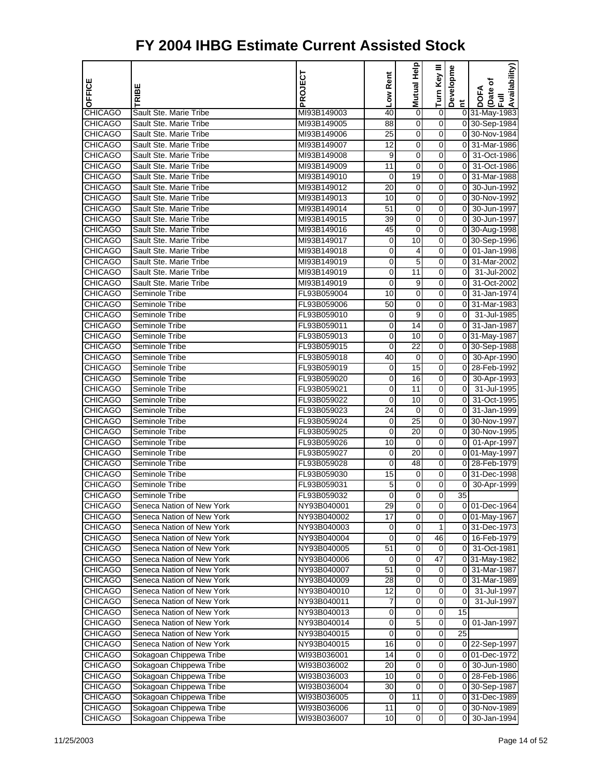|                                  |                                                    | PROJECT                    | Low Rent          | <b>Mutual Help</b>   | Turn Key III        | Developme               | Availability)                  |
|----------------------------------|----------------------------------------------------|----------------------------|-------------------|----------------------|---------------------|-------------------------|--------------------------------|
| OFFICE                           | TRIBE                                              |                            |                   |                      |                     |                         | Date of<br><b>DOFA</b>         |
|                                  |                                                    |                            |                   |                      |                     | Ĕ                       | $\bar{E}$                      |
| <b>CHICAGO</b>                   | Sault Ste. Marie Tribe                             | MI93B149003                | 40                | $\mathbf 0$          | $\boldsymbol{0}$    |                         | 0 31-May-1983                  |
| <b>CHICAGO</b>                   | Sault Ste. Marie Tribe<br>Sault Ste. Marie Tribe   | MI93B149005                | 88<br>25          | 0                    | 0                   |                         | 0 30-Sep-1984<br>0 30-Nov-1984 |
| <b>CHICAGO</b><br><b>CHICAGO</b> | Sault Ste. Marie Tribe                             | MI93B149006<br>MI93B149007 | 12                | 0<br>0               | 0<br>0              | 0                       | 31-Mar-1986                    |
| <b>CHICAGO</b>                   | Sault Ste. Marie Tribe                             | MI93B149008                | 9                 | 0                    | 0                   | $\overline{0}$          | 31-Oct-1986                    |
| <b>CHICAGO</b>                   | Sault Ste. Marie Tribe                             | MI93B149009                | $\overline{11}$   | $\overline{0}$       | $\overline{0}$      | $\overline{\mathbf{0}}$ | 31-Oct-1986                    |
| <b>CHICAGO</b>                   | Sault Ste. Marie Tribe                             | MI93B149010                | 0                 | 19                   | 0                   | $\overline{0}$          | 31-Mar-1988                    |
| <b>CHICAGO</b>                   | Sault Ste. Marie Tribe                             | MI93B149012                | 20                | 0                    | 0                   | $\overline{0}$          | 30-Jun-1992                    |
| <b>CHICAGO</b>                   | Sault Ste. Marie Tribe                             | MI93B149013                | 10                | 0                    | 0                   | 0                       | 30-Nov-1992                    |
| <b>CHICAGO</b>                   | Sault Ste. Marie Tribe                             | MI93B149014                | 51                | 0                    | 0                   | $\overline{0}$          | 30-Jun-1997                    |
| <b>CHICAGO</b>                   | Sault Ste. Marie Tribe                             | MI93B149015                | 39                | $\mathbf 0$          | $\mathbf 0$         | $\overline{0}$          | 30-Jun-1997                    |
| <b>CHICAGO</b>                   | Sault Ste. Marie Tribe                             | MI93B149016                | 45                | 0                    | 0                   |                         | 0 30-Aug-1998                  |
| <b>CHICAGO</b>                   | Sault Ste. Marie Tribe                             | MI93B149017                | 0                 | 10                   | 0                   |                         | 0 30-Sep-1996                  |
| <b>CHICAGO</b>                   | Sault Ste. Marie Tribe                             | MI93B149018                | 0                 | 4                    | 0                   | 0                       | 01-Jan-1998                    |
| <b>CHICAGO</b>                   | Sault Ste. Marie Tribe                             | MI93B149019                | 0                 | 5                    | 0                   | 0                       | 31-Mar-2002                    |
| <b>CHICAGO</b>                   | Sault Ste. Marie Tribe                             | MI93B149019                | $\mathbf 0$       | $\overline{11}$      | $\overline{0}$      | $\mathbf 0$             | 31-Jul-2002                    |
| <b>CHICAGO</b>                   | Sault Ste. Marie Tribe                             | MI93B149019                | 0                 | 9                    | 0                   | $\overline{0}$          | 31-Oct-2002                    |
| <b>CHICAGO</b>                   | Seminole Tribe                                     | FL93B059004                | 10                | 0                    | 0                   | $\overline{0}$          | 31-Jan-1974                    |
| <b>CHICAGO</b>                   | Seminole Tribe                                     | FL93B059006                | 50                | 0                    | 0                   | 0                       | 31-Mar-1983                    |
| <b>CHICAGO</b>                   | Seminole Tribe                                     | FL93B059010                | 0                 | 9                    | 0                   | $\overline{0}$          | 31-Jul-1985                    |
| <b>CHICAGO</b>                   | Seminole Tribe                                     | FL93B059011                | 0                 | 14                   | $\mathbf 0$         | $\overline{0}$          | 31-Jan-1987                    |
| <b>CHICAGO</b>                   | Seminole Tribe                                     | FL93B059013                | 0                 | 10                   | 0                   |                         | 0 31-May-1987                  |
| <b>CHICAGO</b>                   | Seminole Tribe                                     | FL93B059015                | 0                 | 22                   | 0                   |                         | 0 30-Sep-1988                  |
| <b>CHICAGO</b>                   | Seminole Tribe                                     | FL93B059018                | 40                | 0                    | 0                   | 01                      | 30-Apr-1990                    |
| <b>CHICAGO</b>                   | Seminole Tribe                                     | FL93B059019                | 0                 | 15                   | 0                   | $\overline{0}$          | 28-Feb-1992                    |
| <b>CHICAGO</b>                   | Seminole Tribe                                     | FL93B059020                | 0                 | 16                   | 0                   | $\overline{0}$          | 30-Apr-1993                    |
| <b>CHICAGO</b>                   | Seminole Tribe                                     | FL93B059021                | 0                 | 11                   | 0                   | $\overline{0}$          | 31-Jul-1995                    |
| <b>CHICAGO</b>                   | Seminole Tribe                                     | FL93B059022                | 0                 | 10                   | 0                   | $\overline{\mathbf{0}}$ | 31-Oct-1995                    |
| <b>CHICAGO</b>                   | Seminole Tribe                                     | FL93B059023                | 24                | 0                    | 0                   | 0                       | 31-Jan-1999                    |
| <b>CHICAGO</b>                   | Seminole Tribe                                     | FL93B059024                | 0                 | 25                   | 0                   |                         | 0 30-Nov-1997                  |
| <b>CHICAGO</b>                   | Seminole Tribe                                     | FL93B059025                | 0                 | $\overline{20}$      | 0                   |                         | 0 30-Nov-1995                  |
| <b>CHICAGO</b>                   | Seminole Tribe                                     | FL93B059026                | 10                | $\mathbf 0$          | 0                   | 01                      | 01-Apr-1997                    |
| <b>CHICAGO</b>                   | Seminole Tribe                                     | FL93B059027                | 0                 | 20                   | 0                   |                         | 0 01-May-1997                  |
| <b>CHICAGO</b>                   | Seminole Tribe                                     | FL93B059028                | 0                 | 48                   | 0                   |                         | 0 28-Feb-1979                  |
| <b>CHICAGO</b>                   | Seminole Tribe                                     | FL93B059030                | 15                | 0                    | 0                   |                         | 0 31-Dec-1998                  |
| <b>CHICAGO</b>                   | Seminole Tribe                                     | FL93B059031                | 5                 | $\mathbf 0$          | 0                   | $\overline{0}$          | 30-Apr-1999                    |
| <b>CHICAGO</b>                   | Seminole Tribe                                     | FL93B059032                | 0                 | 0                    | 0                   | 35                      |                                |
| <b>CHICAGO</b>                   | Seneca Nation of New York                          | NY93B040001                | 29                | $\overline{0}$       | 0                   |                         | 0 01-Dec-1964                  |
| <b>CHICAGO</b>                   | Seneca Nation of New York                          | NY93B040002                | $\overline{17}$   | 0                    | 0                   |                         | 0 01-May-1967                  |
| <b>CHICAGO</b>                   | Seneca Nation of New York                          | NY93B040003                | 0                 | 0                    | 1                   |                         | 0 31-Dec-1973                  |
| <b>CHICAGO</b>                   | Seneca Nation of New York                          | NY93B040004                | $\overline{0}$    | $\overline{0}$       | 46                  |                         | 0 16-Feb-1979                  |
| <b>CHICAGO</b>                   | Seneca Nation of New York                          | NY93B040005                | 51                | 0                    | 0                   | $\overline{0}$          | 31-Oct-1981                    |
| <b>CHICAGO</b>                   | Seneca Nation of New York                          | NY93B040006                | 0                 | $\mathbf 0$          | 47                  |                         | 0 31-May-1982                  |
| <b>CHICAGO</b>                   | Seneca Nation of New York                          | NY93B040007                | 51                | 0                    | 0                   | 01                      | 31-Mar-1987                    |
| <b>CHICAGO</b>                   | Seneca Nation of New York                          | NY93B040009                | 28                | 0                    | 0                   |                         | 0 31-Mar-1989                  |
| <b>CHICAGO</b>                   | Seneca Nation of New York                          | NY93B040010                | 12                | $\overline{0}$       | $\overline{0}$      | $\mathbf 0$             | 31-Jul-1997                    |
| <b>CHICAGO</b>                   | Seneca Nation of New York                          | NY93B040011                | 7                 | 0                    | 0                   | 0                       | 31-Jul-1997                    |
| <b>CHICAGO</b>                   | Seneca Nation of New York                          | NY93B040013                | 0                 | $\mathbf 0$          | 0                   | 15                      |                                |
| <b>CHICAGO</b>                   | Seneca Nation of New York                          | NY93B040014                | 0                 | 5                    | 0                   | 0                       | 01-Jan-1997                    |
| <b>CHICAGO</b>                   | Seneca Nation of New York                          | NY93B040015                | 0                 | $\mathbf 0$          | 0                   | 25                      |                                |
| <b>CHICAGO</b>                   | Seneca Nation of New York                          | NY93B040015                | 16                | $\overline{0}$       | $\overline{0}$      |                         | 0 22-Sep-1997                  |
| <b>CHICAGO</b>                   | Sokagoan Chippewa Tribe                            | WI93B036001                | 14                | 0                    | 0                   |                         | 0 01-Dec-1972                  |
| <b>CHICAGO</b>                   | Sokagoan Chippewa Tribe                            | WI93B036002                | 20                | $\mathbf 0$          | 0                   | 01                      | 30-Jun-1980                    |
| <b>CHICAGO</b>                   | Sokagoan Chippewa Tribe                            | WI93B036003                | 10                | 0                    | 0                   |                         | 0 28-Feb-1986                  |
| <b>CHICAGO</b><br><b>CHICAGO</b> | Sokagoan Chippewa Tribe<br>Sokagoan Chippewa Tribe | WI93B036004<br>WI93B036005 | 30<br>$\mathbf 0$ | 0<br>$\overline{11}$ | 0<br>$\overline{0}$ |                         | 0 30-Sep-1987<br>0 31-Dec-1989 |
| <b>CHICAGO</b>                   | Sokagoan Chippewa Tribe                            | WI93B036006                | 11                | 0                    | 0                   |                         | 0 30-Nov-1989                  |
| <b>CHICAGO</b>                   | Sokagoan Chippewa Tribe                            | WI93B036007                | 10                | $\mathbf 0$          | 0                   | $\overline{0}$          | 30-Jan-1994                    |
|                                  |                                                    |                            |                   |                      |                     |                         |                                |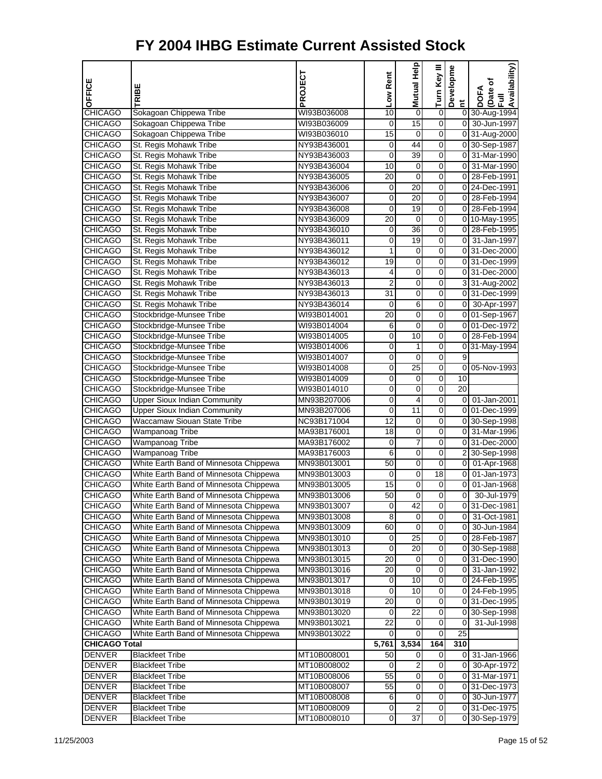| OFFICE                         | TRIBE                                            | PROJECT                    | Low Rent       | Help<br>Mutual  | Turn Key III | Developme      | Availability)<br>Date of<br>DOFA<br>$\bar{E}$ |
|--------------------------------|--------------------------------------------------|----------------------------|----------------|-----------------|--------------|----------------|-----------------------------------------------|
| <b>CHICAGO</b>                 | Sokagoan Chippewa Tribe                          | WI93B036008                | 10             | $\mathbf 0$     | 0            | Ĕ              | 0 30-Aug-1994                                 |
| <b>CHICAGO</b>                 | Sokagoan Chippewa Tribe                          | WI93B036009                | 0              | $\overline{15}$ | 0            |                | 0 30-Jun-1997                                 |
| <b>CHICAGO</b>                 | Sokagoan Chippewa Tribe                          | WI93B036010                | 15             | 0               | 0            |                | 0 31-Aug-2000                                 |
| <b>CHICAGO</b>                 | St. Regis Mohawk Tribe                           | NY93B436001                | 0              | 44              | 0            |                | 0 30-Sep-1987                                 |
| <b>CHICAGO</b>                 | St. Regis Mohawk Tribe                           | NY93B436003                | 0              | 39              | 0            |                | 0 31-Mar-1990                                 |
| <b>CHICAGO</b>                 | St. Regis Mohawk Tribe                           | NY93B436004                | 10             | 0               | 0            | $\overline{0}$ | 31-Mar-1990                                   |
| <b>CHICAGO</b>                 | St. Regis Mohawk Tribe                           | NY93B436005                | 20             | $\mathbf 0$     | 0            |                | 0 28-Feb-1991                                 |
| <b>CHICAGO</b>                 | St. Regis Mohawk Tribe                           | NY93B436006                | 0              | 20              | 0            |                | 0 24-Dec-1991                                 |
| <b>CHICAGO</b>                 | St. Regis Mohawk Tribe                           | NY93B436007                | 0              | 20              | 0            |                | 0 28-Feb-1994                                 |
| <b>CHICAGO</b>                 | St. Regis Mohawk Tribe                           | NY93B436008                | 0              | 19              | 0            | 01             | 28-Feb-1994                                   |
| <b>CHICAGO</b>                 | St. Regis Mohawk Tribe                           | NY93B436009                | 20             | 0               | 0            |                | 0 10-May-1995                                 |
| <b>CHICAGO</b>                 | St. Regis Mohawk Tribe                           | NY93B436010                | 0              | 36              | 0            |                | 0 28-Feb-1995                                 |
| <b>CHICAGO</b>                 | St. Regis Mohawk Tribe                           | NY93B436011                | 0              | 19              | 0            | 0              | 31-Jan-1997                                   |
| <b>CHICAGO</b>                 | St. Regis Mohawk Tribe                           | NY93B436012                | 1              | 0               | 0            |                | 0 31-Dec-2000                                 |
| <b>CHICAGO</b>                 | St. Regis Mohawk Tribe                           | NY93B436012                | 19             | 0               | 0            |                | 0 31-Dec-1999                                 |
| <b>CHICAGO</b>                 | St. Regis Mohawk Tribe                           | NY93B436013                | 4              | $\mathbf 0$     | 0            |                | 0 31-Dec-2000                                 |
| <b>CHICAGO</b>                 | St. Regis Mohawk Tribe                           | NY93B436013                | $\overline{2}$ | 0               | 0            |                | 3 31-Aug-2002                                 |
| <b>CHICAGO</b>                 | St. Regis Mohawk Tribe                           | NY93B436013                | 31             | 0               | 0            |                | 0 31-Dec-1999                                 |
| <b>CHICAGO</b>                 | St. Regis Mohawk Tribe                           | NY93B436014                | 0              | 6               | 0            |                | 0 30-Apr-1997                                 |
| <b>CHICAGO</b>                 | Stockbridge-Munsee Tribe                         | WI93B014001                | 20             | 0               | 0            |                | 0 01-Sep-1967                                 |
| <b>CHICAGO</b>                 | Stockbridge-Munsee Tribe                         | WI93B014004                | 6              | $\mathbf 0$     | 0            |                | 0 01-Dec-1972                                 |
| <b>CHICAGO</b>                 | Stockbridge-Munsee Tribe                         | WI93B014005                | 0              | 10              | 0            |                | 0 28-Feb-1994                                 |
| <b>CHICAGO</b>                 | Stockbridge-Munsee Tribe                         | WI93B014006                | 0              | 1               | 0            |                | 0 31-May-1994                                 |
| <b>CHICAGO</b>                 | Stockbridge-Munsee Tribe                         | WI93B014007                | 0              | 0               | 0            | 9              |                                               |
| <b>CHICAGO</b>                 | Stockbridge-Munsee Tribe                         | WI93B014008                | 0              | 25              | 0            | 0              | 05-Nov-1993                                   |
| <b>CHICAGO</b>                 | Stockbridge-Munsee Tribe                         | WI93B014009                | 0              | $\mathbf 0$     | 0            | 10             |                                               |
| <b>CHICAGO</b>                 | Stockbridge-Munsee Tribe                         | WI93B014010                | 0              | 0               | 0            | 20             |                                               |
| <b>CHICAGO</b>                 | <b>Upper Sioux Indian Community</b>              | MN93B207006                | 0              | 4               | 0            | 0              | 01-Jan-2001                                   |
| <b>CHICAGO</b>                 | <b>Upper Sioux Indian Community</b>              | MN93B207006                | 0              | 11              | 0            |                | 0 01-Dec-1999                                 |
| <b>CHICAGO</b>                 | Waccamaw Siouan State Tribe                      | NC93B171004                | 12             | 0               | 0            |                | 0 30-Sep-1998                                 |
| <b>CHICAGO</b>                 | Wampanoag Tribe                                  | MA93B176001                | 18             | $\mathbf 0$     | 0            | $\overline{0}$ | 31-Mar-1996                                   |
| <b>CHICAGO</b>                 | Wampanoag Tribe                                  | MA93B176002                | 0              | $\overline{7}$  | 0            |                | 0 31-Dec-2000                                 |
| <b>CHICAGO</b>                 | Wampanoag Tribe                                  | MA93B176003                | 6              | 0               | 0            |                | 2 30-Sep-1998                                 |
| <b>CHICAGO</b>                 | White Earth Band of Minnesota Chippewa           | MN93B013001                | 50             | 0               | 0            |                | 0 01-Apr-1968                                 |
| <b>CHICAGO</b>                 | White Earth Band of Minnesota Chippewa           | MN93B013003                | 0              | 0               | 18           | 0              | 01-Jan-1973                                   |
| <b>CHICAGO</b>                 | White Earth Band of Minnesota Chippewa           | MN93B013005                | 15             | $\mathbf 0$     | 0            | $\mathbf 0$    | 01-Jan-1968                                   |
| <b>CHICAGO</b>                 | White Earth Band of Minnesota Chippewa           | MN93B013006                | 50             | 0               | 0            | 0              | 30-Jul-1979                                   |
| <b>CHICAGO</b>                 | White Earth Band of Minnesota Chippewa           | MN93B013007                | 0              | 42              | 0            |                | 031-Dec-1981                                  |
| <b>CHICAGO</b>                 | White Earth Band of Minnesota Chippewa           | MN93B013008                | 8              | 0               | 0            | 01             | 31-Oct-1981                                   |
| <b>CHICAGO</b>                 | White Earth Band of Minnesota Chippewa           | MN93B013009                | 60             | 0               | 0            | 0              | 30-Jun-1984                                   |
| <b>CHICAGO</b>                 | White Earth Band of Minnesota Chippewa           | MN93B013010                | 0              | $\overline{25}$ | 0            | 0              | 28-Feb-1987                                   |
| <b>CHICAGO</b>                 | White Earth Band of Minnesota Chippewa           | MN93B013013                | 0              | 20              | 0            |                | 0 30-Sep-1988                                 |
| <b>CHICAGO</b>                 | White Earth Band of Minnesota Chippewa           | MN93B013015                | 20             | 0               | 0            |                | 0 31-Dec-1990                                 |
| <b>CHICAGO</b>                 | White Earth Band of Minnesota Chippewa           | MN93B013016                | 20             | 0               | 0            | 01             | 31-Jan-1992                                   |
| <b>CHICAGO</b>                 | White Earth Band of Minnesota Chippewa           | MN93B013017                | 0              | 10              | 0            | 01             | 24-Feb-1995                                   |
| <b>CHICAGO</b>                 | White Earth Band of Minnesota Chippewa           | MN93B013018                | 0              | 10              | 0            | 0              | 24-Feb-1995                                   |
| <b>CHICAGO</b>                 | White Earth Band of Minnesota Chippewa           | MN93B013019                | 20             | 0               | 0            |                | 0 31-Dec-1995                                 |
| <b>CHICAGO</b>                 | White Earth Band of Minnesota Chippewa           | MN93B013020                | 0              | 22              | 0            |                | 0 30-Sep-1998                                 |
| <b>CHICAGO</b>                 | White Earth Band of Minnesota Chippewa           | MN93B013021                | 22             | 0               | 0            | 0              | 31-Jul-1998                                   |
| <b>CHICAGO</b>                 | White Earth Band of Minnesota Chippewa           | MN93B013022                | 0              | 0               | 0            | 25             |                                               |
| <b>CHICAGO Total</b>           |                                                  |                            | 5,761          | 3,534           | 164          | 310            |                                               |
| <b>DENVER</b>                  | <b>Blackfeet Tribe</b>                           | MT10B008001                | 50             | 0               | 0            | 01             | 31-Jan-1966                                   |
| <b>DENVER</b><br><b>DENVER</b> | <b>Blackfeet Tribe</b>                           | MT10B008002                | 0<br>55        | 2<br>0          | 0<br>0       | 0<br>01        | 30-Apr-1972<br>31-Mar-1971                    |
| <b>DENVER</b>                  | <b>Blackfeet Tribe</b>                           | MT10B008006                |                | 0               | 0            |                |                                               |
| <b>DENVER</b>                  | <b>Blackfeet Tribe</b>                           | MT10B008007                | 55             | $\pmb{0}$       | 0            | 0              | 0 31-Dec-1973                                 |
| <b>DENVER</b>                  | <b>Blackfeet Tribe</b><br><b>Blackfeet Tribe</b> | MT10B008008<br>MT10B008009 | 6<br>0         | $\overline{2}$  | 0            |                | 30-Jun-1977<br>0 31-Dec-1975                  |
| <b>DENVER</b>                  | <b>Blackfeet Tribe</b>                           | MT10B008010                | 0              | $\overline{37}$ | 0            |                | 0 30-Sep-1979                                 |
|                                |                                                  |                            |                |                 |              |                |                                               |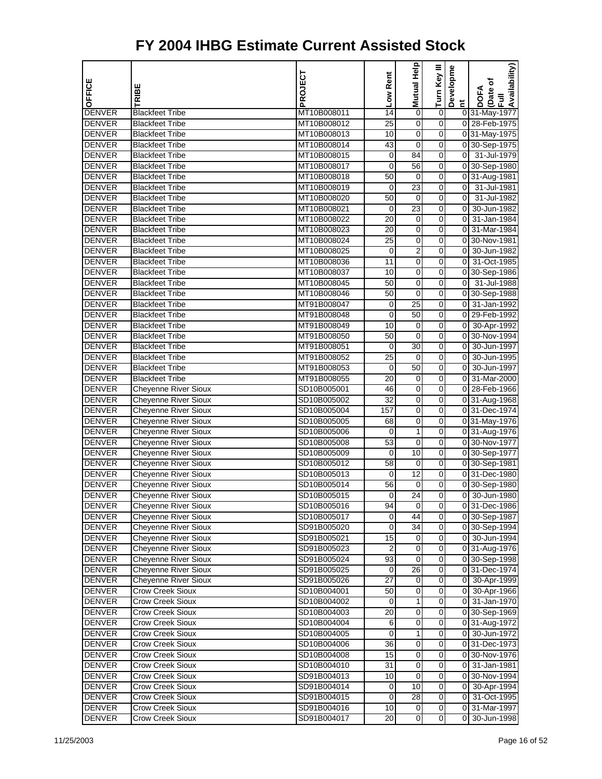| OFFICE                         | RIBE                                             | PROJECT                    | Low Rent             | Mutual Help     | Turn Key III            | Developme      | Availability)<br>Date of<br>Full<br><b>DOFA</b> |
|--------------------------------|--------------------------------------------------|----------------------------|----------------------|-----------------|-------------------------|----------------|-------------------------------------------------|
|                                |                                                  |                            |                      |                 |                         | E.             |                                                 |
| <b>DENVER</b>                  | <b>Blackfeet Tribe</b>                           | MT10B008011                | 14                   | 0               | 0<br>$\overline{0}$     |                | 0 31-May-1977                                   |
| <b>DENVER</b><br><b>DENVER</b> | <b>Blackfeet Tribe</b>                           | MT10B008012                | $\overline{25}$      | $\mathbf 0$     | 0                       |                | 0 28-Feb-1975                                   |
| <b>DENVER</b>                  | <b>Blackfeet Tribe</b>                           | MT10B008013<br>MT10B008014 | 10                   | $\mathbf 0$     | 0                       |                | 0 31-May-1975                                   |
|                                | <b>Blackfeet Tribe</b>                           |                            | 43                   | 0               | 0                       | $\overline{0}$ | 0 30-Sep-1975                                   |
| <b>DENVER</b>                  | <b>Blackfeet Tribe</b><br><b>Blackfeet Tribe</b> | MT10B008015                | 0<br>0               | 84<br>56        | $\boldsymbol{0}$        |                | 31-Jul-1979<br>0 30-Sep-1980                    |
| <b>DENVER</b><br><b>DENVER</b> | <b>Blackfeet Tribe</b>                           | MT10B008017<br>MT10B008018 | 50                   | 0               | 0                       |                | 0 31-Aug-1981                                   |
| <b>DENVER</b>                  | <b>Blackfeet Tribe</b>                           | MT10B008019                | 0                    | 23              | 0                       | οI             | 31-Jul-1981                                     |
| <b>DENVER</b>                  | <b>Blackfeet Tribe</b>                           | MT10B008020                | 50                   | 0               | 0                       | $\overline{0}$ | 31-Jul-1982                                     |
| <b>DENVER</b>                  | <b>Blackfeet Tribe</b>                           | MT10B008021                | 0                    | 23              | 0                       | $\overline{0}$ | 30-Jun-1982                                     |
| <b>DENVER</b>                  | <b>Blackfeet Tribe</b>                           | MT10B008022                | 20                   | 0               | $\boldsymbol{0}$        | $\overline{0}$ | 31-Jan-1984                                     |
| <b>DENVER</b>                  | <b>Blackfeet Tribe</b>                           | MT10B008023                | 20                   | $\mathbf 0$     | 0                       |                | 0 31-Mar-1984                                   |
| <b>DENVER</b>                  | <b>Blackfeet Tribe</b>                           | MT10B008024                | 25                   | 0               | 0                       |                | 0 30-Nov-1981                                   |
| <b>DENVER</b>                  | <b>Blackfeet Tribe</b>                           | MT10B008025                | 0                    | $\overline{2}$  | 0                       | οI             | 30-Jun-1982                                     |
| <b>DENVER</b>                  | <b>Blackfeet Tribe</b>                           | MT10B008036                | 11                   | 0               | 0                       | $\overline{0}$ | 31-Oct-1985                                     |
| <b>DENVER</b>                  | <b>Blackfeet Tribe</b>                           | MT10B008037                | 10                   | $\mathbf 0$     | $\boldsymbol{0}$        |                | 0 30-Sep-1986                                   |
| <b>DENVER</b>                  | <b>Blackfeet Tribe</b>                           | MT10B008045                | 50                   | $\mathbf 0$     | 0                       | $\overline{0}$ | 31-Jul-1988                                     |
| <b>DENVER</b>                  | <b>Blackfeet Tribe</b>                           | MT10B008046                | 50                   | $\mathbf 0$     | 0                       |                | 0 30-Sep-1988                                   |
| <b>DENVER</b>                  | <b>Blackfeet Tribe</b>                           | MT91B008047                | 0                    | $\overline{25}$ | 0                       | οI             | 31-Jan-1992                                     |
| <b>DENVER</b>                  | <b>Blackfeet Tribe</b>                           | MT91B008048                | 0                    | 50              | 0                       |                | 0 29-Feb-1992                                   |
| <b>DENVER</b>                  | <b>Blackfeet Tribe</b>                           | MT91B008049                | 10                   | 0               | $\boldsymbol{0}$        | $\overline{0}$ |                                                 |
| <b>DENVER</b>                  | <b>Blackfeet Tribe</b>                           | MT91B008050                | 50                   | $\mathbf 0$     | 0                       |                | 30-Apr-1992<br>0 30-Nov-1994                    |
| <b>DENVER</b>                  |                                                  |                            |                      | 30              | 0                       | 0I             |                                                 |
| <b>DENVER</b>                  | <b>Blackfeet Tribe</b><br><b>Blackfeet Tribe</b> | MT91B008051<br>MT91B008052 | 0<br>$\overline{25}$ | 0               | 0                       | $\overline{0}$ | 30-Jun-1997<br>30-Jun-1995                      |
| <b>DENVER</b>                  | <b>Blackfeet Tribe</b>                           | MT91B008053                |                      | 50              | 0                       | $\overline{0}$ | 30-Jun-1997                                     |
| <b>DENVER</b>                  | <b>Blackfeet Tribe</b>                           | MT91B008055                | 0<br>20              | 0               | $\boldsymbol{0}$        |                | 0 31-Mar-2000                                   |
| <b>DENVER</b>                  | <b>Cheyenne River Sioux</b>                      | SD10B005001                | 46                   | $\mathbf 0$     | 0                       |                | 0 28-Feb-1966                                   |
| <b>DENVER</b>                  | <b>Cheyenne River Sioux</b>                      | SD10B005002                | 32                   | 0               | 0                       |                | 0 31-Aug-1968                                   |
| <b>DENVER</b>                  | <b>Cheyenne River Sioux</b>                      | SD10B005004                | 157                  | 0               | 0                       |                | 0 31-Dec-1974                                   |
| <b>DENVER</b>                  | <b>Cheyenne River Sioux</b>                      | SD10B005005                | 68                   | 0               | 0                       |                | 0 31-May-1976                                   |
| <b>DENVER</b>                  | <b>Cheyenne River Sioux</b>                      | SD10B005006                | 0                    | 1               | $\boldsymbol{0}$        |                | 0 31-Aug-1976                                   |
| <b>DENVER</b>                  | <b>Cheyenne River Sioux</b>                      | SD10B005008                | 53                   | $\mathbf 0$     | 0                       |                | 0 30-Nov-1977                                   |
| <b>DENVER</b>                  | <b>Cheyenne River Sioux</b>                      | SD10B005009                | 0                    | 10              | 0                       |                | 0 30-Sep-1977                                   |
| <b>DENVER</b>                  | <b>Cheyenne River Sioux</b>                      | SD10B005012                | 58                   | 0               | 0                       |                | 0 30-Sep-1981                                   |
| <b>DENVER</b>                  | <b>Cheyenne River Sioux</b>                      | SD10B005013                | 0                    | 12              | 0                       |                | 0 31-Dec-1980                                   |
| <b>DENVER</b>                  | <b>Cheyenne River Sioux</b>                      | SD10B005014                | 56                   | 0               | 0                       |                | 0 30-Sep-1980                                   |
| <b>DENVER</b>                  | <b>Cheyenne River Sioux</b>                      | SD10B005015                | 0                    | 24              | 0                       | $\overline{0}$ | 30-Jun-1980                                     |
| <b>DENVER</b>                  | <b>Cheyenne River Sioux</b>                      | SD10B005016                | 94                   | 0               | 0                       |                | 031-Dec-1986                                    |
| <b>DENVER</b>                  | <b>Cheyenne River Sioux</b>                      | SD10B005017                | 0                    | 44              | $\Omega$                |                | 0 30-Sep-1987                                   |
| <b>DENVER</b>                  | <b>Cheyenne River Sioux</b>                      | SD91B005020                | 0                    | 34              | $\mathsf{O}\xspace$     |                | 0 30-Sep-1994                                   |
| <b>DENVER</b>                  | Cheyenne River Sioux                             | SD91B005021                | 15                   | 0               | $\overline{\mathbf{0}}$ |                | 0 30-Jun-1994                                   |
| <b>DENVER</b>                  | <b>Cheyenne River Sioux</b>                      | SD91B005023                | $\overline{2}$       | $\mathbf 0$     | $\overline{0}$          |                | 0 31-Aug-1976                                   |
| <b>DENVER</b>                  | Cheyenne River Sioux                             | SD91B005024                | 93                   | $\mathbf 0$     | 0                       |                | 0 30-Sep-1998                                   |
| <b>DENVER</b>                  | <b>Cheyenne River Sioux</b>                      | SD91B005025                | 0                    | $\overline{26}$ | 0                       |                | 0 31-Dec-1974                                   |
| <b>DENVER</b>                  | <b>Cheyenne River Sioux</b>                      | SD91B005026                | 27                   | 0               | 0                       |                | 0 30-Apr-1999                                   |
| <b>DENVER</b>                  | <b>Crow Creek Sioux</b>                          | SD10B004001                | 50                   | $\mathbf 0$     | $\overline{\mathbf{0}}$ |                | 0 30-Apr-1966                                   |
| <b>DENVER</b>                  | <b>Crow Creek Sioux</b>                          | SD10B004002                | 0                    | 1               | 0                       |                | 0 31-Jan-1970                                   |
| <b>DENVER</b>                  | <b>Crow Creek Sioux</b>                          | SD10B004003                | 20                   | 0               | 0                       |                | 0 30-Sep-1969                                   |
| <b>DENVER</b>                  | <b>Crow Creek Sioux</b>                          | SD10B004004                | 6                    | 0               | $\overline{\mathsf{o}}$ |                | 0 31-Aug-1972                                   |
| <b>DENVER</b>                  | <b>Crow Creek Sioux</b>                          | SD10B004005                | 0                    | 1               | 0                       |                | 0 30-Jun-1972                                   |
| <b>DENVER</b>                  | <b>Crow Creek Sioux</b>                          | SD10B004006                | 36                   | $\mathbf 0$     | $\mathbf 0$             |                | 0 31-Dec-1973                                   |
| <b>DENVER</b>                  | <b>Crow Creek Sioux</b>                          | SD10B004008                | 15                   | $\mathbf 0$     | $\boldsymbol{0}$        |                | 0 30-Nov-1976                                   |
| <b>DENVER</b>                  | <b>Crow Creek Sioux</b>                          | SD10B004010                | 31                   | 0               | 0                       |                | 0 31-Jan-1981                                   |
| <b>DENVER</b>                  | <b>Crow Creek Sioux</b>                          | SD91B004013                | 10                   | 0               | 0                       |                | 0 30-Nov-1994                                   |
| <b>DENVER</b>                  | <b>Crow Creek Sioux</b>                          | SD91B004014                | 0                    | 10              | $\mathbf 0$             |                | 0 30-Apr-1994                                   |
| <b>DENVER</b>                  | <b>Crow Creek Sioux</b>                          | SD91B004015                | 0                    | 28              | $\overline{\mathbf{0}}$ |                | 0 31-Oct-1995                                   |
| <b>DENVER</b>                  | <b>Crow Creek Sioux</b>                          | SD91B004016                | 10                   | 0               | $\boldsymbol{0}$        |                | 0 31-Mar-1997                                   |
| <b>DENVER</b>                  | <b>Crow Creek Sioux</b>                          | SD91B004017                | 20                   | $\pmb{0}$       | $\overline{0}$          | 0              | 30-Jun-1998                                     |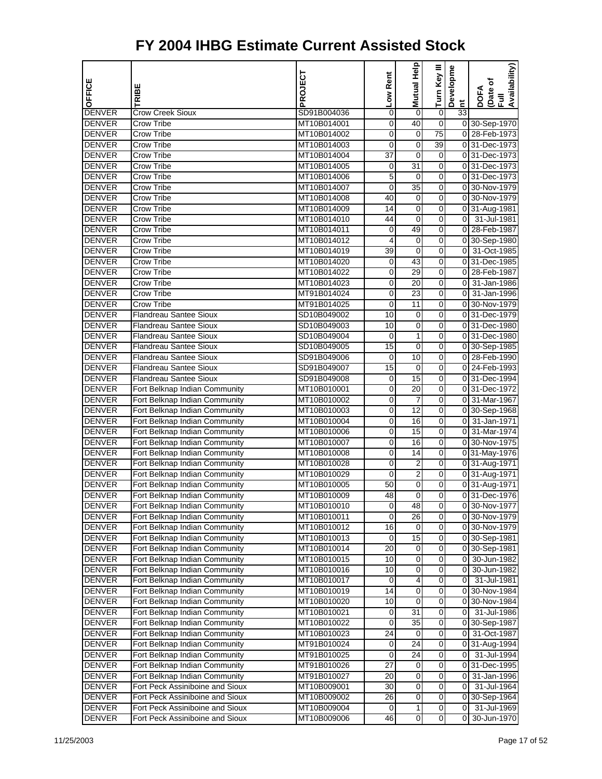| OFFICE                         |                                                                | PROJECT                    | Low Rent | Mutual Help     | Turn Key III            | Developme       | Availability)<br>(Date of<br>Full |
|--------------------------------|----------------------------------------------------------------|----------------------------|----------|-----------------|-------------------------|-----------------|-----------------------------------|
|                                | RIBE                                                           |                            |          |                 |                         | Ĕ               | <b>DOFA</b>                       |
| <b>DENVER</b>                  | <b>Crow Creek Sioux</b>                                        | SD91B004036                | 0        | 0               | $\boldsymbol{0}$        | $\overline{33}$ |                                   |
| <b>DENVER</b>                  | Crow Tribe                                                     | MT10B014001                | 0        | 40              | 0                       |                 | 0 30-Sep-1970                     |
| <b>DENVER</b>                  | Crow Tribe                                                     | MT10B014002                | 0        | 0               | 75                      |                 | 0 28-Feb-1973                     |
| <b>DENVER</b>                  | <b>Crow Tribe</b>                                              | MT10B014003                | 0        | 0               | $\overline{39}$         |                 | 0 31-Dec-1973                     |
| <b>DENVER</b>                  | Crow Tribe                                                     | MT10B014004                | 37       | $\mathbf 0$     | 0                       |                 | 031-Dec-1973                      |
| <b>DENVER</b>                  | Crow Tribe                                                     | MT10B014005                | 0        | $\overline{31}$ | $\overline{0}$          |                 | 0 31-Dec-1973                     |
| <b>DENVER</b>                  | Crow Tribe                                                     | MT10B014006                | 5        | $\mathbf 0$     | 0                       |                 | 031-Dec-1973                      |
| <b>DENVER</b>                  | Crow Tribe                                                     | MT10B014007                | 0        | 35              | 0                       |                 | 0 30-Nov-1979                     |
| <b>DENVER</b>                  | <b>Crow Tribe</b>                                              | MT10B014008                | 40       | 0               | 0                       |                 | 0 30-Nov-1979                     |
| <b>DENVER</b>                  | Crow Tribe                                                     | MT10B014009                | 14       | 0               | 0                       |                 | 0 31-Aug-1981                     |
| <b>DENVER</b>                  | Crow Tribe                                                     | MT10B014010                | 44       | $\mathbf 0$     | $\overline{0}$          | $\overline{0}$  | 31-Jul-1981                       |
| <b>DENVER</b>                  | Crow Tribe                                                     | MT10B014011                | 0        | 49              | 0                       |                 | 0 28-Feb-1987                     |
| <b>DENVER</b>                  | Crow Tribe                                                     | MT10B014012                | 4        | 0               | 0                       |                 | 0 30-Sep-1980                     |
| <b>DENVER</b>                  | <b>Crow Tribe</b>                                              | MT10B014019                | 39       | 0               | 0                       |                 | 0 31-Oct-1985                     |
| <b>DENVER</b>                  | Crow Tribe                                                     | MT10B014020                | 0        | 43              | 0                       |                 | 0 31-Dec-1985                     |
| <b>DENVER</b>                  | Crow Tribe                                                     | MT10B014022                | 0        | 29              | $\overline{0}$          |                 | 0 28-Feb-1987                     |
| <b>DENVER</b>                  | Crow Tribe                                                     | MT10B014023                | 0        | 20              | 0                       | 01              | 31-Jan-1986                       |
| <b>DENVER</b>                  | Crow Tribe<br><b>Crow Tribe</b>                                | MT91B014024                | 0        | 23              | 0                       |                 | 0 31-Jan-1996<br>0 30-Nov-1979    |
| <b>DENVER</b>                  | <b>Flandreau Santee Sioux</b>                                  | MT91B014025                | 0        | 11              | 0                       |                 |                                   |
| <b>DENVER</b>                  |                                                                | SD10B049002                | 10       | 0               | 0<br>$\overline{0}$     |                 | 0 31-Dec-1979<br>031-Dec-1980     |
| <b>DENVER</b><br><b>DENVER</b> | <b>Flandreau Santee Sioux</b>                                  | SD10B049003                | 10       | $\mathbf 0$     |                         |                 | 031-Dec-1980                      |
| <b>DENVER</b>                  | <b>Flandreau Santee Sioux</b><br><b>Flandreau Santee Sioux</b> | SD10B049004<br>SD10B049005 | 0<br>15  | 1<br>0          | 0<br>0                  |                 | 0 30-Sep-1985                     |
| <b>DENVER</b>                  | <b>Flandreau Santee Sioux</b>                                  | SD91B049006                | 0        | 10              | 0                       |                 | 0 28-Feb-1990                     |
| <b>DENVER</b>                  | <b>Flandreau Santee Sioux</b>                                  |                            | 15       |                 | 0                       |                 | 0 24-Feb-1993                     |
| <b>DENVER</b>                  | <b>Flandreau Santee Sioux</b>                                  | SD91B049007<br>SD91B049008 | 0        | 0<br>15         | $\overline{0}$          |                 | 0 31-Dec-1994                     |
| <b>DENVER</b>                  | Fort Belknap Indian Community                                  | MT10B010001                | 0        | 20              | 0                       |                 | 031-Dec-1972                      |
| <b>DENVER</b>                  | Fort Belknap Indian Community                                  | MT10B010002                | 0        | 7               | 0                       |                 | 0 31-Mar-1967                     |
| <b>DENVER</b>                  | Fort Belknap Indian Community                                  | MT10B010003                | 0        | 12              | 0                       |                 | 0 30-Sep-1968                     |
| <b>DENVER</b>                  | Fort Belknap Indian Community                                  | MT10B010004                | 0        | 16              | 0                       |                 | 0 31-Jan-1971                     |
| <b>DENVER</b>                  | Fort Belknap Indian Community                                  | MT10B010006                | 0        | 15              | $\overline{0}$          |                 | 0 31-Mar-1974                     |
| <b>DENVER</b>                  | Fort Belknap Indian Community                                  | MT10B010007                | 0        | 16              | 0                       |                 | 0 30-Nov-1975                     |
| <b>DENVER</b>                  | Fort Belknap Indian Community                                  | MT10B010008                | 0        | 14              | 0                       |                 | 0 31-May-1976                     |
| <b>DENVER</b>                  | Fort Belknap Indian Community                                  | MT10B010028                | 0        | 2               | 0                       |                 | 0 31-Aug-1971                     |
| <b>DENVER</b>                  | Fort Belknap Indian Community                                  | MT10B010029                | 0        | $\overline{2}$  | 0                       |                 | 0 31-Aug-1971                     |
| <b>DENVER</b>                  | Fort Belknap Indian Community                                  | MT10B010005                | 50       | $\mathbf 0$     | 0                       |                 | 0 31-Aug-1971                     |
| <b>DENVER</b>                  | Fort Belknap Indian Community                                  | MT10B010009                | 48       | 0               | 0                       |                 | 0 31-Dec-1976                     |
| <b>DENVER</b>                  | Fort Belknap Indian Community                                  | MT10B010010                | 0        | 48              | 0                       |                 | 0 30-Nov-1977                     |
| <b>DENVER</b>                  | Fort Belknap Indian Community                                  | MT10B010011                | 0        | 26              | 0                       |                 | 0 30-Nov-1979                     |
| <b>DENVER</b>                  | Fort Belknap Indian Community                                  | MT10B010012                | 16       | 0               | $\overline{0}$          |                 | 0 30-Nov-1979                     |
| <b>DENVER</b>                  | Fort Belknap Indian Community                                  | MT10B010013                | 0        | 15              | $\overline{\mathbf{0}}$ |                 | 0 30-Sep-1981                     |
| <b>DENVER</b>                  | Fort Belknap Indian Community                                  | MT10B010014                | 20       | 0               | 0                       |                 | 0 30-Sep-1981                     |
| <b>DENVER</b>                  | Fort Belknap Indian Community                                  | MT10B010015                | 10       | 0               | 0                       | 0               | 30-Jun-1982                       |
| <b>DENVER</b>                  | Fort Belknap Indian Community                                  | MT10B010016                | 10       | 0               | 0                       | 01              | 30-Jun-1982                       |
| <b>DENVER</b>                  | Fort Belknap Indian Community                                  | MT10B010017                | 0        | 4               | 0                       | 01              | 31-Jul-1981                       |
| <b>DENVER</b>                  | Fort Belknap Indian Community                                  | MT10B010019                | 14       | $\overline{0}$  | $\overline{0}$          |                 | 0 30-Nov-1984                     |
| <b>DENVER</b>                  | Fort Belknap Indian Community                                  | MT10B010020                | 10       | 0               | 0                       |                 | 0 30-Nov-1984                     |
| <b>DENVER</b>                  | Fort Belknap Indian Community                                  | MT10B010021                | 0        | 31              | 0                       | $\overline{0}$  | 31-Jul-1986                       |
| <b>DENVER</b>                  | Fort Belknap Indian Community                                  | MT10B010022                | 0        | $\overline{35}$ | 0                       |                 | 0 30-Sep-1987                     |
| <b>DENVER</b>                  | Fort Belknap Indian Community                                  | MT10B010023                | 24       | 0               | $\overline{0}$          | 01              | 31-Oct-1987                       |
| <b>DENVER</b>                  | Fort Belknap Indian Community                                  | MT91B010024                | 0        | 24              | $\overline{\mathbf{0}}$ |                 | 0 31-Aug-1994                     |
| <b>DENVER</b>                  | Fort Belknap Indian Community                                  | MT91B010025                | 0        | 24              | 0                       | $\overline{0}$  | 31-Jul-1994                       |
| <b>DENVER</b>                  | Fort Belknap Indian Community                                  | MT91B010026                | 27       | 0               | 0                       |                 | 0 31-Dec-1995                     |
| <b>DENVER</b>                  | Fort Belknap Indian Community                                  | MT91B010027                | 20       | 0               | 0                       | 01              | 31-Jan-1996                       |
| <b>DENVER</b>                  | Fort Peck Assiniboine and Sioux                                | MT10B009001                | 30       | 0               | 0                       | 01              | 31-Jul-1964                       |
| <b>DENVER</b>                  | Fort Peck Assiniboine and Sioux                                | MT10B009002                | 26       | $\overline{0}$  | $\overline{0}$          |                 | 0 30-Sep-1964                     |
| <b>DENVER</b>                  | Fort Peck Assiniboine and Sioux                                | MT10B009004                | 0        | 1               | 0                       | $\overline{0}$  | 31-Jul-1969                       |
| <b>DENVER</b>                  | Fort Peck Assiniboine and Sioux                                | MT10B009006                | 46       | $\mathbf 0$     | $\overline{O}$          | $\overline{0}$  | 30-Jun-1970                       |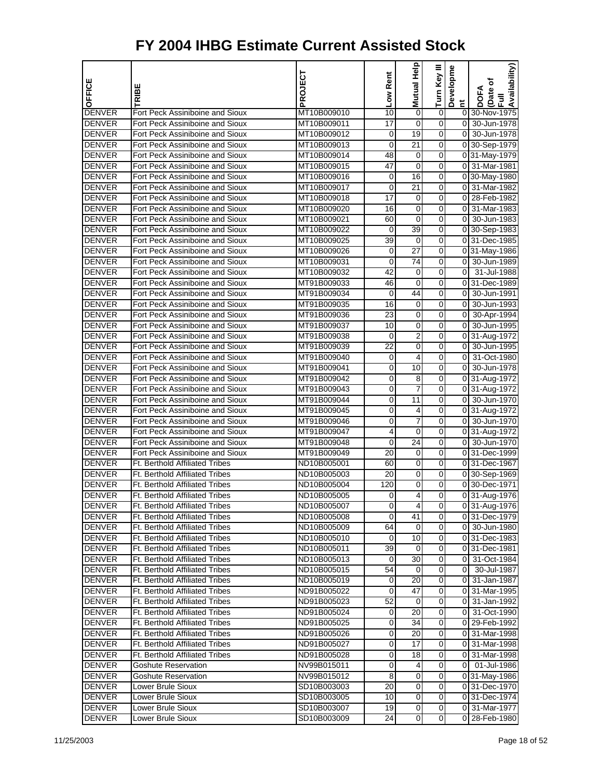| OFFICE                         | <b>TRIBE</b>                                                       | PROJECT                    | Low Rent        | Help<br>Mutual  | Turn Key III                     | Developme      | Availability)<br>Date of<br>DOFA<br>$\bar{E}$ |
|--------------------------------|--------------------------------------------------------------------|----------------------------|-----------------|-----------------|----------------------------------|----------------|-----------------------------------------------|
| <b>DENVER</b>                  |                                                                    | MT10B009010                | 10              |                 |                                  | E.             |                                               |
| <b>DENVER</b>                  | Fort Peck Assiniboine and Sioux<br>Fort Peck Assiniboine and Sioux | MT10B009011                | 17              | 0<br>0          | 0<br>0                           | $\overline{0}$ | 0 30-Nov-1975<br>30-Jun-1978                  |
| <b>DENVER</b>                  | Fort Peck Assiniboine and Sioux                                    | MT10B009012                | 0               | 19              | 0                                | οI             | 30-Jun-1978                                   |
| <b>DENVER</b>                  | Fort Peck Assiniboine and Sioux                                    | MT10B009013                | 0               | $\overline{21}$ | 0                                |                | 0 30-Sep-1979                                 |
| <b>DENVER</b>                  | Fort Peck Assiniboine and Sioux                                    | MT10B009014                | 48              | 0               | 0                                |                | 0 31-May-1979                                 |
| <b>DENVER</b>                  | Fort Peck Assiniboine and Sioux                                    | MT10B009015                | 47              | 0               | 0                                |                | 0 31-Mar-1981                                 |
| <b>DENVER</b>                  | Fort Peck Assiniboine and Sioux                                    | MT10B009016                | 0               | 16              | 0                                |                | 0 30-May-1980                                 |
| <b>DENVER</b>                  | Fort Peck Assiniboine and Sioux                                    | MT10B009017                | 0               | 21              | 0                                |                | 0 31-Mar-1982                                 |
| <b>DENVER</b>                  | Fort Peck Assiniboine and Sioux                                    | MT10B009018                | $\overline{17}$ | 0               | 0                                |                | 0 28-Feb-1982                                 |
| <b>DENVER</b>                  | Fort Peck Assiniboine and Sioux                                    | MT10B009020                | 16              | 0               | 0                                |                | 0 31-Mar-1983                                 |
| <b>DENVER</b>                  | Fort Peck Assiniboine and Sioux                                    | MT10B009021                | 60              | 0               | 0                                |                | 0 30-Jun-1983                                 |
| <b>DENVER</b>                  | Fort Peck Assiniboine and Sioux                                    | MT10B009022                | 0               | 39              | 0                                |                | 0 30-Sep-1983                                 |
| <b>DENVER</b>                  | Fort Peck Assiniboine and Sioux                                    | MT10B009025                | 39              | 0               | 0                                |                | 0 31-Dec-1985                                 |
| <b>DENVER</b>                  | Fort Peck Assiniboine and Sioux                                    | MT10B009026                | 0               | 27              | 0                                |                | 031-May-1986                                  |
| <b>DENVER</b>                  | Fort Peck Assiniboine and Sioux                                    | MT10B009031                | 0               | 74              | 0                                |                | 0 30-Jun-1989                                 |
| <b>DENVER</b>                  | Fort Peck Assiniboine and Sioux                                    | MT10B009032                | 42              | 0               | 0                                | $\overline{0}$ | 31-Jul-1988                                   |
| <b>DENVER</b>                  | Fort Peck Assiniboine and Sioux                                    | MT91B009033                | 46              | 0               | 0                                |                | 0 31-Dec-1989                                 |
| <b>DENVER</b>                  | Fort Peck Assiniboine and Sioux                                    | MT91B009034                | 0               | 44              | 0                                | 01             | 30-Jun-1991                                   |
| <b>DENVER</b>                  | Fort Peck Assiniboine and Sioux                                    | MT91B009035                | 16              | 0               | 0                                | οI             | 30-Jun-1993                                   |
| <b>DENVER</b>                  | Fort Peck Assiniboine and Sioux                                    | MT91B009036                | 23              | 0               | 0                                | 01             | 30-Apr-1994                                   |
| <b>DENVER</b>                  | Fort Peck Assiniboine and Sioux                                    | MT91B009037                | 10              | 0               | 0                                |                | 0 30-Jun-1995                                 |
| <b>DENVER</b>                  | Fort Peck Assiniboine and Sioux                                    | MT91B009038                | 0               | $\overline{2}$  | 0                                |                | 0 31-Aug-1972                                 |
| <b>DENVER</b>                  | Fort Peck Assiniboine and Sioux                                    | MT91B009039                | 22              | 0               | 0                                |                | 0 30-Jun-1995                                 |
| <b>DENVER</b>                  | Fort Peck Assiniboine and Sioux                                    | MT91B009040                | 0               | 4               | 0                                | 0              | 31-Oct-1980                                   |
| <b>DENVER</b>                  | Fort Peck Assiniboine and Sioux                                    | MT91B009041                | 0               | 10              | 0                                | 0              | 30-Jun-1978                                   |
| <b>DENVER</b>                  | Fort Peck Assiniboine and Sioux                                    | MT91B009042                | 0               | 8               | 0                                |                | 0 31-Aug-1972                                 |
| <b>DENVER</b>                  | Fort Peck Assiniboine and Sioux                                    | MT91B009043                | 0               | 7               | 0                                |                | 0 31-Aug-1972                                 |
| <b>DENVER</b>                  | Fort Peck Assiniboine and Sioux                                    | MT91B009044                | 0               | 11              | 0                                |                | 0 30-Jun-1970                                 |
| <b>DENVER</b>                  | Fort Peck Assiniboine and Sioux                                    | MT91B009045                | 0               | 4               | 0                                |                | 0 31-Aug-1972                                 |
| <b>DENVER</b>                  | Fort Peck Assiniboine and Sioux                                    | MT91B009046                | 0               | 7               | 0                                |                | 0 30-Jun-1970                                 |
| <b>DENVER</b>                  | Fort Peck Assiniboine and Sioux                                    | MT91B009047                | 4               | 0               | 0                                |                | 0 31-Aug-1972                                 |
| <b>DENVER</b>                  | Fort Peck Assiniboine and Sioux                                    | MT91B009048                | 0               | 24              | 0                                |                | 0 30-Jun-1970                                 |
| <b>DENVER</b>                  | Fort Peck Assiniboine and Sioux                                    | MT91B009049                | 20              | 0               | 0                                |                | 031-Dec-1999                                  |
| <b>DENVER</b>                  | Ft. Berthold Affiliated Tribes                                     | ND10B005001                | 60              | 0               | 0                                |                | 0 31-Dec-1967                                 |
| <b>DENVER</b>                  | <b>Ft. Berthold Affiliated Tribes</b>                              | ND10B005003                | 20              | 0               | 0                                |                | 0 30-Sep-1969                                 |
| <b>DENVER</b>                  | <b>Ft. Berthold Affiliated Tribes</b>                              | ND10B005004                | 120             | 0               | 0                                |                | 0 30-Dec-1971                                 |
| <b>DENVER</b>                  | Ft. Berthold Affiliated Tribes                                     | ND10B005005                | 0               | 4               | 0                                |                | 0 31-Aug-1976                                 |
| <b>DENVER</b>                  | <b>Ft. Berthold Affiliated Tribes</b>                              | ND10B005007                | 0               | 4               | 0                                |                | 0 31-Aug-1976                                 |
| <b>DENVER</b>                  | <b>Ft. Berthold Affiliated Tribes</b>                              | ND10B005008                | 0               | 41              | 0                                |                | 0 31-Dec-1979                                 |
| <b>DENVER</b>                  | <b>Ft. Berthold Affiliated Tribes</b>                              | ND10B005009                | 64              | 0               | 0                                |                | 0 30-Jun-1980                                 |
| <b>DENVER</b>                  | Ft. Berthold Affiliated Tribes                                     | ND10B005010                | 0               | 10              | $\overline{0}$                   |                | 0 31-Dec-1983                                 |
| <b>DENVER</b>                  | Ft. Berthold Affiliated Tribes                                     | ND10B005011                | 39              | 0               | $\mathbf 0$                      |                | 0 31-Dec-1981                                 |
| <b>DENVER</b>                  | Ft. Berthold Affiliated Tribes                                     | ND10B005013                | 0               | 30              | $\overline{0}$                   |                | 0 31-Oct-1984                                 |
| <b>DENVER</b>                  | Ft. Berthold Affiliated Tribes                                     | ND10B005015                | 54              | 0               | 0                                |                | 0 30-Jul-1987                                 |
| <b>DENVER</b>                  | <b>Ft. Berthold Affiliated Tribes</b>                              | ND10B005019                | 0               | 20              | $\overline{0}$                   |                | 0 31-Jan-1987                                 |
| <b>DENVER</b>                  | Ft. Berthold Affiliated Tribes                                     | ND91B005022                | 0               | 47              | $\overline{0}$                   |                | 0 31-Mar-1995                                 |
| <b>DENVER</b>                  | <b>Ft. Berthold Affiliated Tribes</b>                              | ND91B005023                | 52              | 0               | 0                                |                | 0 31-Jan-1992                                 |
| <b>DENVER</b>                  | Ft. Berthold Affiliated Tribes                                     | ND91B005024                | 0               | 20              | $\overline{0}$                   |                | 0 31-Oct-1990                                 |
| <b>DENVER</b>                  | Ft. Berthold Affiliated Tribes                                     | ND91B005025                | 0               | 34              | 0                                |                | 0 29-Feb-1992                                 |
| <b>DENVER</b>                  | Ft. Berthold Affiliated Tribes                                     | ND91B005026                | 0               | 20              | 0                                |                | 0 31-Mar-1998                                 |
| <b>DENVER</b>                  | Ft. Berthold Affiliated Tribes                                     | ND91B005027                | 0               | 17              | $\overline{0}$                   |                | 0 31-Mar-1998                                 |
| <b>DENVER</b>                  | <b>Ft. Berthold Affiliated Tribes</b>                              | ND91B005028                | 0               | 18              | $\mathbf 0$                      |                | 0 31-Mar-1998                                 |
| <b>DENVER</b>                  | <b>Goshute Reservation</b>                                         | NV99B015011                | 0               | 4               | $\overline{0}$                   |                | $\overline{0}$ $\overline{01}$ -Jul-1986      |
| <b>DENVER</b>                  | <b>Goshute Reservation</b>                                         | NV99B015012                | 8               | 0               | 0                                |                | 0 31-May-1986                                 |
| <b>DENVER</b>                  | Lower Brule Sioux                                                  | SD10B003003                | 20              | 0<br>$\pmb{0}$  | $\overline{0}$<br>$\overline{0}$ |                | 031-Dec-1970<br>0 31-Dec-1974                 |
| <b>DENVER</b><br><b>DENVER</b> | Lower Brule Sioux<br>Lower Brule Sioux                             | SD10B003005<br>SD10B003007 | 10<br>19        | 0               | 0                                |                | 0 31-Mar-1977                                 |
| <b>DENVER</b>                  | Lower Brule Sioux                                                  | SD10B003009                | 24              | $\pmb{0}$       | $\overline{O}$                   |                | 0 28-Feb-1980                                 |
|                                |                                                                    |                            |                 |                 |                                  |                |                                               |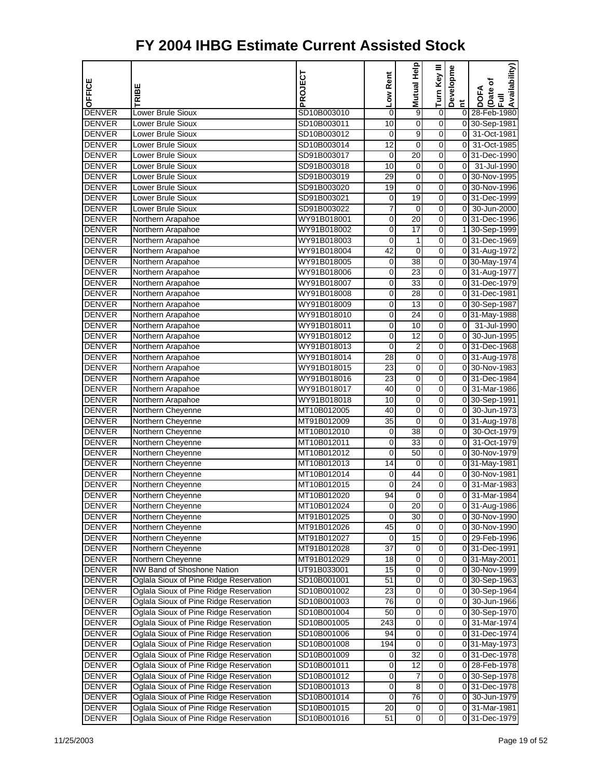| OFFICE        | <b>TRIBE</b>                           | PROJECT     | Low Rent        | <b>Mutual Help</b> | Turn Key III     | Developme      | Availability)<br>Date of<br><b>DOFA</b> |
|---------------|----------------------------------------|-------------|-----------------|--------------------|------------------|----------------|-----------------------------------------|
|               |                                        |             |                 |                    |                  | Ĕ              | $\bar{E}$                               |
| <b>DENVER</b> | Lower Brule Sioux                      | SD10B003010 | 0               | 9                  | 0                | $\overline{0}$ | 28-Feb-1980                             |
| <b>DENVER</b> | Lower Brule Sioux                      | SD10B003011 | 10              | $\mathbf 0$        | 0                |                | 0 30-Sep-1981                           |
| <b>DENVER</b> | Lower Brule Sioux                      | SD10B003012 | 0               | 9                  | 0                | $\overline{0}$ | 31-Oct-1981                             |
| <b>DENVER</b> | Lower Brule Sioux                      | SD10B003014 | 12              | 0                  | 0                | O              | 31-Oct-1985                             |
| <b>DENVER</b> | Lower Brule Sioux                      | SD91B003017 | 0               | 20                 | 0                | 0              | 31-Dec-1990                             |
| <b>DENVER</b> | Lower Brule Sioux                      | SD91B003018 | 10              | 0                  | 0                | 0              | 31-Jul-1990                             |
| <b>DENVER</b> | Lower Brule Sioux                      | SD91B003019 | 29              | $\mathbf 0$        | 0                | $\overline{0}$ | 30-Nov-1995                             |
| <b>DENVER</b> | Lower Brule Sioux                      | SD91B003020 | 19              | 0                  | 0                |                | 0 30-Nov-1996                           |
| <b>DENVER</b> | Lower Brule Sioux                      | SD91B003021 | 0               | 19                 | 0                |                | 0 31-Dec-1999                           |
| <b>DENVER</b> | Lower Brule Sioux                      | SD91B003022 | 7               | 0                  | 0                | 0              | 30-Jun-2000                             |
| <b>DENVER</b> | Northern Arapahoe                      | WY91B018001 | 0               | $\overline{20}$    | 0                |                | 0 31-Dec-1996                           |
| <b>DENVER</b> | Northern Arapahoe                      | WY91B018002 | 0               | $\overline{17}$    | 0                |                | 1 30-Sep-1999                           |
| <b>DENVER</b> | Northern Arapahoe                      | WY91B018003 | 0               | 1                  | 0                |                | 0 31-Dec-1969                           |
| <b>DENVER</b> | Northern Arapahoe                      | WY91B018004 | 42              | 0                  | 0                |                | 0 31-Aug-1972                           |
| <b>DENVER</b> | Northern Arapahoe                      | WY91B018005 | 0               | 38                 | 0                |                | 0 30-May-1974                           |
| <b>DENVER</b> | Northern Arapahoe                      | WY91B018006 | 0               | $\overline{23}$    | 0                |                | 0 31-Aug-1977                           |
| <b>DENVER</b> | Northern Arapahoe                      | WY91B018007 | 0               | $\overline{33}$    | 0                |                | 0 31-Dec-1979                           |
| <b>DENVER</b> | Northern Arapahoe                      | WY91B018008 | 0               | 28                 | 0                |                | 0 31-Dec-1981                           |
| <b>DENVER</b> | Northern Arapahoe                      | WY91B018009 | 0               | $\overline{13}$    | 0                |                | 0 30-Sep-1987                           |
| <b>DENVER</b> | Northern Arapahoe                      | WY91B018010 | 0               | 24                 | 0                |                | 0 31-May-1988                           |
| <b>DENVER</b> | Northern Arapahoe                      | WY91B018011 | 0               | 10                 | 0                | $\mathbf 0$    | 31-Jul-1990                             |
| <b>DENVER</b> | Northern Arapahoe                      | WY91B018012 | 0               | $\overline{12}$    | 0                | $\overline{0}$ | 30-Jun-1995                             |
| <b>DENVER</b> | Northern Arapahoe                      | WY91B018013 | 0               | $\overline{c}$     | 0                |                | 0 31-Dec-1968                           |
| <b>DENVER</b> | Northern Arapahoe                      | WY91B018014 | 28              | 0                  | 0                |                | 0 31-Aug-1978                           |
| <b>DENVER</b> | Northern Arapahoe                      | WY91B018015 | 23              | 0                  | 0                |                | 0 30-Nov-1983                           |
| <b>DENVER</b> | Northern Arapahoe                      | WY91B018016 | 23              | $\mathbf 0$        | 0                |                | 0 31-Dec-1984                           |
| <b>DENVER</b> | Northern Arapahoe                      | WY91B018017 | 40              | $\mathbf 0$        | 0                | $\overline{0}$ | 31-Mar-1986                             |
| <b>DENVER</b> | Northern Arapahoe                      | WY91B018018 | 10              | 0                  | 0                |                | 0 30-Sep-1991                           |
| <b>DENVER</b> | Northern Cheyenne                      | MT10B012005 | 40              | 0                  | 0                | $\overline{0}$ | 30-Jun-1973                             |
| <b>DENVER</b> | Northern Cheyenne                      | MT91B012009 | 35              | 0                  | 0                |                | 0 31-Aug-1978                           |
| <b>DENVER</b> | Northern Cheyenne                      | MT10B012010 | 0               | 38                 | 0                | $\overline{0}$ | 30-Oct-1979                             |
| <b>DENVER</b> | Northern Cheyenne                      | MT10B012011 | 0               | $\overline{33}$    | 0                | $\mathbf 0$    | 31-Oct-1979                             |
| <b>DENVER</b> | Northern Cheyenne                      | MT10B012012 | 0               | 50                 | 0                |                | 0 30-Nov-1979                           |
| <b>DENVER</b> | Northern Cheyenne                      | MT10B012013 | $\overline{14}$ | 0                  | 0                |                | 0 31-May-1981                           |
| <b>DENVER</b> | Northern Cheyenne                      | MT10B012014 | 0               | 44                 | 0                |                | 0 30-Nov-1981                           |
| <b>DENVER</b> | Northern Cheyenne                      | MT10B012015 | 0               | 24                 | 0                | $\overline{0}$ | 31-Mar-1983                             |
| <b>DENVER</b> | Northern Cheyenne                      | MT10B012020 | 94              | $\mathbf 0$        | 0                | $\overline{0}$ | 31-Mar-1984                             |
| <b>DENVER</b> | Northern Cheyenne                      | MT10B012024 | 0               | 20                 | 0                |                | 0 31-Aug-1986                           |
| <b>DENVER</b> | Northern Cheyenne                      | MT91B012025 | 0               | 30                 | 0                |                | 0 30-Nov-1990                           |
| <b>DENVER</b> | Northern Cheyenne                      | MT91B012026 | 45              | 0                  | 0                |                | 0 30-Nov-1990                           |
| <b>DENVER</b> | Northern Cheyenne                      | MT91B012027 | 0               | 15                 | $\overline{0}$   |                | 0 29-Feb-1996                           |
| <b>DENVER</b> | Northern Cheyenne                      | MT91B012028 | 37              | $\mathbf 0$        | 0                |                | $\overline{0 31}$ -Dec-1991             |
| <b>DENVER</b> | Northern Cheyenne                      | MT91B012029 | 18              | 0                  | 0                |                | 031-May-2001                            |
| <b>DENVER</b> | NW Band of Shoshone Nation             | UT91B033001 | 15              | 0                  | 0                |                | 0 30-Nov-1999                           |
| <b>DENVER</b> | Oglala Sioux of Pine Ridge Reservation | SD10B001001 | 51              | $\pmb{0}$          | 0                |                | 0 30-Sep-1963                           |
| <b>DENVER</b> | Oglala Sioux of Pine Ridge Reservation | SD10B001002 | 23              | $\pmb{0}$          | $\boldsymbol{0}$ |                | 0 30-Sep-1964                           |
| <b>DENVER</b> | Oglala Sioux of Pine Ridge Reservation | SD10B001003 | 76              | $\mathbf 0$        | 0                |                | 0 30-Jun-1966                           |
| <b>DENVER</b> | Oglala Sioux of Pine Ridge Reservation | SD10B001004 | 50              | $\mathbf 0$        | 0                |                | 0 30-Sep-1970                           |
| <b>DENVER</b> | Oglala Sioux of Pine Ridge Reservation | SD10B001005 | 243             | 0                  | 0                |                | 0 31-Mar-1974                           |
| <b>DENVER</b> | Oglala Sioux of Pine Ridge Reservation | SD10B001006 | 94              | $\pmb{0}$          | 0                |                | 0 31-Dec-1974                           |
| <b>DENVER</b> | Oglala Sioux of Pine Ridge Reservation | SD10B001008 | 194             | $\mathbf 0$        | $\boldsymbol{0}$ |                | 0 31-May-1973                           |
| <b>DENVER</b> | Oglala Sioux of Pine Ridge Reservation | SD10B001009 | 0               | $\overline{32}$    | 0                |                | 0 31-Dec-1978                           |
| <b>DENVER</b> | Oglala Sioux of Pine Ridge Reservation | SD10B001011 | 0               | 12                 | 0                |                | 0 28-Feb-1978                           |
| <b>DENVER</b> | Oglala Sioux of Pine Ridge Reservation | SD10B001012 | 0               | 7                  | 0                |                | 0 30-Sep-1978                           |
| DENVER        | Oglala Sioux of Pine Ridge Reservation | SD10B001013 | 0               | 8                  | 0                |                | 0 31-Dec-1978                           |
| <b>DENVER</b> | Oglala Sioux of Pine Ridge Reservation | SD10B001014 | 0               | $\overline{76}$    | $\boldsymbol{0}$ |                | 0 30-Jun-1979                           |
| <b>DENVER</b> | Oglala Sioux of Pine Ridge Reservation | SD10B001015 | 20              | 0                  | 0                |                | 0 31-Mar-1981                           |
| <b>DENVER</b> | Oglala Sioux of Pine Ridge Reservation | SD10B001016 | 51              | 0                  | $\overline{0}$   |                | 0 31-Dec-1979                           |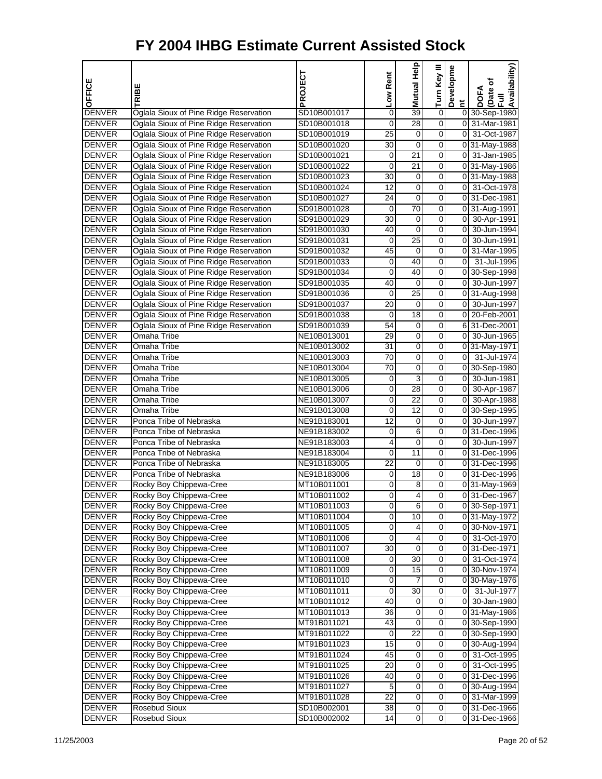| OFFICE                         | TRIBE                                                                            | PROJECT                    | Low Rent        | 음<br>모<br>Mutual       | Turn Key III                  | Developme               | Availability)<br>Date of<br>Full<br><b>DOFA</b> |
|--------------------------------|----------------------------------------------------------------------------------|----------------------------|-----------------|------------------------|-------------------------------|-------------------------|-------------------------------------------------|
|                                |                                                                                  |                            |                 |                        |                               | $\overline{\mathbf{c}}$ |                                                 |
| <b>DENVER</b>                  | Oglala Sioux of Pine Ridge Reservation                                           | SD10B001017                | 0               | 39                     | 0                             |                         | 0 30-Sep-1980                                   |
| <b>DENVER</b>                  | Oglala Sioux of Pine Ridge Reservation                                           | SD10B001018                | $\mathbf 0$     | 28                     | $\overline{0}$                |                         | 0 31-Mar-1981                                   |
| <b>DENVER</b>                  | Oglala Sioux of Pine Ridge Reservation                                           | SD10B001019                | 25              | 0                      | $\overline{0}$<br>0           |                         | 0 31-Oct-1987                                   |
| <b>DENVER</b><br><b>DENVER</b> | Oglala Sioux of Pine Ridge Reservation<br>Oglala Sioux of Pine Ridge Reservation | SD10B001020<br>SD10B001021 | 30<br>0         | 0<br>21                | 0                             |                         | 0 31-May-1988<br>0 31-Jan-1985                  |
| <b>DENVER</b>                  | Oglala Sioux of Pine Ridge Reservation                                           | SD10B001022                | 0               | 21                     | 0                             |                         | 0 31-May-1986                                   |
| <b>DENVER</b>                  | Oglala Sioux of Pine Ridge Reservation                                           | SD10B001023                | 30              | 0                      | $\overline{0}$                |                         | 0 31-May-1988                                   |
| <b>DENVER</b>                  | Oglala Sioux of Pine Ridge Reservation                                           | SD10B001024                | 12              | 0                      | $\overline{0}$                |                         | 0 31-Oct-1978                                   |
| <b>DENVER</b>                  | Oglala Sioux of Pine Ridge Reservation                                           | SD10B001027                | 24              | 0                      | 0                             |                         | 0 31-Dec-1981                                   |
| <b>DENVER</b>                  | Oglala Sioux of Pine Ridge Reservation                                           | SD91B001028                | 0               | 70                     | 0                             |                         | 0 31-Aug-1991                                   |
| <b>DENVER</b>                  | Oglala Sioux of Pine Ridge Reservation                                           | SD91B001029                | 30              | 0                      | 0                             |                         | 0 30-Apr-1991                                   |
| <b>DENVER</b>                  | Oglala Sioux of Pine Ridge Reservation                                           | SD91B001030                | 40              | 0                      | $\overline{0}$                |                         | 0 30-Jun-1994                                   |
| <b>DENVER</b>                  | Oglala Sioux of Pine Ridge Reservation                                           | SD91B001031                | 0               | 25                     | 0                             |                         | 0 30-Jun-1991                                   |
| <b>DENVER</b>                  | Oglala Sioux of Pine Ridge Reservation                                           | SD91B001032                | 45              | 0                      | 0                             |                         | 0 31-Mar-1995                                   |
| <b>DENVER</b>                  | Oglala Sioux of Pine Ridge Reservation                                           | SD91B001033                | 0               | 40                     | 0                             | 0                       | 31-Jul-1996                                     |
| <b>DENVER</b>                  | Oglala Sioux of Pine Ridge Reservation                                           | SD91B001034                | 0               | 40                     | 0                             |                         | 0 30-Sep-1998                                   |
| <b>DENVER</b>                  | Oglala Sioux of Pine Ridge Reservation                                           | SD91B001035                | 40              | 0                      | $\overline{0}$                |                         | 0 30-Jun-1997                                   |
| <b>DENVER</b>                  | Oglala Sioux of Pine Ridge Reservation                                           | SD91B001036                | 0               | 25                     | $\overline{0}$                |                         | 0 31-Aug-1998                                   |
| <b>DENVER</b>                  | Oglala Sioux of Pine Ridge Reservation                                           | SD91B001037                | 20              | 0                      | 0                             |                         | 0 30-Jun-1997                                   |
| <b>DENVER</b>                  | Oglala Sioux of Pine Ridge Reservation                                           | SD91B001038                | 0               | 18                     | 0                             |                         | 0 20-Feb-2001                                   |
| <b>DENVER</b>                  | Oglala Sioux of Pine Ridge Reservation                                           | SD91B001039                | 54              | 0                      | 0                             |                         | 6 31-Dec-2001                                   |
| <b>DENVER</b>                  | Omaha Tribe                                                                      | NE10B013001                | 29              | $\pmb{0}$              | $\overline{0}$                |                         | 0 30-Jun-1965                                   |
| <b>DENVER</b>                  | Omaha Tribe                                                                      | NE10B013002                | 31              | 0                      | 0                             |                         | 031-May-1971                                    |
| <b>DENVER</b>                  | Omaha Tribe                                                                      | NE10B013003                | 70              | 0                      | 0                             |                         | $0$ 31-Jul-1974                                 |
| <b>DENVER</b>                  | Omaha Tribe                                                                      | NE10B013004                | 70              | 0                      | 0                             |                         | 0 30-Sep-1980                                   |
| <b>DENVER</b>                  | Omaha Tribe                                                                      | NE10B013005                | 0               | 3                      | 0                             |                         | 0 30-Jun-1981                                   |
| <b>DENVER</b>                  | Omaha Tribe                                                                      | NE10B013006                | 0               | 28                     | $\overline{0}$                |                         | 0 30-Apr-1987                                   |
| <b>DENVER</b>                  | Omaha Tribe                                                                      | NE10B013007                | 0               | 22                     | $\overline{0}$                |                         | 0 30-Apr-1988                                   |
| <b>DENVER</b>                  | Omaha Tribe                                                                      | NE91B013008                | 0               | 12                     | 0                             |                         | 0 30-Sep-1995                                   |
| <b>DENVER</b>                  | Ponca Tribe of Nebraska                                                          | NE91B183001                | 12              | 0                      | 0                             |                         | 0 30-Jun-1997                                   |
| <b>DENVER</b>                  | Ponca Tribe of Nebraska                                                          | NE91B183002                | 0               | 6                      | 0                             |                         | 0 31-Dec-1996                                   |
| <b>DENVER</b>                  | Ponca Tribe of Nebraska                                                          | NE91B183003                | 4               | $\pmb{0}$              | $\overline{0}$                |                         | 0 30-Jun-1997                                   |
| <b>DENVER</b>                  | Ponca Tribe of Nebraska                                                          | NE91B183004                | 0               | 11                     | $\overline{0}$                |                         | 0 31-Dec-1996                                   |
| <b>DENVER</b>                  | Ponca Tribe of Nebraska                                                          | NE91B183005                | $\overline{22}$ | 0                      | 0                             |                         | 0 31-Dec-1996                                   |
| <b>DENVER</b>                  | Ponca Tribe of Nebraska                                                          | NE91B183006                | 0               | 18                     | 0                             |                         | 0 31-Dec-1996                                   |
| <b>DENVER</b>                  | Rocky Boy Chippewa-Cree                                                          | MT10B011001                | 0               | 8                      | 0                             |                         | $\overline{0}$ 31-May-1969                      |
| <b>DENVER</b>                  | Rocky Boy Chippewa-Cree                                                          | MT10B011002                | 0               | 4                      | $\overline{0}$                |                         | 0 31-Dec-1967                                   |
| <b>DENVER</b>                  | Rocky Boy Chippewa-Cree                                                          | MT10B011003                | 0               | 6                      | 0                             |                         | 0 30-Sep-1971                                   |
| <b>DENVER</b>                  | Rocky Boy Chippewa-Cree                                                          | MT10B011004                | 0               | 10                     | $\overline{\mathsf{o}}$       |                         | 0 31-May-1972                                   |
| <b>DENVER</b>                  | Rocky Boy Chippewa-Cree                                                          | MT10B011005                | 0               | 4                      | 0                             |                         | 0 30-Nov-1971                                   |
| <b>DENVER</b>                  | Rocky Boy Chippewa-Cree                                                          | MT10B011006                | 0               | 4                      | O                             |                         | 0 31-Oct-1970                                   |
| <b>DENVER</b>                  | Rocky Boy Chippewa-Cree                                                          | MT10B011007                | 30              | $\pmb{0}$              | $\overline{0}$                |                         | 0 31-Dec-1971                                   |
| <b>DENVER</b>                  | Rocky Boy Chippewa-Cree                                                          | MT10B011008                | 0               | 30                     | O                             |                         | 0 31-Oct-1974                                   |
| <b>DENVER</b>                  | Rocky Boy Chippewa-Cree                                                          | MT10B011009                | 0               | 15                     | $\overline{\mathsf{o}}$       |                         | 0 30-Nov-1974                                   |
| <b>DENVER</b>                  | Rocky Boy Chippewa-Cree                                                          | MT10B011010                | 0               | 7                      | 0                             |                         | 0 30-May-1976                                   |
| <b>DENVER</b>                  | Rocky Boy Chippewa-Cree                                                          | MT10B011011                | 0               | 30                     | O                             |                         | 0 31-Jul-1977                                   |
| <b>DENVER</b>                  | Rocky Boy Chippewa-Cree                                                          | MT10B011012                | 40              | 0                      | $\mathbf 0$                   |                         | 0 30-Jan-1980                                   |
| <b>DENVER</b>                  | Rocky Boy Chippewa-Cree                                                          | MT10B011013                | 36              | 0                      | O                             |                         | 0 31-May-1986                                   |
| <b>DENVER</b>                  | Rocky Boy Chippewa-Cree                                                          | MT91B011021                | 43              | $\overline{0}$<br>22   | $\overline{\mathsf{o}}$       |                         | 0 30-Sep-1990                                   |
| <b>DENVER</b>                  | Rocky Boy Chippewa-Cree                                                          | MT91B011022                | 0               |                        | 0                             |                         | 0 30-Sep-1990                                   |
| <b>DENVER</b>                  | Rocky Boy Chippewa-Cree                                                          | MT91B011023                | 15              | $\pmb{0}$<br>$\pmb{0}$ | $\mathbf 0$<br>$\overline{0}$ |                         | 0 30-Aug-1994                                   |
| <b>DENVER</b>                  | Rocky Boy Chippewa-Cree<br>Rocky Boy Chippewa-Cree                               | MT91B011024                | 45              | 0                      | O                             |                         | 0 31-Oct-1995<br>0 31-Oct-1995                  |
| <b>DENVER</b><br><b>DENVER</b> | Rocky Boy Chippewa-Cree                                                          | MT91B011025<br>MT91B011026 | 20<br>40        | $\overline{0}$         | $\overline{\mathsf{o}}$       |                         | 0 31-Dec-1996                                   |
| <b>DENVER</b>                  | Rocky Boy Chippewa-Cree                                                          | MT91B011027                | 5               | 0                      | 0                             |                         | 0 30-Aug-1994                                   |
| <b>DENVER</b>                  | Rocky Boy Chippewa-Cree                                                          | MT91B011028                | 22              | $\overline{0}$         | $\mathbf 0$                   |                         | 0 31-Mar-1999                                   |
| <b>DENVER</b>                  | Rosebud Sioux                                                                    | SD10B002001                | 38              | $\pmb{0}$              | $\overline{0}$                |                         | 0 31-Dec-1966                                   |
| <b>DENVER</b>                  | Rosebud Sioux                                                                    | SD10B002002                | 14              | $\pmb{0}$              | $\overline{0}$                |                         | 0 31-Dec-1966                                   |
|                                |                                                                                  |                            |                 |                        |                               |                         |                                                 |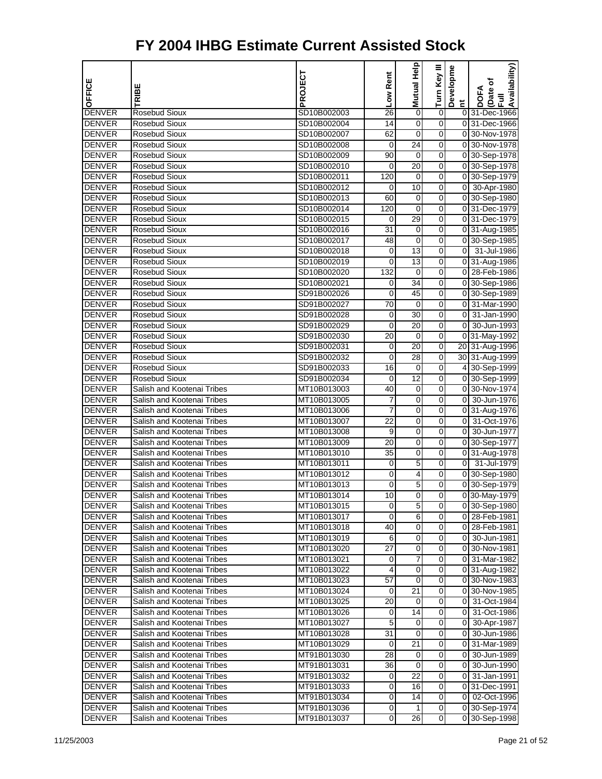| OFFICE                         | RIBE                           | PROJECT                    | Low Rent        | Help<br>Mutual I           | Turn Key III          | Developme      | Availability)<br>(Date of<br><b>DOFA</b> |
|--------------------------------|--------------------------------|----------------------------|-----------------|----------------------------|-----------------------|----------------|------------------------------------------|
|                                |                                |                            |                 |                            |                       | E.             | 昆                                        |
| <b>DENVER</b>                  | <b>Rosebud Sioux</b>           | SD10B002003                | 26              | 0                          | $\boldsymbol{0}$      |                | 0 31-Dec-1966                            |
| <b>DENVER</b>                  | Rosebud Sioux                  | SD10B002004                | 14              | $\mathbf 0$                | $\mathbf 0$           |                | 0 31-Dec-1966                            |
| <b>DENVER</b>                  | <b>Rosebud Sioux</b>           | SD10B002007                | 62              | $\mathbf 0$                | 0                     |                | 0 30-Nov-1978                            |
| <b>DENVER</b>                  | <b>Rosebud Sioux</b>           | SD10B002008                | 0               | 24                         | 0                     |                | 0 30-Nov-1978                            |
| <b>DENVER</b>                  | Rosebud Sioux                  | SD10B002009                | 90              | 0                          | 0                     |                | 0 30-Sep-1978                            |
| <b>DENVER</b>                  | Rosebud Sioux                  | SD10B002010                | 0               | 20                         | $\boldsymbol{0}$      |                | 0 30-Sep-1978                            |
| <b>DENVER</b>                  | <b>Rosebud Sioux</b>           | SD10B002011                | 120             | 0                          | 0                     |                | 0 30-Sep-1979                            |
| <b>DENVER</b>                  | Rosebud Sioux                  | SD10B002012                | 0               | 10                         | 0                     |                | 0 30-Apr-1980                            |
| <b>DENVER</b>                  | <b>Rosebud Sioux</b>           | SD10B002013                | 60              | 0                          | 0                     |                | 0 30-Sep-1980                            |
| <b>DENVER</b>                  | Rosebud Sioux                  | SD10B002014<br>SD10B002015 | 120             | 0<br>29                    | 0<br>$\boldsymbol{0}$ |                | 0 31-Dec-1979<br>0 31-Dec-1979           |
| <b>DENVER</b>                  | Rosebud Sioux<br>Rosebud Sioux |                            | 0<br>31         |                            | 0                     |                |                                          |
| <b>DENVER</b><br><b>DENVER</b> | Rosebud Sioux                  | SD10B002016                |                 | $\mathbf 0$<br>$\mathbf 0$ | 0                     |                | 0 31-Aug-1985                            |
| <b>DENVER</b>                  | <b>Rosebud Sioux</b>           | SD10B002017<br>SD10B002018 | 48<br>0         | $\overline{13}$            | 0                     |                | 0 30-Sep-1985<br>0 31-Jul-1986           |
| <b>DENVER</b>                  | Rosebud Sioux                  | SD10B002019                | 0               | 13                         | 0                     |                |                                          |
| <b>DENVER</b>                  | Rosebud Sioux                  | SD10B002020                | 132             | 0                          | $\boldsymbol{0}$      |                | 0 31-Aug-1986<br>0 28-Feb-1986           |
| <b>DENVER</b>                  | Rosebud Sioux                  | SD10B002021                | 0               | 34                         | 0                     |                | 0 30-Sep-1986                            |
| <b>DENVER</b>                  | Rosebud Sioux                  | SD91B002026                | 0               | 45                         | 0                     |                | 0 30-Sep-1989                            |
| <b>DENVER</b>                  | <b>Rosebud Sioux</b>           | SD91B002027                | $\overline{70}$ | 0                          | 0                     |                | 0 31-Mar-1990                            |
| <b>DENVER</b>                  | Rosebud Sioux                  | SD91B002028                | 0               | 30                         | 0                     | 01             | 31-Jan-1990                              |
| <b>DENVER</b>                  | Rosebud Sioux                  | SD91B002029                | 0               | 20                         | $\boldsymbol{0}$      | $\overline{0}$ | 30-Jun-1993                              |
| <b>DENVER</b>                  | Rosebud Sioux                  | SD91B002030                | 20              | $\mathbf 0$                | 0                     |                | 0 31-May-1992                            |
| <b>DENVER</b>                  | Rosebud Sioux                  | SD91B002031                | 0               | 20                         | 0                     |                | 20 31-Aug-1996                           |
| <b>DENVER</b>                  | <b>Rosebud Sioux</b>           | SD91B002032                | 0               | 28                         | 0                     |                | 30 31-Aug-1999                           |
| <b>DENVER</b>                  | Rosebud Sioux                  | SD91B002033                | 16              | 0                          | 0                     |                | 4 30-Sep-1999                            |
| <b>DENVER</b>                  | Rosebud Sioux                  | SD91B002034                | 0               | 12                         | $\boldsymbol{0}$      |                | 0 30-Sep-1999                            |
| <b>DENVER</b>                  | Salish and Kootenai Tribes     | MT10B013003                | 40              | $\mathbf 0$                | 0                     |                | 0 30-Nov-1974                            |
| <b>DENVER</b>                  | Salish and Kootenai Tribes     | MT10B013005                | 7               | 0                          | 0                     | 0I             | 30-Jun-1976                              |
| <b>DENVER</b>                  | Salish and Kootenai Tribes     | MT10B013006                | 7               | 0                          | 0                     |                | 0 31-Aug-1976                            |
| <b>DENVER</b>                  | Salish and Kootenai Tribes     | MT10B013007                | 22              | 0                          | 0                     | 01             | 31-Oct-1976                              |
| <b>DENVER</b>                  | Salish and Kootenai Tribes     | MT10B013008                | 9               | 0                          | $\boldsymbol{0}$      | $\overline{0}$ | 30-Jun-1977                              |
| <b>DENVER</b>                  | Salish and Kootenai Tribes     | MT10B013009                | 20              | $\mathbf 0$                | 0                     |                | 0 30-Sep-1977                            |
| <b>DENVER</b>                  | Salish and Kootenai Tribes     | MT10B013010                | 35              | 0                          | 0                     |                | 0 31-Aug-1978                            |
| <b>DENVER</b>                  | Salish and Kootenai Tribes     | MT10B013011                | 0               | 5                          | 0                     |                | 0 31-Jul-1979                            |
| <b>DENVER</b>                  | Salish and Kootenai Tribes     | MT10B013012                | 0               | 4                          | 0                     |                | 0 30-Sep-1980                            |
| <b>DENVER</b>                  | Salish and Kootenai Tribes     | MT10B013013                | 0               | 5                          | 0                     |                | 0 30-Sep-1979                            |
| <b>DENVER</b>                  | Salish and Kootenai Tribes     | MT10B013014                | 10              | $\mathbf 0$                | 0                     |                | 0 30-May-1979                            |
| <b>DENVER</b>                  | Salish and Kootenai Tribes     | MT10B013015                | 0               | 5                          | 0                     |                | 0 30-Sep-1980                            |
| <b>DENVER</b>                  | Salish and Kootenai Tribes     | MT10B013017                | 0               | 6                          | $\Omega$              |                | 0 28-Feb-1981                            |
| <b>DENVER</b>                  | Salish and Kootenai Tribes     | MT10B013018                | 40              | 0                          | $\mathbf 0$           |                | 0 28-Feb-1981                            |
| <b>DENVER</b>                  | Salish and Kootenai Tribes     | MT10B013019                | 6               | $\mathbf 0$                | $\mathbf 0$           |                | 0 30-Jun-1981                            |
| <b>DENVER</b>                  | Salish and Kootenai Tribes     | MT10B013020                | 27              | $\mathbf 0$                | $\boldsymbol{0}$      |                | 0 30-Nov-1981                            |
| <b>DENVER</b>                  | Salish and Kootenai Tribes     | MT10B013021                | 0               | 7                          | 0                     |                | 0 31-Mar-1982                            |
| <b>DENVER</b>                  | Salish and Kootenai Tribes     | MT10B013022                | 4               | 0                          | 0                     |                | 0 31-Aug-1982                            |
| <b>DENVER</b>                  | Salish and Kootenai Tribes     | MT10B013023                | 57              | 0                          | 0                     |                | 0 30-Nov-1983                            |
| <b>DENVER</b>                  | Salish and Kootenai Tribes     | MT10B013024                | 0               | 21                         | $\mathbf 0$           |                | 0 30-Nov-1985                            |
| <b>DENVER</b>                  | Salish and Kootenai Tribes     | MT10B013025                | 20              | 0                          | 0                     |                | 0 31-Oct-1984                            |
| <b>DENVER</b>                  | Salish and Kootenai Tribes     | MT10B013026                | 0               | 14                         | 0                     |                | 0 31-Oct-1986                            |
| <b>DENVER</b>                  | Salish and Kootenai Tribes     | MT10B013027                | 5               | 0                          | 0                     |                | 0 30-Apr-1987                            |
| <b>DENVER</b>                  | Salish and Kootenai Tribes     | MT10B013028                | 31              | 0                          | 0                     |                | 0 30-Jun-1986                            |
| <b>DENVER</b>                  | Salish and Kootenai Tribes     | MT10B013029                | 0               | 21                         | $\mathbf 0$           |                | 0 31-Mar-1989                            |
| <b>DENVER</b>                  | Salish and Kootenai Tribes     | MT91B013030                | 28              | 0                          | $\boldsymbol{0}$      |                | 0 30-Jun-1989                            |
| <b>DENVER</b>                  | Salish and Kootenai Tribes     | MT91B013031                | 36              | $\mathbf 0$                | 0                     |                | 0 30-Jun-1990                            |
| <b>DENVER</b>                  | Salish and Kootenai Tribes     | MT91B013032                | 0               | 22                         | 0                     |                | 0 31-Jan-1991                            |
| <b>DENVER</b>                  | Salish and Kootenai Tribes     | MT91B013033                | 0               | 16                         | 0                     |                | 0 31-Dec-1991                            |
| <b>DENVER</b>                  | Salish and Kootenai Tribes     | MT91B013034                | 0               | 14                         | $\mathbf 0$           |                | 0 02-Oct-1996                            |
| <b>DENVER</b>                  | Salish and Kootenai Tribes     | MT91B013036                | 0               | 1                          | $\overline{0}$        |                | 0 30-Sep-1974                            |
| <b>DENVER</b>                  | Salish and Kootenai Tribes     | MT91B013037                | $\mathbf 0$     | 26                         | $\overline{0}$        |                | 0 30-Sep-1998                            |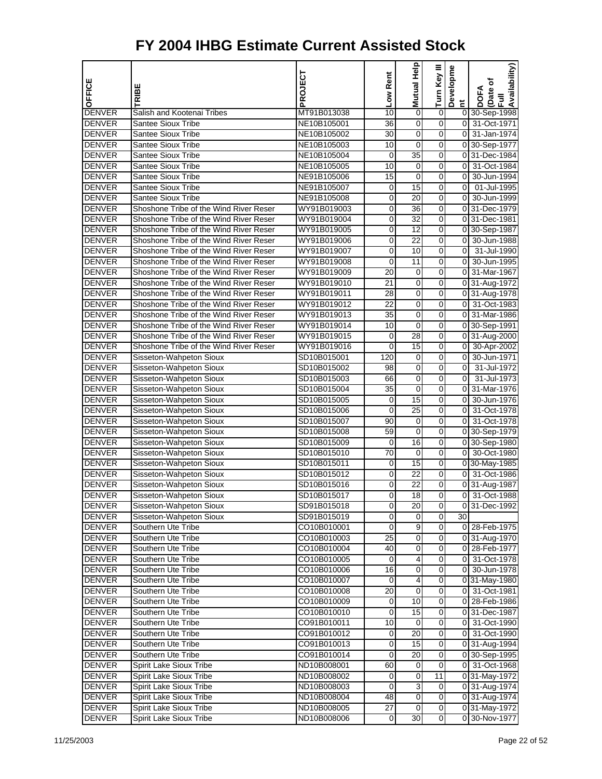| OFFICE                         | RIBE                                                   | PROJECT                    | Low Rent        | Help<br>Mutual I  | Turn Key III                 | Developme      | Availability)<br>Date of<br><b>DOFA</b> |
|--------------------------------|--------------------------------------------------------|----------------------------|-----------------|-------------------|------------------------------|----------------|-----------------------------------------|
|                                |                                                        |                            |                 |                   |                              | E.             | $\bar{E}$                               |
| <b>DENVER</b>                  | Salish and Kootenai Tribes                             | MT91B013038                | 10              | 0                 | $\boldsymbol{0}$             |                | 0 30-Sep-1998                           |
| <b>DENVER</b>                  | <b>Santee Sioux Tribe</b>                              | NE10B105001                | 36              | $\mathbf 0$       | $\mathbf 0$                  |                | 0 31-Oct-1971                           |
| <b>DENVER</b>                  | <b>Santee Sioux Tribe</b>                              | NE10B105002                | 30              | 0                 | 0                            | οI             | 31-Jan-1974                             |
| <b>DENVER</b>                  | <b>Santee Sioux Tribe</b>                              | NE10B105003                | 10              | 0                 | 0                            |                | 0 30-Sep-1977                           |
| <b>DENVER</b>                  | <b>Santee Sioux Tribe</b>                              | NE10B105004                | 0               | 35                | 0                            |                | 0 31-Dec-1984                           |
| <b>DENVER</b>                  | <b>Santee Sioux Tribe</b>                              | NE10B105005                | 10              | 0<br>$\mathbf 0$  | $\boldsymbol{0}$             | $\overline{0}$ | 31-Oct-1984<br>30-Jun-1994              |
| <b>DENVER</b><br><b>DENVER</b> | <b>Santee Sioux Tribe</b><br><b>Santee Sioux Tribe</b> | NE91B105006                | 15              | 15                | 0<br>0                       | 01<br>0I       | 01-Jul-1995                             |
| <b>DENVER</b>                  | <b>Santee Sioux Tribe</b>                              | NE91B105007<br>NE91B105008 | 0<br>0          | 20                | 0                            | οI             | 30-Jun-1999                             |
| <b>DENVER</b>                  | Shoshone Tribe of the Wind River Reser                 | WY91B019003                | 0               | 36                | 0                            |                | 0 31-Dec-1979                           |
| <b>DENVER</b>                  | Shoshone Tribe of the Wind River Reser                 | WY91B019004                | 0               | 32                | $\boldsymbol{0}$             |                | 0 31-Dec-1981                           |
| <b>DENVER</b>                  | Shoshone Tribe of the Wind River Reser                 | WY91B019005                | 0               | $\overline{12}$   | 0                            |                | 0 30-Sep-1987                           |
| <b>DENVER</b>                  | Shoshone Tribe of the Wind River Reser                 | WY91B019006                | 0               | 22                | 0                            | 0I             | 30-Jun-1988                             |
| <b>DENVER</b>                  | Shoshone Tribe of the Wind River Reser                 | WY91B019007                | 0               | 10                | 0                            | οI             | 31-Jul-1990                             |
| <b>DENVER</b>                  | Shoshone Tribe of the Wind River Reser                 | WY91B019008                | 0               | 11                | 0                            | $\overline{0}$ | 30-Jun-1995                             |
| <b>DENVER</b>                  | Shoshone Tribe of the Wind River Reser                 | WY91B019009                | 20              | 0                 | $\boldsymbol{0}$             | $\overline{0}$ | 31-Mar-1967                             |
| <b>DENVER</b>                  | Shoshone Tribe of the Wind River Reser                 | WY91B019010                | 21              | $\mathbf 0$       | 0                            |                | 0 31-Aug-1972                           |
| <b>DENVER</b>                  | Shoshone Tribe of the Wind River Reser                 | WY91B019011                | 28              | 0                 | 0                            |                | 0 31-Aug-1978                           |
| <b>DENVER</b>                  | Shoshone Tribe of the Wind River Reser                 | WY91B019012                | $\overline{22}$ | 0                 | 0                            |                | 0 31-Oct-1983                           |
| <b>DENVER</b>                  | Shoshone Tribe of the Wind River Reser                 | WY91B019013                | 35              | 0                 | 0                            |                | 0 31-Mar-1986                           |
| <b>DENVER</b>                  | Shoshone Tribe of the Wind River Reser                 | WY91B019014                | 10              | 0                 | $\boldsymbol{0}$             |                | 0 30-Sep-1991                           |
| <b>DENVER</b>                  | Shoshone Tribe of the Wind River Reser                 | WY91B019015                | 0               | 28                | 0                            |                | 0 31-Aug-2000                           |
| <b>DENVER</b>                  | Shoshone Tribe of the Wind River Reser                 | WY91B019016                | 0               | 15                | 0                            | $\overline{0}$ | 30-Apr-2002                             |
| <b>DENVER</b>                  | Sisseton-Wahpeton Sioux                                | SD10B015001                | 120             | 0                 | 0                            | 0              | 30-Jun-1971                             |
| <b>DENVER</b>                  | Sisseton-Wahpeton Sioux                                | SD10B015002                | 98              | 0                 | 0                            | $\overline{0}$ | 31-Jul-1972                             |
| <b>DENVER</b>                  | Sisseton-Wahpeton Sioux                                | SD10B015003                | 66              | $\mathbf 0$       | $\boldsymbol{0}$             | $\overline{0}$ | 31-Jul-1973                             |
| <b>DENVER</b>                  | Sisseton-Wahpeton Sioux                                | SD10B015004                | 35              | $\mathbf 0$       | 0                            |                | 0 31-Mar-1976                           |
| <b>DENVER</b>                  | Sisseton-Wahpeton Sioux                                | SD10B015005                | 0               | 15                | 0                            | 01             | 30-Jun-1976                             |
| <b>DENVER</b>                  | Sisseton-Wahpeton Sioux                                | SD10B015006                | 0               | $\overline{25}$   | 0                            | οI             | 31-Oct-1978                             |
| <b>DENVER</b>                  | Sisseton-Wahpeton Sioux                                | SD10B015007                | 90              | 0                 | 0                            | $\overline{0}$ | 31-Oct-1978                             |
| <b>DENVER</b>                  | Sisseton-Wahpeton Sioux                                | SD10B015008                | 59              | 0                 | $\boldsymbol{0}$             |                | 0 30-Sep-1979                           |
| <b>DENVER</b>                  | Sisseton-Wahpeton Sioux                                | SD10B015009                | 0               | 16                | 0                            |                | 0 30-Sep-1980                           |
| <b>DENVER</b>                  | Sisseton-Wahpeton Sioux                                | SD10B015010                | 70              | $\mathbf 0$       | 0                            |                | 0 30-Oct-1980                           |
| <b>DENVER</b>                  | Sisseton-Wahpeton Sioux                                | SD10B015011                | 0               | 15                | 0                            |                | 0 30-May-1985                           |
| <b>DENVER</b>                  | Sisseton-Wahpeton Sioux                                | SD10B015012                | 0               | 22                | 0                            | $\overline{0}$ | 31-Oct-1986                             |
| <b>DENVER</b>                  | Sisseton-Wahpeton Sioux                                | SD10B015016                | 0               | 22                | $\boldsymbol{0}$             |                | 0 31-Aug-1987                           |
| <b>DENVER</b>                  | Sisseton-Wahpeton Sioux                                | SD10B015017                | 0               | $\overline{18}$   | 0                            | $\overline{0}$ | 31-Oct-1988                             |
| <b>DENVER</b>                  | Sisseton-Wahpeton Sioux                                | SD91B015018                | 0               | 20                | 0                            |                | 0 31-Dec-1992                           |
| <b>DENVER</b>                  | Sisseton-Wahpeton Sioux                                | SD91B015019                | 0               | 0                 | $\overline{0}$               | 30             |                                         |
| <b>DENVER</b>                  | Southern Ute Tribe                                     | CO10B010001                | 0               | 9                 | $\overline{0}$               |                | 0 28-Feb-1975                           |
| <b>DENVER</b>                  | Southern Ute Tribe                                     | CO10B010003                | 25              | $\mathbf 0$       | $\mathbf 0$                  |                | 0 31-Aug-1970                           |
| <b>DENVER</b>                  | Southern Ute Tribe                                     | CO10B010004                | 40              | $\mathbf 0$       | $\overline{0}$               |                | 0 28-Feb-1977                           |
| <b>DENVER</b>                  | Southern Ute Tribe                                     | CO10B010005                | 0               | 4                 | 0                            |                | 0 31-Oct-1978                           |
| <b>DENVER</b>                  | Southern Ute Tribe                                     | CO10B010006                | 16              | 0                 | 0                            |                | 0 30-Jun-1978                           |
| <b>DENVER</b>                  | Southern Ute Tribe                                     | CO10B010007                | 0               | 4                 | 0                            |                | 031-May-1980                            |
| <b>DENVER</b>                  | Southern Ute Tribe<br>Southern Ute Tribe               | CO10B010008                | 20              | $\mathbf 0$<br>10 | $\overline{\mathbf{0}}$<br>0 |                | 0 31-Oct-1981                           |
| <b>DENVER</b><br><b>DENVER</b> | Southern Ute Tribe                                     | CO10B010009<br>CO10B010010 | 0<br>0          | 15                | 0                            |                | 0 28-Feb-1986<br>0 31-Dec-1987          |
| <b>DENVER</b>                  | Southern Ute Tribe                                     | CO91B010011                | 10              | 0                 | $\overline{\mathsf{o}}$      |                | 0 31-Oct-1990                           |
| <b>DENVER</b>                  | Southern Ute Tribe                                     | CO91B010012                | 0               | 20                | 0                            |                | 0 31-Oct-1990                           |
| <b>DENVER</b>                  | Southern Ute Tribe                                     | CO91B010013                | 0               | 15                | $\overline{\mathbf{0}}$      |                | 0 31-Aug-1994                           |
| <b>DENVER</b>                  | Southern Ute Tribe                                     | CO91B010014                | 0               | 20                | 0                            |                | 0 30-Sep-1995                           |
| <b>DENVER</b>                  | Spirit Lake Sioux Tribe                                | ND10B008001                | 60              | $\mathbf 0$       | 0                            |                | 0 31-Oct-1968                           |
| <b>DENVER</b>                  | Spirit Lake Sioux Tribe                                | ND10B008002                | 0               | 0                 | 11                           |                | 0 31-May-1972                           |
| <b>DENVER</b>                  | Spirit Lake Sioux Tribe                                | ND10B008003                | 0               | 3                 | 0                            |                | 0 31-Aug-1974                           |
| <b>DENVER</b>                  | Spirit Lake Sioux Tribe                                | ND10B008004                | 48              | $\mathbf 0$       | $\overline{O}$               |                | 0 31-Aug-1974                           |
| <b>DENVER</b>                  | Spirit Lake Sioux Tribe                                | ND10B008005                | 27              | $\mathbf 0$       | $\mathbf 0$                  |                | 0 31-May-1972                           |
| <b>DENVER</b>                  | Spirit Lake Sioux Tribe                                | ND10B008006                | 0               | 30                | $\overline{0}$               |                | 0 30-Nov-1977                           |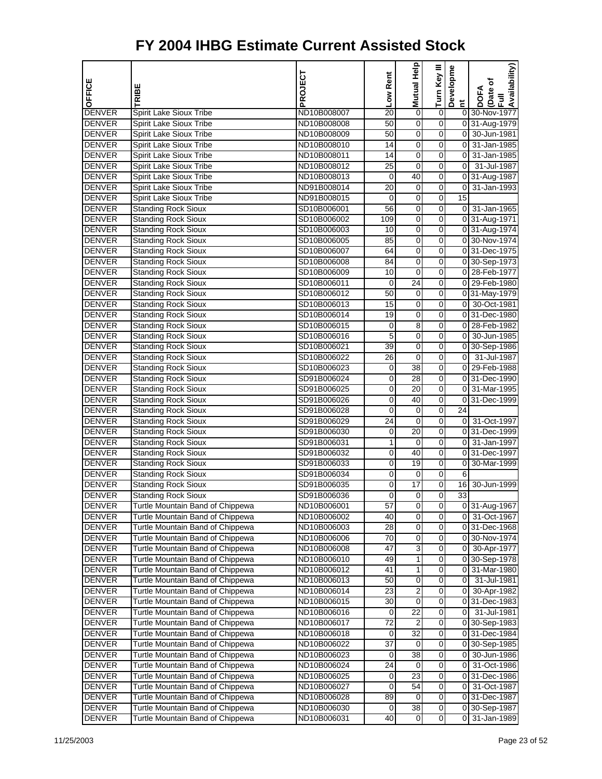|                                |                                                    | PROJECT                    | Low Rent    | Mutual Help         | Turn Key III        | Developme                                 | Availability)              |
|--------------------------------|----------------------------------------------------|----------------------------|-------------|---------------------|---------------------|-------------------------------------------|----------------------------|
| OFFICE                         | RIBE                                               |                            |             |                     |                     |                                           | (Date of<br>DOFA           |
|                                |                                                    |                            |             |                     |                     | Ĕ                                         | $\bar{E}$                  |
| <b>DENVER</b>                  | Spirit Lake Sioux Tribe                            | ND10B008007                | 20          | $\mathbf 0$         | $\overline{0}$      |                                           | 0 30-Nov-1977              |
| <b>DENVER</b>                  | Spirit Lake Sioux Tribe                            | ND10B008008                | 50          | 0                   | 0                   |                                           | 0 31-Aug-1979              |
| <b>DENVER</b>                  | Spirit Lake Sioux Tribe                            | ND10B008009                | 50          | $\mathbf 0$         | 0                   |                                           | 0 30-Jun-1981              |
| <b>DENVER</b>                  | Spirit Lake Sioux Tribe                            | ND10B008010                | 14          | 0                   | 0                   | 0                                         | 31-Jan-1985                |
| <b>DENVER</b><br><b>DENVER</b> | Spirit Lake Sioux Tribe<br>Spirit Lake Sioux Tribe | ND10B008011<br>ND10B008012 | 14<br>25    | 0<br>$\overline{0}$ | 0<br>$\overline{0}$ | $\overline{0}$<br>$\overline{\mathbf{0}}$ | 31-Jan-1985<br>31-Jul-1987 |
| <b>DENVER</b>                  | Spirit Lake Sioux Tribe                            | ND10B008013                | 0           | 40                  | 0                   |                                           | 0 31-Aug-1987              |
| <b>DENVER</b>                  | Spirit Lake Sioux Tribe                            | ND91B008014                | 20          | 0                   | 0                   |                                           | 0 31-Jan-1993              |
| <b>DENVER</b>                  | Spirit Lake Sioux Tribe                            | ND91B008015                | 0           | 0                   | 0                   | 15                                        |                            |
| <b>DENVER</b>                  | <b>Standing Rock Sioux</b>                         | SD10B006001                | 56          | 0                   | 0                   |                                           | 0 31-Jan-1965              |
| <b>DENVER</b>                  | <b>Standing Rock Sioux</b>                         | SD10B006002                | 109         | $\overline{0}$      | $\overline{0}$      |                                           | 0 31-Aug-1971              |
| <b>DENVER</b>                  | <b>Standing Rock Sioux</b>                         | SD10B006003                | 10          | 0                   | 0                   |                                           | 0 31-Aug-1974              |
| <b>DENVER</b>                  | <b>Standing Rock Sioux</b>                         | SD10B006005                | 85          | $\mathbf 0$         | 0                   |                                           | 0 30-Nov-1974              |
| <b>DENVER</b>                  | <b>Standing Rock Sioux</b>                         | SD10B006007                | 64          | 0                   | 0                   |                                           | 0 31-Dec-1975              |
| <b>DENVER</b>                  | <b>Standing Rock Sioux</b>                         | SD10B006008                | 84          | 0                   | 0                   |                                           | 0 30-Sep-1973              |
| <b>DENVER</b>                  | <b>Standing Rock Sioux</b>                         | SD10B006009                | 10          | $\overline{0}$      | $\overline{0}$      |                                           | 0 28-Feb-1977              |
| <b>DENVER</b>                  | <b>Standing Rock Sioux</b>                         | SD10B006011                | 0           | 24                  | 0                   |                                           | 0 29-Feb-1980              |
| <b>DENVER</b>                  | <b>Standing Rock Sioux</b>                         | SD10B006012                | 50          | 0                   | 0                   |                                           | 0 31-May-1979              |
| <b>DENVER</b>                  | <b>Standing Rock Sioux</b>                         | SD10B006013                | 15          | 0                   | 0                   |                                           | 0 30-Oct-1981              |
| <b>DENVER</b>                  | <b>Standing Rock Sioux</b>                         | SD10B006014                | 19          | 0                   | 0                   |                                           | 0 31-Dec-1980              |
| <b>DENVER</b>                  | <b>Standing Rock Sioux</b>                         | SD10B006015                | 0           | 8                   | $\mathbf 0$         |                                           | 0 28-Feb-1982              |
| <b>DENVER</b>                  | <b>Standing Rock Sioux</b>                         | SD10B006016                | 5           | 0                   | 0                   |                                           | 0 30-Jun-1985              |
| <b>DENVER</b>                  | <b>Standing Rock Sioux</b>                         | SD10B006021                | 39          | $\mathbf 0$         | 0                   |                                           | 0 30-Sep-1986              |
| <b>DENVER</b>                  | <b>Standing Rock Sioux</b>                         | SD10B006022                | 26          | 0                   | 0                   | 01                                        | 31-Jul-1987                |
| <b>DENVER</b>                  | <b>Standing Rock Sioux</b>                         | SD10B006023                | 0           | 38                  | 0                   |                                           | 0 29-Feb-1988              |
| <b>DENVER</b>                  | <b>Standing Rock Sioux</b>                         | SD91B006024                | $\mathbf 0$ | $\overline{28}$     | 0                   |                                           | 0 31-Dec-1990              |
| <b>DENVER</b>                  | <b>Standing Rock Sioux</b>                         | SD91B006025                | 0           | 20                  | 0                   |                                           | 0 31-Mar-1995              |
| <b>DENVER</b>                  | <b>Standing Rock Sioux</b>                         | SD91B006026                | 0           | 40                  | 0                   |                                           | 0 31-Dec-1999              |
| <b>DENVER</b>                  | <b>Standing Rock Sioux</b>                         | SD91B006028                | 0           | 0                   | 0                   | 24                                        |                            |
| <b>DENVER</b>                  | <b>Standing Rock Sioux</b>                         | SD91B006029                | 24          | 0                   | 0                   | 01                                        | 31-Oct-1997                |
| <b>DENVER</b>                  | <b>Standing Rock Sioux</b>                         | SD91B006030                | 0           | $\overline{20}$     | $\overline{0}$      |                                           | 0 31-Dec-1999              |
| <b>DENVER</b>                  | <b>Standing Rock Sioux</b>                         | SD91B006031                | 1           | 0                   | 0                   |                                           | 0 31-Jan-1997              |
| <b>DENVER</b>                  | <b>Standing Rock Sioux</b>                         | SD91B006032                | 0           | 40                  | 0                   |                                           | 0 31-Dec-1997              |
| <b>DENVER</b>                  | <b>Standing Rock Sioux</b>                         | SD91B006033                | 0           | $\overline{19}$     | 0                   | 0                                         | 30-Mar-1999                |
| <b>DENVER</b>                  | <b>Standing Rock Sioux</b>                         | SD91B006034                | 0           | 0                   | 0                   | 6                                         |                            |
| <b>DENVER</b>                  | <b>Standing Rock Sioux</b>                         | SD91B006035                | 0           | $\overline{17}$     | 0                   | 16                                        | 30-Jun-1999                |
| <b>DENVER</b>                  | <b>Standing Rock Sioux</b>                         | SD91B006036                | 0           | 0                   | 0                   | 33                                        |                            |
| <b>DENVER</b>                  | Turtle Mountain Band of Chippewa                   | ND10B006001                | 57          | $\mathbf 0$         | $\overline{0}$      |                                           | 0 31-Aug-1967              |
| <b>DENVER</b>                  | Turtle Mountain Band of Chippewa                   | ND10B006002                | 40          | 0                   | 0                   | 01                                        | 31-Oct-1967                |
| DENVER                         | Turtle Mountain Band of Chippewa                   | ND10B006003                | 28          | 0                   | 0                   |                                           | 0 31-Dec-1968              |
| DENVER                         | Turtle Mountain Band of Chippewa                   | ND10B006006                | 70          | $\overline{0}$      | $\overline{0}$      |                                           | 0 30-Nov-1974              |
| <b>DENVER</b>                  | Turtle Mountain Band of Chippewa                   | ND10B006008                | 47          | 3                   | 0                   | 0                                         | 30-Apr-1977                |
| <b>DENVER</b>                  | Turtle Mountain Band of Chippewa                   | ND10B006010                | 49          | 1                   | 0                   |                                           | 0 30-Sep-1978              |
| DENVER                         | Turtle Mountain Band of Chippewa                   | ND10B006012                | 41          | 1                   | 0                   | 01                                        | 31-Mar-1980                |
| DENVER                         | Turtle Mountain Band of Chippewa                   | ND10B006013                | 50          | 0                   | 0                   | 0                                         | 31-Jul-1981                |
| <b>DENVER</b>                  | Turtle Mountain Band of Chippewa                   | ND10B006014                | 23          | $\overline{2}$      | 0                   | $\overline{0}$                            | 30-Apr-1982                |
| <b>DENVER</b>                  | Turtle Mountain Band of Chippewa                   | ND10B006015                | 30          | 0                   | 0                   |                                           | 031-Dec-1983               |
| <b>DENVER</b>                  | Turtle Mountain Band of Chippewa                   | ND10B006016                | 0           | 22                  | 0                   | 0                                         | 31-Jul-1981                |
| DENVER                         | Turtle Mountain Band of Chippewa                   | ND10B006017                | 72          | 2                   | 0                   |                                           | 0 30-Sep-1983              |
| DENVER                         | Turtle Mountain Band of Chippewa                   | ND10B006018                | 0           | 32                  | 0                   |                                           | 0 31-Dec-1984              |
| DENVER                         | Turtle Mountain Band of Chippewa                   | ND10B006022                | 37          | $\mathbf 0$         | $\overline{0}$      |                                           | 0 30-Sep-1985              |
| <b>DENVER</b>                  | Turtle Mountain Band of Chippewa                   | ND10B006023                | 0           | 38                  | 0                   | 0                                         | 30-Jun-1986                |
| <b>DENVER</b>                  | Turtle Mountain Band of Chippewa                   | ND10B006024                | 24          | 0                   | 0                   | 0                                         | 31-Oct-1986                |
| DENVER                         | Turtle Mountain Band of Chippewa                   | ND10B006025                | 0           | 23                  | 0                   | 01                                        | 31-Dec-1986                |
| DENVER                         | Turtle Mountain Band of Chippewa                   | ND10B006027                | 0           | 54<br>$\mathbf 0$   | 0<br>$\overline{0}$ | 01                                        | 31-Oct-1987                |
| <b>DENVER</b>                  | Turtle Mountain Band of Chippewa                   | ND10B006028                | 89          | 38                  |                     |                                           | 0 31-Dec-1987              |
| <b>DENVER</b>                  | Turtle Mountain Band of Chippewa                   | ND10B006030                | 0<br>40     | $\mathbf 0$         | 0<br>0              | $\overline{0}$                            | 0 30-Sep-1987              |
| <b>DENVER</b>                  | Turtle Mountain Band of Chippewa                   | ND10B006031                |             |                     |                     |                                           | 31-Jan-1989                |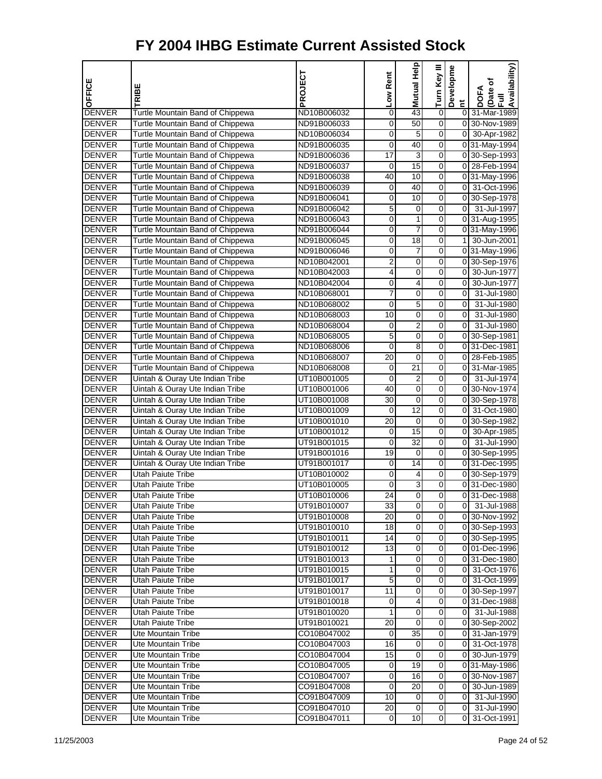| OFFICE                         | TRIBE                                                                | PROJECT                    | Low Rent | Help<br>Mutual  | Turn Key III            | Developme      | Availability)<br>DOFA<br>(Date of<br>Full |
|--------------------------------|----------------------------------------------------------------------|----------------------------|----------|-----------------|-------------------------|----------------|-------------------------------------------|
|                                |                                                                      |                            |          |                 |                         | Ĕ              |                                           |
| <b>DENVER</b>                  | Turtle Mountain Band of Chippewa                                     | ND10B006032                | 0        | 43              | 0                       |                | 0 31-Mar-1989                             |
| <b>DENVER</b><br><b>DENVER</b> | Turtle Mountain Band of Chippewa                                     | ND91B006033                | 0        | 50              | 0<br>0                  |                | 0 30-Nov-1989                             |
| <b>DENVER</b>                  | Turtle Mountain Band of Chippewa<br>Turtle Mountain Band of Chippewa | ND10B006034<br>ND91B006035 | 0<br>0   | 5<br>40         | 0                       |                | 0 30-Apr-1982<br>0 31-May-1994            |
| <b>DENVER</b>                  | Turtle Mountain Band of Chippewa                                     | ND91B006036                | 17       | 3               | 0                       |                | 0 30-Sep-1993                             |
| <b>DENVER</b>                  | Turtle Mountain Band of Chippewa                                     | ND91B006037                | 0        | $\overline{15}$ | 0                       |                | 0 28-Feb-1994                             |
| <b>DENVER</b>                  | Turtle Mountain Band of Chippewa                                     | ND91B006038                | 40       | 10              | 0                       |                | 031-May-1996                              |
| <b>DENVER</b>                  | Turtle Mountain Band of Chippewa                                     | ND91B006039                | 0        | 40              | 0                       | οI             | 31-Oct-1996                               |
| <b>DENVER</b>                  | Turtle Mountain Band of Chippewa                                     | ND91B006041                | 0        | 10              | 0                       |                | 0 30-Sep-1978                             |
| <b>DENVER</b>                  | Turtle Mountain Band of Chippewa                                     | ND91B006042                | 5        | 0               | 0                       | οI             | 31-Jul-1997                               |
| <b>DENVER</b>                  | Turtle Mountain Band of Chippewa                                     | ND91B006043                | 0        | 1               | 0                       |                | 0 31-Aug-1995                             |
| <b>DENVER</b>                  | Turtle Mountain Band of Chippewa                                     | ND91B006044                | 0        | 7               | 0                       |                | 0 31-May-1996                             |
| <b>DENVER</b>                  | Turtle Mountain Band of Chippewa                                     | ND91B006045                | 0        | 18              | 0                       |                | 1 30-Jun-2001                             |
| <b>DENVER</b>                  | Turtle Mountain Band of Chippewa                                     | ND91B006046                | 0        | 7               | 0                       |                | 031-May-1996                              |
| <b>DENVER</b>                  | Turtle Mountain Band of Chippewa                                     | ND10B042001                | 2        | 0               | 0                       |                | 0 30-Sep-1976                             |
| <b>DENVER</b>                  | Turtle Mountain Band of Chippewa                                     | ND10B042003                | 4        | 0               | 0                       | οI             | 30-Jun-1977                               |
| <b>DENVER</b>                  | Turtle Mountain Band of Chippewa                                     | ND10B042004                | 0        | 4               | 0                       |                | 0 30-Jun-1977                             |
| <b>DENVER</b>                  | Turtle Mountain Band of Chippewa                                     | ND10B068001                | 7        | 0               | 0                       | $\overline{0}$ | 31-Jul-1980                               |
| <b>DENVER</b>                  | Turtle Mountain Band of Chippewa                                     | ND10B068002                | 0        | 5               | 0                       | 0              | 31-Jul-1980                               |
| <b>DENVER</b>                  | Turtle Mountain Band of Chippewa                                     | ND10B068003                | 10       | 0               | 0                       | $\overline{0}$ | 31-Jul-1980                               |
| <b>DENVER</b>                  | Turtle Mountain Band of Chippewa                                     | ND10B068004                | 0        | $\overline{2}$  | 0                       | $\overline{0}$ | 31-Jul-1980                               |
| <b>DENVER</b>                  | Turtle Mountain Band of Chippewa                                     | ND10B068005                | 5        | 0               | 0                       |                | 0 30-Sep-1981                             |
| <b>DENVER</b>                  | Turtle Mountain Band of Chippewa                                     | ND10B068006                | 0        | 8               | 0                       |                | 0 31-Dec-1981                             |
| <b>DENVER</b>                  | Turtle Mountain Band of Chippewa                                     | ND10B068007                | 20       | 0               | 0                       |                | 0 28-Feb-1985                             |
| <b>DENVER</b>                  | Turtle Mountain Band of Chippewa                                     | ND10B068008                | 0        | 21              | 0                       |                | 0 31-Mar-1985                             |
| <b>DENVER</b>                  | Uintah & Ouray Ute Indian Tribe                                      | UT10B001005                | 0        | $\overline{2}$  | 0                       | $\overline{0}$ | 31-Jul-1974                               |
| <b>DENVER</b>                  | Uintah & Ouray Ute Indian Tribe                                      | UT10B001006                | 40       | 0               | 0                       |                | 0 30-Nov-1974                             |
| <b>DENVER</b>                  | Uintah & Ouray Ute Indian Tribe                                      | UT10B001008                | 30       | 0               | 0                       |                | 0 30-Sep-1978                             |
| <b>DENVER</b>                  | Uintah & Ouray Ute Indian Tribe                                      | UT10B001009                | 0        | 12              | 0                       |                | 0 31-Oct-1980                             |
| <b>DENVER</b>                  | Uintah & Ouray Ute Indian Tribe                                      | UT10B001010                | 20       | 0               | 0                       |                | 0 30-Sep-1982                             |
| <b>DENVER</b>                  | Uintah & Ouray Ute Indian Tribe                                      | UT10B001012                | 0        | 15              | 0                       | 0              | 30-Apr-1985                               |
| <b>DENVER</b>                  | Uintah & Ouray Ute Indian Tribe                                      | UT91B001015                | 0        | $\overline{32}$ | 0                       | 0              | 31-Jul-1990                               |
| <b>DENVER</b>                  | Uintah & Ouray Ute Indian Tribe                                      | UT91B001016                | 19       | 0               | 0                       |                | 0 30-Sep-1995                             |
| <b>DENVER</b>                  | Uintah & Ouray Ute Indian Tribe                                      | UT91B001017                | 0        | 14              | 0                       |                | 0 31-Dec-1995                             |
| <b>DENVER</b>                  | <b>Utah Paiute Tribe</b>                                             | UT10B010002                | 0        | 4               | 0                       |                | 0 30-Sep-1979                             |
| <b>DENVER</b>                  | <b>Utah Paiute Tribe</b>                                             | UT10B010005                | 0        | 3               | 0                       |                | 0 31-Dec-1980                             |
| <b>DENVER</b>                  | <b>Utah Paiute Tribe</b>                                             | UT10B010006                | 24       | $\pmb{0}$       | 0                       |                | 031-Dec-1988                              |
| <b>DENVER</b>                  | Utah Paiute Tribe                                                    | UT91B010007                | 33       | 0               | 0                       |                | 0 31-Jul-1988                             |
| <b>DENVER</b>                  | <b>Utah Paiute Tribe</b>                                             | UT91B010008                | 20       | 0               | $\overline{0}$          |                | 0 30-Nov-1992                             |
| <b>DENVER</b>                  | Utah Paiute Tribe                                                    | UT91B010010                | 18       | 0               | 0                       |                | 0 30-Sep-1993                             |
| <b>DENVER</b>                  | Utah Paiute Tribe                                                    | UT91B010011                | 14       | $\pmb{0}$       | $\mathbf 0$             |                | 0 30-Sep-1995                             |
| <b>DENVER</b>                  | Utah Paiute Tribe                                                    | UT91B010012                | 13       | $\pmb{0}$       | $\overline{0}$          |                | 0 01-Dec-1996                             |
| <b>DENVER</b>                  | Utah Paiute Tribe                                                    | UT91B010013                | 1        | 0               | $\overline{0}$          |                | 0 31-Dec-1980                             |
| <b>DENVER</b>                  | Utah Paiute Tribe                                                    | UT91B010015                | 1        | 0               | $\overline{0}$          |                | 0 31-Oct-1976                             |
| <b>DENVER</b>                  | Utah Paiute Tribe                                                    | UT91B010017                | 5        | 0               | 0                       |                | 0 31-Oct-1999                             |
| <b>DENVER</b>                  | Utah Paiute Tribe                                                    | UT91B010017                | 11       | $\pmb{0}$       | $\mathbf 0$             |                | 0 30-Sep-1997                             |
| <b>DENVER</b>                  | Utah Paiute Tribe                                                    | UT91B010018                | 0        | 4               | $\overline{0}$          |                | 0 31-Dec-1988                             |
| <b>DENVER</b>                  | Utah Paiute Tribe                                                    | UT91B010020                | 1        | $\pmb{0}$       | $\mathbf 0$             |                | $0$ 31-Jul-1988                           |
| <b>DENVER</b>                  | Utah Paiute Tribe                                                    | UT91B010021                | 20       | $\overline{0}$  | $\overline{\mathsf{o}}$ |                | 0 30-Sep-2002                             |
| <b>DENVER</b>                  | Ute Mountain Tribe                                                   | CO10B047002                | 0        | 35              | 0                       |                | 0 31-Jan-1979                             |
| <b>DENVER</b>                  | Ute Mountain Tribe                                                   | CO10B047003                | 16       | 0               | $\mathbf 0$             |                | 0 31-Oct-1978                             |
| <b>DENVER</b>                  | Ute Mountain Tribe                                                   | CO10B047004                | 15       | 0               | $\overline{0}$          |                | 0 30-Jun-1979                             |
| <b>DENVER</b>                  | Ute Mountain Tribe                                                   | CO10B047005                | 0        | 19              | $\overline{0}$          |                | 0 31-May-1986                             |
| <b>DENVER</b>                  | Ute Mountain Tribe                                                   | CO10B047007                | 0        | 16              | $\overline{\mathsf{o}}$ |                | 0 30-Nov-1987                             |
| <b>DENVER</b>                  | Ute Mountain Tribe                                                   | CO91B047008                | 0        | 20              | 0                       | 01             | 30-Jun-1989                               |
| <b>DENVER</b>                  | Ute Mountain Tribe                                                   | CO91B047009                | 10       | 0               | $\mathbf 0$             | $\overline{0}$ | 31-Jul-1990                               |
| <b>DENVER</b>                  | Ute Mountain Tribe                                                   | CO91B047010                | 20       | 0               | $\overline{0}$          | $\overline{0}$ | 31-Jul-1990                               |
| <b>DENVER</b>                  | Ute Mountain Tribe                                                   | CO91B047011                | 0        | 10              | $\overline{0}$          | 0              | 31-Oct-1991                               |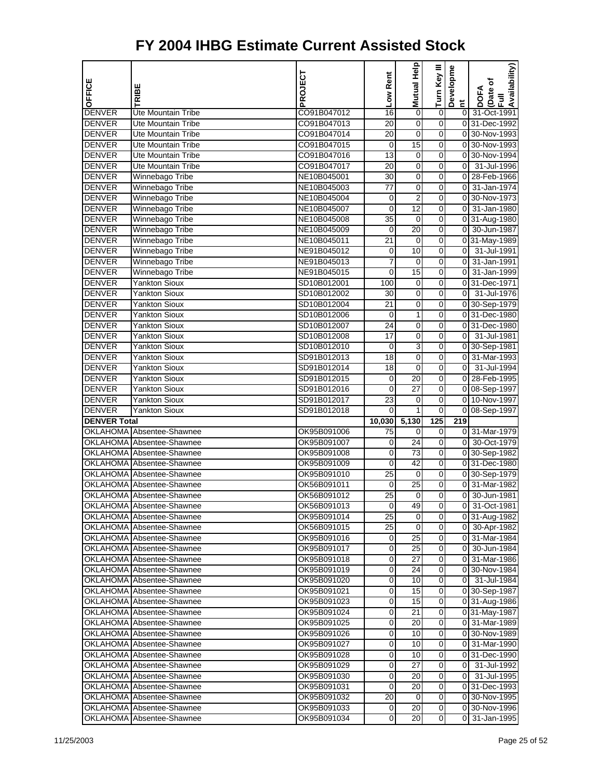| OFFICE              |                                                               | PROJECT                    | Low Rent             | <b>Mutual Help</b> | Turn Key III     | Developme      | Availability)<br>(Date of      |
|---------------------|---------------------------------------------------------------|----------------------------|----------------------|--------------------|------------------|----------------|--------------------------------|
|                     | TRIBE                                                         |                            |                      |                    |                  | $\tilde{a}$    | <b>DOFA</b><br>$\bar{z}$       |
| <b>DENVER</b>       | <b>Ute Mountain Tribe</b>                                     | CO91B047012                | 16                   | 0                  | $\pmb{0}$        | $\overline{0}$ | 31-Oct-1991                    |
| <b>DENVER</b>       | Ute Mountain Tribe                                            | CO91B047013                | 20                   | $\mathbf 0$        | $\mathbf 0$      |                | 0 31-Dec-1992                  |
| <b>DENVER</b>       | <b>Ute Mountain Tribe</b>                                     | CO91B047014                | 20                   | $\mathbf 0$        | 0                |                | 0 30-Nov-1993                  |
| <b>DENVER</b>       | <b>Ute Mountain Tribe</b>                                     | CO91B047015                | $\mathbf 0$          | 15                 | 0                |                | 0 30-Nov-1993                  |
| <b>DENVER</b>       | Ute Mountain Tribe                                            | CO91B047016                | 13                   | 0                  | 0                | 0              | 30-Nov-1994                    |
| <b>DENVER</b>       | Ute Mountain Tribe                                            | CO91B047017                | 20                   | $\mathbf 0$        | 0                | $\mathbf 0$    | 31-Jul-1996                    |
| <b>DENVER</b>       | Winnebago Tribe                                               | NE10B045001                | 30                   | $\mathbf 0$        | 0                |                | 0 28-Feb-1966                  |
| <b>DENVER</b>       | Winnebago Tribe                                               | NE10B045003                | 77                   | 0                  | 0                | $\overline{0}$ | 31-Jan-1974                    |
| <b>DENVER</b>       | Winnebago Tribe                                               | NE10B045004                | $\mathbf 0$          | $\overline{2}$     | 0                |                | 0 30-Nov-1973                  |
| <b>DENVER</b>       | Winnebago Tribe                                               | NE10B045007                | 0                    | 12                 | 0                | $\overline{0}$ | 31-Jan-1980                    |
| <b>DENVER</b>       | Winnebago Tribe                                               | NE10B045008                | 35                   | 0                  | 0                |                | 0 31-Aug-1980                  |
| <b>DENVER</b>       | Winnebago Tribe                                               | NE10B045009                | 0                    | $\overline{20}$    | 0                | $\overline{0}$ | 30-Jun-1987                    |
| <b>DENVER</b>       | Winnebago Tribe                                               | NE10B045011                | 21                   | $\mathbf 0$        | 0                |                | 0 31-May-1989                  |
| <b>DENVER</b>       | Winnebago Tribe                                               | NE91B045012                | $\mathbf 0$          | 10                 | 0                | οI             | 31-Jul-1991                    |
| <b>DENVER</b>       | Winnebago Tribe                                               | NE91B045013                | 7                    | 0                  | 0                | 0              | 31-Jan-1991                    |
| <b>DENVER</b>       | Winnebago Tribe                                               | NE91B045015                | 0                    | 15                 | 0                | $\overline{0}$ | 31-Jan-1999                    |
| <b>DENVER</b>       | <b>Yankton Sioux</b>                                          | SD10B012001                | 100                  | $\mathbf 0$        | 0                |                | 0 31-Dec-1971                  |
| <b>DENVER</b>       | <b>Yankton Sioux</b>                                          | SD10B012002                | 30                   | 0                  | 0                | $\overline{0}$ | 31-Jul-1976                    |
| <b>DENVER</b>       | <b>Yankton Sioux</b>                                          | SD10B012004                | $\overline{21}$      | 0                  | 0                |                | 0 30-Sep-1979                  |
| <b>DENVER</b>       | Yankton Sioux                                                 | SD10B012006                | 0                    | 1                  | 0                |                | 0 31-Dec-1980                  |
| <b>DENVER</b>       | <b>Yankton Sioux</b>                                          | SD10B012007                | 24                   | $\mathbf 0$        | 0                |                | 0 31-Dec-1980                  |
| <b>DENVER</b>       | <b>Yankton Sioux</b>                                          | SD10B012008                | 17                   | $\mathbf 0$        | 0                | $\overline{0}$ | 31-Jul-1981                    |
| <b>DENVER</b>       | <b>Yankton Sioux</b>                                          | SD10B012010                | 0                    | 3                  | 0                |                | 0 30-Sep-1981                  |
| <b>DENVER</b>       | <b>Yankton Sioux</b>                                          | SD91B012013                | $\overline{18}$      | 0                  | 0                |                | 0 31-Mar-1993                  |
| <b>DENVER</b>       | <b>Yankton Sioux</b>                                          | SD91B012014                | 18                   | 0                  | 0                | $\overline{0}$ | 31-Jul-1994                    |
| <b>DENVER</b>       | <b>Yankton Sioux</b>                                          | SD91B012015                | 0                    | 20                 | 0                | 0              | 28-Feb-1995                    |
| <b>DENVER</b>       | <b>Yankton Sioux</b>                                          | SD91B012016                | 0                    | $\overline{27}$    | 0                |                | 0 08-Sep-1997                  |
| <b>DENVER</b>       | <b>Yankton Sioux</b>                                          | SD91B012017                | 23                   | 0                  | 0                | 0              | 10-Nov-1997                    |
| <b>DENVER</b>       | <b>Yankton Sioux</b>                                          | SD91B012018                | 0                    | 1                  | 0                | 0              | 08-Sep-1997                    |
| <b>DENVER Total</b> |                                                               |                            | 10,030               | 5,130              | 125              | 219            |                                |
|                     | OKLAHOMA Absentee-Shawnee                                     | OK95B091006                | 75                   | 0                  | 0                |                | 0 31-Mar-1979                  |
|                     | OKLAHOMA Absentee-Shawnee                                     | OK95B091007                | 0                    | 24                 | 0                | $\overline{0}$ | 30-Oct-1979                    |
|                     | OKLAHOMA Absentee-Shawnee                                     | OK95B091008                | 0                    | 73                 | 0                |                | 0 30-Sep-1982                  |
|                     | <b>OKLAHOMA</b> Absentee-Shawnee                              | OK95B091009                | 0                    | 42                 | 0                |                | 0 31-Dec-1980                  |
|                     | OKLAHOMA Absentee-Shawnee                                     | OK95B091010                | 25                   | 0                  | 0                |                | 0 30-Sep-1979                  |
|                     | OKLAHOMA Absentee-Shawnee                                     | OK56B091011                | 0                    | 25                 | 0                | $\overline{0}$ | 31-Mar-1982                    |
|                     | OKLAHOMA Absentee-Shawnee                                     | OK56B091012                | 25                   | $\mathbf 0$        | 0                | $\mathbf 0$    | 30-Jun-1981                    |
|                     | OKLAHOMA Absentee-Shawnee<br><b>OKLAHOMA</b> Absentee-Shawnee | OK56B091013                | 0<br>$\overline{25}$ | 49<br>0            | 0<br>0           |                | 0 31-Oct-1981<br>0 31-Aug-1982 |
|                     |                                                               | OK95B091014                |                      | 0                  | $\mathbf 0$      |                | 0 30-Apr-1982                  |
|                     | OKLAHOMA Absentee-Shawnee<br>OKLAHOMA Absentee-Shawnee        | OK56B091015<br>OK95B091016 | 25<br>0              | 25                 | $\mathbf 0$      |                | 0 31-Mar-1984                  |
|                     | OKLAHOMA Absentee-Shawnee                                     | OK95B091017                | 0                    | 25                 | 0                |                | 0 30-Jun-1984                  |
|                     | OKLAHOMA Absentee-Shawnee                                     | OK95B091018                | 0                    | 27                 | 0                |                | 0 31-Mar-1986                  |
|                     | OKLAHOMA Absentee-Shawnee                                     | OK95B091019                | 0                    | 24                 | 0                |                | 0 30-Nov-1984                  |
|                     | OKLAHOMA Absentee-Shawnee                                     | OK95B091020                | 0                    | 10                 | 0                |                | 0 31-Jul-1984                  |
|                     | OKLAHOMA Absentee-Shawnee                                     | OK95B091021                | 0                    | 15                 | 0                |                | 0 30-Sep-1987                  |
|                     | OKLAHOMA Absentee-Shawnee                                     | OK95B091023                | 0                    | 15                 | 0                |                | 0 31-Aug-1986                  |
|                     | OKLAHOMA Absentee-Shawnee                                     | OK95B091024                | 0                    | 21                 | 0                |                | 0 31-May-1987                  |
|                     | <b>OKLAHOMA</b> Absentee-Shawnee                              | OK95B091025                | 0                    | 20                 | 0                |                | 0 31-Mar-1989                  |
|                     | OKLAHOMA Absentee-Shawnee                                     | OK95B091026                | 0                    | 10                 | 0                |                | 0 30-Nov-1989                  |
|                     | OKLAHOMA Absentee-Shawnee                                     | OK95B091027                | 0                    | 10                 | $\mathbf 0$      |                | 0 31-Mar-1990                  |
|                     | OKLAHOMA Absentee-Shawnee                                     | OK95B091028                | 0                    | 10                 | 0                |                | 0 31-Dec-1990                  |
|                     | OKLAHOMA Absentee-Shawnee                                     | OK95B091029                | 0                    | 27                 | 0                |                | 0 31-Jul-1992                  |
|                     | OKLAHOMA Absentee-Shawnee                                     | OK95B091030                | 0                    | 20                 | 0                |                | 0 31-Jul-1995                  |
|                     | OKLAHOMA Absentee-Shawnee                                     | OK95B091031                | 0                    | 20                 | 0                |                | 031-Dec-1993                   |
|                     | OKLAHOMA Absentee-Shawnee                                     | OK95B091032                | 20                   | 0                  | $\boldsymbol{0}$ |                | 0 30-Nov-1995                  |
|                     | OKLAHOMA Absentee-Shawnee                                     | OK95B091033                | 0                    | 20                 | 0                |                | 0 30-Nov-1996                  |
| <b>OKLAHOMA</b>     | Absentee-Shawnee                                              | OK95B091034                | 0                    | 20                 | $\overline{0}$   | 01             | 31-Jan-1995                    |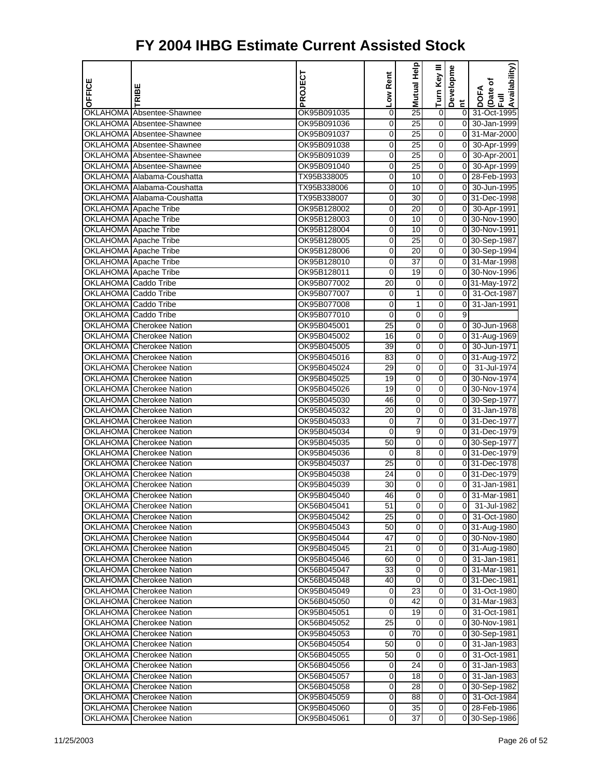| OFFICE               | TRIBE                                                  | PROJECT                    | Low Rent | Help<br>Mutual  | Turn Key III     | Developme                        | Availability)<br>Date of<br><b>DOFA</b> |
|----------------------|--------------------------------------------------------|----------------------------|----------|-----------------|------------------|----------------------------------|-----------------------------------------|
|                      |                                                        |                            |          |                 |                  | Ĕ                                | Ē                                       |
|                      | OKLAHOMA Absentee-Shawnee                              | OK95B091035                | 0        | 25              | 0                | $\overline{0}$                   | 31-Oct-1995                             |
|                      | OKLAHOMA Absentee-Shawnee                              | OK95B091036                | 0        | $\overline{25}$ | $\boldsymbol{0}$ | $\overline{0}$                   | 30-Jan-1999                             |
|                      | OKLAHOMA Absentee-Shawnee                              | OK95B091037                | 0        | 25              | 0                | $\overline{0}$<br>$\overline{0}$ | 31-Mar-2000                             |
|                      | OKLAHOMA Absentee-Shawnee<br>OKLAHOMA Absentee-Shawnee | OK95B091038<br>OK95B091039 | 0<br>0   | 25<br>25        | 0<br>0           | $\overline{0}$                   | 30-Apr-1999<br>30-Apr-2001              |
|                      | OKLAHOMA Absentee-Shawnee                              | OK95B091040                | 0        | 25              | 0                | $\overline{0}$                   | 30-Apr-1999                             |
|                      | OKLAHOMA Alabama-Coushatta                             | TX95B338005                | 0        | 10              | 0                |                                  | 0 28-Feb-1993                           |
|                      | OKLAHOMA Alabama-Coushatta                             | TX95B338006                | 0        | 10              | 0                | $\overline{0}$                   | 30-Jun-1995                             |
|                      | OKLAHOMA Alabama-Coushatta                             | TX95B338007                | 0        | 30              | 0                |                                  | 0 31-Dec-1998                           |
|                      | OKLAHOMA Apache Tribe                                  | OK95B128002                | 0        | 20              | 0                | $\overline{0}$                   | 30-Apr-1991                             |
|                      | OKLAHOMA Apache Tribe                                  | OK95B128003                | 0        | 10              | 0                |                                  | 0 30-Nov-1990                           |
|                      | <b>OKLAHOMA</b> Apache Tribe                           | OK95B128004                | 0        | 10              | 0                |                                  | 0 30-Nov-1991                           |
|                      | <b>OKLAHOMA</b> Apache Tribe                           | OK95B128005                | 0        | 25              | 0                |                                  | 0 30-Sep-1987                           |
|                      | OKLAHOMA Apache Tribe                                  | OK95B128006                | 0        | 20              | 0                |                                  | 0 30-Sep-1994                           |
|                      | OKLAHOMA Apache Tribe                                  | OK95B128010                | 0        | 37              | 0                |                                  | 0 31-Mar-1998                           |
|                      | OKLAHOMA Apache Tribe                                  | OK95B128011                | 0        | 19              | 0                |                                  | 0 30-Nov-1996                           |
| OKLAHOMA Caddo Tribe |                                                        | OK95B077002                | 20       | 0               | 0                |                                  | 0 31-May-1972                           |
| OKLAHOMA Caddo Tribe |                                                        | OK95B077007                | 0        | 1               | 0                | 0                                | 31-Oct-1987                             |
| OKLAHOMA Caddo Tribe |                                                        | OK95B077008                | 0        | 1               | 0                | $\overline{0}$                   | 31-Jan-1991                             |
| OKLAHOMA Caddo Tribe |                                                        | OK95B077010                | 0        | 0               | 0                | 9                                |                                         |
|                      | <b>OKLAHOMA</b> Cherokee Nation                        | OK95B045001                | 25       | $\mathbf 0$     | 0                | $\overline{0}$                   | 30-Jun-1968                             |
|                      | OKLAHOMA Cherokee Nation                               | OK95B045002                | 16       | 0               | 0                |                                  | $0$ 31-Aug-1969                         |
|                      | OKLAHOMA Cherokee Nation                               | OK95B045005                | 39       | 0               | 0                | $\overline{0}$                   | 30-Jun-1971                             |
|                      | OKLAHOMA Cherokee Nation                               | OK95B045016                | 83       | 0               | 0                |                                  | 0 31-Aug-1972                           |
|                      | OKLAHOMA Cherokee Nation                               | OK95B045024                | 29       | 0               | 0                | $\overline{0}$                   | 31-Jul-1974                             |
|                      | <b>OKLAHOMA</b> Cherokee Nation                        | OK95B045025                | 19       | $\mathbf 0$     | 0                |                                  | 0 30-Nov-1974                           |
|                      | OKLAHOMA Cherokee Nation                               | OK95B045026                | 19       | 0               | 0                |                                  | 0 30-Nov-1974                           |
|                      | OKLAHOMA Cherokee Nation                               | OK95B045030                | 46       | 0               | 0                |                                  | 0 30-Sep-1977                           |
|                      | OKLAHOMA Cherokee Nation                               | OK95B045032                | 20       | 0               | 0                |                                  | 0 31-Jan-1978                           |
|                      | OKLAHOMA Cherokee Nation                               | OK95B045033                | 0        | 7               | 0                |                                  | 0 31-Dec-1977                           |
|                      | <b>OKLAHOMA</b> Cherokee Nation                        | OK95B045034                | 0        | 9               | 0                |                                  | 0 31-Dec-1979                           |
|                      | OKLAHOMA Cherokee Nation                               | OK95B045035                | 50       | 0               | 0                |                                  | 0 30-Sep-1977                           |
|                      | OKLAHOMA Cherokee Nation                               | OK95B045036                | 0        | 8               | 0                |                                  | 0 31-Dec-1979                           |
|                      | OKLAHOMA Cherokee Nation                               | OK95B045037                | 25       | 0               | 0                |                                  | 0 31-Dec-1978                           |
|                      | OKLAHOMA Cherokee Nation                               | OK95B045038                | 24       | 0               | 0                |                                  | 0 31-Dec-1979                           |
|                      | OKLAHOMA Cherokee Nation                               | OK95B045039                | 30       | $\mathbf 0$     | 0                | $\overline{0}$                   | 31-Jan-1981                             |
|                      | OKLAHOMA Cherokee Nation                               | OK95B045040                | 46       | 0               | 0                | 0                                | 31-Mar-1981                             |
|                      | OKLAHOMA Cherokee Nation                               | OK56B045041                | 51       | 0               | 0                |                                  | 0 31-Jul-1982                           |
|                      | <b>OKLAHOMA</b> Cherokee Nation                        | OK95B045042                | 25       | 0               | 0                |                                  | 0 31-Oct-1980                           |
|                      | OKLAHOMA Cherokee Nation                               | OK95B045043                | 50       | 0               | 0                |                                  | 0 31-Aug-1980                           |
|                      | OKLAHOMA Cherokee Nation                               | OK95B045044                | 47       | $\mathbf 0$     | 0                |                                  | 0 30-Nov-1980                           |
|                      | OKLAHOMA Cherokee Nation                               | OK95B045045                | 21       | 0               | 0                |                                  | 0 31-Aug-1980                           |
|                      | OKLAHOMA Cherokee Nation                               | OK95B045046                | 60       | 0               | 0                | 01                               | 31-Jan-1981                             |
|                      | OKLAHOMA Cherokee Nation                               | OK56B045047                | 33       | 0               | 0                |                                  | 0 31-Mar-1981                           |
|                      | OKLAHOMA Cherokee Nation                               | OK56B045048                | 40       | 0               | 0                |                                  | 031-Dec-1981                            |
|                      | OKLAHOMA Cherokee Nation                               | OK95B045049                | 0        | 23              | 0                |                                  | 0 31-Oct-1980                           |
|                      | OKLAHOMA Cherokee Nation                               | OK56B045050                | 0        | 42              | 0                |                                  | 0 31-Mar-1983                           |
|                      | OKLAHOMA Cherokee Nation                               | OK95B045051                | 0        | 19              | 0                | 01                               | 31-Oct-1981                             |
|                      | <b>OKLAHOMA</b> Cherokee Nation                        | OK56B045052                | 25       | 0               | 0                |                                  | 0 30-Nov-1981                           |
|                      | OKLAHOMA Cherokee Nation                               | OK95B045053                | 0        | 70              | 0                |                                  | 0 30-Sep-1981                           |
|                      | OKLAHOMA Cherokee Nation                               | OK56B045054                | 50       | 0               | 0                | 01                               | 31-Jan-1983                             |
|                      | OKLAHOMA Cherokee Nation                               | OK56B045055                | 50       | $\mathbf 0$     | 0                |                                  | 0 31-Oct-1981                           |
|                      | OKLAHOMA Cherokee Nation                               | OK56B045056                | 0        | 24              | 0                | 01                               | 31-Jan-1983                             |
|                      | OKLAHOMA Cherokee Nation                               | OK56B045057                | 0        | 18              | 0                | 01                               | 31-Jan-1983                             |
|                      | OKLAHOMA Cherokee Nation                               | OK56B045058                | 0        | 28              | 0                |                                  | 0 30-Sep-1982                           |
|                      | OKLAHOMA Cherokee Nation                               | OK95B045059                | 0        | 88              | 0                |                                  | 0 31-Oct-1984                           |
| OKLAHOMA             | <b>Cherokee Nation</b>                                 | OK95B045060                | 0        | 35              | 0                |                                  | 0 28-Feb-1986                           |
| <b>OKLAHOMA</b>      | <b>Cherokee Nation</b>                                 | OK95B045061                | 0        | 37              | 0                |                                  | 0 30-Sep-1986                           |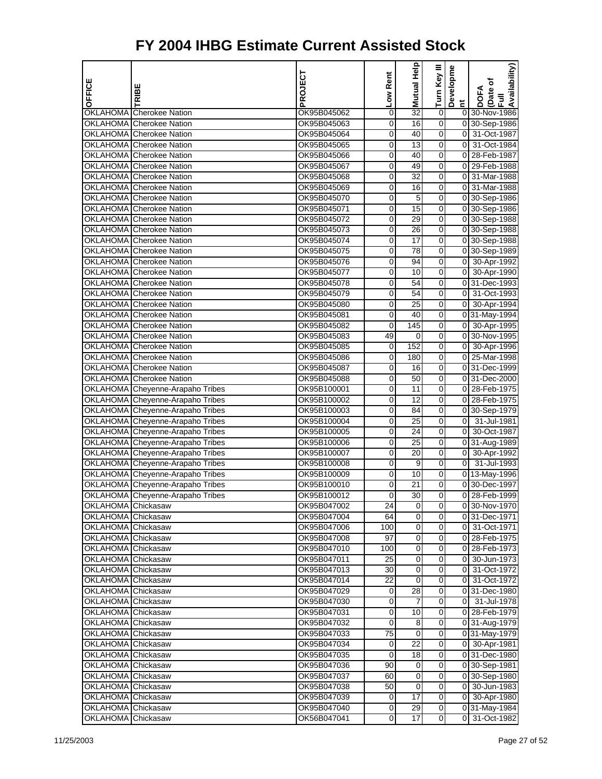| <b>OFFICE</b>                            |                                                             | PROJECT                    | Low Rent              | Mutual Help          | Turn Key III        | Developme      | Availability)<br>Date of<br>Full |
|------------------------------------------|-------------------------------------------------------------|----------------------------|-----------------------|----------------------|---------------------|----------------|----------------------------------|
|                                          | TRIBE                                                       |                            |                       |                      |                     | E.             | <b>DOFA</b>                      |
|                                          | OKLAHOMA Cherokee Nation                                    | OK95B045062                | 0                     | 32                   | 0                   |                | 0 30-Nov-1986                    |
|                                          | OKLAHOMA Cherokee Nation                                    | OK95B045063                | $\mathbf 0$           | 16                   | $\overline{0}$      |                | 0 30-Sep-1986                    |
|                                          | OKLAHOMA Cherokee Nation                                    | OK95B045064                | 0                     | 40                   | 0                   | $\overline{0}$ | 31-Oct-1987                      |
|                                          | OKLAHOMA Cherokee Nation                                    | OK95B045065                | $\overline{0}$        | 13                   | 0                   | $\overline{0}$ | 31-Oct-1984                      |
|                                          | OKLAHOMA Cherokee Nation                                    | OK95B045066                | 0                     | 40                   | 0                   | $\overline{0}$ | 28-Feb-1987                      |
|                                          | OKLAHOMA Cherokee Nation                                    | OK95B045067                | 0                     | 49                   | 0                   | $\overline{0}$ | 29-Feb-1988                      |
|                                          | OKLAHOMA Cherokee Nation                                    | OK95B045068                | $\mathbf 0$           | $\overline{32}$      | $\overline{0}$      |                | 0 31-Mar-1988                    |
|                                          | OKLAHOMA Cherokee Nation                                    | OK95B045069                | 0                     | 16                   | 0                   |                | 0 31-Mar-1988                    |
|                                          | OKLAHOMA Cherokee Nation                                    | OK95B045070                | 0                     | 5                    | 0                   |                | 0 30-Sep-1986                    |
|                                          | OKLAHOMA Cherokee Nation                                    | OK95B045071                | 0                     | 15                   | 0                   |                | 0 30-Sep-1986                    |
|                                          | OKLAHOMA Cherokee Nation                                    | OK95B045072                | 0                     | 29                   | 0                   |                | 0 30-Sep-1988                    |
|                                          | OKLAHOMA Cherokee Nation                                    | OK95B045073                | 0                     | $\overline{26}$      | $\overline{0}$      |                | 0 30-Sep-1988                    |
|                                          | OKLAHOMA Cherokee Nation                                    | OK95B045074<br>OK95B045075 | 0                     | 17<br>78             | 0                   |                | 0 30-Sep-1988                    |
|                                          | OKLAHOMA Cherokee Nation<br><b>OKLAHOMA</b> Cherokee Nation | OK95B045076                | $\overline{0}$        | 94                   | 0                   | $\overline{0}$ | 0 30-Sep-1989                    |
|                                          | OKLAHOMA Cherokee Nation                                    |                            | 0<br>0                | 10                   | 0<br>0              | $\overline{0}$ | 30-Apr-1992<br>30-Apr-1990       |
|                                          | OKLAHOMA Cherokee Nation                                    | OK95B045077<br>OK95B045078 | $\mathbf 0$           | 54                   | 0                   |                | 0 31-Dec-1993                    |
|                                          | OKLAHOMA Cherokee Nation                                    | OK95B045079                | 0                     | 54                   | 0                   | $\overline{0}$ | 31-Oct-1993                      |
|                                          | OKLAHOMA Cherokee Nation                                    | OK95B045080                | 0                     | $\overline{25}$      | 0                   | $\overline{0}$ | 30-Apr-1994                      |
|                                          | OKLAHOMA Cherokee Nation                                    | OK95B045081                | 0                     | 40                   | 0                   |                | 0 31-May-1994                    |
|                                          | OKLAHOMA Cherokee Nation                                    | OK95B045082                | 0                     | 145                  | 0                   |                | 0 30-Apr-1995                    |
|                                          | OKLAHOMA Cherokee Nation                                    | OK95B045083                | 49                    | $\mathbf 0$          | $\overline{0}$      |                | 0 30-Nov-1995                    |
|                                          | OKLAHOMA Cherokee Nation                                    | OK95B045085                | 0                     | 152                  | 0                   | $\overline{0}$ | 30-Apr-1996                      |
|                                          | OKLAHOMA Cherokee Nation                                    | OK95B045086                | 0                     | 180                  | 0                   |                | 0 25-Mar-1998                    |
|                                          | <b>OKLAHOMA</b> Cherokee Nation                             | OK95B045087                | 0                     | 16                   | 0                   |                | 0 31-Dec-1999                    |
|                                          | <b>OKLAHOMA</b> Cherokee Nation                             | OK95B045088                | 0                     | 50                   | 0                   |                | 0 31-Dec-2000                    |
|                                          | OKLAHOMA Cheyenne-Arapaho Tribes                            | OK95B100001                | $\mathbf 0$           | $\overline{11}$      | 0                   |                | 0 28-Feb-1975                    |
|                                          | OKLAHOMA Cheyenne-Arapaho Tribes                            | OK95B100002                | 0                     | 12                   | 0                   |                | 0 28-Feb-1975                    |
|                                          | OKLAHOMA Cheyenne-Arapaho Tribes                            | OK95B100003                | 0                     | 84                   | 0                   |                | 0 30-Sep-1979                    |
|                                          | OKLAHOMA Cheyenne-Arapaho Tribes                            | OK95B100004                | 0                     | 25                   | 0                   | $\overline{0}$ | 31-Jul-1981                      |
|                                          | OKLAHOMA Cheyenne-Arapaho Tribes                            | OK95B100005                | 0                     | 24                   | 0                   | $\overline{0}$ | 30-Oct-1987                      |
|                                          | OKLAHOMA Cheyenne-Arapaho Tribes                            | OK95B100006                | 0                     | 25                   | $\overline{0}$      |                | 0 31-Aug-1989                    |
|                                          | OKLAHOMA Cheyenne-Arapaho Tribes                            | OK95B100007                | 0                     | 20                   | 0                   | 01             | 30-Apr-1992                      |
|                                          | OKLAHOMA Cheyenne-Arapaho Tribes                            | OK95B100008                | $\overline{0}$        | $\overline{9}$       | 0                   | $\overline{0}$ | 31-Jul-1993                      |
|                                          | OKLAHOMA Cheyenne-Arapaho Tribes                            | OK95B100009                | 0                     | 10                   | 0                   |                | 0 13-May-1996                    |
|                                          | OKLAHOMA Cheyenne-Arapaho Tribes                            | OK95B100010                | 0                     | 21                   | 0                   |                | 0 30-Dec-1997                    |
|                                          | OKLAHOMA Cheyenne-Arapaho Tribes                            | OK95B100012                | $\overline{0}$        | $\overline{30}$      | $\overline{0}$      |                | 0 28-Feb-1999                    |
| OKLAHOMA Chickasaw                       |                                                             | OK95B047002                | 24                    | 0                    | 0                   |                | 0 30-Nov-1970                    |
| OKLAHOMA Chickasaw                       |                                                             | OK95B047004                | 64                    | 0                    | 0                   |                | 0 31-Dec-1971                    |
| OKLAHOMA Chickasaw                       |                                                             | OK95B047006                | 100                   | 0                    | 0                   |                | 0 31-Oct-1971                    |
| OKLAHOMA Chickasaw                       |                                                             | OK95B047008                | 97                    | 0                    | 0                   |                | 0 28-Feb-1975                    |
| OKLAHOMA Chickasaw                       |                                                             | OK95B047010                | 100                   | $\overline{0}$       | $\overline{0}$      |                | 0 28-Feb-1973                    |
| OKLAHOMA Chickasaw                       |                                                             | OK95B047011                | 25                    | 0                    | 0                   | 01             | 30-Jun-1973                      |
| OKLAHOMA Chickasaw                       |                                                             | OK95B047013                | 30                    | 0                    | 0                   |                | 0 31-Oct-1972                    |
| OKLAHOMA Chickasaw                       |                                                             | OK95B047014                | 22                    | 0                    | 0                   |                | 0 31-Oct-1972                    |
| OKLAHOMA Chickasaw<br>OKLAHOMA Chickasaw |                                                             | OK95B047029                | 0<br>$\boldsymbol{0}$ | 28<br>$\overline{7}$ | 0<br>$\overline{0}$ |                | 031-Dec-1980<br>$0$ 31-Jul-1978  |
| OKLAHOMA Chickasaw                       |                                                             | OK95B047030<br>OK95B047031 | 0                     | 10                   | 0                   |                | 0 28-Feb-1979                    |
| OKLAHOMA Chickasaw                       |                                                             | OK95B047032                | 0                     | 8                    | 0                   |                | 0 31-Aug-1979                    |
| OKLAHOMA Chickasaw                       |                                                             | OK95B047033                | 75                    | 0                    | 0                   |                | 0 31-May-1979                    |
| OKLAHOMA Chickasaw                       |                                                             | OK95B047034                | 0                     | 22                   | 0                   |                | 0 30-Apr-1981                    |
| OKLAHOMA Chickasaw                       |                                                             | OK95B047035                | $\boldsymbol{0}$      | 18                   | $\overline{0}$      |                | 0 31-Dec-1980                    |
| OKLAHOMA Chickasaw                       |                                                             | OK95B047036                | 90                    | 0                    | 0                   |                | 0 30-Sep-1981                    |
| OKLAHOMA Chickasaw                       |                                                             | OK95B047037                | 60                    | 0                    | 0                   |                | 0 30-Sep-1980                    |
| OKLAHOMA Chickasaw                       |                                                             | OK95B047038                | 50                    | 0                    | 0                   |                | 0 30-Jun-1983                    |
| OKLAHOMA Chickasaw                       |                                                             | OK95B047039                | 0                     | 17                   | 0                   |                | 0 30-Apr-1980                    |
| OKLAHOMA Chickasaw                       |                                                             | OK95B047040                | $\boldsymbol{0}$      | 29                   | $\mathbf 0$         |                | 0 31-May-1984                    |
| OKLAHOMA Chickasaw                       |                                                             | OK56B047041                | 0                     | 17                   | 0                   | $\overline{0}$ | 31-Oct-1982                      |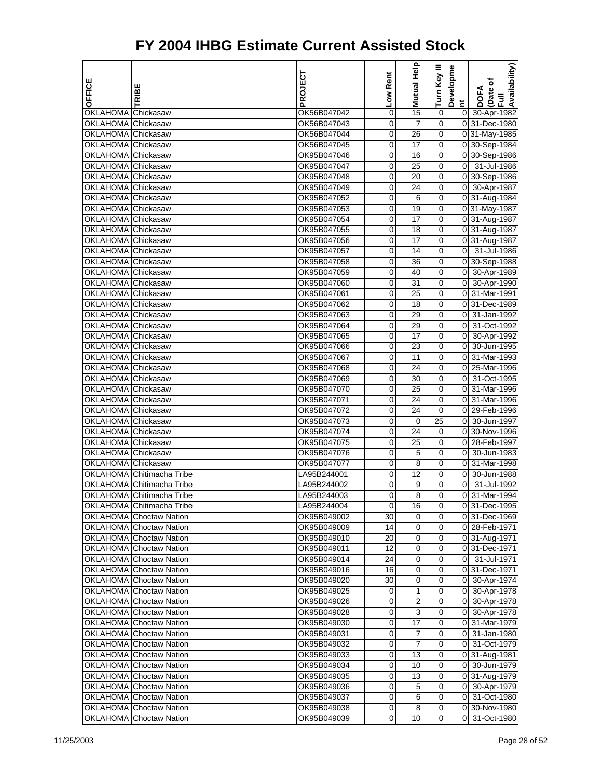| OFFICE             | RIBE                                                        | PROJECT                    | Low Rent | Mutual Help         | Turn Key III        | Developme                        | Availability)<br>(Date of     |
|--------------------|-------------------------------------------------------------|----------------------------|----------|---------------------|---------------------|----------------------------------|-------------------------------|
|                    |                                                             |                            |          |                     |                     | E.                               | <b>DOFA</b><br>昆              |
| OKLAHOMA Chickasaw |                                                             | OK56B047042                | 0        | 15                  | 0                   | 0                                | 30-Apr-1982                   |
| <b>OKLAHOMA</b>    | Chickasaw                                                   | OK56B047043                | 0        | 7                   | 0                   |                                  | 0 31-Dec-1980                 |
| OKLAHOMA Chickasaw |                                                             | OK56B047044                | 0        | 26                  | 0                   |                                  | 0 31-May-1985                 |
| OKLAHOMA Chickasaw |                                                             | OK56B047045                | 0        | 17                  | 0                   |                                  | 0 30-Sep-1984                 |
| OKLAHOMA Chickasaw |                                                             | OK95B047046                | 0        | 16                  | 0                   |                                  | 0 30-Sep-1986                 |
| OKLAHOMA Chickasaw |                                                             | OK95B047047                | 0        | 25                  | $\boldsymbol{0}$    | $\overline{0}$                   | 31-Jul-1986                   |
| OKLAHOMA Chickasaw |                                                             | OK95B047048                | 0        | 20                  | 0                   |                                  | 0 30-Sep-1986                 |
| OKLAHOMA Chickasaw |                                                             | OK95B047049                | 0        | 24                  | 0                   |                                  | 0 30-Apr-1987                 |
| OKLAHOMA Chickasaw |                                                             | OK95B047052                | 0        | 6                   | 0                   |                                  | 0 31-Aug-1984                 |
| OKLAHOMA Chickasaw |                                                             | OK95B047053                | 0        | 19                  | 0                   |                                  | 0 31-May-1987                 |
| OKLAHOMA Chickasaw |                                                             | OK95B047054                | 0        | 17                  | 0                   |                                  | 0 31-Aug-1987                 |
| OKLAHOMA Chickasaw |                                                             | OK95B047055                | 0        | 18                  | 0                   |                                  | 0 31-Aug-1987                 |
| OKLAHOMA Chickasaw |                                                             | OK95B047056                | 0        | 17                  | 0                   |                                  | 0 31-Aug-1987                 |
| OKLAHOMA Chickasaw |                                                             | OK95B047057                | 0        | 14                  | 0                   |                                  | 0 31-Jul-1986                 |
| OKLAHOMA Chickasaw |                                                             | OK95B047058                | 0        | 36                  | 0                   |                                  | 0 30-Sep-1988                 |
| OKLAHOMA Chickasaw |                                                             | OK95B047059                | 0        | 40                  | $\boldsymbol{0}$    |                                  | 0 30-Apr-1989                 |
| OKLAHOMA Chickasaw |                                                             | OK95B047060                | 0        | 31                  | 0                   |                                  | 0 30-Apr-1990                 |
| OKLAHOMA Chickasaw |                                                             | OK95B047061                | 0        | 25                  | 0                   |                                  | 0 31-Mar-1991                 |
| OKLAHOMA Chickasaw |                                                             | OK95B047062                | 0        | 18                  | 0                   |                                  | 0 31-Dec-1989                 |
| OKLAHOMA Chickasaw |                                                             | OK95B047063                | 0        | 29                  | 0                   | 01                               | 31-Jan-1992                   |
| OKLAHOMA Chickasaw |                                                             | OK95B047064                | 0        | 29                  | $\boldsymbol{0}$    | $\overline{0}$                   | 31-Oct-1992                   |
| OKLAHOMA Chickasaw |                                                             | OK95B047065                | 0        | 17                  | 0                   | $\overline{0}$                   | 30-Apr-1992                   |
| OKLAHOMA Chickasaw |                                                             | OK95B047066                | 0        | 23                  | 0                   |                                  | 0 30-Jun-1995                 |
| OKLAHOMA Chickasaw |                                                             | OK95B047067                | 0        | 11                  | 0                   | 01                               | 31-Mar-1993                   |
| OKLAHOMA Chickasaw |                                                             | OK95B047068                | 0        | 24                  | 0                   | 01                               | 25-Mar-1996                   |
| OKLAHOMA Chickasaw |                                                             | OK95B047069                | 0        | 30                  | $\boldsymbol{0}$    | $\overline{0}$                   | 31-Oct-1995                   |
| OKLAHOMA Chickasaw |                                                             | OK95B047070                | 0        | 25                  | 0                   |                                  | 0 31-Mar-1996                 |
| OKLAHOMA Chickasaw |                                                             | OK95B047071                | 0        | 24                  | 0                   |                                  | 0 31-Mar-1996                 |
| OKLAHOMA Chickasaw |                                                             | OK95B047072                | 0        | 24                  | 0                   |                                  | 0 29-Feb-1996                 |
| OKLAHOMA Chickasaw |                                                             | OK95B047073                | 0        | 0                   | 25                  | 01                               | 30-Jun-1997                   |
| OKLAHOMA Chickasaw |                                                             | OK95B047074                | 0        | 24                  | 0                   |                                  | 0 30-Nov-1996                 |
| OKLAHOMA Chickasaw |                                                             | OK95B047075                | 0        | 25                  | 0                   |                                  | 0 28-Feb-1997                 |
| OKLAHOMA Chickasaw |                                                             | OK95B047076<br>OK95B047077 | 0        | 5<br>$\overline{8}$ | 0                   | 01                               | 30-Jun-1983<br>31-Mar-1998    |
| OKLAHOMA Chickasaw |                                                             |                            | 0        |                     | 0                   | 01                               |                               |
|                    | OKLAHOMA Chitimacha Tribe                                   | LA95B244001                | 0        | 12                  | 0                   | 0                                | 30-Jun-1988                   |
|                    | OKLAHOMA Chitimacha Tribe<br>OKLAHOMA Chitimacha Tribe      | LA95B244002<br>LA95B244003 | 0<br>0   | 9<br>8              | 0<br>0              | $\overline{0}$<br>$\overline{0}$ | 31-Jul-1992<br>31-Mar-1994    |
|                    |                                                             |                            |          |                     |                     |                                  |                               |
|                    | OKLAHOMA Chitimacha Tribe<br><b>OKLAHOMA</b> Choctaw Nation | LA95B244004<br>OK95B049002 | 0<br>30  | 16<br>0             | 0<br>$\overline{0}$ |                                  | 031-Dec-1995<br>0 31-Dec-1969 |
|                    | OKLAHOMA Choctaw Nation                                     | OK95B049009                | 14       | 0                   | 0                   |                                  | 0 28-Feb-1971                 |
|                    | <b>OKLAHOMA</b> Choctaw Nation                              | OK95B049010                | 20       | 0                   | $\mathbf 0$         |                                  | 0 31-Aug-1971                 |
|                    | <b>OKLAHOMA</b> Choctaw Nation                              | OK95B049011                | 12       | 0                   | 0                   |                                  | 0 31-Dec-1971                 |
|                    | <b>OKLAHOMA</b> Choctaw Nation                              | OK95B049014                | 24       | 0                   | 0                   |                                  | 0 31-Jul-1971                 |
|                    | OKLAHOMA Choctaw Nation                                     | OK95B049016                | 16       | 0                   | 0                   |                                  | 031-Dec-1971                  |
|                    | OKLAHOMA Choctaw Nation                                     | OK95B049020                | 30       | 0                   | 0                   | $\overline{0}$                   | 30-Apr-1974                   |
|                    | <b>OKLAHOMA</b> Choctaw Nation                              | OK95B049025                | 0        | 1                   | $\mathbf 0$         |                                  | 0 30-Apr-1978                 |
|                    | <b>OKLAHOMA</b> Choctaw Nation                              | OK95B049026                | 0        | $\overline{2}$      | 0                   |                                  | 0 30-Apr-1978                 |
|                    | <b>OKLAHOMA</b> Choctaw Nation                              | OK95B049028                | 0        | 3                   | 0                   |                                  | 0 30-Apr-1978                 |
|                    | OKLAHOMA Choctaw Nation                                     | OK95B049030                | 0        | 17                  | $\overline{0}$      | 01                               | 31-Mar-1979                   |
|                    | OKLAHOMA Choctaw Nation                                     | OK95B049031                | 0        | 7                   | 0                   | 01                               | 31-Jan-1980                   |
|                    | <b>OKLAHOMA</b> Choctaw Nation                              | OK95B049032                | 0        | 7                   | $\overline{0}$      |                                  | 0 31-Oct-1979                 |
|                    | <b>OKLAHOMA</b> Choctaw Nation                              | OK95B049033                | 0        | 13                  | 0                   |                                  | 0 31-Aug-1981                 |
|                    | <b>OKLAHOMA</b> Choctaw Nation                              | OK95B049034                | 0        | 10                  | 0                   | ΟI                               | 30-Jun-1979                   |
|                    | OKLAHOMA Choctaw Nation                                     | OK95B049035                | 0        | $\overline{13}$     | $\overline{0}$      |                                  | 0 31-Aug-1979                 |
|                    | OKLAHOMA Choctaw Nation                                     | OK95B049036                | 0        | 5                   | 0                   | 01                               | 30-Apr-1979                   |
|                    | <b>OKLAHOMA</b> Choctaw Nation                              | OK95B049037                | 0        | 6                   | $\overline{O}$      |                                  | 0 31-Oct-1980                 |
|                    | <b>OKLAHOMA</b> Choctaw Nation                              | OK95B049038                | 0        | 8                   | 0                   |                                  | 0 30-Nov-1980                 |
|                    | <b>OKLAHOMA</b> Choctaw Nation                              | OK95B049039                | 0        | 10                  | $\overline{0}$      |                                  | 0 31-Oct-1980                 |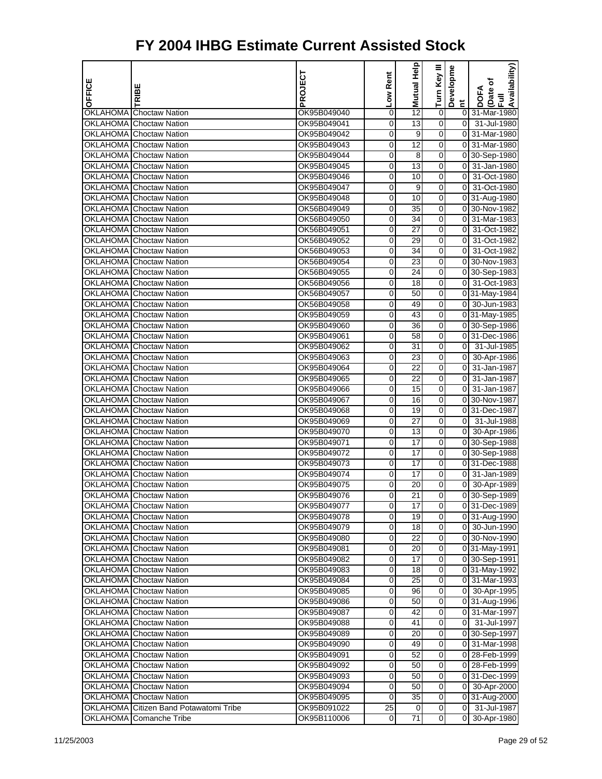| OFFICE          | TRIBE                                                     | PROJECT                    | Low Rent | Help<br>Mutual        | Turn Key III        | Developme      | Availability)<br>(Date of<br>Full<br><b>DOFA</b> |
|-----------------|-----------------------------------------------------------|----------------------------|----------|-----------------------|---------------------|----------------|--------------------------------------------------|
|                 |                                                           |                            |          |                       |                     | $\overline{a}$ |                                                  |
| <b>OKLAHOMA</b> | <b>Choctaw Nation</b>                                     | OK95B049040                | 0        | 12                    | 0                   | 01             | 31-Mar-1980                                      |
|                 | OKLAHOMA Choctaw Nation                                   | OK95B049041                | 0        | 13                    | 0                   | $\overline{0}$ | 31-Jul-1980                                      |
|                 | OKLAHOMA Choctaw Nation                                   | OK95B049042                | 0        | 9                     | 0                   | $\overline{0}$ | 31-Mar-1980                                      |
|                 | OKLAHOMA Choctaw Nation                                   | OK95B049043                | 0        | 12                    | 0                   | 0              | 31-Mar-1980                                      |
|                 | OKLAHOMA Choctaw Nation                                   | OK95B049044                | 0        | 8                     | 0                   | 0              | 30-Sep-1980                                      |
|                 | <b>OKLAHOMA</b> Choctaw Nation                            | OK95B049045                | 0        | 13                    | 0                   | $\overline{0}$ | 31-Jan-1980                                      |
|                 | OKLAHOMA Choctaw Nation                                   | OK95B049046                | 0        | 10                    | 0                   | $\overline{0}$ | 31-Oct-1980                                      |
|                 | <b>OKLAHOMA Choctaw Nation</b>                            | OK95B049047                | 0        | 9                     | 0                   | $\overline{0}$ | 31-Oct-1980                                      |
|                 | <b>OKLAHOMA</b> Choctaw Nation                            | OK95B049048                | 0        | 10                    | 0                   |                | 0 31-Aug-1980                                    |
|                 | OKLAHOMA Choctaw Nation                                   | OK56B049049                | 0        | 35                    | 0                   |                | 0 30-Nov-1982                                    |
|                 | <b>OKLAHOMA</b> Choctaw Nation                            | OK56B049050                | 0        | 34                    | 0                   | $\overline{0}$ | 31-Mar-1983                                      |
|                 | OKLAHOMA Choctaw Nation                                   | OK56B049051                | 0        | 27                    | 0                   | $\overline{0}$ | 31-Oct-1982                                      |
|                 | <b>OKLAHOMA</b> Choctaw Nation                            | OK56B049052                | 0        | 29                    | 0                   | $\overline{0}$ | 31-Oct-1982                                      |
|                 | OKLAHOMA Choctaw Nation                                   | OK56B049053                | 0        | 34                    | 0                   | $\overline{0}$ | 31-Oct-1982                                      |
|                 | OKLAHOMA Choctaw Nation                                   | OK56B049054                | 0        | 23                    | 0                   | 0              | 30-Nov-1983                                      |
|                 | <b>OKLAHOMA</b> Choctaw Nation                            | OK56B049055                | 0        | 24                    | 0                   |                | 0 30-Sep-1983                                    |
|                 | OKLAHOMA Choctaw Nation                                   | OK56B049056                | 0        | 18                    | 0                   | 01             | 31-Oct-1983                                      |
|                 | <b>OKLAHOMA Choctaw Nation</b>                            | OK56B049057                | 0        | 50                    | 0                   |                | 0 31-May-1984                                    |
|                 | <b>OKLAHOMA</b> Choctaw Nation                            | OK56B049058                | 0        | 49                    | 0                   |                | 0 30-Jun-1983                                    |
|                 | <b>OKLAHOMA</b> Choctaw Nation                            | OK95B049059                | 0        | 43                    | 0                   |                | 0 31-May-1985                                    |
|                 | <b>OKLAHOMA</b> Choctaw Nation                            | OK95B049060                | 0        | 36                    | 0                   |                | 0 30-Sep-1986                                    |
|                 | OKLAHOMA Choctaw Nation                                   | OK95B049061                | 0        | 58                    | 0                   |                | 0 31-Dec-1986                                    |
|                 | OKLAHOMA Choctaw Nation                                   | OK95B049062                | 0        | 31                    | 0                   | $\overline{0}$ | 31-Jul-1985                                      |
|                 | OKLAHOMA Choctaw Nation                                   | OK95B049063                | 0        | 23                    | 0                   | $\overline{0}$ | 30-Apr-1986                                      |
|                 | OKLAHOMA Choctaw Nation                                   | OK95B049064                | 0        | 22                    | 0                   | $\overline{0}$ | 31-Jan-1987                                      |
|                 | <b>OKLAHOMA</b> Choctaw Nation                            | OK95B049065                | 0        | 22                    | 0                   | $\mathbf 0$    | 31-Jan-1987                                      |
|                 | OKLAHOMA Choctaw Nation                                   | OK95B049066                | 0        | 15                    | 0                   | 0              | 31-Jan-1987                                      |
|                 | <b>OKLAHOMA</b> Choctaw Nation                            | OK95B049067                | 0        | 16                    | 0                   |                | 0 30-Nov-1987                                    |
|                 | <b>OKLAHOMA</b> Choctaw Nation                            | OK95B049068                | 0        | 19                    | 0                   |                | 0 31-Dec-1987                                    |
|                 | <b>OKLAHOMA</b> Choctaw Nation                            | OK95B049069                | 0        | 27                    | 0                   | 0              | 31-Jul-1988                                      |
|                 | <b>OKLAHOMA</b> Choctaw Nation                            | OK95B049070                | 0        | 13                    | 0                   | $\overline{0}$ | 30-Apr-1986                                      |
|                 | OKLAHOMA Choctaw Nation                                   | OK95B049071                | 0        | 17                    | 0                   |                | 0 30-Sep-1988                                    |
|                 | <b>OKLAHOMA</b> Choctaw Nation                            | OK95B049072                | 0        | 17                    | 0<br>0              |                | 0 30-Sep-1988                                    |
|                 | OKLAHOMA Choctaw Nation                                   | OK95B049073                | 0        | 17                    |                     | $\overline{0}$ | 0 31-Dec-1988                                    |
|                 | OKLAHOMA Choctaw Nation                                   | OK95B049074                | 0        | 17                    | 0                   |                | 31-Jan-1989                                      |
|                 | <b>OKLAHOMA</b> Choctaw Nation<br>OKLAHOMA Choctaw Nation | OK95B049075                | 0        | 20<br>$\overline{21}$ | 0<br>0              | $\overline{0}$ | 30-Apr-1989                                      |
|                 |                                                           | OK95B049076                | 0        |                       |                     |                | 0 30-Sep-1989                                    |
|                 | OKLAHOMA Choctaw Nation<br>OKLAHOMA Choctaw Nation        | OK95B049077                | 0<br>0   | 17<br>19              | 0<br>0              |                | 0 31-Dec-1989                                    |
|                 | OKLAHOMA Choctaw Nation                                   | OK95B049078                |          | 18                    | 0                   |                | 0 31-Aug-1990                                    |
|                 | <b>OKLAHOMA Choctaw Nation</b>                            | OK95B049079<br>OK95B049080 | 0<br>0   | 22                    | 0                   |                | 0 30-Jun-1990<br>0 30-Nov-1990                   |
|                 | OKLAHOMA Choctaw Nation                                   |                            | 0        | 20                    | $\overline{0}$      |                | $\overline{0 31}$ -May-1991                      |
|                 | OKLAHOMA Choctaw Nation                                   | OK95B049081<br>OK95B049082 | 0        | 17                    | 0                   |                | 0 30-Sep-1991                                    |
|                 | OKLAHOMA Choctaw Nation                                   | OK95B049083                | 0        | 18                    | 0                   |                | 0 31-May-1992                                    |
|                 | OKLAHOMA Choctaw Nation                                   | OK95B049084                | 0        | 25                    | 0                   |                | 0 31-Mar-1993                                    |
|                 | OKLAHOMA Choctaw Nation                                   | OK95B049085                | 0        | 96                    | 0                   |                | 0 30-Apr-1995                                    |
|                 | OKLAHOMA Choctaw Nation                                   | OK95B049086                | 0        | 50                    | $\overline{0}$      |                | 0 31-Aug-1996                                    |
|                 | <b>OKLAHOMA</b> Choctaw Nation                            | OK95B049087                | 0        | 42                    | 0                   |                | 0 31-Mar-1997                                    |
|                 | OKLAHOMA Choctaw Nation                                   | OK95B049088                | 0        | 41                    | 0                   |                | 0 31-Jul-1997                                    |
|                 | OKLAHOMA Choctaw Nation                                   | OK95B049089                | 0        | 20                    | 0                   |                | 0 30-Sep-1997                                    |
|                 | OKLAHOMA Choctaw Nation                                   | OK95B049090                | 0        | 49                    | 0                   |                | 0 31-Mar-1998                                    |
|                 | OKLAHOMA Choctaw Nation                                   | OK95B049091                | 0        | 52                    | 0                   |                | 0 28-Feb-1999                                    |
|                 | OKLAHOMA Choctaw Nation                                   | OK95B049092                | 0        | 50                    | 0                   |                | 0 28-Feb-1999                                    |
|                 | OKLAHOMA Choctaw Nation                                   | OK95B049093                | 0        | 50                    | 0                   |                | 0 31-Dec-1999                                    |
|                 | OKLAHOMA Choctaw Nation                                   | OK95B049094                | 0        | 50                    | 0                   | $\overline{0}$ | 30-Apr-2000                                      |
|                 | <b>OKLAHOMA Choctaw Nation</b>                            | OK95B049095                | 0        | 35                    | 0                   |                | 0 31-Aug-2000                                    |
|                 | OKLAHOMA Citizen Band Potawatomi Tribe                    | OK95B091022                | 25       | 0                     | 0                   |                | 0 31-Jul-1987                                    |
|                 | OKLAHOMA Comanche Tribe                                   | OK95B110006                | 0        | 71                    | $\mathsf{O}\xspace$ | 0              | 30-Apr-1980                                      |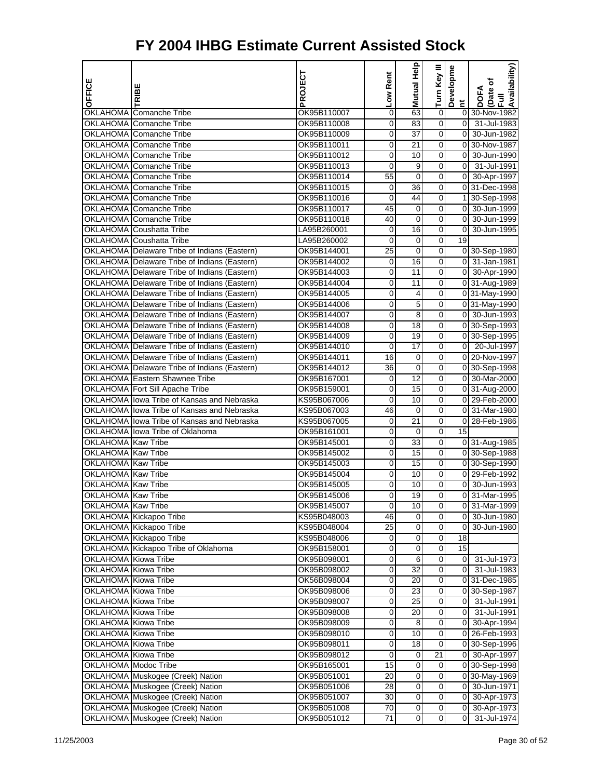| OFFICE                      | TRIBE                                              | PROJECT                    | Low Rent | Help<br>Mutual             | Turn Key III               | Developme                        | Availability)<br>(Date of<br>Full<br><b>DOFA</b> |
|-----------------------------|----------------------------------------------------|----------------------------|----------|----------------------------|----------------------------|----------------------------------|--------------------------------------------------|
|                             |                                                    |                            |          |                            |                            | $\sharp$                         |                                                  |
|                             | OKLAHOMA Comanche Tribe                            | OK95B110007                | 0        | 63                         | $\pmb{0}$                  |                                  | 0 30-Nov-1982                                    |
|                             | OKLAHOMA Comanche Tribe                            | OK95B110008                | 0        | 83                         | 0<br>0                     | $\overline{0}$<br>$\overline{0}$ | 31-Jul-1983                                      |
|                             | OKLAHOMA Comanche Tribe<br>OKLAHOMA Comanche Tribe | OK95B110009<br>OK95B110011 | 0<br>0   | 37<br>21                   | 0                          | $\overline{0}$                   | 30-Jun-1982<br>30-Nov-1987                       |
|                             | OKLAHOMA Comanche Tribe                            | OK95B110012                | 0        | 10                         | 0                          | $\overline{0}$                   | 30-Jun-1990                                      |
|                             | OKLAHOMA Comanche Tribe                            | OK95B110013                | 0        | 9                          | 0                          | $\overline{0}$                   | 31-Jul-1991                                      |
|                             | OKLAHOMA Comanche Tribe                            | OK95B110014                | 55       | $\mathbf 0$                | 0                          |                                  | 0 30-Apr-1997                                    |
|                             | OKLAHOMA Comanche Tribe                            | OK95B110015                | 0        | 36                         | 0                          |                                  | 0 31-Dec-1998                                    |
|                             | <b>OKLAHOMA</b> Comanche Tribe                     | OK95B110016                | 0        | 44                         | 0                          |                                  | 1 30-Sep-1998                                    |
|                             | OKLAHOMA Comanche Tribe                            | OK95B110017                | 45       | 0                          | 0                          | 0                                | 30-Jun-1999                                      |
|                             | <b>OKLAHOMA</b> Comanche Tribe                     | OK95B110018                | 40       | $\mathbf 0$                | 0                          | $\overline{0}$                   | 30-Jun-1999                                      |
|                             | OKLAHOMA Coushatta Tribe                           | LA95B260001                | 0        | 16                         | 0                          | $\overline{0}$                   | 30-Jun-1995                                      |
|                             | OKLAHOMA Coushatta Tribe                           | LA95B260002                | 0        | 0                          | 0                          | 19                               |                                                  |
|                             | OKLAHOMA Delaware Tribe of Indians (Eastern)       | OK95B144001                | 25       | 0                          | 0                          |                                  | 0 30-Sep-1980                                    |
|                             | OKLAHOMA Delaware Tribe of Indians (Eastern)       | OK95B144002                | 0        | 16                         | 0                          | 01                               | 31-Jan-1981                                      |
|                             | OKLAHOMA Delaware Tribe of Indians (Eastern)       | OK95B144003                | 0        | 11                         | 0                          |                                  | 0 30-Apr-1990                                    |
|                             | OKLAHOMA Delaware Tribe of Indians (Eastern)       | OK95B144004                | 0        | 11                         | 0                          |                                  | 0 31-Aug-1989                                    |
|                             | OKLAHOMA Delaware Tribe of Indians (Eastern)       | OK95B144005                | 0        | 4                          | 0                          |                                  | 0 31-May-1990                                    |
|                             | OKLAHOMA Delaware Tribe of Indians (Eastern)       | OK95B144006                | 0        | 5                          | 0                          |                                  | 0 31-May-1990                                    |
|                             | OKLAHOMA Delaware Tribe of Indians (Eastern)       | OK95B144007                | 0        | 8                          | 0                          |                                  | 0 30-Jun-1993                                    |
|                             | OKLAHOMA Delaware Tribe of Indians (Eastern)       | OK95B144008                | 0        | 18                         | 0                          |                                  | 0 30-Sep-1993                                    |
|                             | OKLAHOMA Delaware Tribe of Indians (Eastern)       | OK95B144009                | 0        | 19                         | 0                          |                                  | 0 30-Sep-1995                                    |
|                             | OKLAHOMA Delaware Tribe of Indians (Eastern)       | OK95B144010                | 0        | 17                         | 0                          |                                  | 0 20-Jul-1997                                    |
|                             | OKLAHOMA Delaware Tribe of Indians (Eastern)       | OK95B144011                | 16       | 0                          | 0                          |                                  | 0 20-Nov-1997                                    |
|                             | OKLAHOMA Delaware Tribe of Indians (Eastern)       | OK95B144012                | 36       | 0                          | 0                          |                                  | 0 30-Sep-1998                                    |
|                             | <b>OKLAHOMA Eastern Shawnee Tribe</b>              | OK95B167001                | 0        | 12                         | 0                          |                                  | 0 30-Mar-2000                                    |
|                             | OKLAHOMA Fort Sill Apache Tribe                    | OK95B159001                | 0        | 15                         | 0                          |                                  | 0 31-Aug-2000                                    |
|                             | OKLAHOMA lowa Tribe of Kansas and Nebraska         | KS95B067006                | 0        | 10                         | 0                          |                                  | 0 29-Feb-2000                                    |
|                             | OKLAHOMA lowa Tribe of Kansas and Nebraska         | KS95B067003                | 46       | 0                          | 0                          |                                  | 0 31-Mar-1980                                    |
|                             | OKLAHOMA lowa Tribe of Kansas and Nebraska         | KS95B067005                | 0        | 21                         | 0                          | $\overline{0}$                   | 28-Feb-1986                                      |
|                             | OKLAHOMA Ilowa Tribe of Oklahoma                   | OK95B161001                | 0        | 0                          | 0                          | 15                               |                                                  |
| OKLAHOMA Kaw Tribe          |                                                    | OK95B145001                | 0        | 33                         | 0                          |                                  | 0 31-Aug-1985                                    |
| OKLAHOMA Kaw Tribe          |                                                    | OK95B145002                | 0        | 15                         | 0                          |                                  | 0 30-Sep-1988                                    |
| OKLAHOMA Kaw Tribe          |                                                    | OK95B145003                | 0        | 15                         | 0                          |                                  | 0 30-Sep-1990                                    |
| OKLAHOMA Kaw Tribe          |                                                    | OK95B145004                | 0        | 10                         | 0                          |                                  | 0 29-Feb-1992                                    |
| OKLAHOMA Kaw Tribe          |                                                    | OK95B145005                | 0        | 10                         | 0                          | $\overline{0}$                   | 30-Jun-1993                                      |
| OKLAHOMA Kaw Tribe          |                                                    | OK95B145006                | 0        | 19                         | 0                          | 01                               | 31-Mar-1995                                      |
| OKLAHOMA Kaw Tribe          |                                                    | OK95B145007                | 0        | 10                         | 0                          |                                  | 0 31-Mar-1999                                    |
|                             | OKLAHOMA Kickapoo Tribe                            | KS95B048003                | 46       | 0                          | 0                          | $\overline{0}$                   | 30-Jun-1980                                      |
|                             | OKLAHOMA Kickapoo Tribe                            | KS95B048004                | 25       | 0                          | 0                          | 0                                | 30-Jun-1980                                      |
|                             | OKLAHOMA Kickapoo Tribe                            | KS95B048006                | 0        | $\mathbf 0$                | $\boldsymbol{0}$           | 18                               |                                                  |
|                             | OKLAHOMA Kickapoo Tribe of Oklahoma                | OK95B158001                | 0        | $\mathbf 0$                | $\mathbf 0$                | 15                               |                                                  |
| OKLAHOMA Kiowa Tribe        |                                                    | OK95B098001                | 0        | 6                          | 0                          | $\overline{0}$                   | 31-Jul-1973                                      |
| OKLAHOMA Kiowa Tribe        |                                                    | OK95B098002                | 0        | 32                         | 0                          | 01                               | 31-Jul-1983                                      |
| OKLAHOMA Kiowa Tribe        |                                                    | OK56B098004                | 0        | 20                         | 0                          |                                  | 0 31-Dec-1985                                    |
| OKLAHOMA Kiowa Tribe        |                                                    | OK95B098006                | 0        | 23                         | 0                          |                                  | 0 30-Sep-1987                                    |
| OKLAHOMA Kiowa Tribe        |                                                    | OK95B098007                | 0        | 25                         | $\mathbf 0$                | $\overline{0}$                   | 31-Jul-1991                                      |
| <b>OKLAHOMA</b> Kiowa Tribe |                                                    | OK95B098008                | 0        | 20                         | 0                          | οI                               | 31-Jul-1991                                      |
| OKLAHOMA Kiowa Tribe        |                                                    | OK95B098009                | 0        | 8                          | 0                          | 0                                | 30-Apr-1994                                      |
| OKLAHOMA Kiowa Tribe        |                                                    | OK95B098010                | 0        | 10                         | 0                          | 0                                | 26-Feb-1993                                      |
| OKLAHOMA Kiowa Tribe        |                                                    | OK95B098011                | 0        | 18                         | $\boldsymbol{0}$           |                                  | 0 30-Sep-1996                                    |
| OKLAHOMA Kiowa Tribe        |                                                    | OK95B098012                | 0        | 0                          | 21                         |                                  | 0 30-Apr-1997                                    |
| OKLAHOMA Modoc Tribe        |                                                    | OK95B165001                | 15       | 0                          | 0                          |                                  | 0 30-Sep-1998                                    |
|                             | OKLAHOMA Muskogee (Creek) Nation                   | OK95B051001                | 20       | 0                          | 0                          |                                  | 0 30-May-1969                                    |
|                             | OKLAHOMA Muskogee (Creek) Nation                   | OK95B051006                | 28       | 0                          | 0                          | 01                               | 30-Jun-1971                                      |
|                             | OKLAHOMA Muskogee (Creek) Nation                   | OK95B051007                | 30       | $\mathbf 0$                | $\boldsymbol{0}$           | 0                                | 30-Apr-1973                                      |
|                             | OKLAHOMA Muskogee (Creek) Nation                   | OK95B051008                | 70       | $\mathbf 0$<br>$\mathbf 0$ | $\mathbf 0$<br>$\mathbf 0$ | 0<br>$\overline{0}$              | 30-Apr-1973                                      |
|                             | OKLAHOMA Muskogee (Creek) Nation                   | OK95B051012                | 71       |                            |                            |                                  | 31-Jul-1974                                      |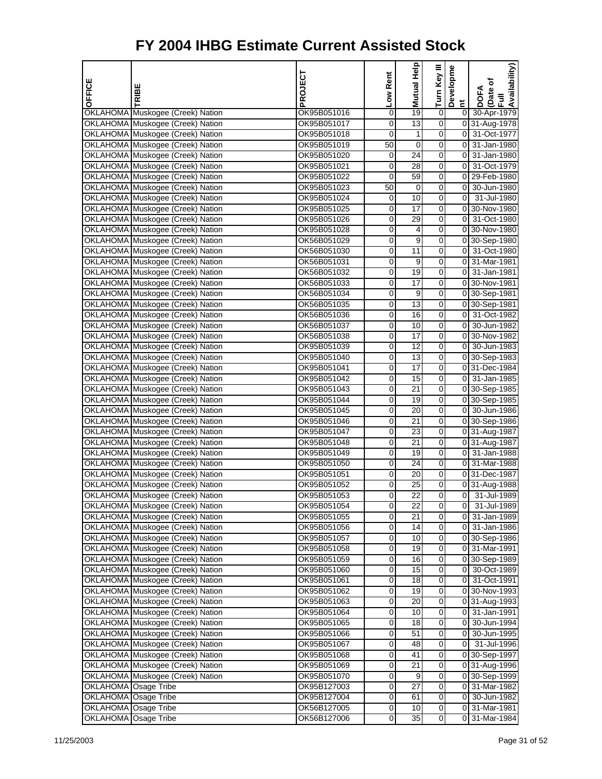| OFFICE               |                                                                      | PROJECT                    | Low Rent            | Mutual Help           | Turn Key III     | Developme      | Availability)<br>Date of     |
|----------------------|----------------------------------------------------------------------|----------------------------|---------------------|-----------------------|------------------|----------------|------------------------------|
|                      | TRIBE                                                                |                            |                     |                       |                  | $\overline{a}$ | <b>DOFA</b><br>$\bar{E}$     |
|                      | OKLAHOMA Muskogee (Creek) Nation                                     | OK95B051016                | 0                   | 19                    | 0                | $\overline{0}$ | 30-Apr-1979                  |
|                      | OKLAHOMA Muskogee (Creek) Nation                                     | OK95B051017                | 0                   | $\overline{13}$       | $\mathbf 0$      |                | 0 31-Aug-1978                |
|                      | OKLAHOMA Muskogee (Creek) Nation                                     | OK95B051018                | 0                   | 1                     | 0                |                | 0 31-Oct-1977                |
|                      | OKLAHOMA Muskogee (Creek) Nation                                     | OK95B051019                | 50                  | 0                     | 0                | $\overline{0}$ | 31-Jan-1980                  |
|                      | OKLAHOMA Muskogee (Creek) Nation                                     | OK95B051020                | 0                   | 24                    | 0                | 0              | 31-Jan-1980                  |
|                      | OKLAHOMA Muskogee (Creek) Nation                                     | OK95B051021                | 0                   | 28                    | 0                | $\overline{0}$ | 31-Oct-1979                  |
|                      | OKLAHOMA Muskogee (Creek) Nation                                     | OK95B051022                | 0                   | $\overline{59}$       | 0                |                | 0 29-Feb-1980                |
|                      | OKLAHOMA Muskogee (Creek) Nation                                     | OK95B051023                | 50                  | 0                     | 0                | οI             | 30-Jun-1980                  |
|                      | OKLAHOMA Muskogee (Creek) Nation                                     | OK95B051024                | 0                   | 10                    | 0                | οI             | 31-Jul-1980                  |
|                      | OKLAHOMA Muskogee (Creek) Nation                                     | OK95B051025                | 0                   | 17                    | 0                |                | 0 30-Nov-1980                |
|                      | OKLAHOMA Muskogee (Creek) Nation                                     | OK95B051026                | 0                   | 29                    | 0                | $\overline{0}$ | 31-Oct-1980                  |
|                      | OKLAHOMA Muskogee (Creek) Nation                                     | OK95B051028                | 0                   | 4                     | 0                |                | 0 30-Nov-1980                |
|                      | OKLAHOMA Muskogee (Creek) Nation                                     | OK56B051029                | 0                   | 9                     | 0                |                | 0 30-Sep-1980                |
|                      | OKLAHOMA Muskogee (Creek) Nation                                     | OK56B051030                | $\overline{0}$      | 11                    | 0                |                | 0 31-Oct-1980                |
|                      | OKLAHOMA Muskogee (Creek) Nation                                     | OK56B051031                | 0                   | 9                     | 0                |                | 0 31-Mar-1981                |
|                      | OKLAHOMA Muskogee (Creek) Nation                                     | OK56B051032                | 0                   | 19                    | 0                | $\overline{0}$ | 31-Jan-1981                  |
|                      | OKLAHOMA Muskogee (Creek) Nation                                     | OK56B051033                | 0                   | $\overline{17}$       | 0                |                | 0 30-Nov-1981                |
|                      | OKLAHOMA Muskogee (Creek) Nation                                     | OK56B051034                | 0                   | 9                     | 0                |                | 0 30-Sep-1981                |
|                      | OKLAHOMA Muskogee (Creek) Nation                                     | OK56B051035                | $\overline{0}$      | $\overline{13}$       | 0                |                | 0 30-Sep-1981                |
|                      | OKLAHOMA Muskogee (Creek) Nation                                     | OK56B051036                | 0                   | 16                    | 0                |                | 0 31-Oct-1982                |
|                      | OKLAHOMA Muskogee (Creek) Nation                                     | OK56B051037                | 0                   | 10                    | 0                | $\overline{0}$ | 30-Jun-1982                  |
|                      | OKLAHOMA Muskogee (Creek) Nation                                     | OK56B051038                | 0                   | $\overline{17}$       | 0                |                | 0 30-Nov-1982                |
|                      | OKLAHOMA Muskogee (Creek) Nation                                     | OK95B051039                | 0                   | 12                    | 0                |                | 0 30-Jun-1983                |
|                      | OKLAHOMA Muskogee (Creek) Nation                                     | OK95B051040                | $\overline{0}$      | $\overline{13}$       | 0                |                | 0 30-Sep-1983                |
|                      | OKLAHOMA Muskogee (Creek) Nation                                     | OK95B051041                | 0                   | 17                    | 0                |                | 0 31-Dec-1984                |
|                      | OKLAHOMA Muskogee (Creek) Nation                                     | OK95B051042                | 0                   | 15                    | 0                | $\overline{0}$ | 31-Jan-1985                  |
|                      | OKLAHOMA Muskogee (Creek) Nation                                     | OK95B051043                | 0                   | $\overline{21}$       | 0                |                | 0 30-Sep-1985                |
|                      | OKLAHOMA Muskogee (Creek) Nation                                     | OK95B051044                | 0                   | 19                    | 0                |                | 0 30-Sep-1985                |
|                      | OKLAHOMA Muskogee (Creek) Nation                                     | OK95B051045                | $\overline{0}$      | 20                    | 0                |                | 0 30-Jun-1986                |
|                      | OKLAHOMA Muskogee (Creek) Nation                                     | OK95B051046                | 0                   | 21                    | 0                |                | 0 30-Sep-1986                |
|                      | OKLAHOMA Muskogee (Creek) Nation                                     | OK95B051047                | 0                   | 23                    | 0                |                | 0 31-Aug-1987                |
|                      | OKLAHOMA Muskogee (Creek) Nation                                     | OK95B051048                | 0                   | $\overline{21}$       | 0                |                | 0 31-Aug-1987                |
|                      | OKLAHOMA Muskogee (Creek) Nation                                     | OK95B051049                | 0                   | 19                    | 0                |                | 0 31-Jan-1988                |
|                      | OKLAHOMA Muskogee (Creek) Nation                                     | OK95B051050                | $\overline{0}$      | $\overline{24}$       | 0                |                | 0 31-Mar-1988                |
|                      | OKLAHOMA Muskogee (Creek) Nation                                     | OK95B051051                | 0                   | 20                    | 0                |                | 0 31-Dec-1987                |
|                      | OKLAHOMA Muskogee (Creek) Nation<br>OKLAHOMA Muskogee (Creek) Nation | OK95B051052                | 0                   | 25<br>$\overline{22}$ | 0<br>0           | $\overline{0}$ | 0 31-Aug-1988<br>31-Jul-1989 |
|                      |                                                                      | OK95B051053                | 0                   |                       |                  |                |                              |
|                      | OKLAHOMA Muskogee (Creek) Nation<br>OKLAHOMA Muskogee (Creek) Nation | OK95B051054<br>OK95B051055 | 0<br>$\overline{0}$ | 22<br>21              | 0<br>0           | οI             | 0 31-Jul-1989<br>31-Jan-1989 |
|                      | OKLAHOMA Muskogee (Creek) Nation                                     | OK95B051056                | 0                   | 14                    | 0                | 01             | 31-Jan-1986                  |
|                      | OKLAHOMA Muskogee (Creek) Nation                                     | OK95B051057                | 0                   | 10                    | $\boldsymbol{0}$ |                | 0 30-Sep-1986                |
|                      | OKLAHOMA Muskogee (Creek) Nation                                     | OK95B051058                | 0                   | $\overline{19}$       | 0                |                | 0 31-Mar-1991                |
|                      | OKLAHOMA Muskogee (Creek) Nation                                     | OK95B051059                | 0                   | 16                    | 0                |                | 0 30-Sep-1989                |
|                      | OKLAHOMA Muskogee (Creek) Nation                                     | OK95B051060                | $\overline{0}$      | 15                    | 0                | 01             | 30-Oct-1989                  |
|                      | OKLAHOMA Muskogee (Creek) Nation                                     | OK95B051061                | 0                   | 18                    | 0                | 01             | 31-Oct-1991                  |
|                      | OKLAHOMA Muskogee (Creek) Nation                                     | OK95B051062                | 0                   | 19                    | $\boldsymbol{0}$ |                | 0 30-Nov-1993                |
|                      | OKLAHOMA Muskogee (Creek) Nation                                     | OK95B051063                | 0                   | 20                    | 0                |                | 0 31-Aug-1993                |
|                      | OKLAHOMA Muskogee (Creek) Nation                                     | OK95B051064                | 0                   | 10                    | 0                | 01             | 31-Jan-1991                  |
|                      | OKLAHOMA Muskogee (Creek) Nation                                     | OK95B051065                | $\overline{0}$      | $\overline{18}$       | 0                | 01             | 30-Jun-1994                  |
|                      | OKLAHOMA Muskogee (Creek) Nation                                     | OK95B051066                | 0                   | 51                    | 0                | 0              | 30-Jun-1995                  |
|                      | OKLAHOMA Muskogee (Creek) Nation                                     | OK95B051067                | 0                   | 48                    | $\boldsymbol{0}$ | $\overline{0}$ | 31-Jul-1996                  |
|                      | OKLAHOMA Muskogee (Creek) Nation                                     | OK95B051068                | 0                   | 41                    | 0                |                | 0 30-Sep-1997                |
|                      | OKLAHOMA Muskogee (Creek) Nation                                     | OK95B051069                | 0                   | 21                    | 0                |                | 0 31-Aug-1996                |
|                      | OKLAHOMA Muskogee (Creek) Nation                                     | OK95B051070                | 0                   | 9                     | 0                |                | 0 30-Sep-1999                |
| OKLAHOMA Osage Tribe |                                                                      | OK95B127003                | 0                   | 27                    | 0                |                | 0 31-Mar-1982                |
| OKLAHOMA Osage Tribe |                                                                      | OK95B127004                | 0                   | 61                    | 0                |                | 0 30-Jun-1982                |
| OKLAHOMA Osage Tribe |                                                                      | OK56B127005                | 0                   | 10                    | 0                |                | 0 31-Mar-1981                |
| OKLAHOMA Osage Tribe |                                                                      | OK56B127006                | 0                   | 35                    | 0                |                | 0 31-Mar-1984                |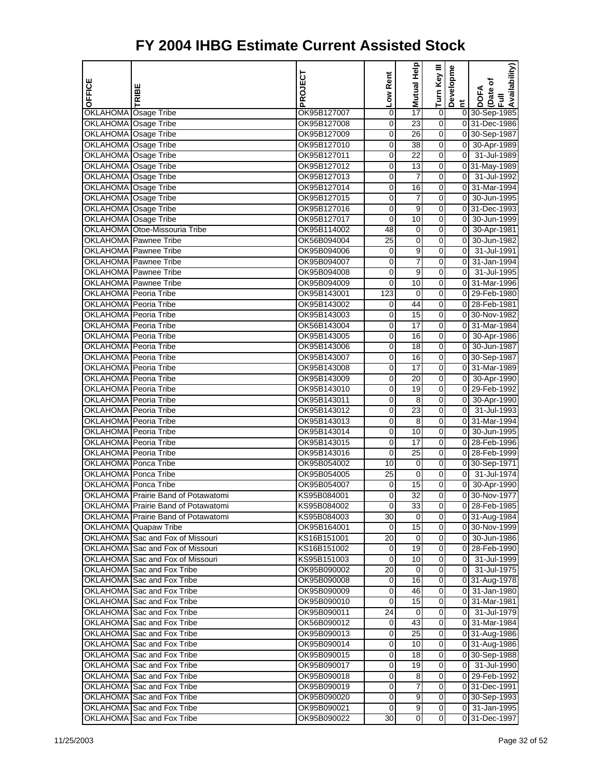|                              |                                     | PROJECT     | Low Rent       | Mutual Help      | Turn Key III     | Developme      | Availability)                   |
|------------------------------|-------------------------------------|-------------|----------------|------------------|------------------|----------------|---------------------------------|
| OFFICE                       | RIBE                                |             |                |                  |                  |                | (Date of<br>Full<br><b>DOFA</b> |
|                              |                                     |             |                |                  |                  | $\overline{a}$ |                                 |
| OKLAHOMA Osage Tribe         |                                     | OK95B127007 | 0              | 17               | $\pmb{0}$        |                | 0 30-Sep-1985                   |
| <b>OKLAHOMA</b> Osage Tribe  |                                     | OK95B127008 | 0              | $\overline{23}$  | 0                |                | 0 31-Dec-1986                   |
| OKLAHOMA Osage Tribe         |                                     | OK95B127009 | 0              | 26               | 0                |                | 0 30-Sep-1987                   |
| <b>OKLAHOMA</b> Osage Tribe  |                                     | OK95B127010 | $\overline{0}$ | 38               | 0                |                | 0 30-Apr-1989                   |
| OKLAHOMA Osage Tribe         |                                     | OK95B127011 | 0              | 22               | 0                | $\overline{0}$ | 31-Jul-1989                     |
| OKLAHOMA Osage Tribe         |                                     | OK95B127012 | 0              | 13               | 0                |                | 0 31-May-1989                   |
| OKLAHOMA Osage Tribe         |                                     | OK95B127013 | 0              | 7                | 0                | $\overline{0}$ | 31-Jul-1992                     |
| OKLAHOMA Osage Tribe         |                                     | OK95B127014 | 0              | 16               | 0                |                | 0 31-Mar-1994                   |
| <b>OKLAHOMA</b> Osage Tribe  |                                     | OK95B127015 | $\overline{0}$ | 7                | 0                | $\overline{0}$ | 30-Jun-1995                     |
| OKLAHOMA Osage Tribe         |                                     | OK95B127016 | 0              | 9                | 0                |                | 0 31-Dec-1993                   |
| OKLAHOMA Osage Tribe         |                                     | OK95B127017 | 0              | 10               | $\pmb{0}$        | $\mathbf 0$    | 30-Jun-1999                     |
|                              | OKLAHOMA Otoe-Missouria Tribe       | OK95B114002 | 48             | 0                | 0                |                | 0 30-Apr-1981                   |
|                              | OKLAHOMA Pawnee Tribe               | OK56B094004 | 25             | 0                | 0                | $\mathbf 0$    | 30-Jun-1982                     |
|                              | <b>OKLAHOMA</b> Pawnee Tribe        | OK95B094006 | 0              | 9                | 0                | $\overline{0}$ | 31-Jul-1991                     |
|                              | OKLAHOMA Pawnee Tribe               | OK95B094007 | 0              | 7                | 0                | 0              | 31-Jan-1994                     |
|                              | <b>OKLAHOMA</b> Pawnee Tribe        | OK95B094008 | 0              | 9                | 0                | $\mathbf 0$    | 31-Jul-1995                     |
|                              | OKLAHOMA Pawnee Tribe               | OK95B094009 | 0              | 10               | 0                | $\overline{0}$ | 31-Mar-1996                     |
| OKLAHOMA Peoria Tribe        |                                     | OK95B143001 | 123            | 0                | 0                |                | 0 29-Feb-1980                   |
| OKLAHOMA Peoria Tribe        |                                     | OK95B143002 | 0              | 44               | 0                |                | 0 28-Feb-1981                   |
| OKLAHOMA Peoria Tribe        |                                     | OK95B143003 | 0              | 15               | 0                | $\overline{0}$ | 30-Nov-1982                     |
| OKLAHOMA Peoria Tribe        |                                     | OK56B143004 | 0              | 17               | 0                |                | 0 31-Mar-1984                   |
| OKLAHOMA Peoria Tribe        |                                     | OK95B143005 | 0              | 16               | 0                |                | 0 30-Apr-1986                   |
| OKLAHOMA Peoria Tribe        |                                     | OK95B143006 | 0              | 18               | 0                | $\overline{0}$ | 30-Jun-1987                     |
| <b>OKLAHOMA</b> Peoria Tribe |                                     | OK95B143007 | $\overline{0}$ | 16               | 0                |                | 0 30-Sep-1987                   |
| OKLAHOMA Peoria Tribe        |                                     | OK95B143008 | 0              | 17               | 0                | $\overline{0}$ | 31-Mar-1989                     |
| OKLAHOMA Peoria Tribe        |                                     | OK95B143009 | 0              | 20               | 0                | $\overline{0}$ | 30-Apr-1990                     |
| OKLAHOMA Peoria Tribe        |                                     | OK95B143010 | 0              | 19               | 0                |                | 0 29-Feb-1992                   |
| OKLAHOMA Peoria Tribe        |                                     | OK95B143011 | 0              | 8                | 0                | $\overline{0}$ | 30-Apr-1990                     |
| OKLAHOMA Peoria Tribe        |                                     | OK95B143012 | $\overline{0}$ | 23               | 0                | $\overline{0}$ | 31-Jul-1993                     |
| OKLAHOMA Peoria Tribe        |                                     | OK95B143013 | 0              | 8                | 0                | $\overline{0}$ | 31-Mar-1994                     |
| OKLAHOMA Peoria Tribe        |                                     | OK95B143014 | 0              | 10               | 0                | $\overline{0}$ | 30-Jun-1995                     |
| OKLAHOMA Peoria Tribe        |                                     | OK95B143015 | 0              | $\overline{17}$  | 0                |                | 0 28-Feb-1996                   |
| OKLAHOMA Peoria Tribe        |                                     | OK95B143016 | 0              | 25               | 0                |                | 0 28-Feb-1999                   |
| <b>OKLAHOMA</b> Ponca Tribe  |                                     | OK95B054002 | 10             | 0                | 0                |                | 0 30-Sep-1971                   |
| OKLAHOMA Ponca Tribe         |                                     | OK95B054005 | 25             | 0                | 0                | $\overline{0}$ | 31-Jul-1974                     |
| OKLAHOMA Ponca Tribe         |                                     | OK95B054007 | 0              | 15               | 0                |                | 0 30-Apr-1990                   |
|                              | OKLAHOMA Prairie Band of Potawatomi | KS95B084001 | 0              | $\overline{32}$  | 0                | $\overline{0}$ | 30-Nov-1977                     |
|                              | OKLAHOMA Prairie Band of Potawatomi | KS95B084002 | 0              | 33               | 0                |                | 0 28-Feb-1985                   |
|                              | OKLAHOMA Prairie Band of Potawatomi | KS95B084003 | 30             | 0                | 0                |                | 0 31-Aug-1984                   |
|                              | OKLAHOMA Quapaw Tribe               | OK95B164001 | 0              | 15               | 0                |                | 0 30-Nov-1999                   |
|                              | OKLAHOMA Sac and Fox of Missouri    | KS16B151001 | 20             | 0                | $\mathbf 0$      |                | 0 30-Jun-1986                   |
|                              | OKLAHOMA Sac and Fox of Missouri    | KS16B151002 | 0              | 19               | 0                |                | 0 28-Feb-1990                   |
|                              | OKLAHOMA Sac and Fox of Missouri    | KS95B151003 | 0              | 10               | 0                |                | 0 31-Jul-1999                   |
|                              | OKLAHOMA Sac and Fox Tribe          | OK95B090002 | 20             | 0                | 0                |                | 0 31-Jul-1975                   |
|                              | OKLAHOMA Sac and Fox Tribe          | OK95B090008 | 0              | 16               | 0                |                | 0 31-Aug-1978                   |
|                              | OKLAHOMA Sac and Fox Tribe          | OK95B090009 | 0              | 46               | 0                |                | 0 31-Jan-1980                   |
|                              | OKLAHOMA Sac and Fox Tribe          | OK95B090010 | 0              | $\overline{15}$  | 0                |                | 0 31-Mar-1981                   |
|                              | OKLAHOMA Sac and Fox Tribe          | OK95B090011 | 24             | 0                | 0                |                | 0 31-Jul-1979                   |
|                              | OKLAHOMA Sac and Fox Tribe          | OK56B090012 | $\overline{0}$ | 43               | 0                |                | 0 31-Mar-1984                   |
|                              | OKLAHOMA Sac and Fox Tribe          | OK95B090013 | 0              | 25               | 0                |                | 0 31-Aug-1986                   |
|                              | OKLAHOMA Sac and Fox Tribe          | OK95B090014 | 0              | 10               | 0                |                | 0 31-Aug-1986                   |
|                              | OKLAHOMA Sac and Fox Tribe          | OK95B090015 | 0              | 18               | 0                |                | 0 30-Sep-1988                   |
|                              | OKLAHOMA Sac and Fox Tribe          | OK95B090017 | 0              | 19               | 0                |                | 0 31-Jul-1990                   |
|                              | OKLAHOMA Sac and Fox Tribe          | OK95B090018 | 0              | 8                | 0                |                | 0 29-Feb-1992                   |
|                              | OKLAHOMA Sac and Fox Tribe          | OK95B090019 | 0              | 7                | 0                |                | 031-Dec-1991                    |
|                              | OKLAHOMA Sac and Fox Tribe          | OK95B090020 | 0              | $\boldsymbol{9}$ | $\mathbf 0$      |                | 0 30-Sep-1993                   |
|                              | OKLAHOMA Sac and Fox Tribe          | OK95B090021 | 0              | 9                | 0                |                | 0 31-Jan-1995                   |
|                              | OKLAHOMA Sac and Fox Tribe          | OK95B090022 | 30             | $\pmb{0}$        | $\boldsymbol{0}$ |                | 0 31-Dec-1997                   |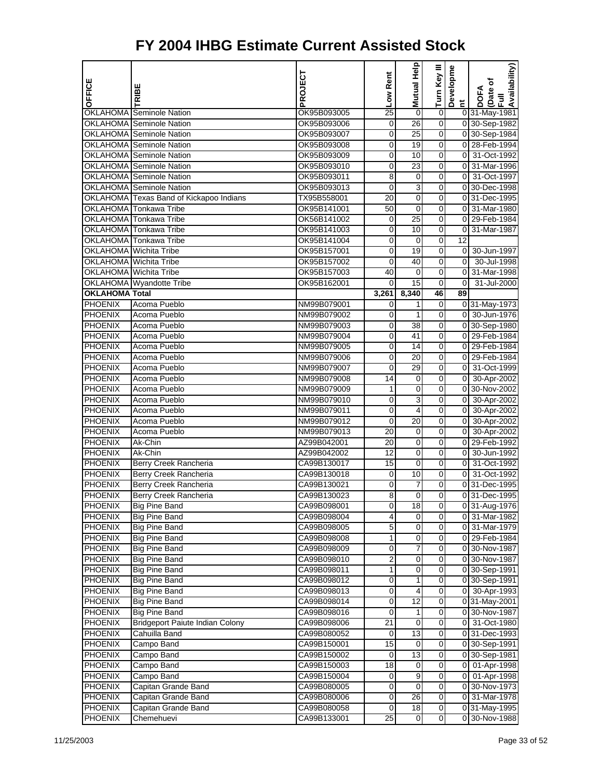| OFFICE                           |                                                                   | PROJECT                    | Low Rent       | <b>Mutual Help</b> | Turn Key III     | Developme            | Availability)<br>Date of<br>Full |
|----------------------------------|-------------------------------------------------------------------|----------------------------|----------------|--------------------|------------------|----------------------|----------------------------------|
|                                  | RIBE                                                              |                            |                |                    |                  |                      | <b>DOFA</b>                      |
|                                  |                                                                   |                            |                |                    |                  | $\tilde{a}$          |                                  |
|                                  | <b>OKLAHOMA</b> Seminole Nation                                   | OK95B093005                | 25             | 0                  | 0                |                      | 0 31-May-1981                    |
|                                  | <b>OKLAHOMA Seminole Nation</b>                                   | OK95B093006                | 0              | 26                 | 0                |                      | 0 30-Sep-1982                    |
|                                  | <b>OKLAHOMA Seminole Nation</b>                                   | OK95B093007                | 0              | 25                 | 0                |                      | 0 30-Sep-1984                    |
|                                  | <b>OKLAHOMA</b> Seminole Nation                                   | OK95B093008                | 0              | 19                 | 0                |                      | 0 28-Feb-1994                    |
|                                  | <b>OKLAHOMA</b> Seminole Nation                                   | OK95B093009                | 0              | 10                 | 0                | $\overline{0}$       | 31-Oct-1992                      |
|                                  | OKLAHOMA Seminole Nation                                          | OK95B093010                | 0              | 23                 | 0                | 01                   | 31-Mar-1996                      |
|                                  | OKLAHOMA Seminole Nation                                          | OK95B093011                | 8              | $\mathbf 0$        | 0                |                      | 0 31-Oct-1997                    |
|                                  | <b>OKLAHOMA Seminole Nation</b>                                   | OK95B093013                | 0              | 3                  | 0                |                      | 0 30-Dec-1998                    |
|                                  | OKLAHOMA Texas Band of Kickapoo Indians<br>OKLAHOMA Tonkawa Tribe | TX95B558001                | 20             | 0                  | 0                |                      | 0 31-Dec-1995                    |
|                                  |                                                                   | OK95B141001                | 50             | 0<br>25            | 0                |                      | 0 31-Mar-1980                    |
|                                  | OKLAHOMA Tonkawa Tribe<br>OKLAHOMA Tonkawa Tribe                  | OK56B141002                | 0              | 10                 | 0                |                      | 0 29-Feb-1984                    |
|                                  |                                                                   | OK95B141003                | 0              |                    | 0                | $\overline{0}$<br>12 | 31-Mar-1987                      |
|                                  | OKLAHOMA Tonkawa Tribe<br><b>OKLAHOMA</b> Wichita Tribe           | OK95B141004<br>OK95B157001 | 0<br>0         | 0<br>19            | 0<br>0           | $\overline{0}$       | 30-Jun-1997                      |
|                                  |                                                                   |                            |                |                    |                  | 0                    |                                  |
|                                  | OKLAHOMA Wichita Tribe                                            | OK95B157002                | 0              | 40                 | 0<br>0           |                      | 30-Jul-1998                      |
|                                  | OKLAHOMA Wichita Tribe                                            | OK95B157003                | 40             | 0<br>15            |                  | $\overline{0}$       | 31-Mar-1998                      |
| <b>OKLAHOMA Total</b>            | <b>OKLAHOMA</b> Wyandotte Tribe                                   | OK95B162001                | 0              | 8,340              | 0<br>46          | 0<br>89              | 31-Jul-2000                      |
| <b>PHOENIX</b>                   | Acoma Pueblo                                                      | NM99B079001                | 3,261          | 1                  | 0                |                      | 0 31-May-1973                    |
| <b>PHOENIX</b>                   | Acoma Pueblo                                                      |                            | 0              |                    | 0                |                      |                                  |
| <b>PHOENIX</b>                   |                                                                   | NM99B079002                | 0              | 1                  |                  |                      | 0 30-Jun-1976                    |
| <b>PHOENIX</b>                   | Acoma Pueblo<br>Acoma Pueblo                                      | NM99B079003                | 0              | 38<br>41           | 0                |                      | 0 30-Sep-1980<br>0 29-Feb-1984   |
| <b>PHOENIX</b>                   |                                                                   | NM99B079004                | 0              |                    | 0<br>$\mathbf 0$ |                      |                                  |
| <b>PHOENIX</b>                   | Acoma Pueblo<br>Acoma Pueblo                                      | NM99B079005                | 0              | 14<br>20           | 0                |                      | 0 29-Feb-1984                    |
|                                  |                                                                   | NM99B079006                | 0              |                    |                  |                      | 0 29-Feb-1984                    |
| <b>PHOENIX</b>                   | Acoma Pueblo                                                      | NM99B079007                | 0              | 29                 | 0<br>0           | $\overline{0}$       | 31-Oct-1999                      |
| <b>PHOENIX</b><br><b>PHOENIX</b> | Acoma Pueblo<br>Acoma Pueblo                                      | NM99B079008<br>NM99B079009 | 14<br>1        | 0<br>$\mathbf 0$   | 0                | $\overline{0}$       | 30-Apr-2002<br>0 30-Nov-2002     |
| <b>PHOENIX</b>                   | Acoma Pueblo                                                      |                            |                | 3                  | 0                | $\overline{0}$       |                                  |
| <b>PHOENIX</b>                   | Acoma Pueblo                                                      | NM99B079010<br>NM99B079011 | 0<br>0         | 4                  | 0                | $\overline{0}$       | 30-Apr-2002<br>30-Apr-2002       |
| <b>PHOENIX</b>                   | Acoma Pueblo                                                      |                            | 0              | 20                 | 0                | $\overline{0}$       |                                  |
| <b>PHOENIX</b>                   | Acoma Pueblo                                                      | NM99B079012                | 20             | 0                  | 0                | $\overline{0}$       | 30-Apr-2002                      |
| <b>PHOENIX</b>                   | Ak-Chin                                                           | NM99B079013<br>AZ99B042001 | 20             | $\mathbf 0$        | 0                |                      | 30-Apr-2002<br>0 29-Feb-1992     |
| <b>PHOENIX</b>                   | Ak-Chin                                                           | AZ99B042002                | 12             | 0                  | 0                | $\overline{0}$       | 30-Jun-1992                      |
| <b>PHOENIX</b>                   | Berry Creek Rancheria                                             | CA99B130017                | 15             | 0                  | 0                | $\overline{0}$       | 31-Oct-1992                      |
| <b>PHOENIX</b>                   | Berry Creek Rancheria                                             | CA99B130018                | 0              | 10                 | 0                | $\overline{0}$       | 31-Oct-1992                      |
| <b>PHOENIX</b>                   | Berry Creek Rancheria                                             | CA99B130021                | 0              | 7                  | 0                |                      | 0 31-Dec-1995                    |
| PHOENIX                          | Berry Creek Rancheria                                             | CA99B130023                | 8              | $\mathbf 0$        | 0                | $\overline{0}$       | 31-Dec-1995                      |
| <b>PHOENIX</b>                   | <b>Big Pine Band</b>                                              |                            | 0              |                    |                  |                      | 0 31-Aug-1976                    |
| <b>PHOENIX</b>                   | <b>Big Pine Band</b>                                              | CA99B098001<br>CA99B098004 | 4              | 18<br>$\mathbf 0$  | 0<br>0           |                      | 0 31-Mar-1982                    |
| PHOENIX                          | Big Pine Band                                                     | CA99B098005                | 5              | 0                  | 0                |                      | 0 31-Mar-1979                    |
| <b>PHOENIX</b>                   | Big Pine Band                                                     | CA99B098008                | 1              | $\pmb{0}$          | $\pmb{0}$        |                      | 0 29-Feb-1984                    |
| <b>PHOENIX</b>                   | <b>Big Pine Band</b>                                              | CA99B098009                | 0              | $\overline{7}$     | 0                |                      | 0 30-Nov-1987                    |
| <b>PHOENIX</b>                   | Big Pine Band                                                     | CA99B098010                | 2              | 0                  | 0                |                      | 0 30-Nov-1987                    |
| <b>PHOENIX</b>                   | <b>Big Pine Band</b>                                              | CA99B098011                | 1              | 0                  | 0                |                      | 0 30-Sep-1991                    |
| <b>PHOENIX</b>                   | Big Pine Band                                                     | CA99B098012                | 0              | 1                  | 0                |                      | 0 30-Sep-1991                    |
| PHOENIX                          | <b>Big Pine Band</b>                                              | CA99B098013                | 0              | 4                  | $\boldsymbol{0}$ |                      | 0 30-Apr-1993                    |
| <b>PHOENIX</b>                   | Big Pine Band                                                     | CA99B098014                | 0              | $\overline{12}$    | 0                |                      | 0 31-May-2001                    |
| <b>PHOENIX</b>                   | <b>Big Pine Band</b>                                              | CA99B098016                | 0              | 1                  | 0                |                      | 0 30-Nov-1987                    |
| <b>PHOENIX</b>                   | <b>Bridgeport Paiute Indian Colony</b>                            | CA99B098006                | 21             | 0                  | $\overline{0}$   |                      | 0 31-Oct-1980                    |
| <b>PHOENIX</b>                   | Cahuilla Band                                                     | CA99B080052                | 0              | 13                 | 0                |                      | 0 31-Dec-1993                    |
| <b>PHOENIX</b>                   | Campo Band                                                        | CA99B150001                | 15             | 0                  | $\boldsymbol{0}$ |                      | 0 30-Sep-1991                    |
| <b>PHOENIX</b>                   | Campo Band                                                        | CA99B150002                | 0              | 13                 | 0                |                      | 0 30-Sep-1981                    |
| <b>PHOENIX</b>                   | Campo Band                                                        | CA99B150003                | 18             | 0                  | 0                |                      | 0 01-Apr-1998                    |
| <b>PHOENIX</b>                   | Campo Band                                                        | CA99B150004                | $\overline{0}$ | 9                  | 0                |                      | 0 01-Apr-1998                    |
| <b>PHOENIX</b>                   | Capitan Grande Band                                               | CA99B080005                | 0              | 0                  | 0                |                      | 0 30-Nov-1973                    |
| PHOENIX                          | Capitan Grande Band                                               | CA99B080006                | 0              | 26                 | $\boldsymbol{0}$ |                      | 0 31-Mar-1978                    |
| <b>PHOENIX</b>                   | Capitan Grande Band                                               | CA99B080058                | 0              | 18                 | 0                |                      | 031-May-1995                     |
| <b>PHOENIX</b>                   | Chemehuevi                                                        | CA99B133001                | 25             | 0                  | 0                |                      | 0 30-Nov-1988                    |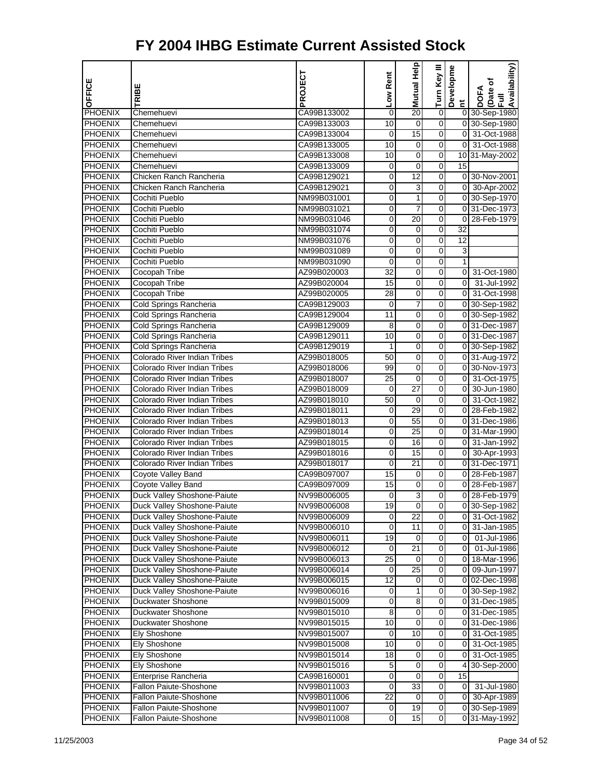| OFFICE         | TRIBE                               | PROJECT     | Low Rent | Mutual Help     | Turn Key III     | Developme      | Availability)<br>Date of<br>Full<br><b>DOFA</b> |
|----------------|-------------------------------------|-------------|----------|-----------------|------------------|----------------|-------------------------------------------------|
| PHOENIX        | Chemehuevi                          | CA99B133002 | 0        | 20              | $\mathbf 0$      | $\sharp$       | 0 30-Sep-1980                                   |
| <b>PHOENIX</b> | Chemehuevi                          | CA99B133003 | 10       | 0               | 0                |                | 0 30-Sep-1980                                   |
| <b>PHOENIX</b> | Chemehuevi                          | CA99B133004 | 0        | $\overline{15}$ | 0                | $\overline{0}$ | 31-Oct-1988                                     |
| <b>PHOENIX</b> | Chemehuevi                          | CA99B133005 | 10       | 0               | 0                | $\overline{0}$ | 31-Oct-1988                                     |
| PHOENIX        | Chemehuevi                          | CA99B133008 | 10       | 0               | 0                |                | 10 31-May-2002                                  |
| <b>PHOENIX</b> | Chemehuevi                          | CA99B133009 | 0        | $\mathbf 0$     | $\mathbf 0$      | 15             |                                                 |
| <b>PHOENIX</b> | Chicken Ranch Rancheria             | CA99B129021 | 0        | 12              | 0                |                | 0 30-Nov-2001                                   |
| <b>PHOENIX</b> | Chicken Ranch Rancheria             | CA99B129021 | 0        | 3               | 0                |                | 0 30-Apr-2002                                   |
| <b>PHOENIX</b> | Cochiti Pueblo                      | NM99B031001 | 0        | 1               | 0                |                | 0 30-Sep-1970                                   |
| <b>PHOENIX</b> | Cochiti Pueblo                      | NM99B031021 | 0        | 7               | 0                |                | 0 31-Dec-1973                                   |
| <b>PHOENIX</b> | Cochiti Pueblo                      | NM99B031046 | 0        | 20              | 0                | $\mathbf 0$    | 28-Feb-1979                                     |
| <b>PHOENIX</b> | Cochiti Pueblo                      | NM99B031074 | 0        | 0               | 0                | 32             |                                                 |
| <b>PHOENIX</b> | Cochiti Pueblo                      | NM99B031076 | 0        | 0               | 0                | 12             |                                                 |
| <b>PHOENIX</b> | Cochiti Pueblo                      | NM99B031089 | 0        | 0               | 0                | 3              |                                                 |
| <b>PHOENIX</b> | Cochiti Pueblo                      | NM99B031090 | 0        | 0               | 0                | $\mathbf{1}$   |                                                 |
| <b>PHOENIX</b> | Cocopah Tribe                       | AZ99B020003 | 32       | 0               | 0                | $\overline{0}$ | 31-Oct-1980                                     |
| <b>PHOENIX</b> | Cocopah Tribe                       | AZ99B020004 | 15       | 0               | 0                | $\mathbf 0$    | 31-Jul-1992                                     |
| <b>PHOENIX</b> | Cocopah Tribe                       | AZ99B020005 | 28       | 0               | 0                | $\overline{0}$ | 31-Oct-1998                                     |
| <b>PHOENIX</b> | Cold Springs Rancheria              | CA99B129003 | 0        | 7               | 0                |                | 0 30-Sep-1982                                   |
| <b>PHOENIX</b> | Cold Springs Rancheria              | CA99B129004 | 11       | 0               | 0                |                | 0 30-Sep-1982                                   |
| <b>PHOENIX</b> | Cold Springs Rancheria              | CA99B129009 | 8        | 0               | 0                |                | 0 31-Dec-1987                                   |
| <b>PHOENIX</b> | Cold Springs Rancheria              | CA99B129011 | 10       | 0               | 0                |                | 0 31-Dec-1987                                   |
| <b>PHOENIX</b> | Cold Springs Rancheria              | CA99B129019 | 1        | 0               | 0                |                | 0 30-Sep-1982                                   |
| <b>PHOENIX</b> | <b>Colorado River Indian Tribes</b> | AZ99B018005 | 50       | 0               | 0                |                | 0 31-Aug-1972                                   |
| PHOENIX        | Colorado River Indian Tribes        | AZ99B018006 | 99       | 0               | 0                |                | 0 30-Nov-1973                                   |
| <b>PHOENIX</b> | Colorado River Indian Tribes        | AZ99B018007 | 25       | 0               | 0                | $\mathbf 0$    | 31-Oct-1975                                     |
| <b>PHOENIX</b> | Colorado River Indian Tribes        | AZ99B018009 | 0        | 27              | 0                | $\overline{0}$ | 30-Jun-1980                                     |
| PHOENIX        | Colorado River Indian Tribes        | AZ99B018010 | 50       | 0               | 0                | $\overline{0}$ | 31-Oct-1982                                     |
| <b>PHOENIX</b> | Colorado River Indian Tribes        | AZ99B018011 | 0        | 29              | 0                |                | 0 28-Feb-1982                                   |
| <b>PHOENIX</b> | Colorado River Indian Tribes        | AZ99B018013 | 0        | 55              | 0                |                | 0 31-Dec-1986                                   |
| <b>PHOENIX</b> | Colorado River Indian Tribes        | AZ99B018014 | 0        | 25              | 0                | $\overline{0}$ | 31-Mar-1990                                     |
| PHOENIX        | Colorado River Indian Tribes        | AZ99B018015 | 0        | 16              | 0                |                | 0 31-Jan-1992                                   |
| PHOENIX        | Colorado River Indian Tribes        | AZ99B018016 | 0        | 15              | 0                |                | 0 30-Apr-1993                                   |
| <b>PHOENIX</b> | Colorado River Indian Tribes        | AZ99B018017 | 0        | $\overline{21}$ | 0                |                | 0 31-Dec-1971                                   |
| <b>PHOENIX</b> | Coyote Valley Band                  | CA99B097007 | 15       | 0               | 0                |                | 0 28-Feb-1987                                   |
| <b>PHOENIX</b> | Coyote Valley Band                  | CA99B097009 | 15       | 0               | 0                |                | 0 28-Feb-1987                                   |
| <b>PHOENIX</b> | Duck Valley Shoshone-Paiute         | NV99B006005 | 0        | 3               | 0                | $\overline{0}$ | 28-Feb-1979                                     |
| <b>PHOENIX</b> | Duck Valley Shoshone-Paiute         | NV99B006008 | 19       | 0               | 0                |                | 0 30-Sep-1982                                   |
| <b>PHOENIX</b> | Duck Valley Shoshone-Paiute         | NV99B006009 | 0        | $\overline{22}$ | 0                | $\overline{0}$ | 31-Oct-1982                                     |
| <b>PHOENIX</b> | Duck Valley Shoshone-Paiute         | NV99B006010 | 0        | 11              | 0                | 0              | 31-Jan-1985                                     |
| <b>PHOENIX</b> | Duck Valley Shoshone-Paiute         | NV99B006011 | 19       | 0               | $\mathbf 0$      | $\overline{0}$ | $\overline{0}$ 1-Jul-1986                       |
| <b>PHOENIX</b> | Duck Valley Shoshone-Paiute         | NV99B006012 | 0        | 21              | 0                | $\overline{0}$ | 01-Jul-1986                                     |
| <b>PHOENIX</b> | Duck Valley Shoshone-Paiute         | NV99B006013 | 25       | 0               | 0                |                | 0 18-Mar-1996                                   |
| <b>PHOENIX</b> | Duck Valley Shoshone-Paiute         | NV99B006014 | 0        | $\overline{25}$ | 0                | $\overline{0}$ | 09-Jun-1997                                     |
| <b>PHOENIX</b> | Duck Valley Shoshone-Paiute         | NV99B006015 | 12       | 0               | 0                |                | 0 02-Dec-1998                                   |
| <b>PHOENIX</b> | Duck Valley Shoshone-Paiute         | NV99B006016 | 0        | 1               | 0                |                | 0 30-Sep-1982                                   |
| <b>PHOENIX</b> | Duckwater Shoshone                  | NV99B015009 | 0        | 8               | 0                |                | 0 31-Dec-1985                                   |
| <b>PHOENIX</b> | Duckwater Shoshone                  | NV99B015010 | 8        | 0               | 0                |                | 0 31-Dec-1985                                   |
| <b>PHOENIX</b> | Duckwater Shoshone                  | NV99B015015 | 10       | 0               | 0                |                | 0 31-Dec-1986                                   |
| <b>PHOENIX</b> | Ely Shoshone                        | NV99B015007 | 0        | 10              | 0                | 0              | 31-Oct-1985                                     |
| <b>PHOENIX</b> | Ely Shoshone                        | NV99B015008 | 10       | $\pmb{0}$       | 0                | $\mathbf 0$    | 31-Oct-1985                                     |
| <b>PHOENIX</b> | Ely Shoshone                        | NV99B015014 | 18       | $\mathbf 0$     | 0                | $\overline{0}$ | 31-Oct-1985                                     |
| <b>PHOENIX</b> | Ely Shoshone                        | NV99B015016 | 5        | 0               | 0                |                | 4 30-Sep-2000                                   |
| <b>PHOENIX</b> | Enterprise Rancheria                | CA99B160001 | 0        | 0               | 0                | 15             |                                                 |
| <b>PHOENIX</b> | Fallon Paiute-Shoshone              | NV99B011003 | 0        | 33              | 0                | $\overline{0}$ | 31-Jul-1980                                     |
| <b>PHOENIX</b> | <b>Fallon Paiute-Shoshone</b>       | NV99B011006 | 22       | $\pmb{0}$       | 0                |                | 0 30-Apr-1989                                   |
| PHOENIX        | Fallon Paiute-Shoshone              | NV99B011007 | 0        | 19              | $\boldsymbol{0}$ |                | 0 30-Sep-1989                                   |
| <b>PHOENIX</b> | <b>Fallon Paiute-Shoshone</b>       | NV99B011008 | 0        | 15              | 0                |                | 0 31-May-1992                                   |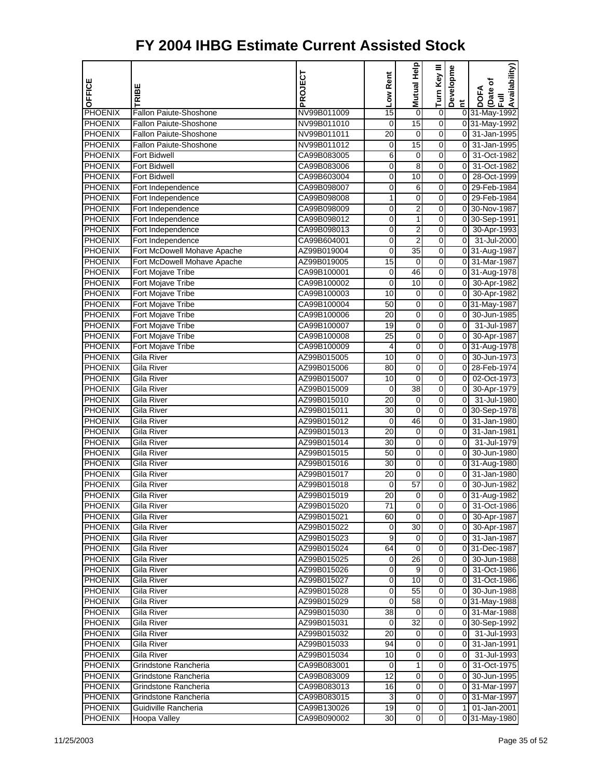| OFFICE                    | TRIBE                                  | PROJECT                    | Low Rent    | Help<br>Mutual      | Turn Key III     | Developme               | Availability)<br>Date of<br>Full<br><b>DOFA</b> |
|---------------------------|----------------------------------------|----------------------------|-------------|---------------------|------------------|-------------------------|-------------------------------------------------|
|                           |                                        |                            |             |                     |                  | E.                      |                                                 |
| PHOENIX                   | Fallon Paiute-Shoshone                 | NV99B011009                | 15          | $\mathbf 0$         | $\pmb{0}$        |                         | 0 31-May-1992                                   |
| <b>PHOENIX</b>            | Fallon Paiute-Shoshone                 | NV99B011010                | 0           | 15                  | $\overline{0}$   |                         | 0 31-May-1992                                   |
| PHOENIX                   | Fallon Paiute-Shoshone                 | NV99B011011                | 20          | 0                   | 0                |                         | 0 31-Jan-1995                                   |
| <b>PHOENIX</b>            | Fallon Paiute-Shoshone                 | NV99B011012                | 0           | 15                  | 0                | $\overline{0}$          | 31-Jan-1995                                     |
| PHOENIX                   | Fort Bidwell                           | CA99B083005                | 6           | 0                   | 0                | $\overline{0}$          | 31-Oct-1982                                     |
| PHOENIX                   | <b>Fort Bidwell</b>                    | CA99B083006                | 0           | 8                   | 0                | $\mathbf 0$             | 31-Oct-1982                                     |
| PHOENIX                   | <b>Fort Bidwell</b>                    | CA99B603004                | 0           | 10                  | 0                | $\overline{0}$          | 28-Oct-1999                                     |
| PHOENIX<br><b>PHOENIX</b> | Fort Independence                      | CA99B098007<br>CA99B098008 | 0<br>1      | 6<br>$\overline{0}$ | 0<br>0           | $\overline{0}$          | 29-Feb-1984<br>0 29-Feb-1984                    |
| PHOENIX                   | Fort Independence<br>Fort Independence | CA99B098009                | 0           | 2                   | 0                |                         | 0 30-Nov-1987                                   |
| <b>PHOENIX</b>            | Fort Independence                      | CA99B098012                | 0           | 1                   | 0                |                         | 0 30-Sep-1991                                   |
| PHOENIX                   | Fort Independence                      | CA99B098013                | 0           | $\overline{2}$      | 0                |                         | 0 30-Apr-1993                                   |
| PHOENIX                   | Fort Independence                      | CA99B604001                | 0           | $\overline{2}$      | 0                | $\overline{0}$          | 31-Jul-2000                                     |
| <b>PHOENIX</b>            | Fort McDowell Mohave Apache            | AZ99B019004                | $\mathbf 0$ | $\overline{35}$     | 0                |                         | 0 31-Aug-1987                                   |
| PHOENIX                   | Fort McDowell Mohave Apache            | AZ99B019005                | 15          | 0                   | 0                | $\overline{0}$          | 31-Mar-1987                                     |
| PHOENIX                   | Fort Mojave Tribe                      | CA99B100001                | 0           | 46                  | 0                |                         | 0 31-Aug-1978                                   |
| PHOENIX                   | Fort Mojave Tribe                      | CA99B100002                | 0           | 10                  | 0                |                         | 0 30-Apr-1982                                   |
| <b>PHOENIX</b>            | Fort Mojave Tribe                      | CA99B100003                | 10          | 0                   | 0                | $\overline{0}$          | 30-Apr-1982                                     |
| <b>PHOENIX</b>            | Fort Mojave Tribe                      | CA99B100004                | 50          | 0                   | 0                |                         | 0 31-May-1987                                   |
| PHOENIX                   | Fort Mojave Tribe                      | CA99B100006                | 20          | 0                   | 0                | $\overline{0}$          | 30-Jun-1985                                     |
| <b>PHOENIX</b>            | Fort Mojave Tribe                      | CA99B100007                | 19          | $\mathbf 0$         | 0                | $\overline{\mathbf{0}}$ | 31-Jul-1987                                     |
| PHOENIX                   | Fort Mojave Tribe                      | CA99B100008                | 25          | $\mathbf 0$         | 0                | $\overline{0}$          | 30-Apr-1987                                     |
| PHOENIX                   | Fort Mojave Tribe                      | CA99B100009                | 4           | 0                   | 0                |                         | 0 31-Aug-1978                                   |
| <b>PHOENIX</b>            | <b>Gila River</b>                      | AZ99B015005                | 10          | $\mathbf 0$         | 0                | $\overline{0}$          | 30-Jun-1973                                     |
| PHOENIX                   | Gila River                             | AZ99B015006                | 80          | 0                   | 0                | $\overline{0}$          | 28-Feb-1974                                     |
| PHOENIX                   | Gila River                             | AZ99B015007                | 10          | $\mathbf 0$         | 0                | $\mathbf 0$             | 02-Oct-1973                                     |
| PHOENIX                   | Gila River                             | AZ99B015009                | 0           | $\overline{38}$     | 0                | $\overline{0}$          | 30-Apr-1979                                     |
| PHOENIX                   | Gila River                             | AZ99B015010                | 20          | 0                   | 0                | $\overline{0}$          | 31-Jul-1980                                     |
| <b>PHOENIX</b>            | Gila River                             | AZ99B015011                | 30          | $\mathbf 0$         | 0                |                         | 0 30-Sep-1978                                   |
| <b>PHOENIX</b>            | Gila River                             | AZ99B015012                | 0           | 46                  | 0                | $\overline{0}$          | 31-Jan-1980                                     |
| <b>PHOENIX</b>            | Gila River                             | AZ99B015013                | 20          | $\mathbf 0$         | 0                | $\overline{0}$          | 31-Jan-1981                                     |
| PHOENIX                   | <b>Gila River</b>                      | AZ99B015014                | 30          | $\mathbf 0$         | 0                | $\overline{0}$          | 31-Jul-1979                                     |
| <b>PHOENIX</b>            | Gila River                             | AZ99B015015                | 50          | 0                   | 0                | $\overline{0}$          | 30-Jun-1980                                     |
| <b>PHOENIX</b>            | Gila River                             | AZ99B015016                | 30          | $\overline{0}$      | 0                |                         | 0 31-Aug-1980                                   |
| PHOENIX                   | Gila River                             | AZ99B015017                | 20          | 0                   | 0                | $\overline{0}$          | 31-Jan-1980                                     |
| PHOENIX                   | Gila River                             | AZ99B015018                | 0           | 57                  | 0                | $\overline{0}$          | 30-Jun-1982                                     |
| <b>PHOENIX</b>            | Gila River                             | AZ99B015019                | 20          | 0                   | 0                |                         | 0 31-Aug-1982                                   |
| <b>PHOENIX</b>            | Gila River                             | AZ99B015020                | 71          | 0                   | $\mathbf{O}$     |                         | 0 31-Oct-1986                                   |
| <b>PHOENIX</b>            | Gila River                             | AZ99B015021                | 60          | 0                   | 0                | 0I                      | 30-Apr-1987                                     |
| <b>PHOENIX</b>            | Gila River                             | AZ99B015022                | 0           | 30                  | 0                | $\overline{0}$          | 30-Apr-1987                                     |
| <b>PHOENIX</b>            | Gila River                             | AZ99B015023                | 9           | 0                   | $\boldsymbol{0}$ |                         | 0 31-Jan-1987                                   |
| PHOENIX                   | Gila River                             | AZ99B015024                | 64          | $\mathbf 0$         | $\mathbf 0$      |                         | 0 31-Dec-1987                                   |
| <b>PHOENIX</b>            | Gila River                             | AZ99B015025                | 0           | 26                  | 0                | 01                      | 30-Jun-1988                                     |
| <b>PHOENIX</b>            | Gila River                             | AZ99B015026                | 0           | 9                   | 0                | 01                      | 31-Oct-1986                                     |
| <b>PHOENIX</b>            | Gila River                             | AZ99B015027                | 0           | 10                  | 0                | 01                      | 31-Oct-1986                                     |
| <b>PHOENIX</b>            | Gila River                             | AZ99B015028                | 0           | 55                  | 0                |                         | 0 30-Jun-1988                                   |
| PHOENIX                   | Gila River                             | AZ99B015029                | 0           | 58                  | $\overline{0}$   |                         | 0 31-May-1988                                   |
| <b>PHOENIX</b>            | Gila River                             | AZ99B015030                | 38          | 0                   | 0                |                         | 0 31-Mar-1988                                   |
| <b>PHOENIX</b>            | Gila River                             | AZ99B015031                | 0           | $\overline{32}$     | 0                |                         | 0 30-Sep-1992                                   |
| <b>PHOENIX</b>            | Gila River                             | AZ99B015032                | 20          | 0                   | 0                | $\overline{0}$          | 31-Jul-1993                                     |
| <b>PHOENIX</b>            | Gila River                             | AZ99B015033                | 94          | $\mathbf 0$         | $\boldsymbol{0}$ | 0                       | 31-Jan-1991                                     |
| <b>PHOENIX</b>            | Gila River                             | AZ99B015034                | 10          | $\mathbf 0$         | $\mathbf 0$      | $\overline{0}$          | 31-Jul-1993                                     |
| <b>PHOENIX</b>            | Grindstone Rancheria                   | CA99B083001                | 0           | 1                   | 0                | οI                      | 31-Oct-1975                                     |
| <b>PHOENIX</b>            | Grindstone Rancheria                   | CA99B083009                | 12          | 0                   | 0                | οI                      | 30-Jun-1995                                     |
| <b>PHOENIX</b>            | Grindstone Rancheria                   | CA99B083013                | 16          | 0                   | 0                |                         | 0 31-Mar-1997                                   |
| <b>PHOENIX</b>            | Grindstone Rancheria                   | CA99B083015                | 3           | $\mathbf 0$         | $\boldsymbol{0}$ |                         | 0 31-Mar-1997                                   |
| <b>PHOENIX</b>            | Guidiville Rancheria                   | CA99B130026                | 19          | $\mathbf 0$         | 0                |                         | 1 01-Jan-2001                                   |
| <b>PHOENIX</b>            | Hoopa Valley                           | CA99B090002                | 30          | $\mathbf 0$         | $\overline{0}$   |                         | 0 31-May-1980                                   |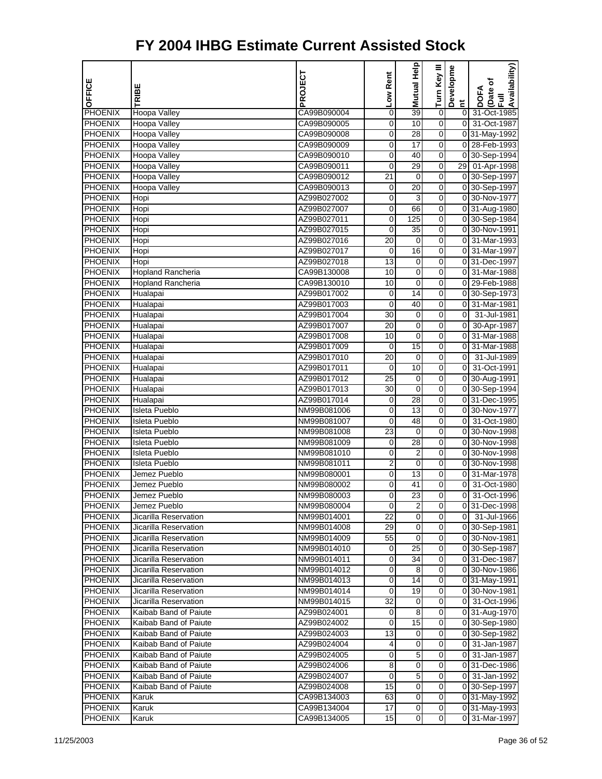| OFFICE                    | TRIBE                               | PROJECT                    | Low Rent       | Help<br>Mutual  | Turn Key III        | Developme      | Availability)<br>Date of<br>Full<br><b>DOFA</b> |
|---------------------------|-------------------------------------|----------------------------|----------------|-----------------|---------------------|----------------|-------------------------------------------------|
|                           |                                     |                            |                |                 |                     | Ĕ              |                                                 |
| PHOENIX                   | Hoopa Valley                        | CA99B090004                | 0              | 39              | $\pmb{0}$           | $\overline{0}$ | 31-Oct-1985<br>31-Oct-1987                      |
| PHOENIX<br><b>PHOENIX</b> | Hoopa Valley                        | CA99B090005                | 0<br>0         | 10<br>28        | $\overline{0}$<br>0 | $\overline{0}$ |                                                 |
| <b>PHOENIX</b>            | Hoopa Valley<br><b>Hoopa Valley</b> | CA99B090008<br>CA99B090009 | 0              | 17              | 0                   |                | 0 31-May-1992<br>0 28-Feb-1993                  |
| PHOENIX                   | Hoopa Valley                        | CA99B090010                | 0              | 40              | 0                   |                | 0 30-Sep-1994                                   |
| <b>PHOENIX</b>            | Hoopa Valley                        | CA99B090011                | $\mathbf 0$    | 29              | 0                   |                | 29 01-Apr-1998                                  |
| <b>PHOENIX</b>            | Hoopa Valley                        | CA99B090012                | 21             | $\mathbf 0$     | 0                   |                | 0 30-Sep-1997                                   |
| <b>PHOENIX</b>            | Hoopa Valley                        | CA99B090013                | 0              | 20              | 0                   |                | 0 30-Sep-1997                                   |
| <b>PHOENIX</b>            | Hopi                                | AZ99B027002                | 0              | 3               | 0                   |                | 0 30-Nov-1977                                   |
| <b>PHOENIX</b>            | Hopi                                | AZ99B027007                | 0              | 66              | 0                   |                | 0 31-Aug-1980                                   |
| PHOENIX                   | Hopi                                | AZ99B027011                | 0              | 125             | 0                   |                | 0 30-Sep-1984                                   |
| PHOENIX                   | Hopi                                | AZ99B027015                | 0              | 35              | 0                   |                | 0 30-Nov-1991                                   |
| PHOENIX                   | Hopi                                | AZ99B027016                | 20             | 0               | 0                   |                | 0 31-Mar-1993                                   |
| <b>PHOENIX</b>            | Hopi                                | AZ99B027017                | 0              | 16              | 0                   |                | 0 31-Mar-1997                                   |
| PHOENIX                   | Hopi                                | AZ99B027018                | 13             | 0               | 0                   |                | 031-Dec-1997                                    |
| PHOENIX                   | Hopland Rancheria                   | CA99B130008                | 10             | $\mathbf 0$     | 0                   | $\overline{0}$ | 31-Mar-1988                                     |
| <b>PHOENIX</b>            | <b>Hopland Rancheria</b>            | CA99B130010                | 10             | $\mathbf 0$     | 0                   |                | 0 29-Feb-1988                                   |
| <b>PHOENIX</b>            | Hualapai                            | AZ99B017002                | 0              | 14              | 0                   |                | 0 30-Sep-1973                                   |
| <b>PHOENIX</b>            | Hualapai                            | AZ99B017003                | $\mathbf 0$    | 40              | 0                   | 0I             | 31-Mar-1981                                     |
| PHOENIX                   | Hualapai                            | AZ99B017004                | 30             | 0               | 0                   | $\overline{0}$ | 31-Jul-1981                                     |
| PHOENIX                   | Hualapai                            | AZ99B017007                | 20             | $\mathbf 0$     | 0                   | $\overline{0}$ | 30-Apr-1987                                     |
| PHOENIX                   | Hualapai                            | AZ99B017008                | 10             | $\mathbf 0$     | 0                   |                | 0 31-Mar-1988                                   |
| PHOENIX                   | Hualapai                            | AZ99B017009                | 0              | $\overline{15}$ | 0                   | $\overline{0}$ | 31-Mar-1988                                     |
| <b>PHOENIX</b>            | Hualapai                            | AZ99B017010                | 20             | 0               | 0                   | $\overline{0}$ | 31-Jul-1989                                     |
| PHOENIX                   | Hualapai                            | AZ99B017011                | 0              | 10              | 0                   | 0              | 31-Oct-1991                                     |
| PHOENIX                   | Hualapai                            | AZ99B017012                | 25             | $\mathbf 0$     | 0                   |                | 0 30-Aug-1991                                   |
| PHOENIX                   | Hualapai                            | AZ99B017013                | 30             | $\mathbf 0$     | 0                   |                | 0 30-Sep-1994                                   |
| PHOENIX                   | Hualapai                            | AZ99B017014                | 0              | 28              | 0                   |                | 0 31-Dec-1995                                   |
| <b>PHOENIX</b>            | <b>Isleta Pueblo</b>                | NM99B081006                | 0              | 13              | 0                   |                | 0 30-Nov-1977                                   |
| <b>PHOENIX</b>            | <b>Isleta Pueblo</b>                | NM99B081007                | 0              | 48              | 0                   | $\overline{0}$ | 31-Oct-1980                                     |
| PHOENIX                   | Isleta Pueblo                       | NM99B081008                | 23             | 0               | 0                   |                | 0 30-Nov-1998                                   |
| PHOENIX                   | <b>Isleta Pueblo</b>                | NM99B081009                | 0              | 28              | 0                   |                | 0 30-Nov-1998                                   |
| PHOENIX                   | Isleta Pueblo                       | NM99B081010                | 0              | $\overline{2}$  | 0                   |                | 0 30-Nov-1998                                   |
| <b>PHOENIX</b>            | <b>Isleta Pueblo</b>                | NM99B081011                | $\overline{2}$ | $\mathbf 0$     | 0                   |                | 0 30-Nov-1998                                   |
| PHOENIX                   | Jemez Pueblo                        | NM99B080001                | 0              | 13              | 0                   | $\overline{0}$ | 31-Mar-1978                                     |
| <b>PHOENIX</b>            | Jemez Pueblo                        | NM99B080002                | 0              | 41              | 0                   | $\mathbf 0$    | 31-Oct-1980                                     |
| <b>PHOENIX</b>            | Jemez Pueblo                        | NM99B080003                | 0              | $\overline{23}$ | 0                   | $\mathbf 0$    | 31-Oct-1996                                     |
| <b>PHOENIX</b>            | Jemez Pueblo                        | NM99B080004                | 0              | 2               | 0                   |                | 0 31-Dec-1998                                   |
| <b>PHOENIX</b>            | Jicarilla Reservation               | NM99B014001                | 22             | 0               | 0                   |                | 0 31-Jul-1966                                   |
| <b>PHOENIX</b>            | Jicarilla Reservation               | NM99B014008                | 29             | 0               | 0                   |                | 0 30-Sep-1981                                   |
| <b>PHOENIX</b>            | Jicarilla Reservation               | NM99B014009                | 55             | $\mathbf 0$     | $\boldsymbol{0}$    |                | 0 30-Nov-1981                                   |
| <b>PHOENIX</b>            | Jicarilla Reservation               | NM99B014010                | 0              | 25              | $\overline{0}$      |                | 0 30-Sep-1987                                   |
| <b>PHOENIX</b>            | Jicarilla Reservation               | NM99B014011                | 0              | 34              | 0                   |                | 0 31-Dec-1987                                   |
| <b>PHOENIX</b>            | Jicarilla Reservation               | NM99B014012                | 0              | 8               | 0                   |                | 0 30-Nov-1986                                   |
| <b>PHOENIX</b>            | Jicarilla Reservation               | NM99B014013                | 0              | 14              | 0                   |                | 0 31-May-1991                                   |
| <b>PHOENIX</b>            | Jicarilla Reservation               | NM99B014014                | 0              | 19              | 0                   |                | 0 30-Nov-1981                                   |
| <b>PHOENIX</b>            | Jicarilla Reservation               | NM99B014015                | 32             | 0               | $\overline{0}$      |                | 0 31-Oct-1996                                   |
| <b>PHOENIX</b>            | Kaibab Band of Paiute               | AZ99B024001                | 0              | 8               | 0                   |                | 0 31-Aug-1970                                   |
| <b>PHOENIX</b>            | Kaibab Band of Paiute               | AZ99B024002                | 0              | 15              | 0                   |                | 0 30-Sep-1980                                   |
| <b>PHOENIX</b>            | Kaibab Band of Paiute               | AZ99B024003                | 13             | 0               | 0                   |                | 0 30-Sep-1982                                   |
| <b>PHOENIX</b>            | Kaibab Band of Paiute               | AZ99B024004                | 4              | $\mathbf 0$     | 0                   |                | 0 31-Jan-1987                                   |
| <b>PHOENIX</b>            | Kaibab Band of Paiute               | AZ99B024005                | 0              | 5               | $\overline{0}$      |                | 0 31-Jan-1987                                   |
| <b>PHOENIX</b>            | Kaibab Band of Paiute               | AZ99B024006                | 8              | $\mathbf 0$     | 0                   |                | 0 31-Dec-1986                                   |
| <b>PHOENIX</b>            | Kaibab Band of Paiute               | AZ99B024007                | 0              | $\overline{5}$  | 0                   |                | 0 31-Jan-1992                                   |
| <b>PHOENIX</b>            | Kaibab Band of Paiute               | AZ99B024008                | 15             | 0               | 0                   |                | 0 30-Sep-1997                                   |
| <b>PHOENIX</b>            | Karuk                               | CA99B134003                | 63             | $\mathbf 0$     | $\boldsymbol{0}$    |                | 0 31-May-1992                                   |
| <b>PHOENIX</b>            | Karuk                               | CA99B134004                | 17             | 0               | 0                   |                | 0 31-May-1993                                   |
| <b>PHOENIX</b>            | Karuk                               | CA99B134005                | 15             | $\mathbf 0$     | $\overline{0}$      |                | 0 31-Mar-1997                                   |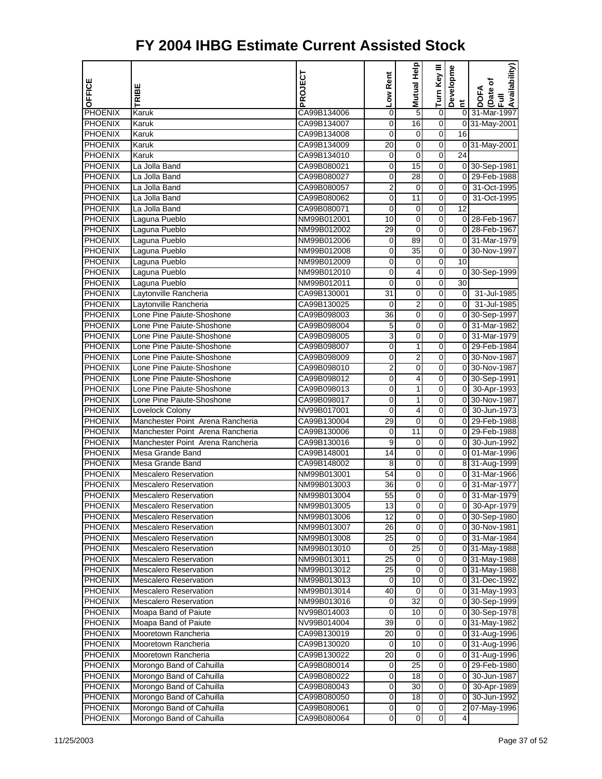| PHOENIX<br>CA99B134006<br>5<br>$\pmb{0}$<br>0 31-Mar-1997<br>Karuk<br>0<br>0<br>16<br>$\overline{O}$<br>0 31-May-2001<br><b>PHOENIX</b><br>Karuk<br>CA99B134007<br><b>PHOENIX</b><br>0<br>16<br>Karuk<br>CA99B134008<br>0<br>0<br><b>PHOENIX</b><br>0<br>Karuk<br>CA99B134009<br>20<br>0<br>0 31-May-2001<br><b>PHOENIX</b><br>24<br>Karuk<br>CA99B134010<br>0<br>0<br>0<br><b>PHOENIX</b><br>15<br>$\boldsymbol{0}$<br>0 30-Sep-1981<br>La Jolla Band<br>CA99B080021<br>0<br><b>PHOENIX</b><br>0<br>28<br>$\mathbf 0$<br>0 29-Feb-1988<br>La Jolla Band<br>CA99B080027<br><b>PHOENIX</b><br>2<br>0<br>$\overline{0}$<br>31-Oct-1995<br>La Jolla Band<br>CA99B080057<br>$\mathbf 0$<br><b>PHOENIX</b><br>0<br>$\overline{0}$<br>31-Oct-1995<br>La Jolla Band<br>CA99B080062<br>0<br>11<br><b>PHOENIX</b><br>12<br>La Jolla Band<br>CA99B080071<br>0<br>0<br>0<br>0<br>0 28-Feb-1967<br><b>PHOENIX</b><br>NM99B012001<br>10<br>0<br>Laguna Pueblo<br><b>PHOENIX</b><br>29<br>0<br>0 28-Feb-1967<br>Laguna Pueblo<br>NM99B012002<br>0<br><b>PHOENIX</b><br>89<br>0<br>0 31-Mar-1979<br>Laguna Pueblo<br>NM99B012006<br>0<br><b>PHOENIX</b><br>Laguna Pueblo<br>0<br>0<br>0 30-Nov-1997<br>NM99B012008<br>35<br><b>PHOENIX</b><br>Laguna Pueblo<br>NM99B012009<br>0<br>10<br>0<br>0<br>0<br><b>PHOENIX</b><br>NM99B012010<br>0<br>4<br>0 30-Sep-1999<br>Laguna Pueblo<br><b>PHOENIX</b><br>Laguna Pueblo<br>0<br>$\mathbf 0$<br>30<br>NM99B012011<br>0<br><b>PHOENIX</b><br>Laytonville Rancheria<br>0<br>οI<br>31-Jul-1985<br>CA99B130001<br>31<br>0<br><b>PHOENIX</b><br>Laytonville Rancheria<br>$\overline{2}$<br>0<br>$\overline{0}$<br>31-Jul-1985<br>CA99B130025<br>0<br><b>PHOENIX</b><br>Lone Pine Paiute-Shoshone<br>CA99B098003<br>36<br>0<br>0 30-Sep-1997<br>0<br>PHOENIX<br>Lone Pine Paiute-Shoshone<br>$\mathbf 0$<br>0<br>0 31-Mar-1982<br>CA99B098004<br>5<br>3<br><b>PHOENIX</b><br>Lone Pine Paiute-Shoshone<br>0<br>0 31-Mar-1979<br>CA99B098005<br>0<br><b>PHOENIX</b><br>Lone Pine Paiute-Shoshone<br>0<br>0 29-Feb-1984<br>CA99B098007<br>0<br>1<br><b>PHOENIX</b><br>Lone Pine Paiute-Shoshone<br>$\overline{2}$<br>0<br>0 30-Nov-1987<br>CA99B098009<br>0<br>PHOENIX<br>Lone Pine Paiute-Shoshone<br>0 30-Nov-1987<br>CA99B098010<br>2<br>0<br>0<br><b>PHOENIX</b><br>Lone Pine Paiute-Shoshone<br>0<br>0<br>4<br>0 30-Sep-1991<br>CA99B098012<br><b>PHOENIX</b><br>Lone Pine Paiute-Shoshone<br>0<br>0<br>0 30-Apr-1993<br>CA99B098013<br>1<br><b>PHOENIX</b><br>Lone Pine Paiute-Shoshone<br>0<br>0 30-Nov-1987<br>CA99B098017<br>0<br>1<br><b>PHOENIX</b><br>Lovelock Colony<br>0<br>0 30-Jun-1973<br>NV99B017001<br>0<br>4<br><b>PHOENIX</b><br>Manchester Point Arena Rancheria<br>CA99B130004<br>29<br>0<br>0 29-Feb-1988<br>0<br>11<br>0<br>0 29-Feb-1988<br>PHOENIX<br>Manchester Point Arena Rancheria<br>CA99B130006<br>0<br><b>PHOENIX</b><br>Manchester Point Arena Rancheria<br>9<br>0<br>0 30-Jun-1992<br>CA99B130016<br>0<br><b>PHOENIX</b><br>0<br>0 01-Mar-1996<br>Mesa Grande Band<br>CA99B148001<br>14<br>0<br><b>PHOENIX</b><br>0<br>8 31-Aug-1999<br>Mesa Grande Band<br>CA99B148002<br>8<br>0<br><b>PHOENIX</b><br>0 31-Mar-1966<br><b>Mescalero Reservation</b><br>NM99B013001<br>54<br>0<br>0<br>$\mathbf 0$<br>$\boldsymbol{0}$<br>0 31-Mar-1977<br><b>PHOENIX</b><br><b>Mescalero Reservation</b><br>36<br>NM99B013003<br>55<br>$\mathbf 0$<br>$\mathbf 0$<br>31-Mar-1979<br><b>PHOENIX</b><br><b>Mescalero Reservation</b><br>01<br>NM99B013004<br><b>PHOENIX</b><br><b>Mescalero Reservation</b><br>0 30-Apr-1979<br>NM99B013005<br>13<br>0<br>$\mathbf{O}$<br>0<br><b>PHOENIX</b><br><b>Mescalero Reservation</b><br>12<br>0<br>0 30-Sep-1980<br>NM99B013006<br><b>PHOENIX</b><br><b>Mescalero Reservation</b><br>0<br>0 30-Nov-1981<br>NM99B013007<br>26<br>0<br>$\mathbf 0$<br>$\boldsymbol{0}$<br><b>PHOENIX</b><br>25<br>0 31-Mar-1984<br><b>Mescalero Reservation</b><br>NM99B013008<br>25<br>$\mathbf 0$<br><b>PHOENIX</b><br><b>Mescalero Reservation</b><br>0<br>0 31-May-1988<br>NM99B013010<br>$\mathbf 0$<br><b>PHOENIX</b><br><b>Mescalero Reservation</b><br>0<br>0 31-May-1988<br>NM99B013011<br>25<br>o<br><b>PHOENIX</b><br>Mescalero Reservation<br>0<br>0 31-May-1988<br>NM99B013012<br>25<br><b>PHOENIX</b><br>Mescalero Reservation<br>10<br>0<br>NM99B013013<br>0<br>0 31-Dec-1992<br>$\boldsymbol{0}$<br><b>PHOENIX</b><br><b>Mescalero Reservation</b><br>40<br>0<br>NM99B013014<br>0 31-May-1993<br>Mescalero Reservation<br>32<br>$\mathbf 0$<br><b>PHOENIX</b><br>0<br>0 30-Sep-1999<br>NM99B013016<br>$\mathbf 0$<br><b>PHOENIX</b><br>Moapa Band of Paiute<br>0<br>10<br>0 30-Sep-1978<br>NV99B014003<br>0<br><b>PHOENIX</b><br>Moapa Band of Paiute<br>39<br>0<br>0 31-May-1982<br>NV99B014004<br><b>PHOENIX</b><br>Mooretown Rancheria<br>0<br>0<br>CA99B130019<br>20<br>0 31-Aug-1996<br>10<br>$\boldsymbol{0}$<br><b>PHOENIX</b><br>0 31-Aug-1996<br>Mooretown Rancheria<br>CA99B130020<br>0<br>20<br>$\mathbf 0$<br><b>PHOENIX</b><br>Mooretown Rancheria<br>0<br>0 31-Aug-1996<br>CA99B130022<br>25<br>$\mathbf 0$<br><b>PHOENIX</b><br>Morongo Band of Cahuilla<br>0 29-Feb-1980<br>CA99B080014<br>0<br>Morongo Band of Cahuilla<br>$\overline{\mathsf{o}}$<br><b>PHOENIX</b><br>0<br>18<br>0<br>30-Jun-1987<br>CA99B080022<br><b>PHOENIX</b><br>Morongo Band of Cahuilla<br>30<br>0<br>CA99B080043<br>0<br>01<br>30-Apr-1989<br>18<br>$\boldsymbol{0}$<br><b>PHOENIX</b><br>0<br>0 30-Jun-1992<br>Morongo Band of Cahuilla<br>CA99B080050<br>$\mathbf 0$<br>2 07-May-1996<br><b>PHOENIX</b><br>Morongo Band of Cahuilla<br>0<br>0<br>CA99B080061 | OFFICE         | TRIBE                    | PROJECT     | Low Rent | Help<br>Mutual | Turn Key III | Developme<br>$\tilde{E}$ | Availability)<br>Date of<br>Full<br>DOFA |
|------------------------------------------------------------------------------------------------------------------------------------------------------------------------------------------------------------------------------------------------------------------------------------------------------------------------------------------------------------------------------------------------------------------------------------------------------------------------------------------------------------------------------------------------------------------------------------------------------------------------------------------------------------------------------------------------------------------------------------------------------------------------------------------------------------------------------------------------------------------------------------------------------------------------------------------------------------------------------------------------------------------------------------------------------------------------------------------------------------------------------------------------------------------------------------------------------------------------------------------------------------------------------------------------------------------------------------------------------------------------------------------------------------------------------------------------------------------------------------------------------------------------------------------------------------------------------------------------------------------------------------------------------------------------------------------------------------------------------------------------------------------------------------------------------------------------------------------------------------------------------------------------------------------------------------------------------------------------------------------------------------------------------------------------------------------------------------------------------------------------------------------------------------------------------------------------------------------------------------------------------------------------------------------------------------------------------------------------------------------------------------------------------------------------------------------------------------------------------------------------------------------------------------------------------------------------------------------------------------------------------------------------------------------------------------------------------------------------------------------------------------------------------------------------------------------------------------------------------------------------------------------------------------------------------------------------------------------------------------------------------------------------------------------------------------------------------------------------------------------------------------------------------------------------------------------------------------------------------------------------------------------------------------------------------------------------------------------------------------------------------------------------------------------------------------------------------------------------------------------------------------------------------------------------------------------------------------------------------------------------------------------------------------------------------------------------------------------------------------------------------------------------------------------------------------------------------------------------------------------------------------------------------------------------------------------------------------------------------------------------------------------------------------------------------------------------------------------------------------------------------------------------------------------------------------------------------------------------------------------------------------------------------------------------------------------------------------------------------------------------------------------------------------------------------------------------------------------------------------------------------------------------------------------------------------------------------------------------------------------------------------------------------------------------------------------------------------------------------------------------------------------------------------------------------------------------------------------------------------------------------------------------------------------------------------------------------------------------------------------------------------------------------------------------------------------------------------------------------------------------------------------------------------------------------------------------------------------------------------------------------------------------------------------------------------------------------------------------------------------------------------------------------------------------------------------------------------------------------------------------------------------------------------------------------------------------------------------------------------------------------------------|----------------|--------------------------|-------------|----------|----------------|--------------|--------------------------|------------------------------------------|
|                                                                                                                                                                                                                                                                                                                                                                                                                                                                                                                                                                                                                                                                                                                                                                                                                                                                                                                                                                                                                                                                                                                                                                                                                                                                                                                                                                                                                                                                                                                                                                                                                                                                                                                                                                                                                                                                                                                                                                                                                                                                                                                                                                                                                                                                                                                                                                                                                                                                                                                                                                                                                                                                                                                                                                                                                                                                                                                                                                                                                                                                                                                                                                                                                                                                                                                                                                                                                                                                                                                                                                                                                                                                                                                                                                                                                                                                                                                                                                                                                                                                                                                                                                                                                                                                                                                                                                                                                                                                                                                                                                                                                                                                                                                                                                                                                                                                                                                                                                                                                                                                                                                                                                                                                                                                                                                                                                                                                                                                                                                                                                                                                                          |                |                          |             |          |                |              |                          |                                          |
|                                                                                                                                                                                                                                                                                                                                                                                                                                                                                                                                                                                                                                                                                                                                                                                                                                                                                                                                                                                                                                                                                                                                                                                                                                                                                                                                                                                                                                                                                                                                                                                                                                                                                                                                                                                                                                                                                                                                                                                                                                                                                                                                                                                                                                                                                                                                                                                                                                                                                                                                                                                                                                                                                                                                                                                                                                                                                                                                                                                                                                                                                                                                                                                                                                                                                                                                                                                                                                                                                                                                                                                                                                                                                                                                                                                                                                                                                                                                                                                                                                                                                                                                                                                                                                                                                                                                                                                                                                                                                                                                                                                                                                                                                                                                                                                                                                                                                                                                                                                                                                                                                                                                                                                                                                                                                                                                                                                                                                                                                                                                                                                                                                          |                |                          |             |          |                |              |                          |                                          |
|                                                                                                                                                                                                                                                                                                                                                                                                                                                                                                                                                                                                                                                                                                                                                                                                                                                                                                                                                                                                                                                                                                                                                                                                                                                                                                                                                                                                                                                                                                                                                                                                                                                                                                                                                                                                                                                                                                                                                                                                                                                                                                                                                                                                                                                                                                                                                                                                                                                                                                                                                                                                                                                                                                                                                                                                                                                                                                                                                                                                                                                                                                                                                                                                                                                                                                                                                                                                                                                                                                                                                                                                                                                                                                                                                                                                                                                                                                                                                                                                                                                                                                                                                                                                                                                                                                                                                                                                                                                                                                                                                                                                                                                                                                                                                                                                                                                                                                                                                                                                                                                                                                                                                                                                                                                                                                                                                                                                                                                                                                                                                                                                                                          |                |                          |             |          |                |              |                          |                                          |
|                                                                                                                                                                                                                                                                                                                                                                                                                                                                                                                                                                                                                                                                                                                                                                                                                                                                                                                                                                                                                                                                                                                                                                                                                                                                                                                                                                                                                                                                                                                                                                                                                                                                                                                                                                                                                                                                                                                                                                                                                                                                                                                                                                                                                                                                                                                                                                                                                                                                                                                                                                                                                                                                                                                                                                                                                                                                                                                                                                                                                                                                                                                                                                                                                                                                                                                                                                                                                                                                                                                                                                                                                                                                                                                                                                                                                                                                                                                                                                                                                                                                                                                                                                                                                                                                                                                                                                                                                                                                                                                                                                                                                                                                                                                                                                                                                                                                                                                                                                                                                                                                                                                                                                                                                                                                                                                                                                                                                                                                                                                                                                                                                                          |                |                          |             |          |                |              |                          |                                          |
|                                                                                                                                                                                                                                                                                                                                                                                                                                                                                                                                                                                                                                                                                                                                                                                                                                                                                                                                                                                                                                                                                                                                                                                                                                                                                                                                                                                                                                                                                                                                                                                                                                                                                                                                                                                                                                                                                                                                                                                                                                                                                                                                                                                                                                                                                                                                                                                                                                                                                                                                                                                                                                                                                                                                                                                                                                                                                                                                                                                                                                                                                                                                                                                                                                                                                                                                                                                                                                                                                                                                                                                                                                                                                                                                                                                                                                                                                                                                                                                                                                                                                                                                                                                                                                                                                                                                                                                                                                                                                                                                                                                                                                                                                                                                                                                                                                                                                                                                                                                                                                                                                                                                                                                                                                                                                                                                                                                                                                                                                                                                                                                                                                          |                |                          |             |          |                |              |                          |                                          |
|                                                                                                                                                                                                                                                                                                                                                                                                                                                                                                                                                                                                                                                                                                                                                                                                                                                                                                                                                                                                                                                                                                                                                                                                                                                                                                                                                                                                                                                                                                                                                                                                                                                                                                                                                                                                                                                                                                                                                                                                                                                                                                                                                                                                                                                                                                                                                                                                                                                                                                                                                                                                                                                                                                                                                                                                                                                                                                                                                                                                                                                                                                                                                                                                                                                                                                                                                                                                                                                                                                                                                                                                                                                                                                                                                                                                                                                                                                                                                                                                                                                                                                                                                                                                                                                                                                                                                                                                                                                                                                                                                                                                                                                                                                                                                                                                                                                                                                                                                                                                                                                                                                                                                                                                                                                                                                                                                                                                                                                                                                                                                                                                                                          |                |                          |             |          |                |              |                          |                                          |
|                                                                                                                                                                                                                                                                                                                                                                                                                                                                                                                                                                                                                                                                                                                                                                                                                                                                                                                                                                                                                                                                                                                                                                                                                                                                                                                                                                                                                                                                                                                                                                                                                                                                                                                                                                                                                                                                                                                                                                                                                                                                                                                                                                                                                                                                                                                                                                                                                                                                                                                                                                                                                                                                                                                                                                                                                                                                                                                                                                                                                                                                                                                                                                                                                                                                                                                                                                                                                                                                                                                                                                                                                                                                                                                                                                                                                                                                                                                                                                                                                                                                                                                                                                                                                                                                                                                                                                                                                                                                                                                                                                                                                                                                                                                                                                                                                                                                                                                                                                                                                                                                                                                                                                                                                                                                                                                                                                                                                                                                                                                                                                                                                                          |                |                          |             |          |                |              |                          |                                          |
|                                                                                                                                                                                                                                                                                                                                                                                                                                                                                                                                                                                                                                                                                                                                                                                                                                                                                                                                                                                                                                                                                                                                                                                                                                                                                                                                                                                                                                                                                                                                                                                                                                                                                                                                                                                                                                                                                                                                                                                                                                                                                                                                                                                                                                                                                                                                                                                                                                                                                                                                                                                                                                                                                                                                                                                                                                                                                                                                                                                                                                                                                                                                                                                                                                                                                                                                                                                                                                                                                                                                                                                                                                                                                                                                                                                                                                                                                                                                                                                                                                                                                                                                                                                                                                                                                                                                                                                                                                                                                                                                                                                                                                                                                                                                                                                                                                                                                                                                                                                                                                                                                                                                                                                                                                                                                                                                                                                                                                                                                                                                                                                                                                          |                |                          |             |          |                |              |                          |                                          |
|                                                                                                                                                                                                                                                                                                                                                                                                                                                                                                                                                                                                                                                                                                                                                                                                                                                                                                                                                                                                                                                                                                                                                                                                                                                                                                                                                                                                                                                                                                                                                                                                                                                                                                                                                                                                                                                                                                                                                                                                                                                                                                                                                                                                                                                                                                                                                                                                                                                                                                                                                                                                                                                                                                                                                                                                                                                                                                                                                                                                                                                                                                                                                                                                                                                                                                                                                                                                                                                                                                                                                                                                                                                                                                                                                                                                                                                                                                                                                                                                                                                                                                                                                                                                                                                                                                                                                                                                                                                                                                                                                                                                                                                                                                                                                                                                                                                                                                                                                                                                                                                                                                                                                                                                                                                                                                                                                                                                                                                                                                                                                                                                                                          |                |                          |             |          |                |              |                          |                                          |
|                                                                                                                                                                                                                                                                                                                                                                                                                                                                                                                                                                                                                                                                                                                                                                                                                                                                                                                                                                                                                                                                                                                                                                                                                                                                                                                                                                                                                                                                                                                                                                                                                                                                                                                                                                                                                                                                                                                                                                                                                                                                                                                                                                                                                                                                                                                                                                                                                                                                                                                                                                                                                                                                                                                                                                                                                                                                                                                                                                                                                                                                                                                                                                                                                                                                                                                                                                                                                                                                                                                                                                                                                                                                                                                                                                                                                                                                                                                                                                                                                                                                                                                                                                                                                                                                                                                                                                                                                                                                                                                                                                                                                                                                                                                                                                                                                                                                                                                                                                                                                                                                                                                                                                                                                                                                                                                                                                                                                                                                                                                                                                                                                                          |                |                          |             |          |                |              |                          |                                          |
|                                                                                                                                                                                                                                                                                                                                                                                                                                                                                                                                                                                                                                                                                                                                                                                                                                                                                                                                                                                                                                                                                                                                                                                                                                                                                                                                                                                                                                                                                                                                                                                                                                                                                                                                                                                                                                                                                                                                                                                                                                                                                                                                                                                                                                                                                                                                                                                                                                                                                                                                                                                                                                                                                                                                                                                                                                                                                                                                                                                                                                                                                                                                                                                                                                                                                                                                                                                                                                                                                                                                                                                                                                                                                                                                                                                                                                                                                                                                                                                                                                                                                                                                                                                                                                                                                                                                                                                                                                                                                                                                                                                                                                                                                                                                                                                                                                                                                                                                                                                                                                                                                                                                                                                                                                                                                                                                                                                                                                                                                                                                                                                                                                          |                |                          |             |          |                |              |                          |                                          |
|                                                                                                                                                                                                                                                                                                                                                                                                                                                                                                                                                                                                                                                                                                                                                                                                                                                                                                                                                                                                                                                                                                                                                                                                                                                                                                                                                                                                                                                                                                                                                                                                                                                                                                                                                                                                                                                                                                                                                                                                                                                                                                                                                                                                                                                                                                                                                                                                                                                                                                                                                                                                                                                                                                                                                                                                                                                                                                                                                                                                                                                                                                                                                                                                                                                                                                                                                                                                                                                                                                                                                                                                                                                                                                                                                                                                                                                                                                                                                                                                                                                                                                                                                                                                                                                                                                                                                                                                                                                                                                                                                                                                                                                                                                                                                                                                                                                                                                                                                                                                                                                                                                                                                                                                                                                                                                                                                                                                                                                                                                                                                                                                                                          |                |                          |             |          |                |              |                          |                                          |
|                                                                                                                                                                                                                                                                                                                                                                                                                                                                                                                                                                                                                                                                                                                                                                                                                                                                                                                                                                                                                                                                                                                                                                                                                                                                                                                                                                                                                                                                                                                                                                                                                                                                                                                                                                                                                                                                                                                                                                                                                                                                                                                                                                                                                                                                                                                                                                                                                                                                                                                                                                                                                                                                                                                                                                                                                                                                                                                                                                                                                                                                                                                                                                                                                                                                                                                                                                                                                                                                                                                                                                                                                                                                                                                                                                                                                                                                                                                                                                                                                                                                                                                                                                                                                                                                                                                                                                                                                                                                                                                                                                                                                                                                                                                                                                                                                                                                                                                                                                                                                                                                                                                                                                                                                                                                                                                                                                                                                                                                                                                                                                                                                                          |                |                          |             |          |                |              |                          |                                          |
|                                                                                                                                                                                                                                                                                                                                                                                                                                                                                                                                                                                                                                                                                                                                                                                                                                                                                                                                                                                                                                                                                                                                                                                                                                                                                                                                                                                                                                                                                                                                                                                                                                                                                                                                                                                                                                                                                                                                                                                                                                                                                                                                                                                                                                                                                                                                                                                                                                                                                                                                                                                                                                                                                                                                                                                                                                                                                                                                                                                                                                                                                                                                                                                                                                                                                                                                                                                                                                                                                                                                                                                                                                                                                                                                                                                                                                                                                                                                                                                                                                                                                                                                                                                                                                                                                                                                                                                                                                                                                                                                                                                                                                                                                                                                                                                                                                                                                                                                                                                                                                                                                                                                                                                                                                                                                                                                                                                                                                                                                                                                                                                                                                          |                |                          |             |          |                |              |                          |                                          |
|                                                                                                                                                                                                                                                                                                                                                                                                                                                                                                                                                                                                                                                                                                                                                                                                                                                                                                                                                                                                                                                                                                                                                                                                                                                                                                                                                                                                                                                                                                                                                                                                                                                                                                                                                                                                                                                                                                                                                                                                                                                                                                                                                                                                                                                                                                                                                                                                                                                                                                                                                                                                                                                                                                                                                                                                                                                                                                                                                                                                                                                                                                                                                                                                                                                                                                                                                                                                                                                                                                                                                                                                                                                                                                                                                                                                                                                                                                                                                                                                                                                                                                                                                                                                                                                                                                                                                                                                                                                                                                                                                                                                                                                                                                                                                                                                                                                                                                                                                                                                                                                                                                                                                                                                                                                                                                                                                                                                                                                                                                                                                                                                                                          |                |                          |             |          |                |              |                          |                                          |
|                                                                                                                                                                                                                                                                                                                                                                                                                                                                                                                                                                                                                                                                                                                                                                                                                                                                                                                                                                                                                                                                                                                                                                                                                                                                                                                                                                                                                                                                                                                                                                                                                                                                                                                                                                                                                                                                                                                                                                                                                                                                                                                                                                                                                                                                                                                                                                                                                                                                                                                                                                                                                                                                                                                                                                                                                                                                                                                                                                                                                                                                                                                                                                                                                                                                                                                                                                                                                                                                                                                                                                                                                                                                                                                                                                                                                                                                                                                                                                                                                                                                                                                                                                                                                                                                                                                                                                                                                                                                                                                                                                                                                                                                                                                                                                                                                                                                                                                                                                                                                                                                                                                                                                                                                                                                                                                                                                                                                                                                                                                                                                                                                                          |                |                          |             |          |                |              |                          |                                          |
|                                                                                                                                                                                                                                                                                                                                                                                                                                                                                                                                                                                                                                                                                                                                                                                                                                                                                                                                                                                                                                                                                                                                                                                                                                                                                                                                                                                                                                                                                                                                                                                                                                                                                                                                                                                                                                                                                                                                                                                                                                                                                                                                                                                                                                                                                                                                                                                                                                                                                                                                                                                                                                                                                                                                                                                                                                                                                                                                                                                                                                                                                                                                                                                                                                                                                                                                                                                                                                                                                                                                                                                                                                                                                                                                                                                                                                                                                                                                                                                                                                                                                                                                                                                                                                                                                                                                                                                                                                                                                                                                                                                                                                                                                                                                                                                                                                                                                                                                                                                                                                                                                                                                                                                                                                                                                                                                                                                                                                                                                                                                                                                                                                          |                |                          |             |          |                |              |                          |                                          |
|                                                                                                                                                                                                                                                                                                                                                                                                                                                                                                                                                                                                                                                                                                                                                                                                                                                                                                                                                                                                                                                                                                                                                                                                                                                                                                                                                                                                                                                                                                                                                                                                                                                                                                                                                                                                                                                                                                                                                                                                                                                                                                                                                                                                                                                                                                                                                                                                                                                                                                                                                                                                                                                                                                                                                                                                                                                                                                                                                                                                                                                                                                                                                                                                                                                                                                                                                                                                                                                                                                                                                                                                                                                                                                                                                                                                                                                                                                                                                                                                                                                                                                                                                                                                                                                                                                                                                                                                                                                                                                                                                                                                                                                                                                                                                                                                                                                                                                                                                                                                                                                                                                                                                                                                                                                                                                                                                                                                                                                                                                                                                                                                                                          |                |                          |             |          |                |              |                          |                                          |
|                                                                                                                                                                                                                                                                                                                                                                                                                                                                                                                                                                                                                                                                                                                                                                                                                                                                                                                                                                                                                                                                                                                                                                                                                                                                                                                                                                                                                                                                                                                                                                                                                                                                                                                                                                                                                                                                                                                                                                                                                                                                                                                                                                                                                                                                                                                                                                                                                                                                                                                                                                                                                                                                                                                                                                                                                                                                                                                                                                                                                                                                                                                                                                                                                                                                                                                                                                                                                                                                                                                                                                                                                                                                                                                                                                                                                                                                                                                                                                                                                                                                                                                                                                                                                                                                                                                                                                                                                                                                                                                                                                                                                                                                                                                                                                                                                                                                                                                                                                                                                                                                                                                                                                                                                                                                                                                                                                                                                                                                                                                                                                                                                                          |                |                          |             |          |                |              |                          |                                          |
|                                                                                                                                                                                                                                                                                                                                                                                                                                                                                                                                                                                                                                                                                                                                                                                                                                                                                                                                                                                                                                                                                                                                                                                                                                                                                                                                                                                                                                                                                                                                                                                                                                                                                                                                                                                                                                                                                                                                                                                                                                                                                                                                                                                                                                                                                                                                                                                                                                                                                                                                                                                                                                                                                                                                                                                                                                                                                                                                                                                                                                                                                                                                                                                                                                                                                                                                                                                                                                                                                                                                                                                                                                                                                                                                                                                                                                                                                                                                                                                                                                                                                                                                                                                                                                                                                                                                                                                                                                                                                                                                                                                                                                                                                                                                                                                                                                                                                                                                                                                                                                                                                                                                                                                                                                                                                                                                                                                                                                                                                                                                                                                                                                          |                |                          |             |          |                |              |                          |                                          |
|                                                                                                                                                                                                                                                                                                                                                                                                                                                                                                                                                                                                                                                                                                                                                                                                                                                                                                                                                                                                                                                                                                                                                                                                                                                                                                                                                                                                                                                                                                                                                                                                                                                                                                                                                                                                                                                                                                                                                                                                                                                                                                                                                                                                                                                                                                                                                                                                                                                                                                                                                                                                                                                                                                                                                                                                                                                                                                                                                                                                                                                                                                                                                                                                                                                                                                                                                                                                                                                                                                                                                                                                                                                                                                                                                                                                                                                                                                                                                                                                                                                                                                                                                                                                                                                                                                                                                                                                                                                                                                                                                                                                                                                                                                                                                                                                                                                                                                                                                                                                                                                                                                                                                                                                                                                                                                                                                                                                                                                                                                                                                                                                                                          |                |                          |             |          |                |              |                          |                                          |
|                                                                                                                                                                                                                                                                                                                                                                                                                                                                                                                                                                                                                                                                                                                                                                                                                                                                                                                                                                                                                                                                                                                                                                                                                                                                                                                                                                                                                                                                                                                                                                                                                                                                                                                                                                                                                                                                                                                                                                                                                                                                                                                                                                                                                                                                                                                                                                                                                                                                                                                                                                                                                                                                                                                                                                                                                                                                                                                                                                                                                                                                                                                                                                                                                                                                                                                                                                                                                                                                                                                                                                                                                                                                                                                                                                                                                                                                                                                                                                                                                                                                                                                                                                                                                                                                                                                                                                                                                                                                                                                                                                                                                                                                                                                                                                                                                                                                                                                                                                                                                                                                                                                                                                                                                                                                                                                                                                                                                                                                                                                                                                                                                                          |                |                          |             |          |                |              |                          |                                          |
|                                                                                                                                                                                                                                                                                                                                                                                                                                                                                                                                                                                                                                                                                                                                                                                                                                                                                                                                                                                                                                                                                                                                                                                                                                                                                                                                                                                                                                                                                                                                                                                                                                                                                                                                                                                                                                                                                                                                                                                                                                                                                                                                                                                                                                                                                                                                                                                                                                                                                                                                                                                                                                                                                                                                                                                                                                                                                                                                                                                                                                                                                                                                                                                                                                                                                                                                                                                                                                                                                                                                                                                                                                                                                                                                                                                                                                                                                                                                                                                                                                                                                                                                                                                                                                                                                                                                                                                                                                                                                                                                                                                                                                                                                                                                                                                                                                                                                                                                                                                                                                                                                                                                                                                                                                                                                                                                                                                                                                                                                                                                                                                                                                          |                |                          |             |          |                |              |                          |                                          |
|                                                                                                                                                                                                                                                                                                                                                                                                                                                                                                                                                                                                                                                                                                                                                                                                                                                                                                                                                                                                                                                                                                                                                                                                                                                                                                                                                                                                                                                                                                                                                                                                                                                                                                                                                                                                                                                                                                                                                                                                                                                                                                                                                                                                                                                                                                                                                                                                                                                                                                                                                                                                                                                                                                                                                                                                                                                                                                                                                                                                                                                                                                                                                                                                                                                                                                                                                                                                                                                                                                                                                                                                                                                                                                                                                                                                                                                                                                                                                                                                                                                                                                                                                                                                                                                                                                                                                                                                                                                                                                                                                                                                                                                                                                                                                                                                                                                                                                                                                                                                                                                                                                                                                                                                                                                                                                                                                                                                                                                                                                                                                                                                                                          |                |                          |             |          |                |              |                          |                                          |
|                                                                                                                                                                                                                                                                                                                                                                                                                                                                                                                                                                                                                                                                                                                                                                                                                                                                                                                                                                                                                                                                                                                                                                                                                                                                                                                                                                                                                                                                                                                                                                                                                                                                                                                                                                                                                                                                                                                                                                                                                                                                                                                                                                                                                                                                                                                                                                                                                                                                                                                                                                                                                                                                                                                                                                                                                                                                                                                                                                                                                                                                                                                                                                                                                                                                                                                                                                                                                                                                                                                                                                                                                                                                                                                                                                                                                                                                                                                                                                                                                                                                                                                                                                                                                                                                                                                                                                                                                                                                                                                                                                                                                                                                                                                                                                                                                                                                                                                                                                                                                                                                                                                                                                                                                                                                                                                                                                                                                                                                                                                                                                                                                                          |                |                          |             |          |                |              |                          |                                          |
|                                                                                                                                                                                                                                                                                                                                                                                                                                                                                                                                                                                                                                                                                                                                                                                                                                                                                                                                                                                                                                                                                                                                                                                                                                                                                                                                                                                                                                                                                                                                                                                                                                                                                                                                                                                                                                                                                                                                                                                                                                                                                                                                                                                                                                                                                                                                                                                                                                                                                                                                                                                                                                                                                                                                                                                                                                                                                                                                                                                                                                                                                                                                                                                                                                                                                                                                                                                                                                                                                                                                                                                                                                                                                                                                                                                                                                                                                                                                                                                                                                                                                                                                                                                                                                                                                                                                                                                                                                                                                                                                                                                                                                                                                                                                                                                                                                                                                                                                                                                                                                                                                                                                                                                                                                                                                                                                                                                                                                                                                                                                                                                                                                          |                |                          |             |          |                |              |                          |                                          |
|                                                                                                                                                                                                                                                                                                                                                                                                                                                                                                                                                                                                                                                                                                                                                                                                                                                                                                                                                                                                                                                                                                                                                                                                                                                                                                                                                                                                                                                                                                                                                                                                                                                                                                                                                                                                                                                                                                                                                                                                                                                                                                                                                                                                                                                                                                                                                                                                                                                                                                                                                                                                                                                                                                                                                                                                                                                                                                                                                                                                                                                                                                                                                                                                                                                                                                                                                                                                                                                                                                                                                                                                                                                                                                                                                                                                                                                                                                                                                                                                                                                                                                                                                                                                                                                                                                                                                                                                                                                                                                                                                                                                                                                                                                                                                                                                                                                                                                                                                                                                                                                                                                                                                                                                                                                                                                                                                                                                                                                                                                                                                                                                                                          |                |                          |             |          |                |              |                          |                                          |
|                                                                                                                                                                                                                                                                                                                                                                                                                                                                                                                                                                                                                                                                                                                                                                                                                                                                                                                                                                                                                                                                                                                                                                                                                                                                                                                                                                                                                                                                                                                                                                                                                                                                                                                                                                                                                                                                                                                                                                                                                                                                                                                                                                                                                                                                                                                                                                                                                                                                                                                                                                                                                                                                                                                                                                                                                                                                                                                                                                                                                                                                                                                                                                                                                                                                                                                                                                                                                                                                                                                                                                                                                                                                                                                                                                                                                                                                                                                                                                                                                                                                                                                                                                                                                                                                                                                                                                                                                                                                                                                                                                                                                                                                                                                                                                                                                                                                                                                                                                                                                                                                                                                                                                                                                                                                                                                                                                                                                                                                                                                                                                                                                                          |                |                          |             |          |                |              |                          |                                          |
|                                                                                                                                                                                                                                                                                                                                                                                                                                                                                                                                                                                                                                                                                                                                                                                                                                                                                                                                                                                                                                                                                                                                                                                                                                                                                                                                                                                                                                                                                                                                                                                                                                                                                                                                                                                                                                                                                                                                                                                                                                                                                                                                                                                                                                                                                                                                                                                                                                                                                                                                                                                                                                                                                                                                                                                                                                                                                                                                                                                                                                                                                                                                                                                                                                                                                                                                                                                                                                                                                                                                                                                                                                                                                                                                                                                                                                                                                                                                                                                                                                                                                                                                                                                                                                                                                                                                                                                                                                                                                                                                                                                                                                                                                                                                                                                                                                                                                                                                                                                                                                                                                                                                                                                                                                                                                                                                                                                                                                                                                                                                                                                                                                          |                |                          |             |          |                |              |                          |                                          |
|                                                                                                                                                                                                                                                                                                                                                                                                                                                                                                                                                                                                                                                                                                                                                                                                                                                                                                                                                                                                                                                                                                                                                                                                                                                                                                                                                                                                                                                                                                                                                                                                                                                                                                                                                                                                                                                                                                                                                                                                                                                                                                                                                                                                                                                                                                                                                                                                                                                                                                                                                                                                                                                                                                                                                                                                                                                                                                                                                                                                                                                                                                                                                                                                                                                                                                                                                                                                                                                                                                                                                                                                                                                                                                                                                                                                                                                                                                                                                                                                                                                                                                                                                                                                                                                                                                                                                                                                                                                                                                                                                                                                                                                                                                                                                                                                                                                                                                                                                                                                                                                                                                                                                                                                                                                                                                                                                                                                                                                                                                                                                                                                                                          |                |                          |             |          |                |              |                          |                                          |
|                                                                                                                                                                                                                                                                                                                                                                                                                                                                                                                                                                                                                                                                                                                                                                                                                                                                                                                                                                                                                                                                                                                                                                                                                                                                                                                                                                                                                                                                                                                                                                                                                                                                                                                                                                                                                                                                                                                                                                                                                                                                                                                                                                                                                                                                                                                                                                                                                                                                                                                                                                                                                                                                                                                                                                                                                                                                                                                                                                                                                                                                                                                                                                                                                                                                                                                                                                                                                                                                                                                                                                                                                                                                                                                                                                                                                                                                                                                                                                                                                                                                                                                                                                                                                                                                                                                                                                                                                                                                                                                                                                                                                                                                                                                                                                                                                                                                                                                                                                                                                                                                                                                                                                                                                                                                                                                                                                                                                                                                                                                                                                                                                                          |                |                          |             |          |                |              |                          |                                          |
|                                                                                                                                                                                                                                                                                                                                                                                                                                                                                                                                                                                                                                                                                                                                                                                                                                                                                                                                                                                                                                                                                                                                                                                                                                                                                                                                                                                                                                                                                                                                                                                                                                                                                                                                                                                                                                                                                                                                                                                                                                                                                                                                                                                                                                                                                                                                                                                                                                                                                                                                                                                                                                                                                                                                                                                                                                                                                                                                                                                                                                                                                                                                                                                                                                                                                                                                                                                                                                                                                                                                                                                                                                                                                                                                                                                                                                                                                                                                                                                                                                                                                                                                                                                                                                                                                                                                                                                                                                                                                                                                                                                                                                                                                                                                                                                                                                                                                                                                                                                                                                                                                                                                                                                                                                                                                                                                                                                                                                                                                                                                                                                                                                          |                |                          |             |          |                |              |                          |                                          |
|                                                                                                                                                                                                                                                                                                                                                                                                                                                                                                                                                                                                                                                                                                                                                                                                                                                                                                                                                                                                                                                                                                                                                                                                                                                                                                                                                                                                                                                                                                                                                                                                                                                                                                                                                                                                                                                                                                                                                                                                                                                                                                                                                                                                                                                                                                                                                                                                                                                                                                                                                                                                                                                                                                                                                                                                                                                                                                                                                                                                                                                                                                                                                                                                                                                                                                                                                                                                                                                                                                                                                                                                                                                                                                                                                                                                                                                                                                                                                                                                                                                                                                                                                                                                                                                                                                                                                                                                                                                                                                                                                                                                                                                                                                                                                                                                                                                                                                                                                                                                                                                                                                                                                                                                                                                                                                                                                                                                                                                                                                                                                                                                                                          |                |                          |             |          |                |              |                          |                                          |
|                                                                                                                                                                                                                                                                                                                                                                                                                                                                                                                                                                                                                                                                                                                                                                                                                                                                                                                                                                                                                                                                                                                                                                                                                                                                                                                                                                                                                                                                                                                                                                                                                                                                                                                                                                                                                                                                                                                                                                                                                                                                                                                                                                                                                                                                                                                                                                                                                                                                                                                                                                                                                                                                                                                                                                                                                                                                                                                                                                                                                                                                                                                                                                                                                                                                                                                                                                                                                                                                                                                                                                                                                                                                                                                                                                                                                                                                                                                                                                                                                                                                                                                                                                                                                                                                                                                                                                                                                                                                                                                                                                                                                                                                                                                                                                                                                                                                                                                                                                                                                                                                                                                                                                                                                                                                                                                                                                                                                                                                                                                                                                                                                                          |                |                          |             |          |                |              |                          |                                          |
|                                                                                                                                                                                                                                                                                                                                                                                                                                                                                                                                                                                                                                                                                                                                                                                                                                                                                                                                                                                                                                                                                                                                                                                                                                                                                                                                                                                                                                                                                                                                                                                                                                                                                                                                                                                                                                                                                                                                                                                                                                                                                                                                                                                                                                                                                                                                                                                                                                                                                                                                                                                                                                                                                                                                                                                                                                                                                                                                                                                                                                                                                                                                                                                                                                                                                                                                                                                                                                                                                                                                                                                                                                                                                                                                                                                                                                                                                                                                                                                                                                                                                                                                                                                                                                                                                                                                                                                                                                                                                                                                                                                                                                                                                                                                                                                                                                                                                                                                                                                                                                                                                                                                                                                                                                                                                                                                                                                                                                                                                                                                                                                                                                          |                |                          |             |          |                |              |                          |                                          |
|                                                                                                                                                                                                                                                                                                                                                                                                                                                                                                                                                                                                                                                                                                                                                                                                                                                                                                                                                                                                                                                                                                                                                                                                                                                                                                                                                                                                                                                                                                                                                                                                                                                                                                                                                                                                                                                                                                                                                                                                                                                                                                                                                                                                                                                                                                                                                                                                                                                                                                                                                                                                                                                                                                                                                                                                                                                                                                                                                                                                                                                                                                                                                                                                                                                                                                                                                                                                                                                                                                                                                                                                                                                                                                                                                                                                                                                                                                                                                                                                                                                                                                                                                                                                                                                                                                                                                                                                                                                                                                                                                                                                                                                                                                                                                                                                                                                                                                                                                                                                                                                                                                                                                                                                                                                                                                                                                                                                                                                                                                                                                                                                                                          |                |                          |             |          |                |              |                          |                                          |
|                                                                                                                                                                                                                                                                                                                                                                                                                                                                                                                                                                                                                                                                                                                                                                                                                                                                                                                                                                                                                                                                                                                                                                                                                                                                                                                                                                                                                                                                                                                                                                                                                                                                                                                                                                                                                                                                                                                                                                                                                                                                                                                                                                                                                                                                                                                                                                                                                                                                                                                                                                                                                                                                                                                                                                                                                                                                                                                                                                                                                                                                                                                                                                                                                                                                                                                                                                                                                                                                                                                                                                                                                                                                                                                                                                                                                                                                                                                                                                                                                                                                                                                                                                                                                                                                                                                                                                                                                                                                                                                                                                                                                                                                                                                                                                                                                                                                                                                                                                                                                                                                                                                                                                                                                                                                                                                                                                                                                                                                                                                                                                                                                                          |                |                          |             |          |                |              |                          |                                          |
|                                                                                                                                                                                                                                                                                                                                                                                                                                                                                                                                                                                                                                                                                                                                                                                                                                                                                                                                                                                                                                                                                                                                                                                                                                                                                                                                                                                                                                                                                                                                                                                                                                                                                                                                                                                                                                                                                                                                                                                                                                                                                                                                                                                                                                                                                                                                                                                                                                                                                                                                                                                                                                                                                                                                                                                                                                                                                                                                                                                                                                                                                                                                                                                                                                                                                                                                                                                                                                                                                                                                                                                                                                                                                                                                                                                                                                                                                                                                                                                                                                                                                                                                                                                                                                                                                                                                                                                                                                                                                                                                                                                                                                                                                                                                                                                                                                                                                                                                                                                                                                                                                                                                                                                                                                                                                                                                                                                                                                                                                                                                                                                                                                          |                |                          |             |          |                |              |                          |                                          |
|                                                                                                                                                                                                                                                                                                                                                                                                                                                                                                                                                                                                                                                                                                                                                                                                                                                                                                                                                                                                                                                                                                                                                                                                                                                                                                                                                                                                                                                                                                                                                                                                                                                                                                                                                                                                                                                                                                                                                                                                                                                                                                                                                                                                                                                                                                                                                                                                                                                                                                                                                                                                                                                                                                                                                                                                                                                                                                                                                                                                                                                                                                                                                                                                                                                                                                                                                                                                                                                                                                                                                                                                                                                                                                                                                                                                                                                                                                                                                                                                                                                                                                                                                                                                                                                                                                                                                                                                                                                                                                                                                                                                                                                                                                                                                                                                                                                                                                                                                                                                                                                                                                                                                                                                                                                                                                                                                                                                                                                                                                                                                                                                                                          |                |                          |             |          |                |              |                          |                                          |
|                                                                                                                                                                                                                                                                                                                                                                                                                                                                                                                                                                                                                                                                                                                                                                                                                                                                                                                                                                                                                                                                                                                                                                                                                                                                                                                                                                                                                                                                                                                                                                                                                                                                                                                                                                                                                                                                                                                                                                                                                                                                                                                                                                                                                                                                                                                                                                                                                                                                                                                                                                                                                                                                                                                                                                                                                                                                                                                                                                                                                                                                                                                                                                                                                                                                                                                                                                                                                                                                                                                                                                                                                                                                                                                                                                                                                                                                                                                                                                                                                                                                                                                                                                                                                                                                                                                                                                                                                                                                                                                                                                                                                                                                                                                                                                                                                                                                                                                                                                                                                                                                                                                                                                                                                                                                                                                                                                                                                                                                                                                                                                                                                                          |                |                          |             |          |                |              |                          |                                          |
|                                                                                                                                                                                                                                                                                                                                                                                                                                                                                                                                                                                                                                                                                                                                                                                                                                                                                                                                                                                                                                                                                                                                                                                                                                                                                                                                                                                                                                                                                                                                                                                                                                                                                                                                                                                                                                                                                                                                                                                                                                                                                                                                                                                                                                                                                                                                                                                                                                                                                                                                                                                                                                                                                                                                                                                                                                                                                                                                                                                                                                                                                                                                                                                                                                                                                                                                                                                                                                                                                                                                                                                                                                                                                                                                                                                                                                                                                                                                                                                                                                                                                                                                                                                                                                                                                                                                                                                                                                                                                                                                                                                                                                                                                                                                                                                                                                                                                                                                                                                                                                                                                                                                                                                                                                                                                                                                                                                                                                                                                                                                                                                                                                          |                |                          |             |          |                |              |                          |                                          |
|                                                                                                                                                                                                                                                                                                                                                                                                                                                                                                                                                                                                                                                                                                                                                                                                                                                                                                                                                                                                                                                                                                                                                                                                                                                                                                                                                                                                                                                                                                                                                                                                                                                                                                                                                                                                                                                                                                                                                                                                                                                                                                                                                                                                                                                                                                                                                                                                                                                                                                                                                                                                                                                                                                                                                                                                                                                                                                                                                                                                                                                                                                                                                                                                                                                                                                                                                                                                                                                                                                                                                                                                                                                                                                                                                                                                                                                                                                                                                                                                                                                                                                                                                                                                                                                                                                                                                                                                                                                                                                                                                                                                                                                                                                                                                                                                                                                                                                                                                                                                                                                                                                                                                                                                                                                                                                                                                                                                                                                                                                                                                                                                                                          |                |                          |             |          |                |              |                          |                                          |
|                                                                                                                                                                                                                                                                                                                                                                                                                                                                                                                                                                                                                                                                                                                                                                                                                                                                                                                                                                                                                                                                                                                                                                                                                                                                                                                                                                                                                                                                                                                                                                                                                                                                                                                                                                                                                                                                                                                                                                                                                                                                                                                                                                                                                                                                                                                                                                                                                                                                                                                                                                                                                                                                                                                                                                                                                                                                                                                                                                                                                                                                                                                                                                                                                                                                                                                                                                                                                                                                                                                                                                                                                                                                                                                                                                                                                                                                                                                                                                                                                                                                                                                                                                                                                                                                                                                                                                                                                                                                                                                                                                                                                                                                                                                                                                                                                                                                                                                                                                                                                                                                                                                                                                                                                                                                                                                                                                                                                                                                                                                                                                                                                                          |                |                          |             |          |                |              |                          |                                          |
|                                                                                                                                                                                                                                                                                                                                                                                                                                                                                                                                                                                                                                                                                                                                                                                                                                                                                                                                                                                                                                                                                                                                                                                                                                                                                                                                                                                                                                                                                                                                                                                                                                                                                                                                                                                                                                                                                                                                                                                                                                                                                                                                                                                                                                                                                                                                                                                                                                                                                                                                                                                                                                                                                                                                                                                                                                                                                                                                                                                                                                                                                                                                                                                                                                                                                                                                                                                                                                                                                                                                                                                                                                                                                                                                                                                                                                                                                                                                                                                                                                                                                                                                                                                                                                                                                                                                                                                                                                                                                                                                                                                                                                                                                                                                                                                                                                                                                                                                                                                                                                                                                                                                                                                                                                                                                                                                                                                                                                                                                                                                                                                                                                          |                |                          |             |          |                |              |                          |                                          |
|                                                                                                                                                                                                                                                                                                                                                                                                                                                                                                                                                                                                                                                                                                                                                                                                                                                                                                                                                                                                                                                                                                                                                                                                                                                                                                                                                                                                                                                                                                                                                                                                                                                                                                                                                                                                                                                                                                                                                                                                                                                                                                                                                                                                                                                                                                                                                                                                                                                                                                                                                                                                                                                                                                                                                                                                                                                                                                                                                                                                                                                                                                                                                                                                                                                                                                                                                                                                                                                                                                                                                                                                                                                                                                                                                                                                                                                                                                                                                                                                                                                                                                                                                                                                                                                                                                                                                                                                                                                                                                                                                                                                                                                                                                                                                                                                                                                                                                                                                                                                                                                                                                                                                                                                                                                                                                                                                                                                                                                                                                                                                                                                                                          |                |                          |             |          |                |              |                          |                                          |
|                                                                                                                                                                                                                                                                                                                                                                                                                                                                                                                                                                                                                                                                                                                                                                                                                                                                                                                                                                                                                                                                                                                                                                                                                                                                                                                                                                                                                                                                                                                                                                                                                                                                                                                                                                                                                                                                                                                                                                                                                                                                                                                                                                                                                                                                                                                                                                                                                                                                                                                                                                                                                                                                                                                                                                                                                                                                                                                                                                                                                                                                                                                                                                                                                                                                                                                                                                                                                                                                                                                                                                                                                                                                                                                                                                                                                                                                                                                                                                                                                                                                                                                                                                                                                                                                                                                                                                                                                                                                                                                                                                                                                                                                                                                                                                                                                                                                                                                                                                                                                                                                                                                                                                                                                                                                                                                                                                                                                                                                                                                                                                                                                                          |                |                          |             |          |                |              |                          |                                          |
|                                                                                                                                                                                                                                                                                                                                                                                                                                                                                                                                                                                                                                                                                                                                                                                                                                                                                                                                                                                                                                                                                                                                                                                                                                                                                                                                                                                                                                                                                                                                                                                                                                                                                                                                                                                                                                                                                                                                                                                                                                                                                                                                                                                                                                                                                                                                                                                                                                                                                                                                                                                                                                                                                                                                                                                                                                                                                                                                                                                                                                                                                                                                                                                                                                                                                                                                                                                                                                                                                                                                                                                                                                                                                                                                                                                                                                                                                                                                                                                                                                                                                                                                                                                                                                                                                                                                                                                                                                                                                                                                                                                                                                                                                                                                                                                                                                                                                                                                                                                                                                                                                                                                                                                                                                                                                                                                                                                                                                                                                                                                                                                                                                          |                |                          |             |          |                |              |                          |                                          |
|                                                                                                                                                                                                                                                                                                                                                                                                                                                                                                                                                                                                                                                                                                                                                                                                                                                                                                                                                                                                                                                                                                                                                                                                                                                                                                                                                                                                                                                                                                                                                                                                                                                                                                                                                                                                                                                                                                                                                                                                                                                                                                                                                                                                                                                                                                                                                                                                                                                                                                                                                                                                                                                                                                                                                                                                                                                                                                                                                                                                                                                                                                                                                                                                                                                                                                                                                                                                                                                                                                                                                                                                                                                                                                                                                                                                                                                                                                                                                                                                                                                                                                                                                                                                                                                                                                                                                                                                                                                                                                                                                                                                                                                                                                                                                                                                                                                                                                                                                                                                                                                                                                                                                                                                                                                                                                                                                                                                                                                                                                                                                                                                                                          |                |                          |             |          |                |              |                          |                                          |
|                                                                                                                                                                                                                                                                                                                                                                                                                                                                                                                                                                                                                                                                                                                                                                                                                                                                                                                                                                                                                                                                                                                                                                                                                                                                                                                                                                                                                                                                                                                                                                                                                                                                                                                                                                                                                                                                                                                                                                                                                                                                                                                                                                                                                                                                                                                                                                                                                                                                                                                                                                                                                                                                                                                                                                                                                                                                                                                                                                                                                                                                                                                                                                                                                                                                                                                                                                                                                                                                                                                                                                                                                                                                                                                                                                                                                                                                                                                                                                                                                                                                                                                                                                                                                                                                                                                                                                                                                                                                                                                                                                                                                                                                                                                                                                                                                                                                                                                                                                                                                                                                                                                                                                                                                                                                                                                                                                                                                                                                                                                                                                                                                                          |                |                          |             |          |                |              |                          |                                          |
|                                                                                                                                                                                                                                                                                                                                                                                                                                                                                                                                                                                                                                                                                                                                                                                                                                                                                                                                                                                                                                                                                                                                                                                                                                                                                                                                                                                                                                                                                                                                                                                                                                                                                                                                                                                                                                                                                                                                                                                                                                                                                                                                                                                                                                                                                                                                                                                                                                                                                                                                                                                                                                                                                                                                                                                                                                                                                                                                                                                                                                                                                                                                                                                                                                                                                                                                                                                                                                                                                                                                                                                                                                                                                                                                                                                                                                                                                                                                                                                                                                                                                                                                                                                                                                                                                                                                                                                                                                                                                                                                                                                                                                                                                                                                                                                                                                                                                                                                                                                                                                                                                                                                                                                                                                                                                                                                                                                                                                                                                                                                                                                                                                          |                |                          |             |          |                |              |                          |                                          |
|                                                                                                                                                                                                                                                                                                                                                                                                                                                                                                                                                                                                                                                                                                                                                                                                                                                                                                                                                                                                                                                                                                                                                                                                                                                                                                                                                                                                                                                                                                                                                                                                                                                                                                                                                                                                                                                                                                                                                                                                                                                                                                                                                                                                                                                                                                                                                                                                                                                                                                                                                                                                                                                                                                                                                                                                                                                                                                                                                                                                                                                                                                                                                                                                                                                                                                                                                                                                                                                                                                                                                                                                                                                                                                                                                                                                                                                                                                                                                                                                                                                                                                                                                                                                                                                                                                                                                                                                                                                                                                                                                                                                                                                                                                                                                                                                                                                                                                                                                                                                                                                                                                                                                                                                                                                                                                                                                                                                                                                                                                                                                                                                                                          |                |                          |             |          |                |              |                          |                                          |
|                                                                                                                                                                                                                                                                                                                                                                                                                                                                                                                                                                                                                                                                                                                                                                                                                                                                                                                                                                                                                                                                                                                                                                                                                                                                                                                                                                                                                                                                                                                                                                                                                                                                                                                                                                                                                                                                                                                                                                                                                                                                                                                                                                                                                                                                                                                                                                                                                                                                                                                                                                                                                                                                                                                                                                                                                                                                                                                                                                                                                                                                                                                                                                                                                                                                                                                                                                                                                                                                                                                                                                                                                                                                                                                                                                                                                                                                                                                                                                                                                                                                                                                                                                                                                                                                                                                                                                                                                                                                                                                                                                                                                                                                                                                                                                                                                                                                                                                                                                                                                                                                                                                                                                                                                                                                                                                                                                                                                                                                                                                                                                                                                                          |                |                          |             |          |                |              |                          |                                          |
|                                                                                                                                                                                                                                                                                                                                                                                                                                                                                                                                                                                                                                                                                                                                                                                                                                                                                                                                                                                                                                                                                                                                                                                                                                                                                                                                                                                                                                                                                                                                                                                                                                                                                                                                                                                                                                                                                                                                                                                                                                                                                                                                                                                                                                                                                                                                                                                                                                                                                                                                                                                                                                                                                                                                                                                                                                                                                                                                                                                                                                                                                                                                                                                                                                                                                                                                                                                                                                                                                                                                                                                                                                                                                                                                                                                                                                                                                                                                                                                                                                                                                                                                                                                                                                                                                                                                                                                                                                                                                                                                                                                                                                                                                                                                                                                                                                                                                                                                                                                                                                                                                                                                                                                                                                                                                                                                                                                                                                                                                                                                                                                                                                          |                |                          |             |          |                |              |                          |                                          |
|                                                                                                                                                                                                                                                                                                                                                                                                                                                                                                                                                                                                                                                                                                                                                                                                                                                                                                                                                                                                                                                                                                                                                                                                                                                                                                                                                                                                                                                                                                                                                                                                                                                                                                                                                                                                                                                                                                                                                                                                                                                                                                                                                                                                                                                                                                                                                                                                                                                                                                                                                                                                                                                                                                                                                                                                                                                                                                                                                                                                                                                                                                                                                                                                                                                                                                                                                                                                                                                                                                                                                                                                                                                                                                                                                                                                                                                                                                                                                                                                                                                                                                                                                                                                                                                                                                                                                                                                                                                                                                                                                                                                                                                                                                                                                                                                                                                                                                                                                                                                                                                                                                                                                                                                                                                                                                                                                                                                                                                                                                                                                                                                                                          |                |                          |             |          |                |              |                          |                                          |
|                                                                                                                                                                                                                                                                                                                                                                                                                                                                                                                                                                                                                                                                                                                                                                                                                                                                                                                                                                                                                                                                                                                                                                                                                                                                                                                                                                                                                                                                                                                                                                                                                                                                                                                                                                                                                                                                                                                                                                                                                                                                                                                                                                                                                                                                                                                                                                                                                                                                                                                                                                                                                                                                                                                                                                                                                                                                                                                                                                                                                                                                                                                                                                                                                                                                                                                                                                                                                                                                                                                                                                                                                                                                                                                                                                                                                                                                                                                                                                                                                                                                                                                                                                                                                                                                                                                                                                                                                                                                                                                                                                                                                                                                                                                                                                                                                                                                                                                                                                                                                                                                                                                                                                                                                                                                                                                                                                                                                                                                                                                                                                                                                                          |                |                          |             |          |                |              |                          |                                          |
|                                                                                                                                                                                                                                                                                                                                                                                                                                                                                                                                                                                                                                                                                                                                                                                                                                                                                                                                                                                                                                                                                                                                                                                                                                                                                                                                                                                                                                                                                                                                                                                                                                                                                                                                                                                                                                                                                                                                                                                                                                                                                                                                                                                                                                                                                                                                                                                                                                                                                                                                                                                                                                                                                                                                                                                                                                                                                                                                                                                                                                                                                                                                                                                                                                                                                                                                                                                                                                                                                                                                                                                                                                                                                                                                                                                                                                                                                                                                                                                                                                                                                                                                                                                                                                                                                                                                                                                                                                                                                                                                                                                                                                                                                                                                                                                                                                                                                                                                                                                                                                                                                                                                                                                                                                                                                                                                                                                                                                                                                                                                                                                                                                          |                |                          |             |          |                |              |                          |                                          |
|                                                                                                                                                                                                                                                                                                                                                                                                                                                                                                                                                                                                                                                                                                                                                                                                                                                                                                                                                                                                                                                                                                                                                                                                                                                                                                                                                                                                                                                                                                                                                                                                                                                                                                                                                                                                                                                                                                                                                                                                                                                                                                                                                                                                                                                                                                                                                                                                                                                                                                                                                                                                                                                                                                                                                                                                                                                                                                                                                                                                                                                                                                                                                                                                                                                                                                                                                                                                                                                                                                                                                                                                                                                                                                                                                                                                                                                                                                                                                                                                                                                                                                                                                                                                                                                                                                                                                                                                                                                                                                                                                                                                                                                                                                                                                                                                                                                                                                                                                                                                                                                                                                                                                                                                                                                                                                                                                                                                                                                                                                                                                                                                                                          | <b>PHOENIX</b> | Morongo Band of Cahuilla | CA99B080064 | 0        | $\mathbf 0$    | $\mathbf 0$  | 4                        |                                          |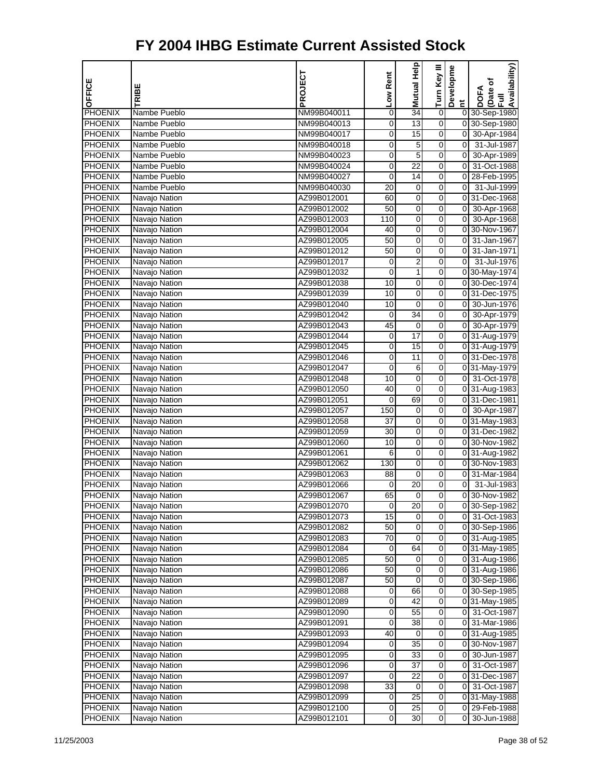| OFFICE                    | TRIBE                         | PROJECT                    | Low Rent    | Help<br>Mutual       | Turn Key III | Developme                     | Availability)<br>Date of<br>Full<br><b>DOFA</b> |
|---------------------------|-------------------------------|----------------------------|-------------|----------------------|--------------|-------------------------------|-------------------------------------------------|
|                           |                               |                            |             |                      |              | Ĕ                             |                                                 |
| <b>PHOENIX</b>            | Nambe Pueblo                  | NM99B040011                | 0           | $\overline{34}$      | $\pmb{0}$    |                               | 0 30-Sep-1980                                   |
| <b>PHOENIX</b>            | Nambe Pueblo                  | NM99B040013                | 0           | $\overline{13}$      | 0            |                               | 0 30-Sep-1980                                   |
| <b>PHOENIX</b>            | Nambe Pueblo                  | NM99B040017                | 0           | 15                   | 0            | $\overline{0}$                | 30-Apr-1984                                     |
| <b>PHOENIX</b>            | Nambe Pueblo                  | NM99B040018                | 0           | 5                    | 0            | $\overline{0}$                | 31-Jul-1987                                     |
| PHOENIX                   | Nambe Pueblo                  | NM99B040023                | 0           | 5<br>$\overline{22}$ | 0            | $\overline{0}$<br>$\mathbf 0$ | 30-Apr-1989                                     |
| PHOENIX                   | Nambe Pueblo<br>Nambe Pueblo  | NM99B040024                | 0<br>0      | 14                   | 0<br>0       |                               | 31-Oct-1988<br>28-Feb-1995                      |
| PHOENIX<br><b>PHOENIX</b> |                               | NM99B040027                |             |                      | 0            | 01<br>$\overline{0}$          |                                                 |
| <b>PHOENIX</b>            | Nambe Pueblo<br>Navajo Nation | NM99B040030<br>AZ99B012001 | 20<br>60    | 0<br>0               | 0            |                               | 31-Jul-1999<br>0 31-Dec-1968                    |
| <b>PHOENIX</b>            | Navajo Nation                 | AZ99B012002                | 50          | 0                    | 0            | 0                             | 30-Apr-1968                                     |
| <b>PHOENIX</b>            | Navajo Nation                 | AZ99B012003                | 110         | $\mathbf 0$          | 0            | $\overline{0}$                | 30-Apr-1968                                     |
| <b>PHOENIX</b>            | Navajo Nation                 | AZ99B012004                | 40          | 0                    | 0            |                               | 0 30-Nov-1967                                   |
| <b>PHOENIX</b>            | Navajo Nation                 | AZ99B012005                | 50          | 0                    | 0            | $\overline{0}$                | 31-Jan-1967                                     |
| <b>PHOENIX</b>            | Navajo Nation                 | AZ99B012012                | 50          | $\overline{0}$       | 0            | 0                             | 31-Jan-1971                                     |
| <b>PHOENIX</b>            | Navajo Nation                 | AZ99B012017                | 0           | 2                    | 0            | $\overline{0}$                | 31-Jul-1976                                     |
| PHOENIX                   | Navajo Nation                 | AZ99B012032                | 0           | 1                    | 0            |                               | 0 30-May-1974                                   |
| PHOENIX                   | Navajo Nation                 | AZ99B012038                | 10          | $\mathbf 0$          | 0            |                               | 0 30-Dec-1974                                   |
| <b>PHOENIX</b>            | Navajo Nation                 | AZ99B012039                | 10          | $\mathbf 0$          | 0            |                               | 0 31-Dec-1975                                   |
| <b>PHOENIX</b>            | Navajo Nation                 | AZ99B012040                | 10          | $\mathbf 0$          | 0            | 01                            | 30-Jun-1976                                     |
| <b>PHOENIX</b>            | Navajo Nation                 | AZ99B012042                | 0           | 34                   | 0            | $\overline{0}$                | 30-Apr-1979                                     |
| <b>PHOENIX</b>            | Navajo Nation                 | AZ99B012043                | 45          | 0                    | 0            | $\overline{0}$                | 30-Apr-1979                                     |
| <b>PHOENIX</b>            | Navajo Nation                 | AZ99B012044                | 0           | 17                   | 0            |                               | 0 31-Aug-1979                                   |
| <b>PHOENIX</b>            | Navajo Nation                 | AZ99B012045                | 0           | 15                   | 0            |                               | 0 31-Aug-1979                                   |
| <b>PHOENIX</b>            | Navajo Nation                 | AZ99B012046                | $\mathbf 0$ | 11                   | 0            |                               | 0 31-Dec-1978                                   |
| <b>PHOENIX</b>            | Navajo Nation                 | AZ99B012047                | 0           | 6                    | 0            |                               | 0 31-May-1979                                   |
| <b>PHOENIX</b>            | Navajo Nation                 | AZ99B012048                | 10          | $\mathbf 0$          | 0            | $\overline{0}$                | 31-Oct-1978                                     |
| PHOENIX                   | Navajo Nation                 | AZ99B012050                | 40          | $\mathbf 0$          | 0            |                               | 0 31-Aug-1983                                   |
| <b>PHOENIX</b>            | Navajo Nation                 | AZ99B012051                | 0           | 69                   | 0            |                               | 0 31-Dec-1981                                   |
| <b>PHOENIX</b>            | Navajo Nation                 | AZ99B012057                | 150         | 0                    | 0            |                               | 0 30-Apr-1987                                   |
| <b>PHOENIX</b>            | Navajo Nation                 | AZ99B012058                | 37          | 0                    | 0            |                               | 0 31-May-1983                                   |
| <b>PHOENIX</b>            | Navajo Nation                 | AZ99B012059                | 30          | $\mathbf 0$          | 0            |                               | 0 31-Dec-1982                                   |
| <b>PHOENIX</b>            | Navajo Nation                 | AZ99B012060                | 10          | 0                    | 0            |                               | 0 30-Nov-1982                                   |
| PHOENIX                   | Navajo Nation                 | AZ99B012061                | 6           | 0                    | 0            |                               | 0 31-Aug-1982                                   |
| <b>PHOENIX</b>            | Navajo Nation                 | AZ99B012062                | 130         | $\overline{0}$       | 0            |                               | 0 30-Nov-1983                                   |
| <b>PHOENIX</b>            | Navajo Nation                 | AZ99B012063                | 88          | 0                    | 0            | 0                             | 31-Mar-1984                                     |
| <b>PHOENIX</b>            | Navajo Nation                 | AZ99B012066                | 0           | 20                   | 0            | $\mathbf 0$                   | 31-Jul-1983                                     |
| <b>PHOENIX</b>            | Navajo Nation                 | AZ99B012067                | 65          | 0                    | $\mathbf 0$  | 01                            | 30-Nov-1982                                     |
| <b>PHOENIX</b>            | Navajo Nation                 | AZ99B012070                | 0           | 20                   | 0            |                               | 0 30-Sep-1982                                   |
| <b>PHOENIX</b>            | Navajo Nation                 | AZ99B012073                | 15          | 0                    | 0            |                               | 0 31-Oct-1983                                   |
| <b>PHOENIX</b>            | Navajo Nation                 | AZ99B012082                | 50          | 0                    | 0            |                               | 0 30-Sep-1986                                   |
| <b>PHOENIX</b>            | Navajo Nation                 | AZ99B012083                | 70          | $\mathbf 0$          | 0            |                               | 0 31-Aug-1985                                   |
| <b>PHOENIX</b>            | Navajo Nation                 | AZ99B012084                | 0           | 64                   | $\mathbf 0$  |                               | 0 31-May-1985                                   |
| <b>PHOENIX</b>            | Navajo Nation                 | AZ99B012085                | 50          | 0                    | 0            |                               | 0 31-Aug-1986                                   |
| <b>PHOENIX</b>            | Navajo Nation                 | AZ99B012086                | 50          | $\pmb{0}$            | 0            |                               | 0 31-Aug-1986                                   |
| <b>PHOENIX</b>            | Navajo Nation                 | AZ99B012087                | 50          | 0                    | 0            |                               | 0 30-Sep-1986                                   |
| <b>PHOENIX</b>            | Navajo Nation                 | AZ99B012088                | 0           | 66                   | 0            |                               | 0 30-Sep-1985                                   |
| <b>PHOENIX</b>            | Navajo Nation                 | AZ99B012089                | 0           | 42                   | $\mathbf 0$  |                               | 031-May-1985                                    |
| <b>PHOENIX</b>            | Navajo Nation                 | AZ99B012090                | 0           | 55                   | 0            | 01                            | 31-Oct-1987                                     |
| <b>PHOENIX</b>            | Navajo Nation                 | AZ99B012091                | 0           | 38                   | 0            | 01                            | 31-Mar-1986                                     |
| <b>PHOENIX</b>            | Navajo Nation                 | AZ99B012093                | 40          | 0                    | 0            |                               | 0 31-Aug-1985                                   |
| <b>PHOENIX</b>            | Navajo Nation                 | AZ99B012094                | 0           | 35                   | 0            |                               | 0 30-Nov-1987                                   |
| <b>PHOENIX</b>            | Navajo Nation                 | AZ99B012095                | 0           | $\overline{33}$      | $\mathbf 0$  | 0                             | 30-Jun-1987                                     |
| <b>PHOENIX</b>            | Navajo Nation                 | AZ99B012096                | 0           | 37                   | 0            | 0                             | 31-Oct-1987                                     |
| <b>PHOENIX</b>            | Navajo Nation                 | AZ99B012097                | 0           | 22                   | 0            |                               | 0 31-Dec-1987                                   |
| <b>PHOENIX</b>            | Navajo Nation                 | AZ99B012098                | 33          | 0                    | 0            | 0                             | 31-Oct-1987                                     |
| <b>PHOENIX</b>            | Navajo Nation                 | AZ99B012099                | 0           | 25                   | 0            |                               | 031-May-1988                                    |
| <b>PHOENIX</b>            | Navajo Nation                 | AZ99B012100                | 0           | 25                   | 0            |                               | 0 29-Feb-1988                                   |
| <b>PHOENIX</b>            | Navajo Nation                 | AZ99B012101                | 0           | 30                   | $\mathbf 0$  | 0                             | 30-Jun-1988                                     |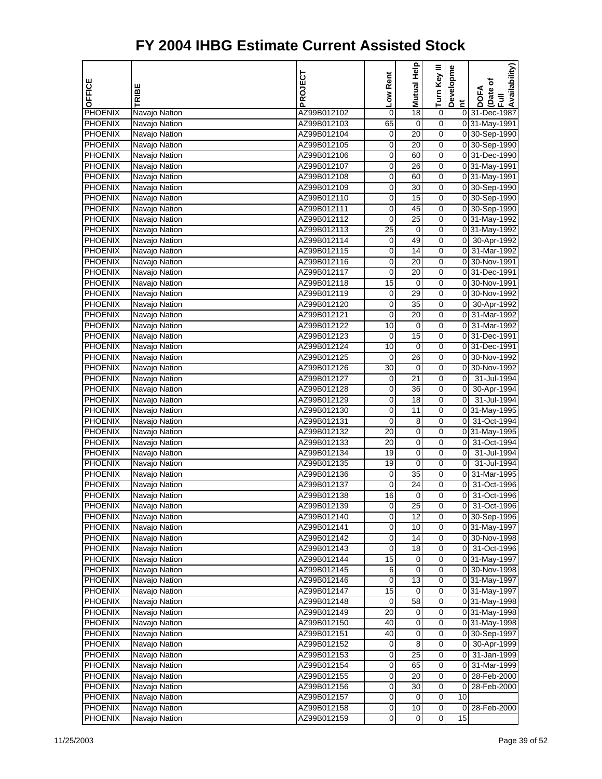| OFFICE                           | TRIBE                          | PROJECT                    | Low Rent         | Mutual Help          | Turn Key III            | Developme           | Availability)<br>(Date of<br>Full<br><b>DOFA</b> |
|----------------------------------|--------------------------------|----------------------------|------------------|----------------------|-------------------------|---------------------|--------------------------------------------------|
|                                  |                                |                            |                  |                      |                         | $\tilde{E}$         |                                                  |
| PHOENIX                          | Navajo Nation                  | AZ99B012102                | $\mathbf 0$      | 18                   | 0                       |                     | 0 31-Dec-1987                                    |
| <b>PHOENIX</b>                   | Navajo Nation                  | AZ99B012103                | 65               | $\mathbf 0$          | $\overline{0}$          |                     | 0 31-May-1991                                    |
| PHOENIX                          | Navajo Nation                  | AZ99B012104                | 0                | 20                   | 0                       |                     | 0 30-Sep-1990                                    |
| <b>PHOENIX</b>                   | Navajo Nation                  | AZ99B012105                | $\overline{0}$   | 20                   | 0                       |                     | 0 30-Sep-1990                                    |
| <b>PHOENIX</b>                   | Navajo Nation                  | AZ99B012106                | 0                | 60                   | 0                       |                     | 0 31-Dec-1990                                    |
| <b>PHOENIX</b>                   | Navajo Nation                  | AZ99B012107                | 0                | 26                   | 0                       |                     | 0 31-May-1991                                    |
| <b>PHOENIX</b>                   | Navajo Nation                  | AZ99B012108                | $\mathbf 0$      | 60                   | $\overline{0}$          |                     | 0 31-May-1991                                    |
| <b>PHOENIX</b>                   | Navajo Nation                  | AZ99B012109                | 0                | 30                   | 0                       |                     | 0 30-Sep-1990                                    |
| <b>PHOENIX</b>                   | Navajo Nation                  | AZ99B012110                | 0                | 15                   | 0                       |                     | 0 30-Sep-1990                                    |
| <b>PHOENIX</b>                   | Navajo Nation                  | AZ99B012111                | 0                | 45                   | 0                       |                     | 0 30-Sep-1990                                    |
| <b>PHOENIX</b>                   | Navajo Nation                  | AZ99B012112                | 0                | 25                   | 0                       |                     | 0 31-May-1992                                    |
| <b>PHOENIX</b>                   | Navajo Nation                  | AZ99B012113                | 25               | $\mathbf 0$          | $\overline{0}$          |                     | 0 31-May-1992                                    |
| <b>PHOENIX</b>                   | Navajo Nation                  | AZ99B012114                | 0                | 49                   | 0                       |                     | 0 30-Apr-1992                                    |
| <b>PHOENIX</b>                   | Navajo Nation                  | AZ99B012115                | $\overline{0}$   | 14                   | 0                       |                     | 0 31-Mar-1992                                    |
| <b>PHOENIX</b>                   | Navajo Nation                  | AZ99B012116                | 0                | 20                   | 0                       |                     | 0 30-Nov-1991                                    |
| <b>PHOENIX</b>                   | Navajo Nation                  | AZ99B012117                | 0                | 20                   | 0                       |                     | 0 31-Dec-1991                                    |
| <b>PHOENIX</b>                   | Navajo Nation                  | AZ99B012118                | 15               | $\mathbf 0$          | $\overline{0}$          |                     | 0 30-Nov-1991                                    |
| <b>PHOENIX</b>                   | Navajo Nation                  | AZ99B012119                | 0                | 29                   | 0                       |                     | 0 30-Nov-1992                                    |
| <b>PHOENIX</b>                   | Navajo Nation                  | AZ99B012120                | $\overline{0}$   | 35                   | 0                       | $\overline{0}$      | 30-Apr-1992                                      |
| <b>PHOENIX</b>                   | Navajo Nation                  | AZ99B012121                | 0                | 20                   | 0                       | 0                   | 31-Mar-1992                                      |
| <b>PHOENIX</b>                   | Navajo Nation                  | AZ99B012122                | 10               | 0                    | 0                       |                     | 0 31-Mar-1992                                    |
| <b>PHOENIX</b>                   | Navajo Nation                  | AZ99B012123                | $\mathbf 0$      | $\overline{15}$      | $\overline{0}$          |                     | 0 31-Dec-1991                                    |
| <b>PHOENIX</b>                   | Navajo Nation                  | AZ99B012124                | 10               | 0                    | 0                       |                     | 0 31-Dec-1991                                    |
| <b>PHOENIX</b>                   | Navajo Nation                  | AZ99B012125                | 0                | 26                   | 0                       |                     | 0 30-Nov-1992                                    |
| <b>PHOENIX</b>                   | Navajo Nation                  | AZ99B012126                | 30               | 0                    | 0                       |                     | 0 30-Nov-1992                                    |
| <b>PHOENIX</b>                   | Navajo Nation                  | AZ99B012127                | 0                | 21                   | 0                       | $\overline{0}$      | 31-Jul-1994                                      |
| <b>PHOENIX</b>                   | Navajo Nation                  | AZ99B012128                | $\pmb{0}$        | 36                   | 0                       | $\overline{0}$      | 30-Apr-1994                                      |
| <b>PHOENIX</b>                   | Navajo Nation                  | AZ99B012129                | 0                | 18                   | 0                       | $\overline{0}$      | 31-Jul-1994                                      |
| <b>PHOENIX</b>                   | Navajo Nation                  | AZ99B012130                | $\overline{0}$   | 11                   | 0                       |                     | 0 31-May-1995                                    |
| <b>PHOENIX</b>                   | Navajo Nation                  | AZ99B012131                | 0                | 8                    | 0                       | 01                  | 31-Oct-1994                                      |
| <b>PHOENIX</b>                   | Navajo Nation                  | AZ99B012132                | 20               | 0                    | 0                       |                     | 0 31-May-1995                                    |
| <b>PHOENIX</b>                   | Navajo Nation                  | AZ99B012133                | 20               | $\overline{0}$       | $\overline{0}$          | $\overline{0}$      | 31-Oct-1994                                      |
| <b>PHOENIX</b>                   | Navajo Nation                  | AZ99B012134                | 19               | 0                    | 0                       | $\overline{0}$<br>O | 31-Jul-1994                                      |
| <b>PHOENIX</b><br><b>PHOENIX</b> | Navajo Nation                  | AZ99B012135                | 19               | $\mathbf 0$<br>35    | 0                       | $\overline{0}$      | 31-Jul-1994<br>31-Mar-1995                       |
|                                  | Navajo Nation                  | AZ99B012136                | 0                |                      | 0                       |                     | 31-Oct-1996                                      |
| <b>PHOENIX</b>                   | Navajo Nation                  | AZ99B012137                | 0<br>16          | 24<br>$\overline{0}$ | 0<br>O                  | 0<br>$\overline{0}$ | 31-Oct-1996                                      |
| PHOENIX                          | Navajo Nation                  | AZ99B012138                |                  |                      |                         |                     |                                                  |
| <b>PHOENIX</b><br><b>PHOENIX</b> | Navajo Nation                  | AZ99B012139                | 0<br>0           | 25<br>12             | 0<br>0                  |                     | 0 31-Oct-1996<br>0 30-Sep-1996                   |
| <b>PHOENIX</b>                   | Navajo Nation                  | AZ99B012140<br>AZ99B012141 |                  | 10                   | 0                       |                     |                                                  |
| <b>PHOENIX</b>                   | Navajo Nation<br>Navajo Nation |                            | 0                | 14                   | 0                       |                     | 0 31-May-1997                                    |
|                                  |                                | AZ99B012142                | 0<br>$\mathbf 0$ | $\overline{18}$      | $\overline{\mathbf{0}}$ |                     | 0 30-Nov-1998<br>0 31-Oct-1996                   |
| PHOENIX<br><b>PHOENIX</b>        | Navajo Nation<br>Navajo Nation | AZ99B012143                | 15               | 0                    | 0                       |                     | 0 31-May-1997                                    |
| <b>PHOENIX</b>                   | Navajo Nation                  | AZ99B012144<br>AZ99B012145 | 6                | 0                    | 0                       |                     | 0 30-Nov-1998                                    |
| <b>PHOENIX</b>                   | Navajo Nation                  |                            | 0                | 13                   | 0                       |                     | 0 31-May-1997                                    |
| <b>PHOENIX</b>                   | Navajo Nation                  | AZ99B012146<br>AZ99B012147 | 15               | 0                    | 0                       |                     | 031-May-1997                                     |
| PHOENIX                          | Navajo Nation                  | AZ99B012148                | $\mathbf 0$      | $\overline{58}$      | $\overline{\mathbf{0}}$ |                     | 031-May-1998                                     |
| <b>PHOENIX</b>                   | Navajo Nation                  | AZ99B012149                | 20               | 0                    | 0                       |                     | 0 31-May-1998                                    |
| <b>PHOENIX</b>                   | Navajo Nation                  | AZ99B012150                | 40               | $\pmb{0}$            | 0                       |                     | 0 31-May-1998                                    |
| <b>PHOENIX</b>                   | Navajo Nation                  | AZ99B012151                | 40               | 0                    | 0                       |                     | 0 30-Sep-1997                                    |
| <b>PHOENIX</b>                   | Navajo Nation                  | AZ99B012152                | 0                | 8                    | 0                       | 01                  | 30-Apr-1999                                      |
| <b>PHOENIX</b>                   | Navajo Nation                  | AZ99B012153                | 0                | $\overline{25}$      | $\overline{\mathbf{0}}$ | <sub>0</sub>        | 31-Jan-1999                                      |
| <b>PHOENIX</b>                   | Navajo Nation                  | AZ99B012154                | 0                | 65                   | 0                       | 01                  | 31-Mar-1999                                      |
| <b>PHOENIX</b>                   | Navajo Nation                  | AZ99B012155                | 0                | 20                   | 0                       | 0                   | 28-Feb-2000                                      |
| <b>PHOENIX</b>                   | Navajo Nation                  | AZ99B012156                | 0                | 30                   | 0                       | 01                  | 28-Feb-2000                                      |
| <b>PHOENIX</b>                   | Navajo Nation                  | AZ99B012157                | 0                | 0                    | 0                       | 10                  |                                                  |
| <b>PHOENIX</b>                   | Navajo Nation                  | AZ99B012158                | $\pmb{0}$        | 10                   | $\mathbf 0$             |                     | 0 28-Feb-2000                                    |
| <b>PHOENIX</b>                   | Navajo Nation                  | AZ99B012159                | 0                | $\pmb{0}$            | $\mathbf 0$             | 15                  |                                                  |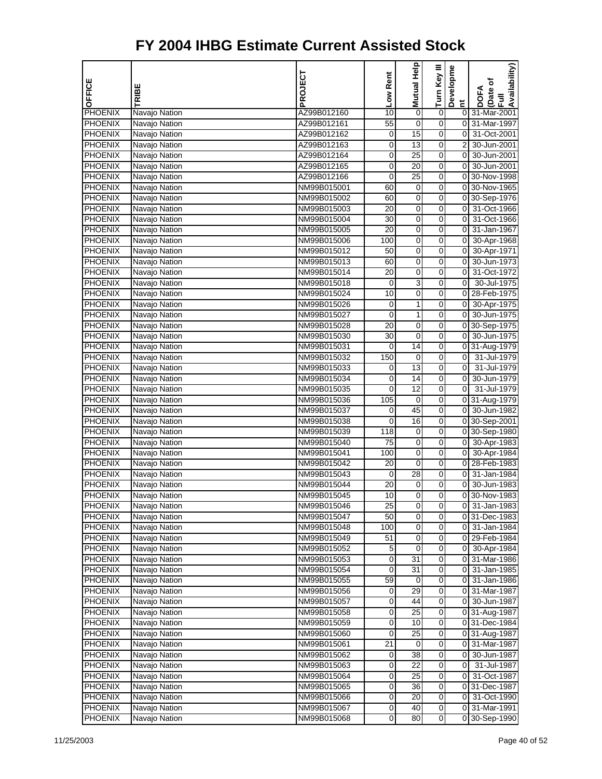| OFFICE                           | TRIBE                          | PROJECT                    | Low Rent | Help<br>Mutual  | Turn Key III | Developme                        | Availability)<br>Date of<br>Full<br><b>DOFA</b> |
|----------------------------------|--------------------------------|----------------------------|----------|-----------------|--------------|----------------------------------|-------------------------------------------------|
|                                  |                                |                            |          |                 |              | Ĕ                                |                                                 |
| PHOENIX                          | Navajo Nation                  | AZ99B012160                | 10       | $\mathbf 0$     | $\pmb{0}$    | 01                               | 31-Mar-2001                                     |
| PHOENIX                          | Navajo Nation                  | AZ99B012161                | 55       | $\mathbf 0$     | 0            | οI                               | 31-Mar-1997                                     |
| <b>PHOENIX</b>                   | Navajo Nation                  | AZ99B012162                | 0        | 15              | 0            | $\mathbf 0$                      | 31-Oct-2001                                     |
| <b>PHOENIX</b>                   | Navajo Nation                  | AZ99B012163                | 0        | 13              | 0            | $\overline{2}$                   | 30-Jun-2001                                     |
| <b>PHOENIX</b>                   | Navajo Nation                  | AZ99B012164                | 0        | 25              | 0            | 0                                | 30-Jun-2001                                     |
| <b>PHOENIX</b>                   | Navajo Nation                  | AZ99B012165                | 0        | 20              | 0            | $\mathbf 0$                      | 30-Jun-2001                                     |
| PHOENIX                          | Navajo Nation                  | AZ99B012166                | 0        | $\overline{25}$ | 0            |                                  | 0 30-Nov-1998                                   |
| <b>PHOENIX</b>                   | Navajo Nation                  | NM99B015001                | 60       | 0               | 0            | οI                               | 30-Nov-1965                                     |
| <b>PHOENIX</b>                   | Navajo Nation                  | NM99B015002                | 60       | 0               | 0            |                                  | 0 30-Sep-1976                                   |
| <b>PHOENIX</b>                   | Navajo Nation                  | NM99B015003                | 20       | 0               | 0            | $\overline{0}$                   | 31-Oct-1966                                     |
| <b>PHOENIX</b>                   | Navajo Nation                  | NM99B015004                | 30       | $\mathbf 0$     | 0            | $\mathbf 0$                      | 31-Oct-1966                                     |
| <b>PHOENIX</b>                   | Navajo Nation                  | NM99B015005                | 20       | 0               | 0            | $\overline{0}$                   | 31-Jan-1967                                     |
| <b>PHOENIX</b>                   | Navajo Nation                  | NM99B015006                | 100      | 0               | 0            | $\overline{0}$<br>$\overline{0}$ | 30-Apr-1968                                     |
| <b>PHOENIX</b>                   | Navajo Nation                  | NM99B015012                | 50       | 0               | 0            |                                  | 30-Apr-1971                                     |
| <b>PHOENIX</b>                   | Navajo Nation                  | NM99B015013                | 60       | 0               | 0            | 0                                | 30-Jun-1973                                     |
| PHOENIX                          | Navajo Nation                  | NM99B015014                | 20       | $\mathbf 0$     | 0            | 0                                | 31-Oct-1972                                     |
| PHOENIX                          | Navajo Nation                  | NM99B015018                | 0        | 3               | 0            | $\mathbf 0$                      | 30-Jul-1975                                     |
| <b>PHOENIX</b>                   | Navajo Nation                  | NM99B015024                | 10       | 0               | 0            | 0<br>$\overline{0}$              | 28-Feb-1975                                     |
| <b>PHOENIX</b>                   | Navajo Nation                  | NM99B015026                | 0        | 1               | 0            |                                  | 30-Apr-1975                                     |
| <b>PHOENIX</b>                   | Navajo Nation                  | NM99B015027                | 0        | 1               | 0            | $\overline{0}$                   | 30-Jun-1975                                     |
| <b>PHOENIX</b>                   | Navajo Nation                  | NM99B015028                | 20       | $\mathbf 0$     | 0            | $\overline{0}$                   | 30-Sep-1975                                     |
| PHOENIX                          | Navajo Nation                  | NM99B015030                | 30       | $\mathbf 0$     | 0            | 0                                | 30-Jun-1975                                     |
| <b>PHOENIX</b>                   | Navajo Nation                  | NM99B015031                | 0        | 14              | 0            |                                  | 0 31-Aug-1979                                   |
| <b>PHOENIX</b>                   | Navajo Nation                  | NM99B015032                | 150      | 0               | 0            | 0                                | 31-Jul-1979                                     |
| <b>PHOENIX</b>                   | Navajo Nation                  | NM99B015033                | 0        | 13<br>14        | 0            | 0                                | 31-Jul-1979                                     |
| <b>PHOENIX</b>                   | Navajo Nation                  | NM99B015034                | 0<br>0   | 12              | 0<br>0       | 0<br>$\mathbf 0$                 | 30-Jun-1979                                     |
| PHOENIX                          | Navajo Nation                  | NM99B015035                |          |                 | 0            |                                  | 31-Jul-1979                                     |
| <b>PHOENIX</b><br><b>PHOENIX</b> | Navajo Nation                  | NM99B015036                | 105      | 0<br>45         | 0            | 0                                | 0 31-Aug-1979<br>30-Jun-1982                    |
| <b>PHOENIX</b>                   | Navajo Nation                  | NM99B015037                | 0        | 16              | 0            | 0                                |                                                 |
| PHOENIX                          | Navajo Nation                  | NM99B015038                | 0<br>118 |                 | 0            |                                  | 30-Sep-2001<br>0 30-Sep-1980                    |
| <b>PHOENIX</b>                   | Navajo Nation<br>Navajo Nation | NM99B015039                | 75       | 0<br>0          | 0            | 0                                |                                                 |
| PHOENIX                          | Navajo Nation                  | NM99B015040<br>NM99B015041 | 100      | 0               | 0            | $\overline{0}$                   | 30-Apr-1983                                     |
| <b>PHOENIX</b>                   | Navajo Nation                  | NM99B015042                | 20       | $\overline{0}$  | 0            | 01                               | 30-Apr-1984<br>28-Feb-1983                      |
| <b>PHOENIX</b>                   | Navajo Nation                  | NM99B015043                | 0        | 28              | 0            | $\overline{0}$                   | 31-Jan-1984                                     |
| <b>PHOENIX</b>                   |                                | NM99B015044                | 20       | $\pmb{0}$       | 0            | $\mathbf 0$                      | 30-Jun-1983                                     |
| <b>PHOENIX</b>                   | Navajo Nation<br>Navajo Nation | NM99B015045                | 10       | 0               | 0            | 01                               | 30-Nov-1983                                     |
| <b>PHOENIX</b>                   | Navajo Nation                  | NM99B015046                |          |                 |              |                                  | 0 31-Jan-1983                                   |
| <b>PHOENIX</b>                   | Navajo Nation                  | NM99B015047                | 25<br>50 | 0<br>0          | 0<br>0       |                                  | 031-Dec-1983                                    |
| <b>PHOENIX</b>                   | Navajo Nation                  | NM99B015048                | 100      | 0               | 0            | 0                                | 31-Jan-1984                                     |
| <b>PHOENIX</b>                   | Navajo Nation                  | NM99B015049                | 51       | $\pmb{0}$       | 0            | 01                               | 29-Feb-1984                                     |
| <b>PHOENIX</b>                   | Navajo Nation                  | NM99B015052                | 5        | $\mathbf 0$     | $\mathbf 0$  | 01                               | 30-Apr-1984                                     |
| <b>PHOENIX</b>                   | Navajo Nation                  | NM99B015053                | 0        | 31              | 0            | 01                               | 31-Mar-1986                                     |
| <b>PHOENIX</b>                   | Navajo Nation                  | NM99B015054                | 0        | 31              | 0            | 0                                | 31-Jan-1985                                     |
| <b>PHOENIX</b>                   | Navajo Nation                  | NM99B015055                | 59       | 0               | 0            | 0                                | 31-Jan-1986                                     |
| <b>PHOENIX</b>                   | Navajo Nation                  | NM99B015056                | 0        | 29              | 0            | 0                                | 31-Mar-1987                                     |
| <b>PHOENIX</b>                   | Navajo Nation                  | NM99B015057                | 0        | 44              | $\mathbf 0$  | 01                               | 30-Jun-1987                                     |
| <b>PHOENIX</b>                   | Navajo Nation                  | NM99B015058                | 0        | 25              | 0            |                                  | 0 31-Aug-1987                                   |
| <b>PHOENIX</b>                   | Navajo Nation                  | NM99B015059                | 0        | 10              | 0            |                                  | 031-Dec-1984                                    |
| <b>PHOENIX</b>                   | Navajo Nation                  | NM99B015060                | 0        | 25              | 0            |                                  | 0 31-Aug-1987                                   |
| <b>PHOENIX</b>                   | Navajo Nation                  | NM99B015061                | 21       | 0               | 0            | 0                                | 31-Mar-1987                                     |
| <b>PHOENIX</b>                   | Navajo Nation                  | NM99B015062                | 0        | 38              | $\mathbf 0$  | 0                                | 30-Jun-1987                                     |
| <b>PHOENIX</b>                   | Navajo Nation                  | NM99B015063                | 0        | 22              | 0            | 0                                | 31-Jul-1987                                     |
| <b>PHOENIX</b>                   | Navajo Nation                  | NM99B015064                | 0        | 25              | 0            | 01                               | 31-Oct-1987                                     |
| <b>PHOENIX</b>                   | Navajo Nation                  | NM99B015065                | 0        | 36              | 0            | 01                               | 31-Dec-1987                                     |
| <b>PHOENIX</b>                   | Navajo Nation                  | NM99B015066                | 0        | 20              | 0            | $\overline{0}$                   | 31-Oct-1990                                     |
| <b>PHOENIX</b>                   | Navajo Nation                  | NM99B015067                | 0        | 40              | 0            |                                  | 0 31-Mar-1991                                   |
| <b>PHOENIX</b>                   | Navajo Nation                  | NM99B015068                | 0        | 80              | $\mathbf 0$  |                                  | 0 30-Sep-1990                                   |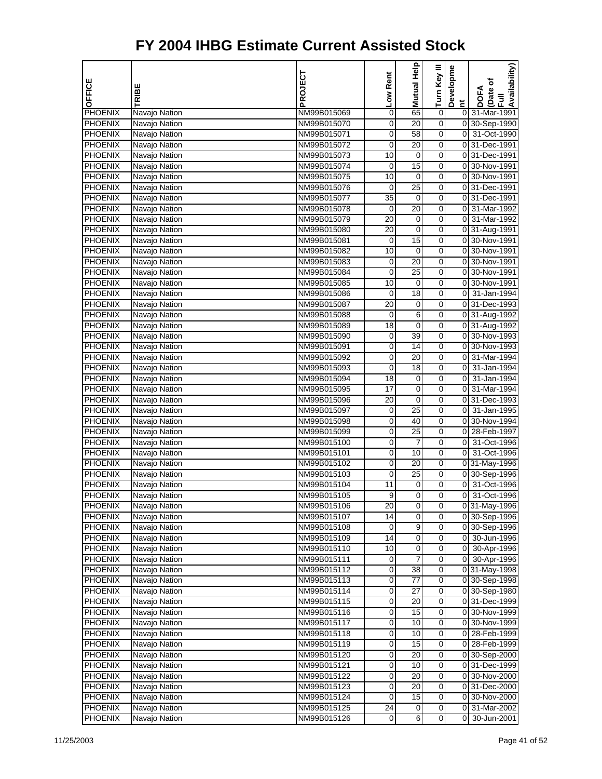| OFFICE                           | TRIBE                          | PROJECT                    | Low Rent        | Help<br>Mutual  | Turn Key III | Developme      | Availability)<br>(Date of<br>Full<br><b>DOFA</b> |
|----------------------------------|--------------------------------|----------------------------|-----------------|-----------------|--------------|----------------|--------------------------------------------------|
|                                  |                                |                            |                 |                 |              | Ĕ              |                                                  |
| PHOENIX                          | Navajo Nation                  | NM99B015069                | 0               | 65              | $\pmb{0}$    |                | 0 31-Mar-1991                                    |
| PHOENIX                          | Navajo Nation                  | NM99B015070                | 0               | $\overline{20}$ | 0            |                | 0 30-Sep-1990                                    |
| <b>PHOENIX</b>                   | Navajo Nation                  | NM99B015071                | 0               | 58              | 0            | $\overline{0}$ | 31-Oct-1990                                      |
| <b>PHOENIX</b>                   | Navajo Nation                  | NM99B015072                | 0               | 20              | 0            |                | 0 31-Dec-1991                                    |
| <b>PHOENIX</b>                   | Navajo Nation                  | NM99B015073                | 10              | 0               | 0            |                | 0 31-Dec-1991                                    |
| PHOENIX                          | Navajo Nation                  | NM99B015074                | 0               | $\overline{15}$ | 0            |                | 0 30-Nov-1991                                    |
| <b>PHOENIX</b>                   | Navajo Nation                  | NM99B015075                | 10              | $\mathbf 0$     | 0            |                | 0 30-Nov-1991                                    |
| <b>PHOENIX</b>                   | Navajo Nation                  | NM99B015076                | 0               | 25              | 0<br>0       |                | 0 31-Dec-1991                                    |
| <b>PHOENIX</b><br><b>PHOENIX</b> | Navajo Nation                  | NM99B015077                | $\overline{35}$ | 0<br>20         | 0            | 01             | 0 31-Dec-1991<br>31-Mar-1992                     |
| PHOENIX                          | Navajo Nation                  | NM99B015078<br>NM99B015079 | 0<br>20         | 0               | 0            | $\overline{0}$ | 31-Mar-1992                                      |
| <b>PHOENIX</b>                   | Navajo Nation<br>Navajo Nation | NM99B015080                | 20              | $\mathbf 0$     | 0            |                | 0 31-Aug-1991                                    |
| <b>PHOENIX</b>                   | Navajo Nation                  | NM99B015081                | 0               | 15              | 0            |                | 0 30-Nov-1991                                    |
| <b>PHOENIX</b>                   | Navajo Nation                  | NM99B015082                | 10              | 0               | 0            |                | 0 30-Nov-1991                                    |
| <b>PHOENIX</b>                   | Navajo Nation                  | NM99B015083                | 0               | 20              | 0            | 0              | 30-Nov-1991                                      |
| PHOENIX                          | Navajo Nation                  | NM99B015084                | $\mathbf 0$     | 25              | 0            |                | 0 30-Nov-1991                                    |
| <b>PHOENIX</b>                   | Navajo Nation                  | NM99B015085                | 10              | $\mathbf 0$     | 0            |                | 0 30-Nov-1991                                    |
| <b>PHOENIX</b>                   | Navajo Nation                  | NM99B015086                | 0               | 18              | 0            | 01             | 31-Jan-1994                                      |
| <b>PHOENIX</b>                   | Navajo Nation                  | NM99B015087                | 20              | 0               | 0            |                | 0 31-Dec-1993                                    |
| <b>PHOENIX</b>                   | Navajo Nation                  | NM99B015088                | 0               | 6               | 0            |                | 0 31-Aug-1992                                    |
| PHOENIX                          | Navajo Nation                  | NM99B015089                | 18              | $\mathbf 0$     | 0            |                | 0 31-Aug-1992                                    |
| PHOENIX                          | Navajo Nation                  | NM99B015090                | 0               | 39              | 0            |                | 0 30-Nov-1993                                    |
| <b>PHOENIX</b>                   | Navajo Nation                  | NM99B015091                | 0               | 14              | 0            |                | 0 30-Nov-1993                                    |
| <b>PHOENIX</b>                   | Navajo Nation                  | NM99B015092                | 0               | 20              | 0            | οI             | 31-Mar-1994                                      |
| <b>PHOENIX</b>                   | Navajo Nation                  | NM99B015093                | 0               | 18              | 0            | 0              | 31-Jan-1994                                      |
| <b>PHOENIX</b>                   | Navajo Nation                  | NM99B015094                | 18              | 0               | 0            | $\overline{0}$ | 31-Jan-1994                                      |
| PHOENIX                          | Navajo Nation                  | NM99B015095                | 17              | 0               | 0            | 01             | 31-Mar-1994                                      |
| <b>PHOENIX</b>                   | Navajo Nation                  | NM99B015096                | 20              | $\mathbf 0$     | 0            |                | 0 31-Dec-1993                                    |
| <b>PHOENIX</b>                   | Navajo Nation                  | NM99B015097                | 0               | $\overline{25}$ | 0            | 0              | 31-Jan-1995                                      |
| <b>PHOENIX</b>                   | Navajo Nation                  | NM99B015098                | 0               | 40              | 0            | 0              | 30-Nov-1994                                      |
| PHOENIX                          | Navajo Nation                  | NM99B015099                | 0               | 25              | 0            | $\overline{0}$ | 28-Feb-1997                                      |
| PHOENIX                          | Navajo Nation                  | NM99B015100                | 0               | $\overline{7}$  | 0            | $\overline{0}$ | 31-Oct-1996                                      |
| <b>PHOENIX</b>                   | Navajo Nation                  | NM99B015101                | 0               | 10              | 0            | $\overline{0}$ | 31-Oct-1996                                      |
| <b>PHOENIX</b>                   | Navajo Nation                  | NM99B015102                | 0               | 20              | 0            |                | 0 31-May-1996                                    |
| <b>PHOENIX</b>                   | Navajo Nation                  | NM99B015103                | 0               | 25              | 0            |                | 0 30-Sep-1996                                    |
| <b>PHOENIX</b>                   | Navajo Nation                  | NM99B015104                | 11              | $\pmb{0}$       | 0            | $\overline{0}$ | 31-Oct-1996                                      |
| <b>PHOENIX</b>                   | Navajo Nation                  | NM99B015105                | 9               | 0               | $\mathbf 0$  | 0              | 31-Oct-1996                                      |
| <b>PHOENIX</b>                   | Navajo Nation                  | NM99B015106                | 20              | 0               | 0            |                | 0 31-May-1996                                    |
| <b>PHOENIX</b>                   | Navajo Nation                  | NM99B015107                | 14              | 0               | 0            |                | 0 30-Sep-1996                                    |
| <b>PHOENIX</b>                   | Navajo Nation                  | NM99B015108                | 0               | 9               | 0            |                | 0 30-Sep-1996                                    |
| <b>PHOENIX</b>                   | Navajo Nation                  | NM99B015109                | 14              | $\pmb{0}$       | 0            | 01             | 30-Jun-1996                                      |
| <b>PHOENIX</b>                   | Navajo Nation                  | NM99B015110                | 10              | 0               | $\mathbf 0$  | 01             | 30-Apr-1996                                      |
| <b>PHOENIX</b>                   | Navajo Nation                  | NM99B015111                | 0               | 7               | 0            | 01             | 30-Apr-1996                                      |
| <b>PHOENIX</b>                   | Navajo Nation                  | NM99B015112                | 0               | 38              | 0            |                | 0 31-May-1998                                    |
| <b>PHOENIX</b>                   | Navajo Nation                  | NM99B015113                | 0               | 77              | 0            |                | 0 30-Sep-1998                                    |
| <b>PHOENIX</b>                   | Navajo Nation                  | NM99B015114                | 0               | 27              | 0            |                | 0 30-Sep-1980                                    |
| <b>PHOENIX</b>                   | Navajo Nation                  | NM99B015115                | 0               | 20              | 0            |                | 0 31-Dec-1999                                    |
| <b>PHOENIX</b>                   | Navajo Nation                  | NM99B015116                | 0               | 15              | 0            |                | 0 30-Nov-1999                                    |
| <b>PHOENIX</b>                   | Navajo Nation                  | NM99B015117                | 0               | 10              | 0            |                | 0 30-Nov-1999                                    |
| <b>PHOENIX</b>                   | Navajo Nation                  | NM99B015118                | 0               | 10              | 0            | 01             | 28-Feb-1999                                      |
| <b>PHOENIX</b>                   | Navajo Nation                  | NM99B015119                | 0               | 15              | 0            | 0              | 28-Feb-1999                                      |
| <b>PHOENIX</b>                   | Navajo Nation                  | NM99B015120                | 0               | 20              | $\mathbf 0$  |                | 0 30-Sep-2000                                    |
| <b>PHOENIX</b>                   | Navajo Nation                  | NM99B015121                | 0               | 10              | 0            |                | 0 31-Dec-1999                                    |
| <b>PHOENIX</b>                   | Navajo Nation                  | NM99B015122                | 0               | 20              | 0            |                | 0 30-Nov-2000                                    |
| <b>PHOENIX</b>                   | Navajo Nation                  | NM99B015123                | 0               | 20              | 0            |                | 0 31-Dec-2000                                    |
| <b>PHOENIX</b>                   | Navajo Nation                  | NM99B015124                | 0               | 15              | 0            |                | 0 30-Nov-2000                                    |
| <b>PHOENIX</b>                   | Navajo Nation                  | NM99B015125                | 24              | 0               | 0            |                | 0 31-Mar-2002                                    |
| <b>PHOENIX</b>                   | Navajo Nation                  | NM99B015126                | 0               | 6               | $\mathbf 0$  | 0              | 30-Jun-2001                                      |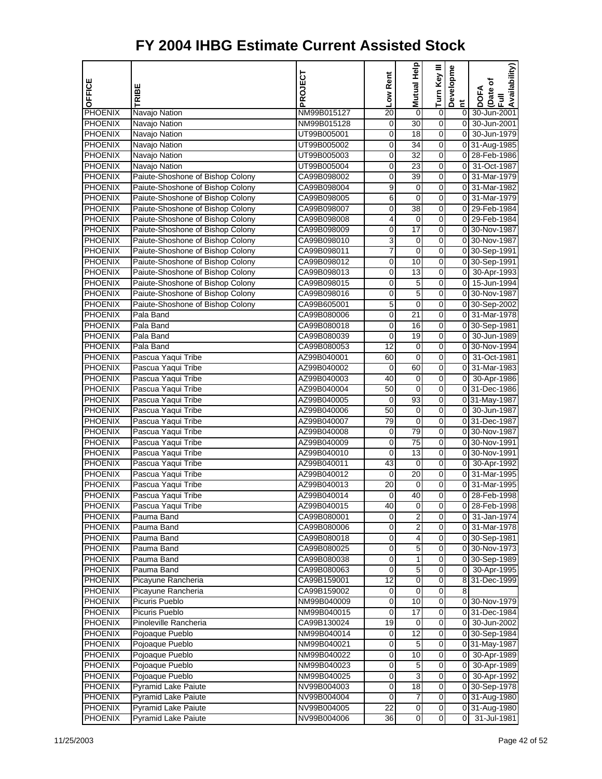| OFFICE                           | TRIBE                                                                | PROJECT                    | Low Rent    | <b>Help</b><br><b>Mutual</b> | Turn Key III     | Developme      | Availability)<br>Date of<br>DOFA |
|----------------------------------|----------------------------------------------------------------------|----------------------------|-------------|------------------------------|------------------|----------------|----------------------------------|
|                                  |                                                                      |                            |             |                              |                  | $\tilde{a}$    | $\bar{z}$                        |
| <b>PHOENIX</b>                   | Navajo Nation                                                        | NM99B015127                | 20          | 0                            | 0                | $\overline{0}$ | 30-Jun-2001                      |
| PHOENIX                          | Navajo Nation                                                        | NM99B015128                | 0           | $\overline{30}$              | $\mathbf 0$      | $\overline{0}$ | 30-Jun-2001                      |
| <b>PHOENIX</b>                   | Navajo Nation                                                        | UT99B005001                | 0           | 18                           | 0                | $\overline{0}$ | 30-Jun-1979                      |
| <b>PHOENIX</b>                   | Navajo Nation                                                        | UT99B005002                | 0           | $\overline{34}$              | 0                |                | 0 31-Aug-1985                    |
| PHOENIX                          | Navajo Nation                                                        | UT99B005003                | 0           | 32                           | 0                | οI             | 28-Feb-1986                      |
| <b>PHOENIX</b>                   | Navajo Nation                                                        | UT99B005004                | 0           | 23                           | 0                | $\overline{0}$ | 31-Oct-1987                      |
| <b>PHOENIX</b>                   | Paiute-Shoshone of Bishop Colony                                     | CA99B098002                | 0           | 39                           | 0                | $\overline{0}$ | 31-Mar-1979                      |
| <b>PHOENIX</b>                   | Paiute-Shoshone of Bishop Colony                                     | CA99B098004                | 9           | 0                            | 0                |                | 0 31-Mar-1982                    |
| <b>PHOENIX</b>                   | Paiute-Shoshone of Bishop Colony                                     | CA99B098005                | 6           | $\mathbf 0$<br>38            | 0                | οI             | 31-Mar-1979                      |
| <b>PHOENIX</b>                   | Paiute-Shoshone of Bishop Colony                                     | CA99B098007                | 0           |                              | 0                |                | 0 29-Feb-1984                    |
| PHOENIX                          | Paiute-Shoshone of Bishop Colony                                     | CA99B098008                | 4           | 0                            | 0                |                | 0 29-Feb-1984                    |
| <b>PHOENIX</b>                   | Paiute-Shoshone of Bishop Colony                                     | CA99B098009                | 0           | $\overline{17}$              | 0                |                | 0 30-Nov-1987                    |
| <b>PHOENIX</b><br><b>PHOENIX</b> | Paiute-Shoshone of Bishop Colony                                     | CA99B098010                | 3           | 0<br>$\mathbf 0$             | 0<br>0           |                | 0 30-Nov-1987                    |
|                                  | Paiute-Shoshone of Bishop Colony<br>Paiute-Shoshone of Bishop Colony | CA99B098011                | 7           |                              |                  |                | 0 30-Sep-1991                    |
| <b>PHOENIX</b>                   |                                                                      | CA99B098012                | 0           | 10                           | 0                |                | 0 30-Sep-1991                    |
| <b>PHOENIX</b><br><b>PHOENIX</b> | Paiute-Shoshone of Bishop Colony                                     | CA99B098013                | 0           | 13                           | 0                |                | 0 30-Apr-1993                    |
|                                  | Paiute-Shoshone of Bishop Colony                                     | CA99B098015                | 0           | 5                            | 0                |                | 0 15-Jun-1994                    |
| <b>PHOENIX</b><br><b>PHOENIX</b> | Paiute-Shoshone of Bishop Colony                                     | CA99B098016                | 0           | 5                            | 0                |                | 0 30-Nov-1987                    |
|                                  | Paiute-Shoshone of Bishop Colony                                     | CA99B605001                | 5           | 0                            | 0                |                | 0 30-Sep-2002                    |
| <b>PHOENIX</b>                   | Pala Band                                                            | CA99B080006                | 0           | 21                           | 0                |                | 0 31-Mar-1978                    |
| PHOENIX                          | Pala Band                                                            | CA99B080018                | 0           | 16                           | 0                |                | 0 30-Sep-1981                    |
| <b>PHOENIX</b>                   | Pala Band                                                            | CA99B080039                | 0           | 19                           | 0                | $\overline{0}$ | 30-Jun-1989                      |
| <b>PHOENIX</b><br><b>PHOENIX</b> | Pala Band                                                            | CA99B080053                | 12          | 0                            | 0                | οI             | 0 30-Nov-1994<br>31-Oct-1981     |
|                                  | Pascua Yaqui Tribe                                                   | AZ99B040001                | 60          | 0                            | 0                |                |                                  |
| <b>PHOENIX</b>                   | Pascua Yaqui Tribe                                                   | AZ99B040002                | 0           | 60                           | 0                | 0              | 31-Mar-1983                      |
| PHOENIX<br><b>PHOENIX</b>        | Pascua Yaqui Tribe                                                   | AZ99B040003                | 40<br>50    | 0<br>$\mathbf 0$             | $\boldsymbol{0}$ | $\overline{0}$ | 30-Apr-1986                      |
|                                  | Pascua Yaqui Tribe                                                   | AZ99B040004                |             |                              | 0                |                | 0 31-Dec-1986                    |
| <b>PHOENIX</b><br><b>PHOENIX</b> | Pascua Yaqui Tribe                                                   | AZ99B040005                | 0<br>50     | 93                           | 0<br>0           |                | 0 31-May-1987<br>0 30-Jun-1987   |
|                                  | Pascua Yaqui Tribe                                                   | AZ99B040006                |             | 0                            | 0                |                |                                  |
| <b>PHOENIX</b>                   | Pascua Yaqui Tribe                                                   | AZ99B040007                | 79          | 0<br>79                      | 0                |                | 0 31-Dec-1987<br>0 30-Nov-1987   |
| PHOENIX<br><b>PHOENIX</b>        | Pascua Yaqui Tribe                                                   | AZ99B040008<br>AZ99B040009 | 0<br>0      | $\overline{75}$              | 0                |                | 0 30-Nov-1991                    |
| PHOENIX                          | Pascua Yaqui Tribe                                                   |                            | $\mathbf 0$ | 13                           | 0                |                | 0 30-Nov-1991                    |
| <b>PHOENIX</b>                   | Pascua Yaqui Tribe<br>Pascua Yaqui Tribe                             | AZ99B040010<br>AZ99B040011 | 43          | 0                            | 0                |                | 0 30-Apr-1992                    |
| <b>PHOENIX</b>                   | Pascua Yaqui Tribe                                                   |                            | 0           | 20                           | 0                | $\overline{0}$ | 31-Mar-1995                      |
| <b>PHOENIX</b>                   | Pascua Yaqui Tribe                                                   | AZ99B040012<br>AZ99B040013 | 20          | 0                            | 0                | $\overline{0}$ | 31-Mar-1995                      |
| PHOENIX                          | Pascua Yaqui Tribe                                                   | AZ99B040014                | 0           | 40                           | 0                | 0              | 28-Feb-1998                      |
|                                  | Pascua Yaqui Tribe                                                   | AZ99B040015                |             |                              |                  |                |                                  |
| <b>PHOENIX</b><br><b>PHOENIX</b> | Pauma Band                                                           | CA99B080001                | 40<br>0     | 0<br>$\overline{2}$          | 0<br>0           | 01             | 0 28-Feb-1998<br>31-Jan-1974     |
| <b>PHOENIX</b>                   | Pauma Band                                                           | CA99B080006                | 0           | $\overline{2}$               | 0                |                | 0 31-Mar-1978                    |
| <b>PHOENIX</b>                   | Pauma Band                                                           | CA99B080018                | 0           | 4                            | $\boldsymbol{0}$ |                | 0 30-Sep-1981                    |
| <b>PHOENIX</b>                   | Pauma Band                                                           | CA99B080025                | 0           | 5                            | 0                |                | 0 30-Nov-1973                    |
| <b>PHOENIX</b>                   | Pauma Band                                                           | CA99B080038                | 0           | 1                            | 0                |                | 0 30-Sep-1989                    |
| <b>PHOENIX</b>                   | Pauma Band                                                           | CA99B080063                | 0           | 5                            | 0                | 01             | 30-Apr-1995                      |
| <b>PHOENIX</b>                   | Picayune Rancheria                                                   | CA99B159001                | 12          | 0                            | 0                |                | 8 31-Dec-1999                    |
| <b>PHOENIX</b>                   | Picayune Rancheria                                                   | CA99B159002                | 0           | $\mathbf 0$                  | $\mathbf 0$      | 8              |                                  |
| <b>PHOENIX</b>                   | Picuris Pueblo                                                       | NM99B040009                | 0           | 10                           | 0                |                | 0 30-Nov-1979                    |
| <b>PHOENIX</b>                   | Picuris Pueblo                                                       | NM99B040015                | 0           | 17                           | 0                |                | 0 31-Dec-1984                    |
| <b>PHOENIX</b>                   | Pinoleville Rancheria                                                | CA99B130024                | 19          | 0                            | 0                |                | 0 30-Jun-2002                    |
| <b>PHOENIX</b>                   | Pojoaque Pueblo                                                      | NM99B040014                | 0           | 12                           | 0                |                | 0 30-Sep-1984                    |
| PHOENIX                          | Pojoaque Pueblo                                                      | NM99B040021                | 0           | 5                            | $\boldsymbol{0}$ |                | 0 31-May-1987                    |
| <b>PHOENIX</b>                   | Pojoaque Pueblo                                                      | NM99B040022                | 0           | 10                           | 0                |                | 0 30-Apr-1989                    |
| <b>PHOENIX</b>                   | Pojoaque Pueblo                                                      | NM99B040023                | 0           | 5                            | 0                |                | 0 30-Apr-1989                    |
| <b>PHOENIX</b>                   | Pojoaque Pueblo                                                      | NM99B040025                | 0           | 3                            | 0                |                | 0 30-Apr-1992                    |
| <b>PHOENIX</b>                   | <b>Pyramid Lake Paiute</b>                                           | NV99B004003                | 0           | 18                           | 0                |                | 0 30-Sep-1978                    |
| <b>PHOENIX</b>                   | <b>Pyramid Lake Paiute</b>                                           | NV99B004004                | 0           | 7                            | $\mathbf 0$      |                | 0 31-Aug-1980                    |
| <b>PHOENIX</b>                   | <b>Pyramid Lake Paiute</b>                                           | NV99B004005                | 22          | $\mathbf 0$                  | $\mathbf 0$      |                | 0 31-Aug-1980                    |
| PHOENIX                          | <b>Pyramid Lake Paiute</b>                                           | NV99B004006                | 36          | $\pmb{0}$                    | $\overline{0}$   | $\overline{0}$ | 31-Jul-1981                      |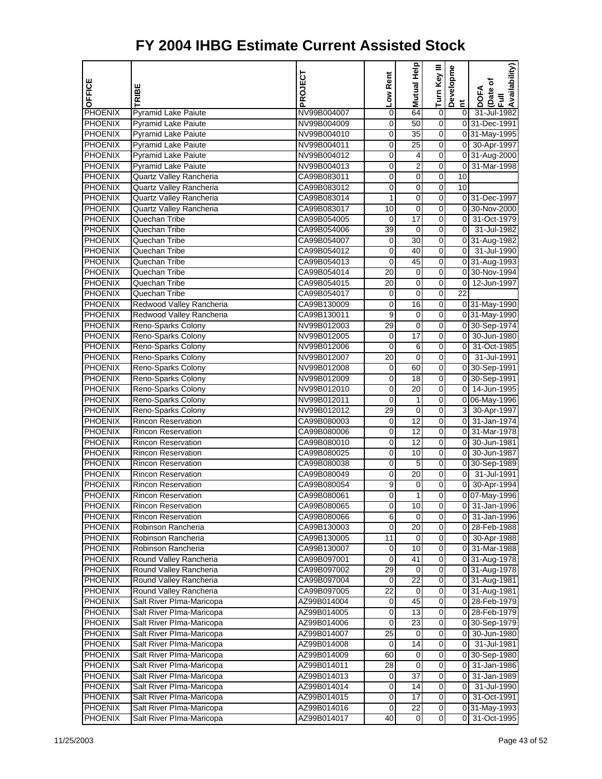|                                  |                                                       | PROJECT                    | Low Rent             | Mutual Help         | Turn Key III        | Developme       | Availability)                  |
|----------------------------------|-------------------------------------------------------|----------------------------|----------------------|---------------------|---------------------|-----------------|--------------------------------|
| OFFICE                           | RIBE                                                  |                            |                      |                     |                     |                 | Date of<br><b>DOFA</b>         |
|                                  |                                                       |                            |                      |                     |                     | $\sharp$        | Ē                              |
| <b>PHOENIX</b>                   | <b>Pyramid Lake Paiute</b>                            | NV99B004007                | 0                    | 64                  | $\overline{0}$      | $\overline{0}$  | 31-Jul-1982                    |
| <b>PHOENIX</b>                   | <b>Pyramid Lake Paiute</b>                            | NV99B004009                | 0                    | 50                  | 0                   |                 | 0 31-Dec-1991                  |
| <b>PHOENIX</b>                   | <b>Pyramid Lake Paiute</b>                            | NV99B004010                | 0                    | 35                  | 0                   |                 | 0 31-May-1995                  |
| PHOENIX                          | <b>Pyramid Lake Paiute</b>                            | NV99B004011                | 0                    | $\overline{25}$     | 0                   |                 | 0 30-Apr-1997                  |
| <b>PHOENIX</b>                   | <b>Pyramid Lake Paiute</b>                            | NV99B004012<br>NV99B004013 | 0<br>$\mathbf 0$     | 4<br>$\overline{2}$ | 0<br>$\overline{0}$ |                 | 0 31-Aug-2000<br>0 31-Mar-1998 |
| PHOENIX<br><b>PHOENIX</b>        | Pyramid Lake Paiute<br><b>Quartz Valley Rancheria</b> | CA99B083011                | 0                    | $\mathbf 0$         | 0                   | 10              |                                |
| PHOENIX                          | Quartz Valley Rancheria                               | CA99B083012                | 0                    | $\mathbf 0$         | 0                   | 10              |                                |
| <b>PHOENIX</b>                   | Quartz Valley Rancheria                               | CA99B083014                | 1                    | 0                   | 0                   |                 | 0 31-Dec-1997                  |
| <b>PHOENIX</b>                   | Quartz Valley Rancheria                               | CA99B083017                | 10                   | 0                   | 0                   |                 | 0 30-Nov-2000                  |
| PHOENIX                          | Quechan Tribe                                         | CA99B054005                | $\mathbf 0$          | $\overline{17}$     | $\overline{0}$      | $\overline{0}$  | 31-Oct-1979                    |
| <b>PHOENIX</b>                   | Quechan Tribe                                         | CA99B054006                | 39                   | $\mathbf 0$         | 0                   | $\overline{0}$  | 31-Jul-1982                    |
| PHOENIX                          | Quechan Tribe                                         | CA99B054007                | $\pmb{0}$            | 30                  | 0                   |                 | 0 31-Aug-1982                  |
| <b>PHOENIX</b>                   | Quechan Tribe                                         | CA99B054012                | 0                    | 40                  | 0                   | οI              | 31-Jul-1990                    |
| <b>PHOENIX</b>                   | Quechan Tribe                                         | CA99B054013                | 0                    | 45                  | 0                   |                 | 0 31-Aug-1993                  |
| PHOENIX                          | Quechan Tribe                                         | CA99B054014                | $\overline{20}$      | $\overline{0}$      | $\overline{0}$      |                 | 0 30-Nov-1994                  |
| <b>PHOENIX</b>                   | Quechan Tribe                                         | CA99B054015                | 20                   | 0                   | 0                   |                 | 0 12-Jun-1997                  |
| <b>PHOENIX</b>                   | Quechan Tribe                                         | CA99B054017                | $\mathbf 0$          | $\mathbf 0$         | 0                   | $\overline{22}$ |                                |
| <b>PHOENIX</b>                   | Redwood Valley Rancheria                              | CA99B130009                | 0                    | 16                  | 0                   |                 | 0 31-May-1990                  |
| <b>PHOENIX</b>                   | Redwood Valley Rancheria                              | CA99B130011                | 9                    | 0                   | 0                   |                 | 0 31-May-1990                  |
| PHOENIX                          | Reno-Sparks Colony                                    | NV99B012003                | 29                   | $\overline{0}$      | $\overline{0}$      |                 | 0 30-Sep-1974                  |
| <b>PHOENIX</b>                   | Reno-Sparks Colony                                    | NV99B012005                | 0                    | 17                  | 0                   |                 | 0 30-Jun-1980                  |
| PHOENIX                          | Reno-Sparks Colony                                    | NV99B012006                | $\mathbf 0$          | 6                   | 0                   | $\overline{0}$  | 31-Oct-1985                    |
| <b>PHOENIX</b>                   | Reno-Sparks Colony                                    | NV99B012007                | 20                   | 0                   | 0                   | $\overline{0}$  | 31-Jul-1991                    |
| <b>PHOENIX</b>                   | Reno-Sparks Colony                                    | NV99B012008                | 0                    | 60                  | 0                   |                 | 0 30-Sep-1991                  |
| <b>PHOENIX</b>                   | Reno-Sparks Colony                                    | NV99B012009                | $\mathbf 0$          | $\overline{18}$     | $\overline{0}$      |                 | 0 30-Sep-1991                  |
| <b>PHOENIX</b>                   | Reno-Sparks Colony                                    | NV99B012010                | 0                    | 20                  | 0                   |                 | 0 14-Jun-1995                  |
| PHOENIX                          | Reno-Sparks Colony                                    | NV99B012011                | 0                    | 1                   | 0                   |                 | 0 06-May-1996                  |
| <b>PHOENIX</b>                   | Reno-Sparks Colony                                    | NV99B012012                | 29                   | 0                   | 0                   |                 | 3 30-Apr-1997                  |
| <b>PHOENIX</b>                   | <b>Rincon Reservation</b>                             | CA99B080003                | 0                    | 12                  | 0                   |                 | 0 31-Jan-1974                  |
| PHOENIX                          | <b>Rincon Reservation</b>                             | CA99B080006                | $\mathbf 0$          | $\overline{12}$     | $\overline{0}$      |                 | 0 31-Mar-1978                  |
| <b>PHOENIX</b>                   | <b>Rincon Reservation</b>                             | CA99B080010                | 0                    | 12                  | 0                   | $\overline{0}$  | 30-Jun-1981                    |
| PHOENIX                          | <b>Rincon Reservation</b>                             | CA99B080025                | 0                    | 10                  | 0                   | $\overline{0}$  | 30-Jun-1987                    |
| <b>PHOENIX</b>                   | <b>Rincon Reservation</b>                             | CA99B080038                | 0                    | 5                   | 0                   |                 | 0 30-Sep-1989                  |
| PHOENIX                          | <b>Rincon Reservation</b>                             | CA99B080049                | 0                    | 20                  | 0                   | $\overline{0}$  | 31-Jul-1991                    |
| <b>PHOENIX</b>                   | <b>Rincon Reservation</b>                             | CA99B080054                | 9                    | $\mathbf 0$         | $\overline{0}$      | $\overline{0}$  | 30-Apr-1994                    |
| <b>PHOENIX</b>                   | <b>Rincon Reservation</b>                             | CA99B080061                | 0                    | 1                   | 0                   |                 | 0 07-May-1996                  |
| <b>PHOENIX</b>                   | <b>Rincon Reservation</b>                             | CA99B080065                | $\pmb{0}$            | 10                  | $\overline{0}$      |                 | 0 31-Jan-1996                  |
| <b>PHOENIX</b>                   | <b>Rincon Reservation</b>                             | CA99B080066                | 6                    | $\mathbf 0$         | 0                   | 01              | 31-Jan-1996                    |
| <b>PHOENIX</b>                   | Robinson Rancheria                                    | CA99B130003                | 0                    | 20                  | 0                   |                 | 0 28-Feb-1988                  |
| <b>PHOENIX</b>                   | Robinson Rancheria                                    | CA99B130005                | $\overline{11}$      | $\mathbf 0$         | $\overline{0}$      | $\overline{0}$  | 30-Apr-1988                    |
| <b>PHOENIX</b>                   | Robinson Rancheria                                    | CA99B130007                | 0                    | 10                  | 0                   |                 | 0 31-Mar-1988                  |
| <b>PHOENIX</b>                   | Round Valley Rancheria                                | CA99B097001                | 0                    | 41                  | 0                   |                 | 0 31-Aug-1978                  |
| <b>PHOENIX</b>                   | Round Valley Rancheria                                | CA99B097002                | 29                   | 0                   | 0                   |                 | 0 31-Aug-1978                  |
| <b>PHOENIX</b><br><b>PHOENIX</b> | Round Valley Rancheria<br>Round Valley Rancheria      | CA99B097004<br>CA99B097005 | 0<br>$\overline{22}$ | 22<br>$\mathbf 0$   | 0<br>$\overline{0}$ |                 | 0 31-Aug-1981<br>0 31-Aug-1981 |
| <b>PHOENIX</b>                   | Salt River Plma-Maricopa                              | AZ99B014004                | 0                    | 45                  | 0                   |                 | 0 28-Feb-1979                  |
| <b>PHOENIX</b>                   | Salt River Plma-Maricopa                              | AZ99B014005                | 0                    | 13                  | 0                   |                 | 0 28-Feb-1979                  |
| <b>PHOENIX</b>                   | Salt River PIma-Maricopa                              | AZ99B014006                | 0                    | 23                  | 0                   |                 | 0 30-Sep-1979                  |
| <b>PHOENIX</b>                   | Salt River PIma-Maricopa                              | AZ99B014007                | 25                   | 0                   | 0                   | 0               | 30-Jun-1980                    |
| PHOENIX                          | Salt River PIma-Maricopa                              | AZ99B014008                | 0                    | $\overline{14}$     | $\overline{0}$      | $\overline{0}$  | 31-Jul-1981                    |
| <b>PHOENIX</b>                   | Salt River Plma-Maricopa                              | AZ99B014009                | 60                   | 0                   | 0                   |                 | 0 30-Sep-1980                  |
| <b>PHOENIX</b>                   | Salt River PIma-Maricopa                              | AZ99B014011                | 28                   | $\mathbf 0$         | 0                   | $\overline{0}$  | 31-Jan-1986                    |
| <b>PHOENIX</b>                   | Salt River PIma-Maricopa                              | AZ99B014013                | 0                    | $\overline{37}$     | 0                   | 01              | 31-Jan-1989                    |
| <b>PHOENIX</b>                   | Salt River PIma-Maricopa                              | AZ99B014014                | 0                    | 14                  | 0                   | 01              | 31-Jul-1990                    |
| <b>PHOENIX</b>                   | Salt River PIma-Maricopa                              | AZ99B014015                | 0                    | $\overline{17}$     | $\overline{0}$      | $\overline{0}$  | 31-Oct-1991                    |
| <b>PHOENIX</b>                   | Salt River Plma-Maricopa                              | AZ99B014016                | 0                    | 22                  | 0                   |                 | 0 31-May-1993                  |
| <b>PHOENIX</b>                   | Salt River PIma-Maricopa                              | AZ99B014017                | 40                   | $\mathbf 0$         | $\mathbf 0$         | $\overline{0}$  | 31-Oct-1995                    |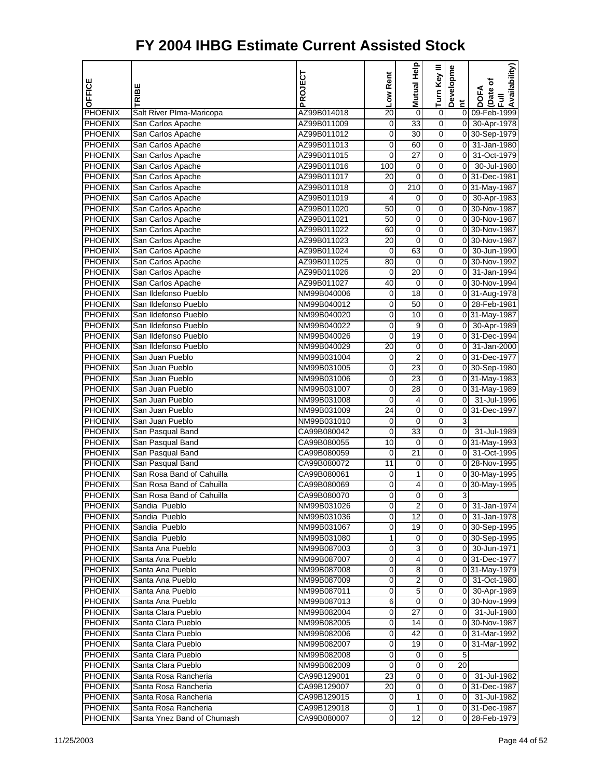| OFFICE                    | TRIBE                                         | PROJECT                    | Low Rent        | Help<br>Mutual                 | Turn Key III   | Developme                        | Availability)<br>Date of<br>Full<br>DOFA |
|---------------------------|-----------------------------------------------|----------------------------|-----------------|--------------------------------|----------------|----------------------------------|------------------------------------------|
|                           |                                               |                            |                 |                                |                | Ĕ                                |                                          |
| PHOENIX<br><b>PHOENIX</b> | Salt River Plma-Maricopa<br>San Carlos Apache | AZ99B014018<br>AZ99B011009 | 20<br>0         | $\mathbf 0$<br>$\overline{33}$ | $\pmb{0}$<br>0 | $\overline{0}$<br>$\overline{0}$ | 09-Feb-1999<br>30-Apr-1978               |
| <b>PHOENIX</b>            | San Carlos Apache                             | AZ99B011012                | 0               | 30                             | 0              |                                  | 0 30-Sep-1979                            |
| <b>PHOENIX</b>            | San Carlos Apache                             | AZ99B011013                | 0               | 60                             | 0              | $\overline{0}$                   | 31-Jan-1980                              |
| <b>PHOENIX</b>            |                                               | AZ99B011015                | 0               | 27                             | 0              | 0                                | 31-Oct-1979                              |
| <b>PHOENIX</b>            | San Carlos Apache<br>San Carlos Apache        | AZ99B011016                | 100             | 0                              | 0              | $\pmb{0}$                        | 30-Jul-1980                              |
| <b>PHOENIX</b>            | San Carlos Apache                             | AZ99B011017                | 20              | $\mathbf 0$                    | 0              |                                  | 031-Dec-1981                             |
| PHOENIX                   | San Carlos Apache                             | AZ99B011018                | 0               | 210                            | 0              |                                  | 0 31-May-1987                            |
| <b>PHOENIX</b>            | San Carlos Apache                             | AZ99B011019                | $\overline{4}$  | 0                              | 0              |                                  | 0 30-Apr-1983                            |
| PHOENIX                   | San Carlos Apache                             | AZ99B011020                | 50              | 0                              | 0              |                                  | 0 30-Nov-1987                            |
| PHOENIX                   | San Carlos Apache                             | AZ99B011021                | 50              | $\mathbf 0$                    | 0              |                                  | 0 30-Nov-1987                            |
| PHOENIX                   | San Carlos Apache                             | AZ99B011022                | 60              | $\mathbf 0$                    | 0              |                                  | 0 30-Nov-1987                            |
| PHOENIX                   | San Carlos Apache                             | AZ99B011023                | 20              | 0                              | 0              |                                  | 0 30-Nov-1987                            |
| <b>PHOENIX</b>            | San Carlos Apache                             | AZ99B011024                | 0               | 63                             | 0              | 0                                | 30-Jun-1990                              |
| PHOENIX                   | San Carlos Apache                             | AZ99B011025                | 80              | 0                              | 0              | 0                                | 30-Nov-1992                              |
| <b>PHOENIX</b>            | San Carlos Apache                             | AZ99B011026                | 0               | 20                             | 0              | $\overline{0}$                   | 31-Jan-1994                              |
| PHOENIX                   | San Carlos Apache                             | AZ99B011027                | 40              | $\mathbf 0$                    | 0              |                                  | 0 30-Nov-1994                            |
| PHOENIX                   | San Ildefonso Pueblo                          | NM99B040006                | 0               | 18                             | 0              |                                  | 0 31-Aug-1978                            |
| <b>PHOENIX</b>            | San Ildefonso Pueblo                          | NM99B040012                | 0               | 50                             | 0              |                                  | 0 28-Feb-1981                            |
| <b>PHOENIX</b>            | San Ildefonso Pueblo                          | NM99B040020                | 0               | 10                             | 0              |                                  | 0 31-May-1987                            |
| PHOENIX                   | San Ildefonso Pueblo                          | NM99B040022                | 0               | 9                              | 0              |                                  | 0 30-Apr-1989                            |
| PHOENIX                   | San Ildefonso Pueblo                          | NM99B040026                | 0               | 19                             | 0              |                                  | 0 31-Dec-1994                            |
| PHOENIX                   | San Ildefonso Pueblo                          | NM99B040029                | 20              | 0                              | 0              | οI                               | 31-Jan-2000                              |
| <b>PHOENIX</b>            | San Juan Pueblo                               | NM99B031004                | 0               | $\overline{2}$                 | 0              |                                  | 0 31-Dec-1977                            |
| PHOENIX                   | San Juan Pueblo                               | NM99B031005                | 0               | 23                             | 0              |                                  | 0 30-Sep-1980                            |
| PHOENIX                   | San Juan Pueblo                               |                            | 0               | $\overline{23}$                | 0              |                                  | 0 31-May-1983                            |
| PHOENIX                   | San Juan Pueblo                               | NM99B031006<br>NM99B031007 | 0               | 28                             | 0              |                                  | 0 31-May-1989                            |
| PHOENIX                   | San Juan Pueblo                               | NM99B031008                | 0               | 4                              | 0              | $\overline{0}$                   | 31-Jul-1996                              |
| <b>PHOENIX</b>            | San Juan Pueblo                               | NM99B031009                | 24              | 0                              | 0              |                                  | 0 31-Dec-1997                            |
| <b>PHOENIX</b>            | San Juan Pueblo                               | NM99B031010                | 0               | 0                              | 0              | 3                                |                                          |
| PHOENIX                   | San Pasqual Band                              | CA99B080042                | 0               | $\overline{33}$                | 0              | $\overline{0}$                   | 31-Jul-1989                              |
| PHOENIX                   | San Pasqual Band                              | CA99B080055                | 10              | $\mathbf 0$                    | 0              |                                  | 031-May-1993                             |
| PHOENIX                   | San Pasqual Band                              | CA99B080059                | 0               | 21                             | 0              | <sub>0</sub>                     | 31-Oct-1995                              |
| <b>PHOENIX</b>            | San Pasqual Band                              | CA99B080072                | $\overline{11}$ | 0                              | 0              |                                  | 0 28-Nov-1995                            |
| PHOENIX                   | San Rosa Band of Cahuilla                     | CA99B080061                | 0               | 1                              | 0              |                                  | 0 30-May-1995                            |
| <b>PHOENIX</b>            | San Rosa Band of Cahuilla                     | CA99B080069                | 0               | 4                              | 0              |                                  | 0 30-May-1995                            |
| <b>PHOENIX</b>            | San Rosa Band of Cahuilla                     | CA99B080070                | 0               | 0                              | 0              | 3                                |                                          |
| <b>PHOENIX</b>            | Sandia Pueblo                                 | NM99B031026                | 0               | 2                              | 0              |                                  | 0 31-Jan-1974                            |
| <b>PHOENIX</b>            | Sandia Pueblo                                 | NM99B031036                | 0               | 12                             | 0              |                                  | 0 31-Jan-1978                            |
| <b>PHOENIX</b>            | Sandia Pueblo                                 | NM99B031067                | 0               | 19                             | 0              |                                  | 0 30-Sep-1995                            |
| <b>PHOENIX</b>            | Sandia Pueblo                                 | NM99B031080                | 1               | 0                              | 0              |                                  | 0 30-Sep-1995                            |
| <b>PHOENIX</b>            | Santa Ana Pueblo                              | NM99B087003                | 0               | 3                              | $\mathbf 0$    |                                  | 0 30-Jun-1971                            |
| <b>PHOENIX</b>            | Santa Ana Pueblo                              | NM99B087007                | 0               | 4                              | 0              |                                  | 031-Dec-1977                             |
| <b>PHOENIX</b>            | Santa Ana Pueblo                              | NM99B087008                | 0               | 8                              | 0              |                                  | 0 31-May-1979                            |
| <b>PHOENIX</b>            | Santa Ana Pueblo                              | NM99B087009                | 0               | 2                              | 0              |                                  | 0 31-Oct-1980                            |
| <b>PHOENIX</b>            | Santa Ana Pueblo                              | NM99B087011                | 0               | $\overline{5}$                 | 0              |                                  | 0 30-Apr-1989                            |
| <b>PHOENIX</b>            | Santa Ana Pueblo                              | NM99B087013                | 6               | $\mathbf 0$                    | $\Omega$       |                                  | 0 30-Nov-1999                            |
| <b>PHOENIX</b>            | Santa Clara Pueblo                            | NM99B082004                | 0               | 27                             | 0              |                                  | 0 31-Jul-1980                            |
| <b>PHOENIX</b>            | Santa Clara Pueblo                            | NM99B082005                | 0               | 14                             | 0              |                                  | 0 30-Nov-1987                            |
| <b>PHOENIX</b>            | Santa Clara Pueblo                            | NM99B082006                | 0               | 42                             | 0              | $\overline{0}$                   | 31-Mar-1992                              |
| <b>PHOENIX</b>            | Santa Clara Pueblo                            | NM99B082007                | 0               | 19                             | 0              | 0                                | 31-Mar-1992                              |
| <b>PHOENIX</b>            | Santa Clara Pueblo                            | NM99B082008                | 0               | 0                              | 0              | 5                                |                                          |
| <b>PHOENIX</b>            | Santa Clara Pueblo                            | NM99B082009                | 0               | 0                              | $\mathbf 0$    | 20                               |                                          |
| <b>PHOENIX</b>            | Santa Rosa Rancheria                          | CA99B129001                | 23              | 0                              | 0              |                                  | 0 31-Jul-1982                            |
| <b>PHOENIX</b>            | Santa Rosa Rancheria                          | CA99B129007                | 20              | 0                              | 0              |                                  | 0 31-Dec-1987                            |
| <b>PHOENIX</b>            | Santa Rosa Rancheria                          | CA99B129015                | 0               | 1                              | 0              |                                  | 0 31-Jul-1982                            |
| <b>PHOENIX</b>            | Santa Rosa Rancheria                          | CA99B129018                | 0               | 1                              | 0              |                                  | 0 31 Dec-1987                            |
| <b>PHOENIX</b>            | Santa Ynez Band of Chumash                    | CA99B080007                | 0               | 12                             | 0              |                                  | 0 28-Feb-1979                            |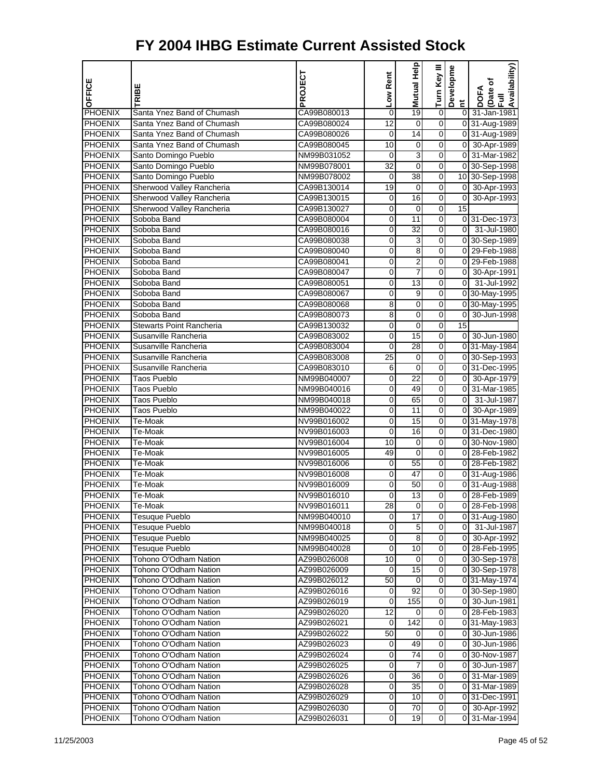| OFFICE                           | TRIBE                                          | PROJECT                    | Low Rent        | <b>Help</b><br>Mutual | Turn Key III          | Developme       | Availability)<br>Date of<br>Full<br>DOFA |
|----------------------------------|------------------------------------------------|----------------------------|-----------------|-----------------------|-----------------------|-----------------|------------------------------------------|
| PHOENIX                          | Santa Ynez Band of Chumash                     | CA99B080013                | 0               | 19                    | $\pmb{0}$             | E.<br>01        | 31-Jan-1981                              |
| <b>PHOENIX</b>                   | Santa Ynez Band of Chumash                     | CA99B080024                | 12              | 0                     | $\overline{0}$        |                 | 0 31-Aug-1989                            |
| PHOENIX                          | Santa Ynez Band of Chumash                     | CA99B080026                | 0               | 14                    | 0                     |                 | 0 31-Aug-1989                            |
| <b>PHOENIX</b>                   | Santa Ynez Band of Chumash                     | CA99B080045                | 10              | 0                     | 0                     |                 | 0 30-Apr-1989                            |
| <b>PHOENIX</b>                   | Santo Domingo Pueblo                           | NM99B031052                | 0               | 3                     | 0                     | $\overline{0}$  | 31-Mar-1982                              |
| <b>PHOENIX</b>                   | Santo Domingo Pueblo                           | NM99B078001                | 32              | $\mathbf 0$           | 0                     |                 | 0 30-Sep-1998                            |
| PHOENIX                          | Santo Domingo Pueblo                           | NM99B078002                | 0               | 38                    | 0                     |                 | 10 30-Sep-1998                           |
| PHOENIX                          | Sherwood Valley Rancheria                      | CA99B130014                | 19              | 0                     | 0                     | $\overline{0}$  | 30-Apr-1993                              |
| <b>PHOENIX</b>                   | Sherwood Valley Rancheria                      | CA99B130015                | 0               | 16                    | 0                     | $\overline{0}$  | 30-Apr-1993                              |
| <b>PHOENIX</b>                   | Sherwood Valley Rancheria                      | CA99B130027                | 0               | 0                     | 0                     | 15              |                                          |
| <b>PHOENIX</b>                   | Soboba Band                                    | CA99B080004                | 0               | 11                    | 0                     |                 | 0 31-Dec-1973                            |
| PHOENIX                          | Soboba Band                                    | CA99B080016                | 0               | 32                    | 0                     | $\overline{0}$  | 31-Jul-1980                              |
| PHOENIX                          | Soboba Band                                    | CA99B080038                | 0               | 3                     | 0                     |                 | 0 30-Sep-1989                            |
| <b>PHOENIX</b>                   | Soboba Band                                    | CA99B080040                | 0               | 8                     | 0                     |                 | 0 29-Feb-1988                            |
| <b>PHOENIX</b>                   | Soboba Band                                    | CA99B080041                | 0               | 2                     | 0                     | 01              | 29-Feb-1988                              |
| PHOENIX                          | Soboba Band                                    | CA99B080047                | 0               | 7                     | 0                     | 01              | 30-Apr-1991                              |
| PHOENIX                          | Soboba Band                                    | CA99B080051                | 0               | 13                    | 0                     | $\overline{0}$  | 31-Jul-1992                              |
| PHOENIX                          | Soboba Band                                    | CA99B080067                | 0               | 9                     | 0                     |                 | 0 30-May-1995                            |
| <b>PHOENIX</b>                   | Soboba Band                                    | CA99B080068                | 8               | 0                     | 0                     |                 | 0 30-May-1995                            |
| <b>PHOENIX</b>                   | Soboba Band                                    | CA99B080073                | 8               | 0                     | 0                     | $\overline{0}$  | 30-Jun-1998                              |
| <b>PHOENIX</b>                   | <b>Stewarts Point Rancheria</b>                | CA99B130032                | 0               | $\mathbf 0$           | 0                     | $\overline{15}$ |                                          |
| PHOENIX                          | Susanville Rancheria                           | CA99B083002                | 0               | 15                    | 0                     |                 | 0 30-Jun-1980                            |
| PHOENIX                          | Susanville Rancheria                           | CA99B083004                | 0               | 28                    | 0                     |                 | 0 31-May-1984                            |
| <b>PHOENIX</b>                   | Susanville Rancheria                           | CA99B083008                | $\overline{25}$ | 0                     | 0                     |                 | 0 30-Sep-1993                            |
| <b>PHOENIX</b>                   | Susanville Rancheria                           | CA99B083010                | 6               | 0                     | 0                     |                 | 0 31-Dec-1995                            |
| <b>PHOENIX</b>                   | Taos Pueblo                                    | NM99B040007                | 0               | 22                    | 0                     | $\overline{0}$  | 30-Apr-1979                              |
| PHOENIX                          | <b>Taos Pueblo</b>                             | NM99B040016                | 0               | 49                    | 0                     |                 | 0 31-Mar-1985                            |
| PHOENIX                          | Taos Pueblo                                    | NM99B040018                | 0               | 65                    | 0                     | $\overline{0}$  | 31-Jul-1987                              |
| <b>PHOENIX</b>                   | <b>Taos Pueblo</b>                             | NM99B040022                | 0               | 11                    | 0                     | $\overline{0}$  | 30-Apr-1989                              |
| <b>PHOENIX</b>                   | Te-Moak                                        | NV99B016002                | 0               | 15                    | 0                     |                 | 0 31-May-1978                            |
| <b>PHOENIX</b>                   | Te-Moak                                        | NV99B016003                | 0               | 16                    | 0                     |                 | 0 31-Dec-1980                            |
| PHOENIX                          | Te-Moak                                        | NV99B016004                | 10              | 0                     | 0                     |                 | 0 30-Nov-1980                            |
| PHOENIX                          | Te-Moak                                        | NV99B016005                | 49              | 0                     | 0                     |                 | 0 28-Feb-1982                            |
| <b>PHOENIX</b>                   | Te-Moak                                        | NV99B016006                | 0               | 55                    | 0                     |                 | 0 28-Feb-1982                            |
| PHOENIX                          | Te-Moak                                        | NV99B016008                | 0               | 47                    | 0                     |                 | 0 31-Aug-1986                            |
| PHOENIX                          | Te-Moak                                        | NV99B016009                | 0               | 50                    | 0                     |                 | 0 31-Aug-1988                            |
| <b>PHOENIX</b>                   | Te-Moak                                        | NV99B016010                | 0               | 13                    | 0                     | 01              | 28-Feb-1989                              |
| <b>PHOENIX</b>                   | Te-Moak                                        | NV99B016011                | 28              | 0                     | 0                     |                 | 0 28-Feb-1998                            |
| <b>PHOENIX</b>                   | Tesuque Pueblo                                 | NM99B040010                | 0               | $\overline{17}$       | 0                     |                 | 0 31-Aug-1980                            |
| <b>PHOENIX</b>                   | Tesuque Pueblo                                 | NM99B040018                | 0               | 5                     | 0                     | 01              | 31-Jul-1987                              |
| <b>PHOENIX</b>                   | <b>Tesuque Pueblo</b>                          | NM99B040025                | 0               | $\overline{8}$        | $\boldsymbol{0}$      |                 | 0 30-Apr-1992                            |
| <b>PHOENIX</b>                   | <b>Tesuque Pueblo</b>                          | NM99B040028                | 0               | 10                    | $\mathbf 0$           |                 | 0 28-Feb-1995                            |
| <b>PHOENIX</b>                   | Tohono O'Odham Nation                          | AZ99B026008                | 10              | 0                     | 0                     |                 | 0 30-Sep-1978                            |
| <b>PHOENIX</b>                   | Tohono O'Odham Nation                          | AZ99B026009                | 0               | 15                    | 0                     |                 | 0 30-Sep-1978                            |
| <b>PHOENIX</b>                   | Tohono O'Odham Nation                          | AZ99B026012                | 50              | 0                     | 0                     |                 | 031-May-1974                             |
| <b>PHOENIX</b>                   | Tohono O'Odham Nation                          | AZ99B026016                | 0               | 92                    | $\boldsymbol{0}$      |                 | 0 30-Sep-1980                            |
| PHOENIX                          | Tohono O'Odham Nation                          | AZ99B026019                | 0               | 155                   | $\mathbf 0$           |                 | 0 30-Jun-1981                            |
| <b>PHOENIX</b>                   | Tohono O'Odham Nation                          | AZ99B026020                | 12              | 0                     | 0                     |                 | 0 28-Feb-1983                            |
| <b>PHOENIX</b>                   | Tohono O'Odham Nation                          | AZ99B026021                | 0               | 142                   | 0                     |                 | 0 31-May-1983                            |
| <b>PHOENIX</b>                   | Tohono O'Odham Nation                          | AZ99B026022                | 50              | 0                     | 0                     | 01              | 30-Jun-1986                              |
| <b>PHOENIX</b>                   | Tohono O'Odham Nation                          | AZ99B026023                | 0               | 49                    | 0                     | $\overline{0}$  | 30-Jun-1986                              |
| <b>PHOENIX</b>                   | Tohono O'Odham Nation                          | AZ99B026024                | 0               | 74                    | $\mathbf 0$           |                 | 0 30-Nov-1987                            |
| <b>PHOENIX</b>                   | Tohono O'Odham Nation                          | AZ99B026025                | 0               | 7                     | 0                     | $\overline{0}$  | 30-Jun-1987                              |
| <b>PHOENIX</b>                   | Tohono O'Odham Nation<br>Tohono O'Odham Nation | AZ99B026026                | 0               | 36                    | 0                     |                 | 0 31-Mar-1989                            |
| <b>PHOENIX</b>                   |                                                | AZ99B026028                | 0               | 35<br>10              | 0<br>$\boldsymbol{0}$ |                 | 0 31-Mar-1989                            |
| <b>PHOENIX</b><br><b>PHOENIX</b> | Tohono O'Odham Nation<br>Tohono O'Odham Nation | AZ99B026029<br>AZ99B026030 | 0<br>0          | 70                    | 0                     |                 | 0 31-Dec-1991<br>0 30-Apr-1992           |
| <b>PHOENIX</b>                   | Tohono O'Odham Nation                          | AZ99B026031                | 0               | 19                    | $\mathbf 0$           | οI              | 31-Mar-1994                              |
|                                  |                                                |                            |                 |                       |                       |                 |                                          |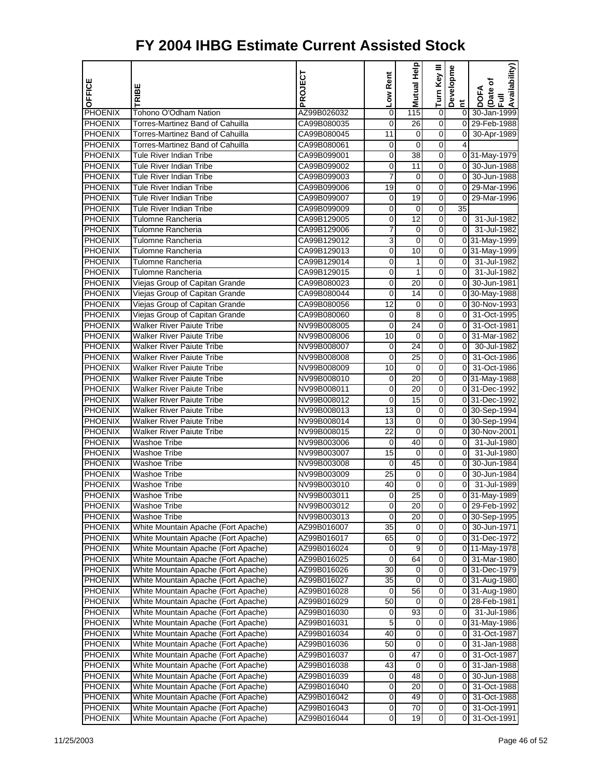| OFFICE                           |                                                                            | PROJECT                    | Low Rent        | Mutual Help         | Turn Key III        | Developme               | Availability)<br>Date of   |
|----------------------------------|----------------------------------------------------------------------------|----------------------------|-----------------|---------------------|---------------------|-------------------------|----------------------------|
|                                  | RIBE                                                                       |                            |                 |                     |                     | Ĕ                       | DOFA<br>$\overline{E}$     |
| <b>PHOENIX</b>                   | Tohono O'Odham Nation                                                      | AZ99B026032                | 0               | 115                 | $\overline{0}$      | $\overline{0}$          | 30-Jan-1999                |
| <b>PHOENIX</b>                   | Torres-Martinez Band of Cahuilla                                           | CA99B080035                | 0               | 26                  | 0                   |                         | 0 29-Feb-1988              |
| <b>PHOENIX</b>                   | Torres-Martinez Band of Cahuilla                                           | CA99B080045                | 11              | $\mathbf 0$         | 0                   | $\overline{0}$          | 30-Apr-1989                |
| <b>PHOENIX</b>                   | Torres-Martinez Band of Cahuilla                                           | CA99B080061                | 0               | 0                   | 0                   | 4                       |                            |
| <b>PHOENIX</b>                   | Tule River Indian Tribe                                                    | CA99B099001                | 0               | 38                  | 0                   |                         | 0 31-May-1979              |
| <b>PHOENIX</b>                   | Tule River Indian Tribe                                                    | CA99B099002                | $\mathbf 0$     | 11                  | $\overline{0}$      | $\overline{0}$          | 30-Jun-1988                |
| <b>PHOENIX</b>                   | <b>Tule River Indian Tribe</b>                                             | CA99B099003                | 7               | $\mathbf 0$         | 0                   | $\overline{0}$          | 30-Jun-1988                |
| PHOENIX                          | Tule River Indian Tribe                                                    | CA99B099006                | 19              | $\mathbf 0$         | 0                   | $\overline{0}$          | 29-Mar-1996                |
| <b>PHOENIX</b>                   | <b>Tule River Indian Tribe</b>                                             | CA99B099007                | 0               | 19                  | 0                   | $\overline{0}$          | 29-Mar-1996                |
| PHOENIX                          | <b>Tule River Indian Tribe</b>                                             | CA99B099009                | 0               | 0                   | 0                   | 35                      |                            |
| <b>PHOENIX</b>                   | Tulomne Rancheria                                                          | CA99B129005                | 0               | $\overline{12}$     | $\overline{0}$      | $\overline{0}$          | 31-Jul-1982                |
| <b>PHOENIX</b>                   | Tulomne Rancheria                                                          | CA99B129006                | 7               | $\mathbf 0$         | 0                   | $\Omega$                | 31-Jul-1982                |
| PHOENIX                          | Tulomne Rancheria                                                          | CA99B129012                | 3               | $\mathbf 0$         | 0                   |                         | 0 31-May-1999              |
| <b>PHOENIX</b>                   | Tulomne Rancheria                                                          | CA99B129013                | 0               | 10                  | 0                   |                         | 0 31-May-1999              |
| <b>PHOENIX</b>                   | Tulomne Rancheria                                                          | CA99B129014                | 0               | 1                   | 0                   | $\overline{0}$          | 31-Jul-1982                |
| <b>PHOENIX</b>                   | Tulomne Rancheria                                                          | CA99B129015                | $\mathbf 0$     | $\mathbf{1}$        | $\mathbf 0$         | $\overline{0}$          | 31-Jul-1982                |
| <b>PHOENIX</b>                   | Viejas Group of Capitan Grande                                             | CA99B080023                | 0               | 20                  | 0                   | $\overline{0}$          | 30-Jun-1981                |
| <b>PHOENIX</b>                   | Viejas Group of Capitan Grande                                             | CA99B080044                | 0               | 14                  | 0                   |                         | 0 30-May-1988              |
| <b>PHOENIX</b>                   | Viejas Group of Capitan Grande                                             | CA99B080056                | 12              | 0                   | 0                   |                         | 0 30-Nov-1993              |
| <b>PHOENIX</b>                   | Viejas Group of Capitan Grande                                             | CA99B080060                | 0               | 8                   | 0                   | $\overline{0}$          | 31-Oct-1995                |
| <b>PHOENIX</b>                   | <b>Walker River Paiute Tribe</b>                                           | NV99B008005                | $\mathbf 0$     | $\overline{24}$     | $\mathbf 0$         | $\overline{0}$          | 31-Oct-1981                |
| <b>PHOENIX</b>                   | <b>Walker River Paiute Tribe</b>                                           | NV99B008006                | 10              | 0                   | 0                   | $\overline{0}$          | 31-Mar-1982                |
| PHOENIX                          | <b>Walker River Paiute Tribe</b>                                           | NV99B008007                | $\mathbf 0$     | 24                  | 0                   | $\overline{0}$          | 30-Jul-1982                |
| <b>PHOENIX</b>                   | <b>Walker River Paiute Tribe</b>                                           | NV99B008008                | 0               | 25                  | 0                   | $\overline{0}$          | 31-Oct-1986                |
| <b>PHOENIX</b>                   | <b>Walker River Paiute Tribe</b>                                           | NV99B008009                | 10              | 0                   | 0                   | $\overline{0}$          | 31-Oct-1986                |
| <b>PHOENIX</b>                   | <b>Walker River Paiute Tribe</b>                                           | NV99B008010                | $\mathbf 0$     | $\overline{20}$     | $\overline{0}$      |                         | 0 31-May-1988              |
| <b>PHOENIX</b>                   | <b>Walker River Paiute Tribe</b>                                           | NV99B008011                | 0               | 20                  | 0                   |                         | 0 31-Dec-1992              |
| PHOENIX                          | <b>Walker River Paiute Tribe</b>                                           | NV99B008012                | $\mathbf 0$     | 15                  | 0                   |                         | 0 31-Dec-1992              |
| <b>PHOENIX</b>                   | <b>Walker River Paiute Tribe</b>                                           | NV99B008013                | 13              | 0                   | 0                   |                         | 0 30-Sep-1994              |
| PHOENIX                          | <b>Walker River Paiute Tribe</b>                                           | NV99B008014                | 13              | 0                   | 0                   |                         | 0 30-Sep-1994              |
| <b>PHOENIX</b>                   | <b>Walker River Paiute Tribe</b>                                           | NV99B008015                | $\overline{22}$ | $\overline{0}$      | $\mathbf 0$         |                         | 0 30-Nov-2001              |
| <b>PHOENIX</b>                   | Washoe Tribe                                                               | NV99B003006                | 0               | 40                  | 0                   | $\overline{0}$          | 31-Jul-1980                |
| <b>PHOENIX</b>                   | <b>Washoe Tribe</b>                                                        | NV99B003007                | 15              | $\mathbf 0$         | 0                   | $\overline{0}$          | 31-Jul-1980                |
| <b>PHOENIX</b>                   | <b>Washoe Tribe</b>                                                        | NV99B003008                | 0               | 45                  | 0                   | $\overline{0}$          | 30-Jun-1984                |
| PHOENIX                          | <b>Washoe Tribe</b>                                                        | NV99B003009                | 25              | 0                   | 0                   | $\overline{0}$          | 30-Jun-1984                |
| <b>PHOENIX</b>                   | Washoe Tribe                                                               | NV99B003010                | 40              | $\mathbf 0$         | $\mathbf 0$         | $\overline{\mathbf{0}}$ | 31-Jul-1989                |
| <b>PHOENIX</b>                   | Washoe Tribe                                                               | NV99B003011                | 0               | 25                  | 0                   |                         | 0 31-May-1989              |
| <b>PHOENIX</b>                   | Washoe Tribe                                                               | NV99B003012                | $\mathbf{O}$    | 20                  | 0                   |                         | 0 29-Feb-1992              |
| <b>PHOENIX</b>                   | <b>Washoe Tribe</b>                                                        | NV99B003013                | 0               | 20                  | 0                   |                         | 0 30-Sep-1995              |
| <b>PHOENIX</b>                   | White Mountain Apache (Fort Apache)                                        | AZ99B016007                | 35              | 0                   | 0                   |                         | 0 30-Jun-1971              |
| <b>PHOENIX</b>                   | White Mountain Apache (Fort Apache)                                        | AZ99B016017                | 65              | $\overline{0}$      | $\overline{0}$      |                         | 0 31-Dec-1972              |
| <b>PHOENIX</b>                   | White Mountain Apache (Fort Apache)                                        | AZ99B016024                | 0               | 9                   | 0                   |                         | 0 11-May-1978              |
| <b>PHOENIX</b>                   | White Mountain Apache (Fort Apache)                                        | AZ99B016025                | 0               | 64                  | 0                   |                         | 0 31-Mar-1980              |
| <b>PHOENIX</b>                   | White Mountain Apache (Fort Apache)                                        | AZ99B016026                | 30              | 0                   | 0                   |                         | 0 31-Dec-1979              |
| <b>PHOENIX</b>                   | White Mountain Apache (Fort Apache)                                        | AZ99B016027                | 35              | 0                   | 0                   |                         | 0 31-Aug-1980              |
| <b>PHOENIX</b>                   | White Mountain Apache (Fort Apache)                                        | AZ99B016028                | 0               | 56                  | $\overline{0}$      |                         | 0 31-Aug-1980              |
| <b>PHOENIX</b>                   | White Mountain Apache (Fort Apache)                                        | AZ99B016029                | 50              | 0                   | 0                   |                         | 0 28-Feb-1981              |
| PHOENIX                          | White Mountain Apache (Fort Apache)                                        | AZ99B016030                | $\mathbf 0$     | 93                  | 0                   | 01                      | 31-Jul-1986                |
| <b>PHOENIX</b>                   | White Mountain Apache (Fort Apache)                                        | AZ99B016031                | 5               | 0                   | 0                   |                         | 0 31-May-1986              |
| <b>PHOENIX</b>                   | White Mountain Apache (Fort Apache)                                        | AZ99B016034                | 40              | 0<br>$\overline{0}$ | 0<br>$\overline{0}$ | 01<br>$\overline{0}$    | 31-Oct-1987                |
| <b>PHOENIX</b>                   | White Mountain Apache (Fort Apache)                                        | AZ99B016036<br>AZ99B016037 | 50              | 47                  | 0                   |                         | 31-Jan-1988                |
| <b>PHOENIX</b><br><b>PHOENIX</b> | White Mountain Apache (Fort Apache)<br>White Mountain Apache (Fort Apache) | AZ99B016038                | 0<br>43         | $\mathbf 0$         | 0                   | 0<br>$\overline{0}$     | 31-Oct-1987<br>31-Jan-1988 |
| <b>PHOENIX</b>                   | White Mountain Apache (Fort Apache)                                        | AZ99B016039                | 0               | 48                  | 0                   | 0                       | 30-Jun-1988                |
| <b>PHOENIX</b>                   | White Mountain Apache (Fort Apache)                                        | AZ99B016040                | 0               | 20                  | 0                   | 0                       | 31-Oct-1988                |
| <b>PHOENIX</b>                   | White Mountain Apache (Fort Apache)                                        | AZ99B016042                | 0               | 49                  | $\overline{0}$      | $\overline{0}$          | 31-Oct-1988                |
| <b>PHOENIX</b>                   | White Mountain Apache (Fort Apache)                                        | AZ99B016043                | 0               | 70                  | 0                   | $\overline{0}$          | 31-Oct-1991                |
| <b>PHOENIX</b>                   | White Mountain Apache (Fort Apache)                                        | AZ99B016044                | 0               | 19                  | 0                   | $\mathbf 0$             | 31-Oct-1991                |
|                                  |                                                                            |                            |                 |                     |                     |                         |                            |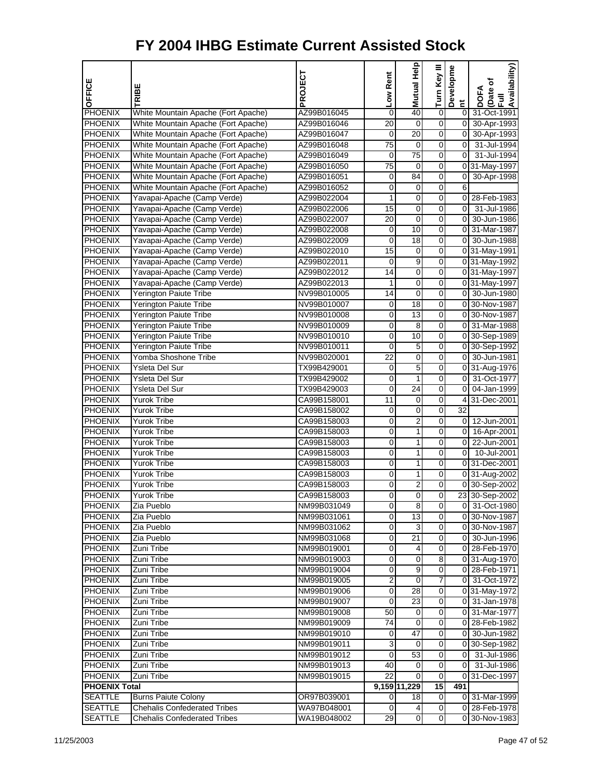| OFFICE                           | TRIBE                               | PROJECT                    | Low Rent            | Help<br><b>Mutual</b>   | Turn Key III                 | Developme                     | Availability)<br>(Date of<br>Full<br><b>DOFA</b> |
|----------------------------------|-------------------------------------|----------------------------|---------------------|-------------------------|------------------------------|-------------------------------|--------------------------------------------------|
| PHOENIX                          | White Mountain Apache (Fort Apache) | AZ99B016045                | 0                   | 40                      | 0                            | $\tilde{E}$<br>$\overline{0}$ | 31-Oct-1991                                      |
| PHOENIX                          | White Mountain Apache (Fort Apache) | AZ99B016046                | $\overline{20}$     | $\overline{0}$          | $\overline{0}$               | $\overline{0}$                | 30-Apr-1993                                      |
| <b>PHOENIX</b>                   | White Mountain Apache (Fort Apache) | AZ99B016047                | 0                   | 20                      | 0                            | $\overline{0}$                | 30-Apr-1993                                      |
| <b>PHOENIX</b>                   | White Mountain Apache (Fort Apache) | AZ99B016048                | $\overline{75}$     | 0                       | 0                            | $\overline{0}$                | 31-Jul-1994                                      |
| <b>PHOENIX</b>                   | White Mountain Apache (Fort Apache) | AZ99B016049                | 0                   | 75                      | 0                            | $\overline{0}$                | 31-Jul-1994                                      |
| PHOENIX                          | White Mountain Apache (Fort Apache) | AZ99B016050                | 75                  | 0                       | 0                            |                               | 0 31-May-1997                                    |
| <b>PHOENIX</b>                   | White Mountain Apache (Fort Apache) | AZ99B016051                | $\mathbf 0$         | $\overline{84}$         | $\overline{0}$               | $\overline{0}$                | 30-Apr-1998                                      |
| <b>PHOENIX</b>                   | White Mountain Apache (Fort Apache) | AZ99B016052                | 0                   | 0                       | 0                            | 6                             |                                                  |
| <b>PHOENIX</b>                   | Yavapai-Apache (Camp Verde)         | AZ99B022004                | $\mathbf{1}$        | $\mathbf 0$             | 0                            |                               | 0 28-Feb-1983                                    |
| PHOENIX                          | Yavapai-Apache (Camp Verde)         | AZ99B022006                | 15                  | 0                       | 0                            | $\overline{0}$                | 31-Jul-1986                                      |
| PHOENIX                          | Yavapai-Apache (Camp Verde)         | AZ99B022007                | 20                  | 0                       | 0                            |                               | 0 30-Jun-1986                                    |
| <b>PHOENIX</b>                   | Yavapai-Apache (Camp Verde)         | AZ99B022008                | $\mathbf 0$         | 10                      | $\overline{0}$               |                               | 0 31-Mar-1987                                    |
| <b>PHOENIX</b>                   | Yavapai-Apache (Camp Verde)         | AZ99B022009                | 0                   | 18                      | 0                            |                               | 0 30-Jun-1988                                    |
| PHOENIX                          | Yavapai-Apache (Camp Verde)         | AZ99B022010                | 15                  | 0                       | 0                            |                               | 0 31-May-1991                                    |
| <b>PHOENIX</b>                   | Yavapai-Apache (Camp Verde)         | AZ99B022011                | 0                   | 9                       | 0                            |                               | 0 31-May-1992                                    |
| PHOENIX                          | Yavapai-Apache (Camp Verde)         | AZ99B022012                | 14                  | 0                       | 0                            |                               | 0 31-May-1997                                    |
| <b>PHOENIX</b>                   | Yavapai-Apache (Camp Verde)         | AZ99B022013                | $\mathbf{1}$        | $\overline{0}$          | $\overline{0}$               |                               | 0 31-May-1997                                    |
| <b>PHOENIX</b>                   | Yerington Paiute Tribe              | NV99B010005                | 14                  | 0                       | 0                            |                               | 0 30-Jun-1980                                    |
| PHOENIX                          | <b>Yerington Paiute Tribe</b>       | NV99B010007                | 0                   | $\overline{18}$         | 0                            |                               | 0 30-Nov-1987                                    |
| <b>PHOENIX</b>                   | Yerington Paiute Tribe              | NV99B010008                | 0                   | 13                      | 0                            |                               | 0 30-Nov-1987                                    |
| PHOENIX                          | <b>Yerington Paiute Tribe</b>       | NV99B010009                | 0                   | 8                       | 0                            |                               | 0 31-Mar-1988                                    |
| <b>PHOENIX</b>                   | Yerington Paiute Tribe              | NV99B010010                | $\mathbf 0$         | 10                      | $\overline{0}$               |                               | 0 30-Sep-1989                                    |
| <b>PHOENIX</b>                   | Yerington Paiute Tribe              | NV99B010011                | 0                   | 5                       | 0                            |                               | 0 30-Sep-1992                                    |
| PHOENIX                          | Yomba Shoshone Tribe                | NV99B020001                | $\overline{22}$     | 0                       | 0                            |                               | 0 30-Jun-1981                                    |
| <b>PHOENIX</b>                   | Ysleta Del Sur                      | TX99B429001                | 0                   | 5                       | 0                            |                               | 0 31-Aug-1976                                    |
| <b>PHOENIX</b>                   | Ysleta Del Sur                      | TX99B429002                | 0                   | 1                       | 0                            | $\overline{0}$                | 31-Oct-1977                                      |
| <b>PHOENIX</b>                   | Ysleta Del Sur                      | TX99B429003                | $\mathbf 0$         | $\overline{24}$         | $\overline{0}$               | $\overline{\mathbf{0}}$       | 04-Jan-1999                                      |
| <b>PHOENIX</b>                   | Yurok Tribe                         | CA99B158001                | 11                  | $\mathbf 0$             | 0                            |                               | 4 31-Dec-2001                                    |
| PHOENIX                          | Yurok Tribe                         | CA99B158002                | $\mathbf 0$         | $\mathbf 0$             | 0                            | $\overline{32}$               |                                                  |
| <b>PHOENIX</b>                   | Yurok Tribe                         | CA99B158003                | 0                   | $\overline{2}$          | 0                            |                               | 0 12-Jun-2001                                    |
| <b>PHOENIX</b>                   | Yurok Tribe                         | CA99B158003                | 0                   | 1                       | 0                            |                               | 0 16-Apr-2001                                    |
| <b>PHOENIX</b>                   | <b>Yurok Tribe</b>                  | CA99B158003                | 0                   | 1                       | $\overline{0}$               |                               | 0 22-Jun-2001                                    |
| <b>PHOENIX</b>                   | <b>Yurok Tribe</b>                  | CA99B158003                | 0                   | 1                       | 0                            | $\overline{0}$                | 10-Jul-2001                                      |
| PHOENIX                          | <b>Yurok Tribe</b>                  | CA99B158003                | $\mathbf 0$         | 1                       | 0                            |                               | 0 31-Dec-2001                                    |
| <b>PHOENIX</b>                   | Yurok Tribe                         | CA99B158003                | 0                   | 1                       | 0                            |                               | 0 31-Aug-2002                                    |
| <b>PHOENIX</b>                   | Yurok Tribe                         | CA99B158003                | 0                   | 2                       | 0                            |                               | 0 30-Sep-2002                                    |
| <b>PHOENIX</b>                   | Yurok Tribe                         | CA99B158003                | $\overline{0}$      | $\overline{0}$          | $\overline{0}$               |                               | 23 30-Sep-2002                                   |
| <b>PHOENIX</b>                   | Zia Pueblo                          | NM99B031049                | 0                   | 8                       | 0                            |                               | 0 31-Oct-1980                                    |
| <b>PHOENIX</b>                   | Zia Pueblo                          | NM99B031061                | $\overline{0}$      | 13                      | 0                            |                               | 0 30-Nov-1987                                    |
| <b>PHOENIX</b>                   | Zia Pueblo                          | NM99B031062                | 0                   | 3                       | 0                            |                               | 0 30-Nov-1987                                    |
| <b>PHOENIX</b>                   | Zia Pueblo                          | NM99B031068                | 0                   | 21                      | 0                            |                               | 0 30-Jun-1996                                    |
| <b>PHOENIX</b>                   | Zuni Tribe                          | NM99B019001                | 0                   | 4                       | $\overline{\mathbf{0}}$      |                               | 0 28-Feb-1970                                    |
| <b>PHOENIX</b>                   | Zuni Tribe                          | NM99B019003                | 0                   | 0                       | 8                            |                               | 0 31-Aug-1970                                    |
| <b>PHOENIX</b>                   | Zuni Tribe                          | NM99B019004                | $\mathbf 0$         | $\overline{9}$          | $\overline{0}$               |                               | 0 28-Feb-1971                                    |
| <b>PHOENIX</b>                   | Zuni Tribe                          | NM99B019005                | 2                   | 0                       | 7                            |                               | 0 31-Oct-1972                                    |
| <b>PHOENIX</b>                   | Zuni Tribe                          | NM99B019006                | 0                   | 28                      | 0                            |                               | 0 31-May-1972                                    |
| <b>PHOENIX</b>                   | Zuni Tribe                          | NM99B019007                | $\overline{0}$      | $\overline{23}$         | $\overline{\mathbf{0}}$      |                               | 0 31-Jan-1978                                    |
| <b>PHOENIX</b>                   | Zuni Tribe                          | NM99B019008<br>NM99B019009 | 50                  | 0<br>$\overline{0}$     | 0                            |                               | 0 31-Mar-1977                                    |
| <b>PHOENIX</b>                   | Zuni Tribe                          |                            | 74                  |                         | 0                            |                               | 0 28-Feb-1982                                    |
| <b>PHOENIX</b>                   | Zuni Tribe                          | NM99B019010                | 0                   | 47                      | 0                            | 0                             | 30-Jun-1982                                      |
| <b>PHOENIX</b>                   | Zuni Tribe                          | NM99B019011                | 3<br>$\overline{0}$ | 0<br>53                 | 0<br>$\overline{\mathbf{0}}$ | $\overline{0}$                | 0 30-Sep-1982                                    |
| <b>PHOENIX</b><br><b>PHOENIX</b> | Zuni Tribe<br>Zuni Tribe            | NM99B019012<br>NM99B019013 | 40                  | 0                       | 0                            | $\overline{0}$                | 31-Jul-1986<br>31-Jul-1986                       |
| <b>PHOENIX</b>                   | Zuni Tribe                          | NM99B019015                | 22                  | 0                       | 0                            |                               | 0 31-Dec-1997                                    |
| <b>PHOENIX Total</b>             |                                     |                            |                     | 9,159 11,229            | 15                           | 491                           |                                                  |
| <b>SEATTLE</b>                   | <b>Burns Paiute Colony</b>          | OR97B039001                | 0                   | 18                      | 0                            |                               | 0 31-Mar-1999                                    |
| <b>SEATTLE</b>                   | <b>Chehalis Confederated Tribes</b> | WA97B048001                | $\mathbf 0$         | $\overline{\mathbf{4}}$ | $\mathbf 0$                  |                               | 0 28-Feb-1978                                    |
| <b>SEATTLE</b>                   | <b>Chehalis Confederated Tribes</b> | WA19B048002                | 29                  | 0                       | $\overline{0}$               |                               | 0 30-Nov-1983                                    |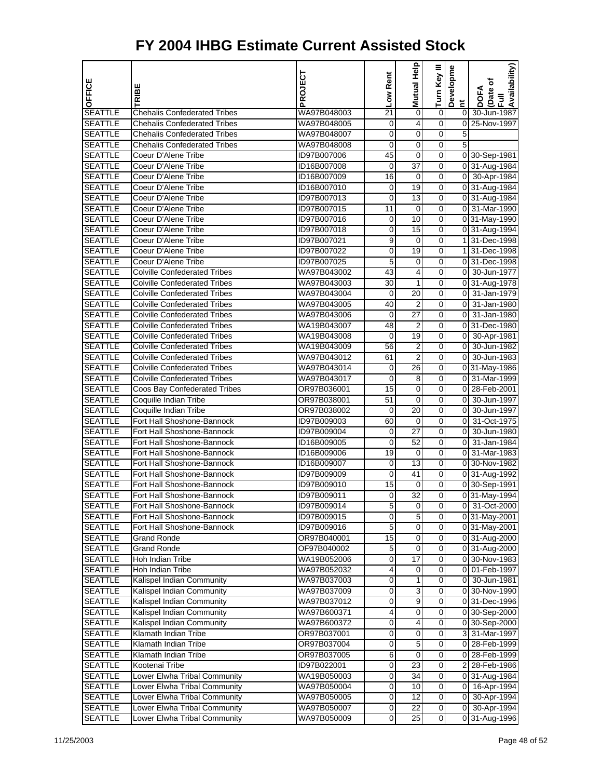| OFFICE         |                                     | PROJECT     | Low Rent       | Mutual Help     | Turn Key III     | Developme                              | Availability)<br>(Date of |
|----------------|-------------------------------------|-------------|----------------|-----------------|------------------|----------------------------------------|---------------------------|
|                | TRIBE                               |             |                |                 |                  |                                        | DOFA<br>$\bar{E}$         |
| <b>SEATTLE</b> | <b>Chehalis Confederated Tribes</b> | WA97B048003 | 21             | 0               | $\boldsymbol{0}$ | $\tilde{\mathbf{r}}$<br>$\overline{0}$ | 30-Jun-1987               |
| <b>SEATTLE</b> | <b>Chehalis Confederated Tribes</b> | WA97B048005 | 0              | 4               | 0                | $\overline{0}$                         | 25-Nov-1997               |
| <b>SEATTLE</b> | <b>Chehalis Confederated Tribes</b> | WA97B048007 | 0              | 0               | 0                | 5                                      |                           |
| <b>SEATTLE</b> | <b>Chehalis Confederated Tribes</b> | WA97B048008 | 0              | 0               | 0                | $\overline{5}$                         |                           |
| <b>SEATTLE</b> | Coeur D'Alene Tribe                 | ID97B007006 | 45             | 0               | 0                |                                        | 0 30-Sep-1981             |
| <b>SEATTLE</b> | Coeur D'Alene Tribe                 | ID16B007008 | 0              | $\overline{37}$ | 0                |                                        | 0 31-Aug-1984             |
| <b>SEATTLE</b> | Coeur D'Alene Tribe                 | ID16B007009 | 16             | $\mathbf 0$     | 0                |                                        | 0 30-Apr-1984             |
| <b>SEATTLE</b> | Coeur D'Alene Tribe                 | ID16B007010 | 0              | 19              | 0                |                                        | 0 31-Aug-1984             |
| <b>SEATTLE</b> | Coeur D'Alene Tribe                 | ID97B007013 | 0              | $\overline{13}$ | 0                |                                        | 0 31-Aug-1984             |
| <b>SEATTLE</b> | Coeur D'Alene Tribe                 | ID97B007015 | 11             | 0               | 0                |                                        | 0 31-Mar-1990             |
| <b>SEATTLE</b> | Coeur D'Alene Tribe                 | ID97B007016 | 0              | 10              | 0                |                                        | 0 31-May-1990             |
| <b>SEATTLE</b> | Coeur D'Alene Tribe                 | ID97B007018 | 0              | $\overline{15}$ | 0                |                                        | 0 31-Aug-1994             |
| <b>SEATTLE</b> | Coeur D'Alene Tribe                 | ID97B007021 | 9              | 0               | 0                |                                        | 1 31-Dec-1998             |
| <b>SEATTLE</b> | Coeur D'Alene Tribe                 | ID97B007022 | 0              | 19              | 0                |                                        | 1 31-Dec-1998             |
| <b>SEATTLE</b> | Coeur D'Alene Tribe                 | ID97B007025 | 5              | 0               | 0                |                                        | 0 31-Dec-1998             |
| <b>SEATTLE</b> | <b>Colville Confederated Tribes</b> | WA97B043002 | 43             | 4               | 0                | $\overline{0}$                         | 30-Jun-1977               |
| <b>SEATTLE</b> | <b>Colville Confederated Tribes</b> | WA97B043003 | 30             | 1               | 0                |                                        | 0 31-Aug-1978             |
| <b>SEATTLE</b> | <b>Colville Confederated Tribes</b> | WA97B043004 | 0              | 20              | 0                | $\overline{0}$                         | 31-Jan-1979               |
| <b>SEATTLE</b> | <b>Colville Confederated Tribes</b> | WA97B043005 | 40             | $\overline{c}$  | 0                | 0                                      | 31-Jan-1980               |
| <b>SEATTLE</b> | <b>Colville Confederated Tribes</b> | WA97B043006 | 0              | 27              | 0                | 0                                      | 31-Jan-1980               |
| <b>SEATTLE</b> | <b>Colville Confederated Tribes</b> | WA19B043007 | 48             | $\overline{c}$  | 0                |                                        | 0 31-Dec-1980             |
| <b>SEATTLE</b> | <b>Colville Confederated Tribes</b> | WA19B043008 | 0              | 19              | 0                | $\overline{0}$                         | 30-Apr-1981               |
| <b>SEATTLE</b> | <b>Colville Confederated Tribes</b> | WA19B043009 | 56             | $\overline{2}$  | 0                | $\overline{0}$                         | 30-Jun-1982               |
| <b>SEATTLE</b> | <b>Colville Confederated Tribes</b> | WA97B043012 | 61             | $\overline{c}$  | 0                | $\overline{0}$                         | 30-Jun-1983               |
| <b>SEATTLE</b> | <b>Colville Confederated Tribes</b> | WA97B043014 | 0              | 26              | 0                |                                        | 0 31-May-1986             |
| <b>SEATTLE</b> | <b>Colville Confederated Tribes</b> | WA97B043017 | 0              | 8               | 0                | $\overline{0}$                         | 31-Mar-1999               |
| <b>SEATTLE</b> | <b>Coos Bay Confederated Tribes</b> | OR97B036001 | 15             | $\mathbf 0$     | 0                |                                        | 0 28-Feb-2001             |
| <b>SEATTLE</b> | Coquille Indian Tribe               | OR97B038001 | 51             | $\mathbf 0$     | 0                | $\overline{0}$                         | 30-Jun-1997               |
| <b>SEATTLE</b> | Coquille Indian Tribe               | OR97B038002 | 0              | $\overline{20}$ | 0                | $\overline{0}$                         | 30-Jun-1997               |
| <b>SEATTLE</b> | Fort Hall Shoshone-Bannock          | ID97B009003 | 60             | 0               | 0                | 0                                      | 31-Oct-1975               |
| <b>SEATTLE</b> | Fort Hall Shoshone-Bannock          | ID97B009004 | 0              | 27              | 0                | $\overline{0}$                         | 30-Jun-1980               |
| <b>SEATTLE</b> | Fort Hall Shoshone-Bannock          | ID16B009005 | 0              | $\overline{52}$ | 0                | $\overline{0}$                         | 31-Jan-1984               |
| <b>SEATTLE</b> | Fort Hall Shoshone-Bannock          | ID16B009006 | 19             | 0               | 0                | 0                                      | 31-Mar-1983               |
| <b>SEATTLE</b> | Fort Hall Shoshone-Bannock          | ID16B009007 | 0              | $\overline{13}$ | 0                |                                        | 0 30-Nov-1982             |
| <b>SEATTLE</b> | Fort Hall Shoshone-Bannock          | ID97B009009 | 0              | 41              | 0                |                                        | 0 31-Aug-1992             |
| <b>SEATTLE</b> | Fort Hall Shoshone-Bannock          | ID97B009010 | 15             | 0               | 0                |                                        | 0 30-Sep-1991             |
| <b>SEATTLE</b> | Fort Hall Shoshone-Bannock          | ID97B009011 | 0              | $\overline{32}$ | 0                |                                        | 0 31-May-1994             |
| <b>SEATTLE</b> | Fort Hall Shoshone-Bannock          | ID97B009014 | 5              | 0               | 0                |                                        | 0 31-Oct-2000             |
| <b>SEATTLE</b> | Fort Hall Shoshone-Bannock          | ID97B009015 | $\overline{0}$ | 5               | 0                |                                        | 0 31-May-2001             |
| <b>SEATTLE</b> | Fort Hall Shoshone-Bannock          | ID97B009016 | 5              | 0               | 0                |                                        | 0 31-May-2001             |
| <b>SEATTLE</b> | <b>Grand Ronde</b>                  | OR97B040001 | 15             | $\mathbf 0$     | $\boldsymbol{0}$ |                                        | 0 31-Aug-2000             |
| <b>SEATTLE</b> | <b>Grand Ronde</b>                  | OF97B040002 | 5              | 0               | 0                |                                        | 0 31-Aug-2000             |
| <b>SEATTLE</b> | Hoh Indian Tribe                    | WA19B052006 | 0              | 17              | 0                |                                        | 0 30-Nov-1983             |
| <b>SEATTLE</b> | Hoh Indian Tribe                    | WA97B052032 | 4              | 0               | 0                | 01                                     | 01-Feb-1997               |
| <b>SEATTLE</b> | Kalispel Indian Community           | WA97B037003 | 0              | 1               | 0                | 01                                     | 30-Jun-1981               |
| <b>SEATTLE</b> | Kalispel Indian Community           | WA97B037009 | 0              | 3               | 0                |                                        | 0 30-Nov-1990             |
| <b>SEATTLE</b> | Kalispel Indian Community           | WA97B037012 | 0              | 9               | 0                |                                        | 0 31-Dec-1996             |
| <b>SEATTLE</b> | Kalispel Indian Community           | WA97B600371 | 4              | 0               | 0                |                                        | 0 30-Sep-2000             |
| <b>SEATTLE</b> | Kalispel Indian Community           | WA97B600372 | 0              | 4               | 0                |                                        | 0 30-Sep-2000             |
| <b>SEATTLE</b> | Klamath Indian Tribe                | OR97B037001 | 0              | 0               | 0                | 3                                      | 31-Mar-1997               |
| <b>SEATTLE</b> | Klamath Indian Tribe                | OR97B037004 | 0              | 5               | 0                |                                        | 0 28-Feb-1999             |
| <b>SEATTLE</b> | Klamath Indian Tribe                | OR97B037005 | 6              | $\mathbf 0$     | 0                |                                        | 0 28-Feb-1999             |
| <b>SEATTLE</b> | Kootenai Tribe                      | ID97B022001 | 0              | 23              | 0                | 21                                     | 28-Feb-1986               |
| <b>SEATTLE</b> | Lower Elwha Tribal Community        | WA19B050003 | 0              | 34              | 0                |                                        | 0 31-Aug-1984             |
| <b>SEATTLE</b> | Lower Elwha Tribal Community        | WA97B050004 | 0              | 10              | 0                | 01                                     | 16-Apr-1994               |
| <b>SEATTLE</b> | Lower Elwha Tribal Community        | WA97B050005 | 0              | 12              | 0                |                                        | 0 30-Apr-1994             |
| <b>SEATTLE</b> | Lower Elwha Tribal Community        | WA97B050007 | 0              | 22              | 0                | 01                                     | 30-Apr-1994               |
| <b>SEATTLE</b> | Lower Elwha Tribal Community        | WA97B050009 | 0              | 25              | 0                |                                        | 0 31-Aug-1996             |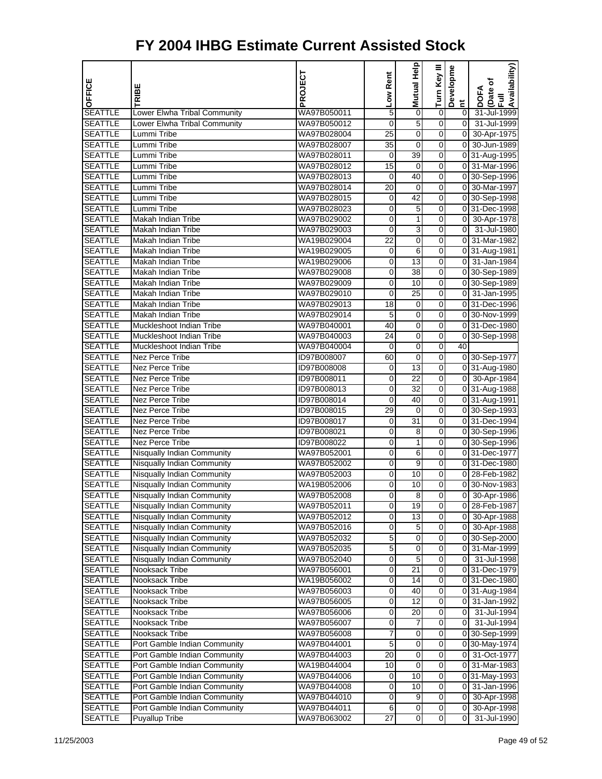| OFFICE                           |                                                                        | PROJECT                    | Low Rent            | <b>Mutual Help</b> | Turn Key III     | Developme                        | Availability)<br>Date of     |
|----------------------------------|------------------------------------------------------------------------|----------------------------|---------------------|--------------------|------------------|----------------------------------|------------------------------|
|                                  | TRIBE                                                                  |                            |                     |                    |                  | Ĕ                                | <b>DOFA</b><br>$\bar{E}$     |
| <b>SEATTLE</b>                   | Lower Elwha Tribal Community                                           | WA97B050011                | $\mathbf 5$         | $\mathbf 0$        | $\boldsymbol{0}$ | $\overline{0}$                   | 31-Jul-1999                  |
| <b>SEATTLE</b>                   | Lower Elwha Tribal Community                                           | WA97B050012                | 0                   | 5                  | 0                | $\Omega$                         | 31-Jul-1999                  |
| <b>SEATTLE</b>                   | Lummi Tribe                                                            | WA97B028004                | 25                  | 0                  | 0                | $\overline{\mathbf{0}}$          | 30-Apr-1975                  |
| <b>SEATTLE</b>                   | Lummi Tribe                                                            | WA97B028007                | $\overline{35}$     | 0                  | 0                | 0                                | 30-Jun-1989                  |
| <b>SEATTLE</b>                   | Lummi Tribe                                                            | WA97B028011                | 0                   | 39                 | 0                |                                  | 0 31-Aug-1995                |
| <b>SEATTLE</b>                   | Lummi Tribe                                                            | WA97B028012                | 15                  | $\mathbf 0$        | $\mathbf 0$      |                                  | 0 31-Mar-1996                |
| <b>SEATTLE</b>                   | Lummi Tribe                                                            | WA97B028013                | 0                   | 40                 | 0                |                                  | 0 30-Sep-1996                |
| <b>SEATTLE</b>                   | Lummi Tribe                                                            | WA97B028014                | 20                  | 0                  | 0                |                                  | 0 30-Mar-1997                |
| <b>SEATTLE</b>                   | Lummi Tribe                                                            | WA97B028015                | 0                   | 42                 | 0                |                                  | 0 30-Sep-1998                |
| <b>SEATTLE</b>                   | Lummi Tribe                                                            | WA97B028023                | 0                   | 5                  | 0                |                                  | 0 31-Dec-1998                |
| <b>SEATTLE</b>                   | Makah Indian Tribe                                                     | WA97B029002                | 0                   | 1                  | $\mathbf 0$      | $\overline{0}$                   | 30-Apr-1978                  |
| <b>SEATTLE</b><br><b>SEATTLE</b> | Makah Indian Tribe                                                     | WA97B029003                | 0                   | 3                  | 0                | $\overline{0}$<br>$\overline{0}$ | 31-Jul-1980                  |
| <b>SEATTLE</b>                   | Makah Indian Tribe<br><b>Makah Indian Tribe</b>                        | WA19B029004<br>WA19B029005 | 22<br>0             | 0<br>6             | 0<br>0           |                                  | 31-Mar-1982                  |
| <b>SEATTLE</b>                   | Makah Indian Tribe                                                     | WA19B029006                | 0                   | 13                 | 0                | 01                               | 0 31-Aug-1981<br>31-Jan-1984 |
| <b>SEATTLE</b>                   | Makah Indian Tribe                                                     | WA97B029008                | 0                   | $\overline{38}$    | 0                |                                  | 0 30-Sep-1989                |
| <b>SEATTLE</b>                   | Makah Indian Tribe                                                     | WA97B029009                | 0                   | 10                 | 0                |                                  | 0 30-Sep-1989                |
| <b>SEATTLE</b>                   | Makah Indian Tribe                                                     | WA97B029010                | 0                   | 25                 | 0                |                                  | 0 31-Jan-1995                |
| <b>SEATTLE</b>                   | <b>Makah Indian Tribe</b>                                              | WA97B029013                | 18                  | 0                  | 0                |                                  | 0 31-Dec-1996                |
| <b>SEATTLE</b>                   | Makah Indian Tribe                                                     | WA97B029014                | 5                   | 0                  | 0                |                                  | 0 30-Nov-1999                |
| <b>SEATTLE</b>                   | Muckleshoot Indian Tribe                                               | WA97B040001                | 40                  | $\mathbf 0$        | 0                |                                  | 0 31-Dec-1980                |
| <b>SEATTLE</b>                   | Muckleshoot Indian Tribe                                               | WA97B040003                | 24                  | 0                  | 0                |                                  | 0 30-Sep-1998                |
| <b>SEATTLE</b>                   | Muckleshoot Indian Tribe                                               | WA97B040004                | 0                   | 0                  | 0                | $\overline{40}$                  |                              |
| <b>SEATTLE</b>                   | <b>Nez Perce Tribe</b>                                                 | ID97B008007                | 60                  | 0                  | 0                |                                  | 0 30-Sep-1977                |
| <b>SEATTLE</b>                   | Nez Perce Tribe                                                        | ID97B008008                | 0                   | 13                 | 0                |                                  | 0 31-Aug-1980                |
| <b>SEATTLE</b>                   | Nez Perce Tribe                                                        | ID97B008011                | 0                   | $\overline{22}$    | 0                |                                  | 0 30-Apr-1984                |
| <b>SEATTLE</b>                   | Nez Perce Tribe                                                        | ID97B008013                | 0                   | 32                 | 0                |                                  | 0 31-Aug-1988                |
| <b>SEATTLE</b>                   | <b>Nez Perce Tribe</b>                                                 | ID97B008014                | 0                   | 40                 | 0                |                                  | 0 31-Aug-1991                |
| <b>SEATTLE</b>                   | <b>Nez Perce Tribe</b>                                                 | ID97B008015                | 29                  | 0                  | 0                |                                  | 0 30-Sep-1993                |
| <b>SEATTLE</b>                   | Nez Perce Tribe                                                        | ID97B008017                | 0                   | 31                 | 0                |                                  | 0 31-Dec-1994                |
| <b>SEATTLE</b>                   | <b>Nez Perce Tribe</b>                                                 | ID97B008021                | 0                   | 8                  | 0                |                                  | 0 30-Sep-1996                |
| <b>SEATTLE</b>                   | Nez Perce Tribe                                                        | ID97B008022                | 0                   | 1                  | 0                |                                  | 0 30-Sep-1996                |
| <b>SEATTLE</b>                   | <b>Nisqually Indian Community</b>                                      | WA97B052001                | 0                   | 6                  | 0                |                                  | 0 31-Dec-1977                |
| <b>SEATTLE</b>                   | <b>Nisqually Indian Community</b>                                      | WA97B052002                | 0                   | 9                  | 0                |                                  | 0 31-Dec-1980                |
| <b>SEATTLE</b>                   | Nisqually Indian Community                                             | WA97B052003                | 0                   | 10                 | 0                | 0                                | 28-Feb-1982                  |
| <b>SEATTLE</b><br><b>SEATTLE</b> | <b>Nisqually Indian Community</b><br><b>Nisqually Indian Community</b> | WA19B052006<br>WA97B052008 | 0                   | 10<br>8            | 0<br>0           | 0                                | 0 30-Nov-1983<br>30-Apr-1986 |
| <b>SEATTLE</b>                   | <b>Nisqually Indian Community</b>                                      | WA97B052011                | 0<br>$\overline{0}$ | 19                 | 0                |                                  | 0 28-Feb-1987                |
| <b>SEATTLE</b>                   | <b>Nisqually Indian Community</b>                                      | WA97B052012                | 0                   | 13                 | 0                | 01                               | 30-Apr-1988                  |
| <b>SEATTLE</b>                   | Nisqually Indian Community                                             | WA97B052016                | 0                   | 5                  | 0                | 01                               | 30-Apr-1988                  |
| <b>SEATTLE</b>                   | Nisqually Indian Community                                             | WA97B052032                | $\overline{5}$      | $\overline{0}$     | $\overline{0}$   |                                  | 0 30-Sep-2000                |
| <b>SEATTLE</b>                   | Nisqually Indian Community                                             | WA97B052035                | 5                   | 0                  | 0                |                                  | 0 31-Mar-1999                |
| <b>SEATTLE</b>                   | Nisqually Indian Community                                             | WA97B052040                | 0                   | 5                  | 0                | 01                               | 31-Jul-1998                  |
| <b>SEATTLE</b>                   | Nooksack Tribe                                                         | WA97B056001                | 0                   | 21                 | 0                |                                  | 0 31-Dec-1979                |
| <b>SEATTLE</b>                   | Nooksack Tribe                                                         | WA19B056002                | 0                   | 14                 | 0                |                                  | 0 31-Dec-1980                |
| <b>SEATTLE</b>                   | Nooksack Tribe                                                         | WA97B056003                | $\boldsymbol{0}$    | 40                 | $\overline{0}$   |                                  | 0 31-Aug-1984                |
| <b>SEATTLE</b>                   | Nooksack Tribe                                                         | WA97B056005                | 0                   | 12                 | 0                | 01                               | 31-Jan-1992                  |
| <b>SEATTLE</b>                   | Nooksack Tribe                                                         | WA97B056006                | $\pmb{0}$           | 20                 | 0                | $\overline{0}$                   | 31-Jul-1994                  |
| <b>SEATTLE</b>                   | Nooksack Tribe                                                         | WA97B056007                | 0                   | 7                  | 0                | 01                               | 31-Jul-1994                  |
| <b>SEATTLE</b>                   | Nooksack Tribe                                                         | WA97B056008                | 7                   | 0                  | 0                |                                  | 0 30-Sep-1999                |
| <b>SEATTLE</b>                   | Port Gamble Indian Community                                           | WA97B044001                | $\overline{5}$      | $\overline{0}$     | $\overline{0}$   |                                  | 0 30-May-1974                |
| <b>SEATTLE</b>                   | Port Gamble Indian Community                                           | WA97B044003                | 20                  | 0                  | 0                | 01                               | 31-Oct-1977                  |
| <b>SEATTLE</b>                   | Port Gamble Indian Community                                           | WA19B044004                | 10                  | $\mathbf 0$        | 0                |                                  | 0 31-Mar-1983                |
| <b>SEATTLE</b>                   | Port Gamble Indian Community                                           | WA97B044006                | 0                   | 10                 | 0                |                                  | 0 31-May-1993                |
| <b>SEATTLE</b>                   | Port Gamble Indian Community                                           | WA97B044008                | 0                   | 10                 | 0                | 01                               | 31-Jan-1996                  |
| <b>SEATTLE</b>                   | Port Gamble Indian Community                                           | WA97B044010                | $\boldsymbol{0}$    | $\overline{9}$     | $\overline{0}$   | οI                               | 30-Apr-1998                  |
| <b>SEATTLE</b>                   | Port Gamble Indian Community                                           | WA97B044011                | 6                   | 0                  | 0                | $\overline{0}$                   | 30-Apr-1998                  |
| <b>SEATTLE</b>                   | Puyallup Tribe                                                         | WA97B063002                | 27                  | $\pmb{0}$          | 0                | 0                                | 31-Jul-1990                  |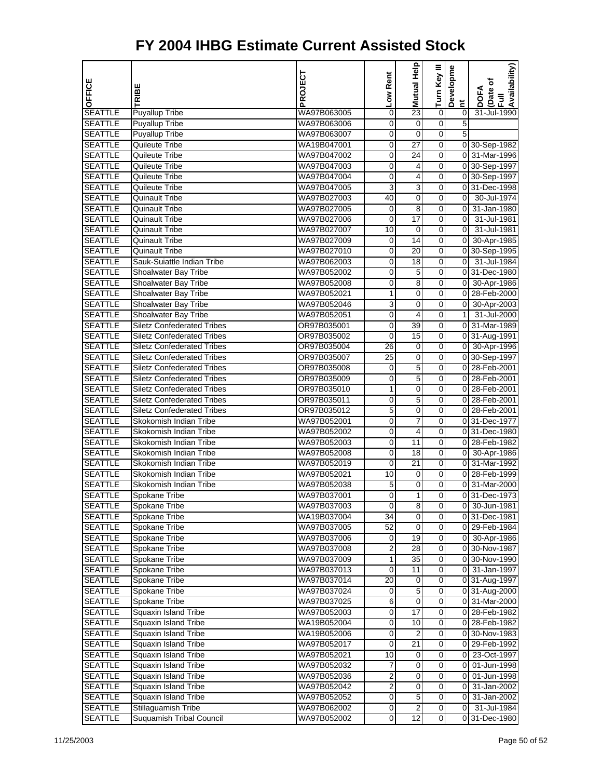|                                  |                                         | PROJECT                    | Low Rent                | <b>Mutual Help</b>   | Turn Key III   | Developme             | Availability)                |
|----------------------------------|-----------------------------------------|----------------------------|-------------------------|----------------------|----------------|-----------------------|------------------------------|
| OFFICE                           | RIBE                                    |                            |                         |                      |                |                       | Date of<br><b>DOFA</b>       |
|                                  |                                         |                            |                         |                      |                | $\overline{a}$        | Ē                            |
| <b>SEATTLE</b>                   | <b>Puyallup Tribe</b>                   | WA97B063005                | 0                       | $\overline{23}$      | $\overline{0}$ | $\pmb{0}$             | 31-Jul-1990                  |
| <b>SEATTLE</b>                   | Puyallup Tribe                          | WA97B063006                | 0                       | 0                    | 0              | 5                     |                              |
| <b>SEATTLE</b>                   | <b>Puyallup Tribe</b>                   | WA97B063007                | $\pmb{0}$               | 0                    | 0              | 5                     |                              |
| <b>SEATTLE</b>                   | Quileute Tribe                          | WA19B047001                | 0                       | 27                   | 0              |                       | 0 30-Sep-1982                |
| <b>SEATTLE</b>                   | Quileute Tribe                          | WA97B047002                | 0                       | 24                   | 0              |                       | 0 31-Mar-1996                |
| <b>SEATTLE</b>                   | Quileute Tribe                          | WA97B047003                | $\mathbf 0$             | 4                    | O              |                       | 0 30-Sep-1997                |
| <b>SEATTLE</b>                   | Quileute Tribe                          | WA97B047004                | 0                       | 4                    | 0              |                       | 0 30-Sep-1997                |
| <b>SEATTLE</b>                   | Quileute Tribe                          | WA97B047005                | 3                       | 3                    | 0              |                       | 0 31-Dec-1998                |
| <b>SEATTLE</b>                   | Quinault Tribe                          | WA97B027003                | 40                      | 0                    | 0              | οI                    | 30-Jul-1974                  |
| <b>SEATTLE</b>                   | Quinault Tribe                          | WA97B027005                | 0<br>$\mathbf 0$        | 8<br>$\overline{17}$ | 0<br>O         | $\overline{0}$        | 0 31-Jan-1980                |
| <b>SEATTLE</b><br><b>SEATTLE</b> | Quinault Tribe                          | WA97B027006                |                         |                      | 0              | $\overline{0}$        | 31-Jul-1981<br>31-Jul-1981   |
| <b>SEATTLE</b>                   | Quinault Tribe                          | WA97B027007<br>WA97B027009 | 10                      | 0<br>14              | 0              | $\overline{0}$        |                              |
| <b>SEATTLE</b>                   | Quinault Tribe<br><b>Quinault Tribe</b> | WA97B027010                | 0<br>0                  | $\overline{20}$      | 0              |                       | 30-Apr-1985<br>0 30-Sep-1995 |
| <b>SEATTLE</b>                   | Sauk-Suiattle Indian Tribe              | WA97B062003                | 0                       | 18                   | 0              | $\overline{0}$        | 31-Jul-1984                  |
| <b>SEATTLE</b>                   | Shoalwater Bay Tribe                    | WA97B052002                | $\mathbf 0$             | 5                    | O              |                       | 0 31-Dec-1980                |
| <b>SEATTLE</b>                   | Shoalwater Bay Tribe                    | WA97B052008                | 0                       | 8                    | 0              | $\overline{0}$        | 30-Apr-1986                  |
| <b>SEATTLE</b>                   | Shoalwater Bay Tribe                    | WA97B052021                | $\mathbf{1}$            | 0                    | 0              |                       | 0 28-Feb-2000                |
| <b>SEATTLE</b>                   | Shoalwater Bay Tribe                    | WA97B052046                | 3                       | 0                    | 0              | $\overline{\text{o}}$ | 30-Apr-2003                  |
| <b>SEATTLE</b>                   | Shoalwater Bay Tribe                    | WA97B052051                | 0                       | 4                    | 0              | 1 <sup>1</sup>        | 31-Jul-2000                  |
| <b>SEATTLE</b>                   | <b>Siletz Confederated Tribes</b>       | OR97B035001                | 0                       | $\overline{39}$      | O              |                       | 0 31-Mar-1989                |
| <b>SEATTLE</b>                   | <b>Siletz Confederated Tribes</b>       | OR97B035002                | 0                       | 15                   | 0              |                       | 0 31-Aug-1991                |
| <b>SEATTLE</b>                   | <b>Siletz Confederated Tribes</b>       | OR97B035004                | 26                      | 0                    | 0              |                       | 0 30-Apr-1996                |
| <b>SEATTLE</b>                   | <b>Siletz Confederated Tribes</b>       | OR97B035007                | $\overline{25}$         | 0                    | 0              |                       | 0 30-Sep-1997                |
| <b>SEATTLE</b>                   | <b>Siletz Confederated Tribes</b>       | OR97B035008                | 0                       | 5                    | 0              |                       | 0 28-Feb-2001                |
| <b>SEATTLE</b>                   | <b>Siletz Confederated Tribes</b>       | OR97B035009                | $\overline{0}$          | 5                    | O              |                       | 0 28-Feb-2001                |
| <b>SEATTLE</b>                   | <b>Siletz Confederated Tribes</b>       | OR97B035010                | 1                       | 0                    | 0              |                       | 0 28-Feb-2001                |
| <b>SEATTLE</b>                   | <b>Siletz Confederated Tribes</b>       | OR97B035011                | 0                       | 5                    | 0              |                       | 0 28-Feb-2001                |
| <b>SEATTLE</b>                   | <b>Siletz Confederated Tribes</b>       | OR97B035012                | 5                       | 0                    | 0              |                       | 0 28-Feb-2001                |
| <b>SEATTLE</b>                   | Skokomish Indian Tribe                  | WA97B052001                | 0                       | 7                    | 0              |                       | 0 31-Dec-1977                |
| <b>SEATTLE</b>                   | Skokomish Indian Tribe                  | WA97B052002                | $\boldsymbol{0}$        | 4                    | O              |                       | 0 31-Dec-1980                |
| <b>SEATTLE</b>                   | Skokomish Indian Tribe                  | WA97B052003                | 0                       | 11                   | 0              |                       | 0 28-Feb-1982                |
| <b>SEATTLE</b>                   | Skokomish Indian Tribe                  | WA97B052008                | 0                       | 18                   | 0              |                       | 0 30-Apr-1986                |
| <b>SEATTLE</b>                   | Skokomish Indian Tribe                  | WA97B052019                | 0                       | $\overline{21}$      | 0              |                       | 0 31-Mar-1992                |
| <b>SEATTLE</b>                   | Skokomish Indian Tribe                  | WA97B052021                | 10                      | 0                    | 0              |                       | 0 28-Feb-1999                |
| <b>SEATTLE</b>                   | Skokomish Indian Tribe                  | WA97B052038                | 5                       | 0                    | O              |                       | 0 31-Mar-2000                |
| <b>SEATTLE</b>                   | Spokane Tribe                           | WA97B037001                | 0                       | 1                    | 0              |                       | 0 31-Dec-1973                |
| <b>SEATTLE</b>                   | Spokane Tribe                           | WA97B037003                | $\overline{0}$          | 8                    | 0              |                       | 0 30-Jun-1981                |
| <b>SEATTLE</b>                   | <b>Spokane Tribe</b>                    | WA19B037004                | 34                      | 0                    | 0              |                       | 0 31-Dec-1981                |
| <b>SEATTLE</b>                   | Spokane Tribe                           | WA97B037005                | 52                      | 0                    | 0              |                       | 0 29-Feb-1984                |
| <b>SEATTLE</b>                   | Spokane Tribe                           | WA97B037006                | 0                       | 19                   | $\overline{0}$ |                       | 0 30-Apr-1986                |
| <b>SEATTLE</b>                   | Spokane Tribe                           | WA97B037008                | 2                       | 28                   | 0              |                       | 0 30-Nov-1987                |
| <b>SEATTLE</b>                   | Spokane Tribe                           | WA97B037009                | 1                       | 35                   | 0              |                       | 0 30-Nov-1990                |
| <b>SEATTLE</b>                   | Spokane Tribe                           | WA97B037013                | 0                       | 11                   | 0              |                       | 0 31-Jan-1997                |
| <b>SEATTLE</b>                   | Spokane Tribe                           | WA97B037014                | 20                      | 0                    | $\mathbf 0$    |                       | 0 31-Aug-1997                |
| <b>SEATTLE</b>                   | Spokane Tribe                           | WA97B037024                | 0                       | $\overline{5}$       | $\overline{0}$ |                       | 0 31-Aug-2000                |
| <b>SEATTLE</b>                   | Spokane Tribe                           | WA97B037025                | 6                       | 0                    | 0              |                       | 0 31-Mar-2000                |
| <b>SEATTLE</b>                   | Squaxin Island Tribe                    | WA97B052003                | $\pmb{0}$               | $\overline{17}$      | $\mathbf 0$    |                       | 0 28-Feb-1982                |
| <b>SEATTLE</b>                   | Squaxin Island Tribe                    | WA19B052004                | 0                       | 10                   | 0              |                       | 0 28-Feb-1982                |
| <b>SEATTLE</b>                   | Squaxin Island Tribe                    | WA19B052006                | 0                       | 2                    | $\mathbf 0$    |                       | 0 30-Nov-1983                |
| <b>SEATTLE</b>                   | Squaxin Island Tribe                    | WA97B052017                | $\overline{0}$          | $\overline{21}$      | O              |                       | 0 29-Feb-1992                |
| <b>SEATTLE</b>                   | Squaxin Island Tribe                    | WA97B052021                | 10                      | 0                    | 0              | 01                    | 23-Oct-1997                  |
| <b>SEATTLE</b>                   | Squaxin Island Tribe                    | WA97B052032                | 7                       | $\pmb{0}$            | 0              | <sub>0</sub>          | 01-Jun-1998                  |
| <b>SEATTLE</b>                   | Squaxin Island Tribe                    | WA97B052036                | 2                       | 0                    | 0              |                       | 0 01-Jun-1998                |
| <b>SEATTLE</b>                   | Squaxin Island Tribe                    | WA97B052042                | $\overline{c}$          | 0                    | $\mathbf 0$    |                       | 0 31-Jan-2002                |
| <b>SEATTLE</b>                   | Squaxin Island Tribe                    | WA97B052052                | $\overline{\mathbf{0}}$ | $\overline{5}$       | $\overline{0}$ |                       | $0$ 31-Jan-2002              |
| <b>SEATTLE</b>                   | Stillaquamish Tribe                     | WA97B062002                | 0                       | $\overline{2}$       | 0              | $\overline{0}$        | 31-Jul-1984                  |
| <b>SEATTLE</b>                   | Suquamish Tribal Council                | WA97B052002                | $\mathbf 0$             | $\overline{12}$      | $\overline{0}$ |                       | 0 31-Dec-1980                |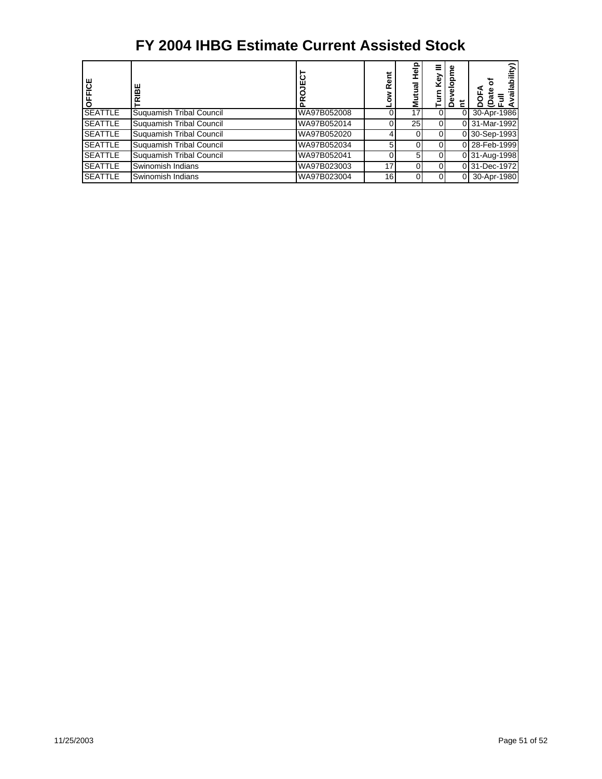| FICE<br>$\circ$ | ш<br>⋒<br>๔                     | ن<br>≃      | Rent | ᇹ<br>gu<br>Σ | Key | ≏ |               |
|-----------------|---------------------------------|-------------|------|--------------|-----|---|---------------|
| <b>SEATTLE</b>  | Suguamish Tribal Council        | WA97B052008 |      | 17           |     | 0 | 30-Apr-1986   |
| <b>SEATTLE</b>  | Suguamish Tribal Council        | WA97B052014 |      | 25 I         |     |   | 0 31-Mar-1992 |
| <b>SEATTLE</b>  | Suguamish Tribal Council        | WA97B052020 |      |              |     |   | 0 30-Sep-1993 |
| <b>SEATTLE</b>  | <b>Suguamish Tribal Council</b> | WA97B052034 |      |              |     |   | 0 28-Feb-1999 |
| <b>SEATTLE</b>  | Suguamish Tribal Council        | WA97B052041 |      | 5.           |     |   | 0 31-Aug-1998 |
| <b>SEATTLE</b>  | Swinomish Indians               | WA97B023003 | 17   |              |     |   | 0 31-Dec-1972 |
| <b>SEATTLE</b>  | Swinomish Indians               | WA97B023004 | 16   |              |     | 0 | 30-Apr-1980   |